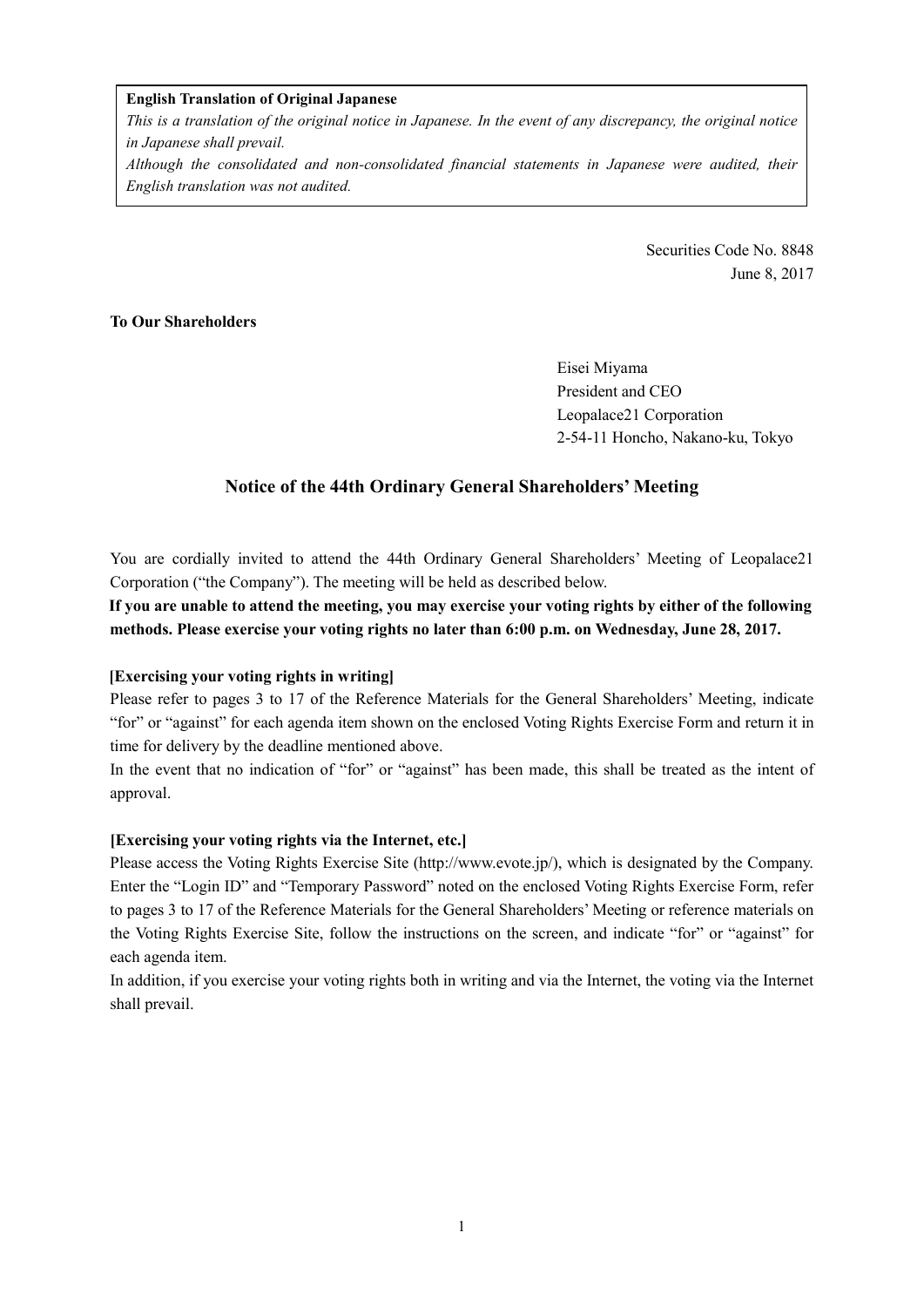#### **English Translation of Original Japanese**

*This is a translation of the original notice in Japanese. In the event of any discrepancy, the original notice in Japanese shall prevail.* 

*Although the consolidated and non-consolidated financial statements in Japanese were audited, their English translation was not audited.*

> Securities Code No. 8848 June 8, 2017

## **To Our Shareholders**

Eisei Miyama President and CEO Leopalace21 Corporation 2-54-11 Honcho, Nakano-ku, Tokyo

# **Notice of the 44th Ordinary General Shareholders' Meeting**

You are cordially invited to attend the 44th Ordinary General Shareholders' Meeting of Leopalace21 Corporation ("the Company"). The meeting will be held as described below.

**If you are unable to attend the meeting, you may exercise your voting rights by either of the following methods. Please exercise your voting rights no later than 6:00 p.m. on Wednesday, June 28, 2017.** 

### **[Exercising your voting rights in writing]**

Please refer to pages 3 to 17 of the Reference Materials for the General Shareholders' Meeting, indicate "for" or "against" for each agenda item shown on the enclosed Voting Rights Exercise Form and return it in time for delivery by the deadline mentioned above.

In the event that no indication of "for" or "against" has been made, this shall be treated as the intent of approval.

### **[Exercising your voting rights via the Internet, etc.]**

Please access the Voting Rights Exercise Site (http://www.evote.jp/), which is designated by the Company. Enter the "Login ID" and "Temporary Password" noted on the enclosed Voting Rights Exercise Form, refer to pages 3 to 17 of the Reference Materials for the General Shareholders' Meeting or reference materials on the Voting Rights Exercise Site, follow the instructions on the screen, and indicate "for" or "against" for each agenda item.

In addition, if you exercise your voting rights both in writing and via the Internet, the voting via the Internet shall prevail.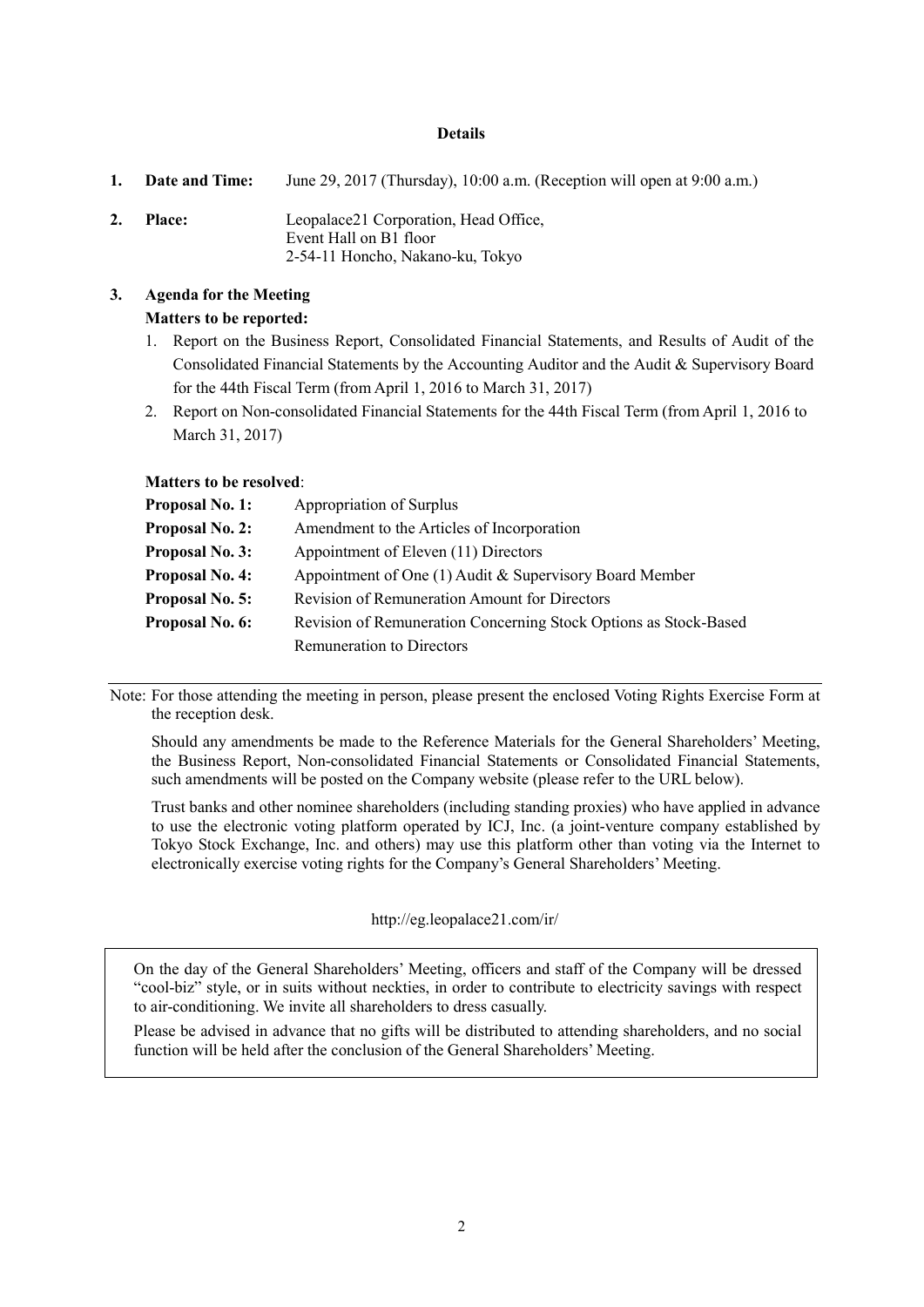#### **Details**

**1. Date and Time:** June 29, 2017 (Thursday), 10:00 a.m. (Reception will open at 9:00 a.m.) **2. Place:** Leopalace21 Corporation, Head Office, Event Hall on B1 floor 2-54-11 Honcho, Nakano-ku, Tokyo

## **3. Agenda for the Meeting Matters to be reported:**

- 1. Report on the Business Report, Consolidated Financial Statements, and Results of Audit of the Consolidated Financial Statements by the Accounting Auditor and the Audit & Supervisory Board for the 44th Fiscal Term (from April 1, 2016 to March 31, 2017)
- 2. Report on Non-consolidated Financial Statements for the 44th Fiscal Term (from April 1, 2016 to March 31, 2017)

#### **Matters to be resolved**:

| <b>Proposal No. 1:</b> | Appropriation of Surplus                                         |
|------------------------|------------------------------------------------------------------|
| <b>Proposal No. 2:</b> | Amendment to the Articles of Incorporation                       |
| <b>Proposal No. 3:</b> | Appointment of Eleven (11) Directors                             |
| <b>Proposal No. 4:</b> | Appointment of One $(1)$ Audit & Supervisory Board Member        |
| <b>Proposal No. 5:</b> | Revision of Remuneration Amount for Directors                    |
| Proposal No. 6:        | Revision of Remuneration Concerning Stock Options as Stock-Based |
|                        | Remuneration to Directors                                        |

Note: For those attending the meeting in person, please present the enclosed Voting Rights Exercise Form at the reception desk.

Should any amendments be made to the Reference Materials for the General Shareholders' Meeting, the Business Report, Non-consolidated Financial Statements or Consolidated Financial Statements, such amendments will be posted on the Company website (please refer to the URL below).

Trust banks and other nominee shareholders (including standing proxies) who have applied in advance to use the electronic voting platform operated by ICJ, Inc. (a joint-venture company established by Tokyo Stock Exchange, Inc. and others) may use this platform other than voting via the Internet to electronically exercise voting rights for the Company's General Shareholders' Meeting.

http://eg.leopalace21.com/ir/

 On the day of the General Shareholders' Meeting, officers and staff of the Company will be dressed "cool-biz" style, or in suits without neckties, in order to contribute to electricity savings with respect to air-conditioning. We invite all shareholders to dress casually.

 Please be advised in advance that no gifts will be distributed to attending shareholders, and no social function will be held after the conclusion of the General Shareholders' Meeting.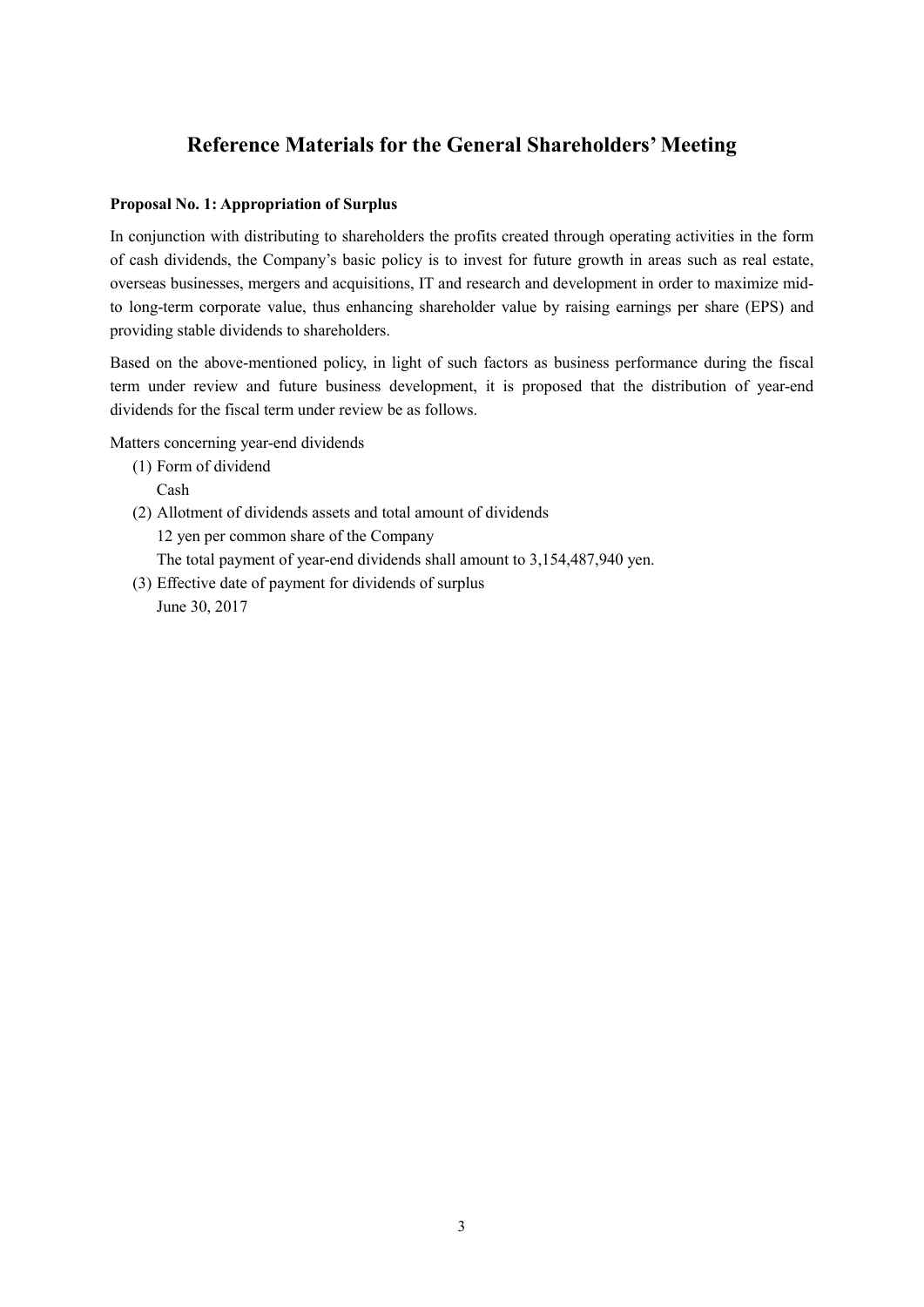# **Reference Materials for the General Shareholders' Meeting**

### **Proposal No. 1: Appropriation of Surplus**

In conjunction with distributing to shareholders the profits created through operating activities in the form of cash dividends, the Company's basic policy is to invest for future growth in areas such as real estate, overseas businesses, mergers and acquisitions, IT and research and development in order to maximize midto long-term corporate value, thus enhancing shareholder value by raising earnings per share (EPS) and providing stable dividends to shareholders.

Based on the above-mentioned policy, in light of such factors as business performance during the fiscal term under review and future business development, it is proposed that the distribution of year-end dividends for the fiscal term under review be as follows.

Matters concerning year-end dividends

- (1) Form of dividend
	- Cash
- (2) Allotment of dividends assets and total amount of dividends 12 yen per common share of the Company The total payment of year-end dividends shall amount to 3,154,487,940 yen.
- (3) Effective date of payment for dividends of surplus June 30, 2017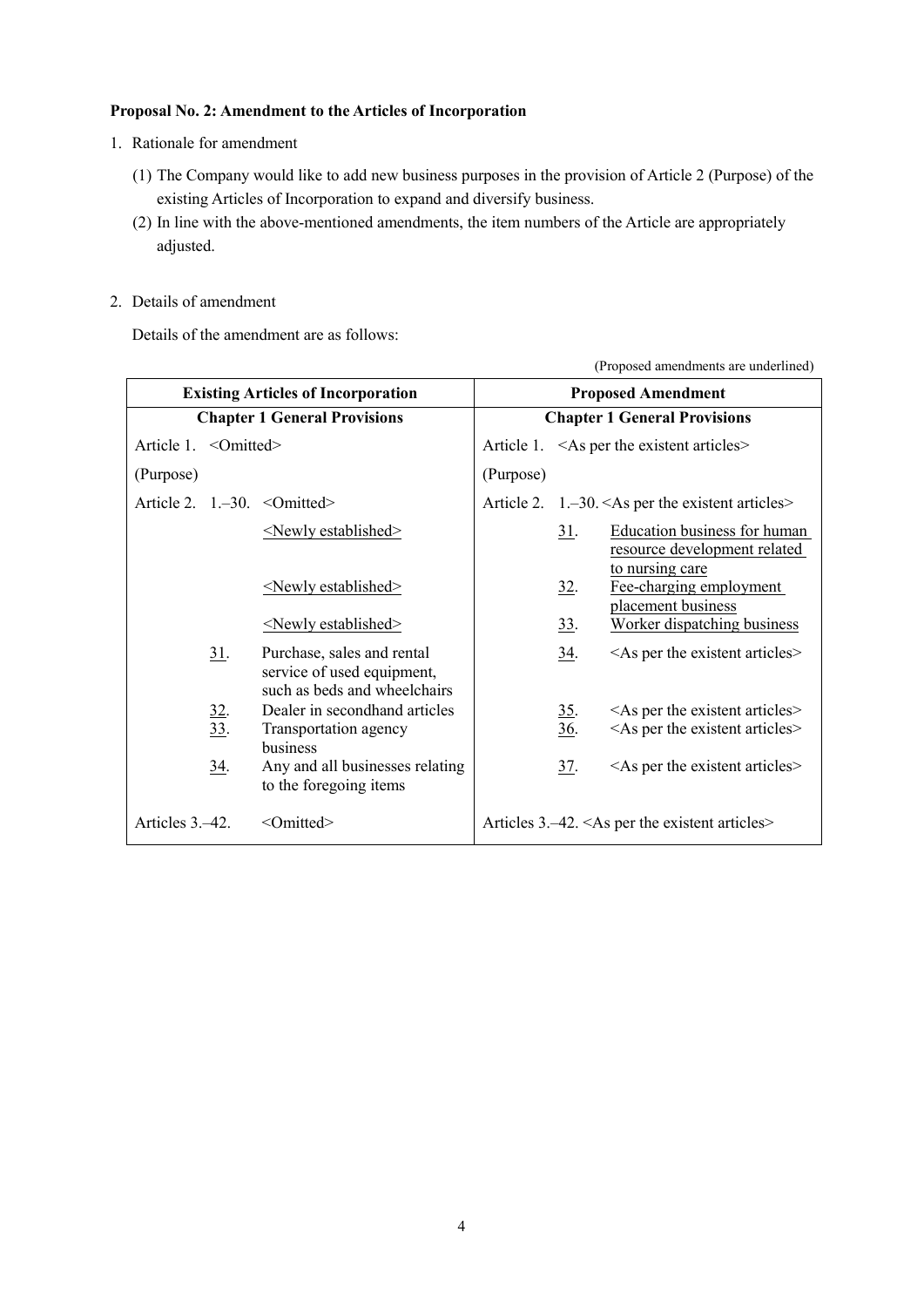## **Proposal No. 2: Amendment to the Articles of Incorporation**

- 1. Rationale for amendment
	- (1) The Company would like to add new business purposes in the provision of Article 2 (Purpose) of the existing Articles of Incorporation to expand and diversify business.
	- (2) In line with the above-mentioned amendments, the item numbers of the Article are appropriately adjusted.
- 2. Details of amendment

Details of the amendment are as follows:

|                       |                   | <b>Existing Articles of Incorporation</b>                                                |                                     |                    | <b>Proposed Amendment</b>                                            |
|-----------------------|-------------------|------------------------------------------------------------------------------------------|-------------------------------------|--------------------|----------------------------------------------------------------------|
|                       |                   | <b>Chapter 1 General Provisions</b>                                                      | <b>Chapter 1 General Provisions</b> |                    |                                                                      |
| Article 1. < Omitted> |                   |                                                                                          |                                     |                    | Article 1. $\leq$ As per the existent articles>                      |
| (Purpose)             |                   |                                                                                          | (Purpose)                           |                    |                                                                      |
|                       |                   | Article 2. $1,-30.$ < Omitted>                                                           |                                     |                    | Article 2. $1,-30$ . <as articles="" existent="" per="" the=""></as> |
|                       |                   | $\le$ Newly established $\ge$                                                            |                                     | <u>31</u> .        | <b>Education business for human</b><br>resource development related  |
|                       |                   | $\le$ Newly established $\ge$                                                            |                                     | 32.                | to nursing care<br>Fee-charging employment<br>placement business     |
|                       |                   | $\le$ Newly established $\ge$                                                            |                                     | 33.                | Worker dispatching business                                          |
|                       | <u>31</u> .       | Purchase, sales and rental<br>service of used equipment,<br>such as beds and wheelchairs |                                     | $\underline{34}$ . | $\leq$ As per the existent articles $\geq$                           |
|                       | $\frac{32}{33}$ . | Dealer in secondhand articles                                                            |                                     | 35.                | $\leq$ As per the existent articles $\geq$                           |
|                       |                   | Transportation agency<br>business                                                        |                                     | $\underline{36}$ . | $\leq$ As per the existent articles $>$                              |
|                       | 34.               | Any and all businesses relating<br>to the foregoing items                                |                                     | 37.                | $\leq$ As per the existent articles $\geq$                           |
| Articles 3.–42.       |                   | <omitted></omitted>                                                                      |                                     |                    | Articles $3.-42. <$ As per the existent articles>                    |

(Proposed amendments are underlined)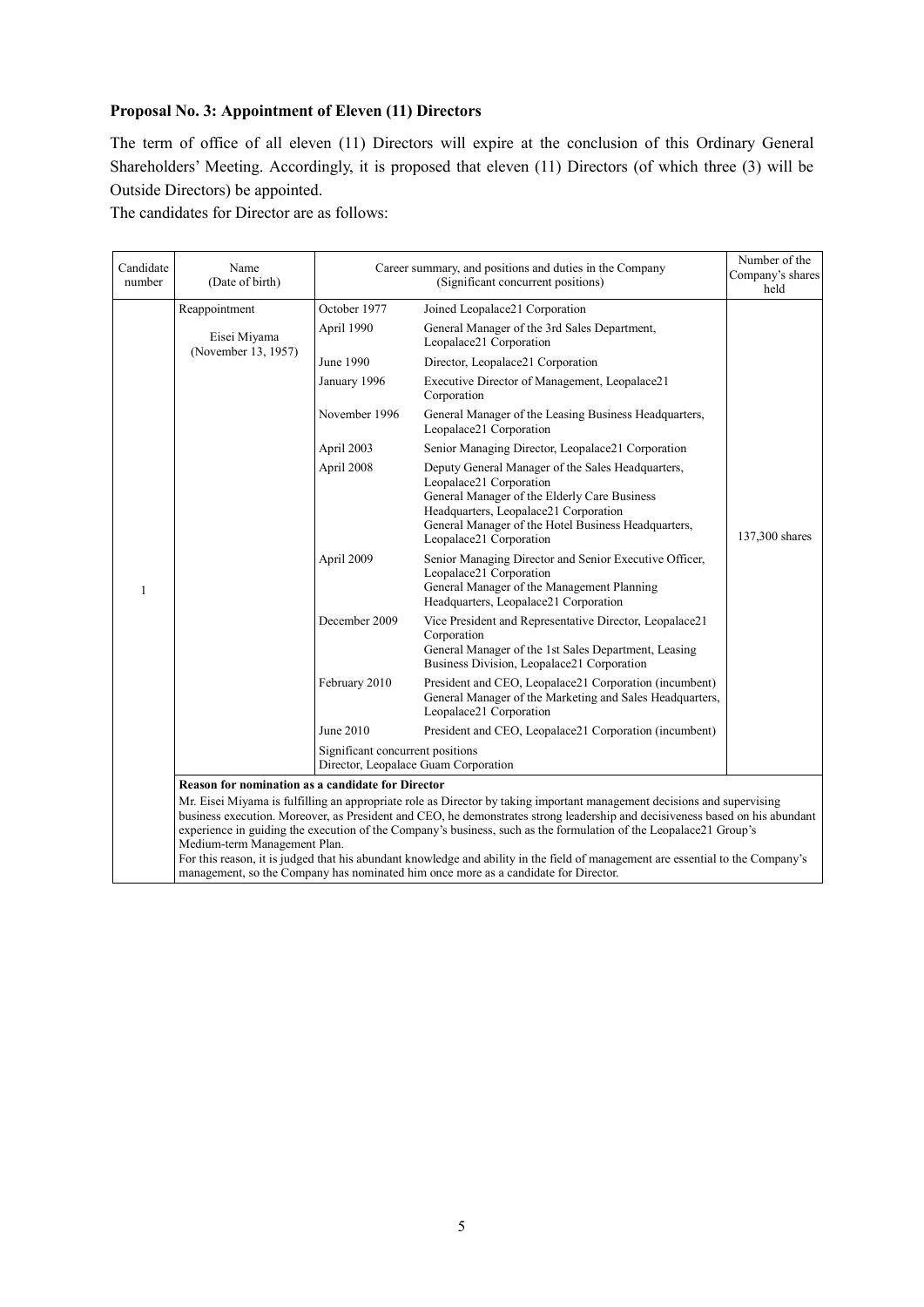## **Proposal No. 3: Appointment of Eleven (11) Directors**

The term of office of all eleven (11) Directors will expire at the conclusion of this Ordinary General Shareholders' Meeting. Accordingly, it is proposed that eleven (11) Directors (of which three (3) will be Outside Directors) be appointed.

The candidates for Director are as follows:

| Candidate<br>number | Name<br>(Date of birth)                                                                                                                                                                                                                                                                                                                                                                                                                                                                                                                         |                                  | Career summary, and positions and duties in the Company<br>(Significant concurrent positions)                                                                                                                                                           | Number of the<br>Company's shares<br>held |
|---------------------|-------------------------------------------------------------------------------------------------------------------------------------------------------------------------------------------------------------------------------------------------------------------------------------------------------------------------------------------------------------------------------------------------------------------------------------------------------------------------------------------------------------------------------------------------|----------------------------------|---------------------------------------------------------------------------------------------------------------------------------------------------------------------------------------------------------------------------------------------------------|-------------------------------------------|
|                     | Reappointment                                                                                                                                                                                                                                                                                                                                                                                                                                                                                                                                   | October 1977                     | Joined Leopalace21 Corporation                                                                                                                                                                                                                          |                                           |
|                     | Eisei Miyama                                                                                                                                                                                                                                                                                                                                                                                                                                                                                                                                    | April 1990                       | General Manager of the 3rd Sales Department,<br>Leopalace21 Corporation                                                                                                                                                                                 |                                           |
|                     | (November 13, 1957)                                                                                                                                                                                                                                                                                                                                                                                                                                                                                                                             | June 1990                        | Director, Leopalace21 Corporation                                                                                                                                                                                                                       |                                           |
|                     |                                                                                                                                                                                                                                                                                                                                                                                                                                                                                                                                                 | January 1996                     | Executive Director of Management, Leopalace21<br>Corporation                                                                                                                                                                                            |                                           |
|                     |                                                                                                                                                                                                                                                                                                                                                                                                                                                                                                                                                 | November 1996                    | General Manager of the Leasing Business Headquarters,<br>Leopalace21 Corporation                                                                                                                                                                        |                                           |
|                     |                                                                                                                                                                                                                                                                                                                                                                                                                                                                                                                                                 | April 2003                       | Senior Managing Director, Leopalace21 Corporation                                                                                                                                                                                                       |                                           |
|                     |                                                                                                                                                                                                                                                                                                                                                                                                                                                                                                                                                 | April 2008                       | Deputy General Manager of the Sales Headquarters,<br>Leopalace21 Corporation<br>General Manager of the Elderly Care Business<br>Headquarters, Leopalace21 Corporation<br>General Manager of the Hotel Business Headquarters,<br>Leopalace21 Corporation | 137,300 shares                            |
| 1                   |                                                                                                                                                                                                                                                                                                                                                                                                                                                                                                                                                 | April 2009                       | Senior Managing Director and Senior Executive Officer,<br>Leopalace21 Corporation<br>General Manager of the Management Planning<br>Headquarters, Leopalace21 Corporation                                                                                |                                           |
|                     |                                                                                                                                                                                                                                                                                                                                                                                                                                                                                                                                                 | December 2009                    | Vice President and Representative Director, Leopalace21<br>Corporation<br>General Manager of the 1st Sales Department, Leasing<br>Business Division, Leopalace21 Corporation                                                                            |                                           |
|                     |                                                                                                                                                                                                                                                                                                                                                                                                                                                                                                                                                 | February 2010                    | President and CEO, Leopalace21 Corporation (incumbent)<br>General Manager of the Marketing and Sales Headquarters,<br>Leopalace21 Corporation                                                                                                           |                                           |
|                     |                                                                                                                                                                                                                                                                                                                                                                                                                                                                                                                                                 | June 2010                        | President and CEO, Leopalace21 Corporation (incumbent)                                                                                                                                                                                                  |                                           |
|                     |                                                                                                                                                                                                                                                                                                                                                                                                                                                                                                                                                 | Significant concurrent positions | Director, Leopalace Guam Corporation                                                                                                                                                                                                                    |                                           |
|                     | <b>Reason for nomination as a candidate for Director</b>                                                                                                                                                                                                                                                                                                                                                                                                                                                                                        |                                  |                                                                                                                                                                                                                                                         |                                           |
|                     | Mr. Eisei Miyama is fulfilling an appropriate role as Director by taking important management decisions and supervising<br>business execution. Moreover, as President and CEO, he demonstrates strong leadership and decisiveness based on his abundant<br>experience in guiding the execution of the Company's business, such as the formulation of the Leopalace21 Group's<br>Medium-term Management Plan.<br>For this reason, it is judged that his abundant knowledge and ability in the field of management are essential to the Company's |                                  |                                                                                                                                                                                                                                                         |                                           |
|                     |                                                                                                                                                                                                                                                                                                                                                                                                                                                                                                                                                 |                                  | management, so the Company has nominated him once more as a candidate for Director.                                                                                                                                                                     |                                           |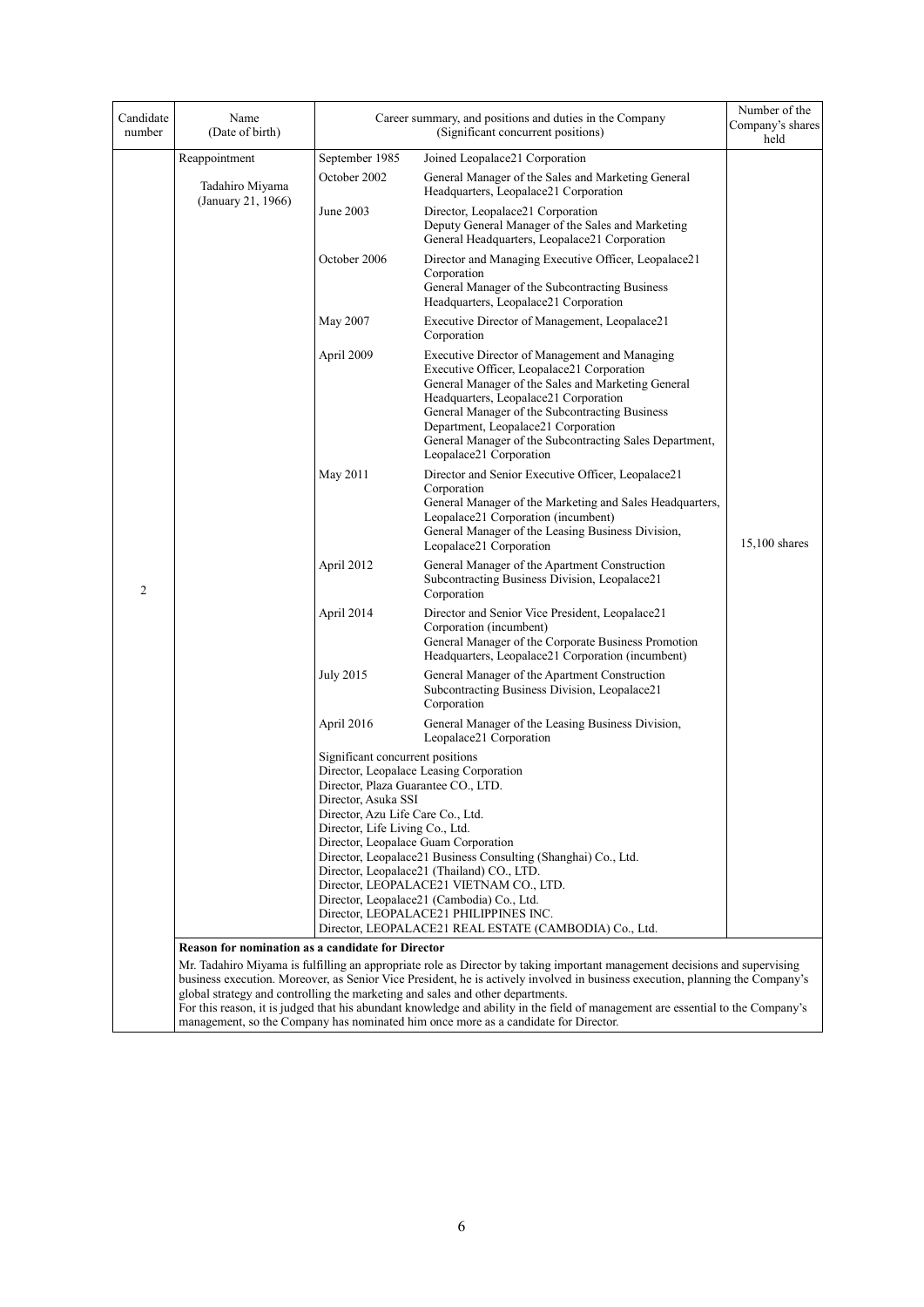| Candidate<br>number                                                                                                                                                                                                                                                                                                                                                                                                                                                                                                                                                                                                                 | Name<br>(Date of birth)               |                                                                                                                                                                        | Career summary, and positions and duties in the Company<br>(Significant concurrent positions)                                                                                                                                                                                                                                                                             | Number of the<br>Company's shares<br>held |
|-------------------------------------------------------------------------------------------------------------------------------------------------------------------------------------------------------------------------------------------------------------------------------------------------------------------------------------------------------------------------------------------------------------------------------------------------------------------------------------------------------------------------------------------------------------------------------------------------------------------------------------|---------------------------------------|------------------------------------------------------------------------------------------------------------------------------------------------------------------------|---------------------------------------------------------------------------------------------------------------------------------------------------------------------------------------------------------------------------------------------------------------------------------------------------------------------------------------------------------------------------|-------------------------------------------|
|                                                                                                                                                                                                                                                                                                                                                                                                                                                                                                                                                                                                                                     | Reappointment                         | September 1985                                                                                                                                                         | Joined Leopalace21 Corporation                                                                                                                                                                                                                                                                                                                                            |                                           |
|                                                                                                                                                                                                                                                                                                                                                                                                                                                                                                                                                                                                                                     | Tadahiro Miyama<br>(January 21, 1966) | October 2002                                                                                                                                                           | General Manager of the Sales and Marketing General<br>Headquarters, Leopalace21 Corporation                                                                                                                                                                                                                                                                               |                                           |
|                                                                                                                                                                                                                                                                                                                                                                                                                                                                                                                                                                                                                                     |                                       | June 2003                                                                                                                                                              | Director, Leopalace21 Corporation<br>Deputy General Manager of the Sales and Marketing<br>General Headquarters, Leopalace21 Corporation                                                                                                                                                                                                                                   |                                           |
|                                                                                                                                                                                                                                                                                                                                                                                                                                                                                                                                                                                                                                     |                                       | October 2006                                                                                                                                                           | Director and Managing Executive Officer, Leopalace21<br>Corporation<br>General Manager of the Subcontracting Business<br>Headquarters, Leopalace21 Corporation                                                                                                                                                                                                            |                                           |
|                                                                                                                                                                                                                                                                                                                                                                                                                                                                                                                                                                                                                                     |                                       | May 2007                                                                                                                                                               | Executive Director of Management, Leopalace21<br>Corporation                                                                                                                                                                                                                                                                                                              |                                           |
|                                                                                                                                                                                                                                                                                                                                                                                                                                                                                                                                                                                                                                     |                                       | April 2009                                                                                                                                                             | Executive Director of Management and Managing<br>Executive Officer, Leopalace21 Corporation<br>General Manager of the Sales and Marketing General<br>Headquarters, Leopalace21 Corporation<br>General Manager of the Subcontracting Business<br>Department, Leopalace21 Corporation<br>General Manager of the Subcontracting Sales Department,<br>Leopalace21 Corporation |                                           |
|                                                                                                                                                                                                                                                                                                                                                                                                                                                                                                                                                                                                                                     |                                       | May 2011                                                                                                                                                               | Director and Senior Executive Officer, Leopalace21<br>Corporation<br>General Manager of the Marketing and Sales Headquarters,<br>Leopalace21 Corporation (incumbent)<br>General Manager of the Leasing Business Division,<br>Leopalace21 Corporation                                                                                                                      | 15,100 shares                             |
| $\overline{2}$                                                                                                                                                                                                                                                                                                                                                                                                                                                                                                                                                                                                                      |                                       | April 2012                                                                                                                                                             | General Manager of the Apartment Construction<br>Subcontracting Business Division, Leopalace21<br>Corporation                                                                                                                                                                                                                                                             |                                           |
|                                                                                                                                                                                                                                                                                                                                                                                                                                                                                                                                                                                                                                     |                                       | April 2014                                                                                                                                                             | Director and Senior Vice President, Leopalace21<br>Corporation (incumbent)<br>General Manager of the Corporate Business Promotion<br>Headquarters, Leopalace21 Corporation (incumbent)                                                                                                                                                                                    |                                           |
|                                                                                                                                                                                                                                                                                                                                                                                                                                                                                                                                                                                                                                     |                                       | <b>July 2015</b>                                                                                                                                                       | General Manager of the Apartment Construction<br>Subcontracting Business Division, Leopalace21<br>Corporation                                                                                                                                                                                                                                                             |                                           |
|                                                                                                                                                                                                                                                                                                                                                                                                                                                                                                                                                                                                                                     |                                       | April 2016                                                                                                                                                             | General Manager of the Leasing Business Division,<br>Leopalace21 Corporation                                                                                                                                                                                                                                                                                              |                                           |
|                                                                                                                                                                                                                                                                                                                                                                                                                                                                                                                                                                                                                                     |                                       | Significant concurrent positions<br>Director, Plaza Guarantee CO., LTD.<br>Director, Asuka SSI<br>Director, Azu Life Care Co., Ltd.<br>Director, Life Living Co., Ltd. | Director, Leopalace Leasing Corporation<br>Director, Leopalace Guam Corporation                                                                                                                                                                                                                                                                                           |                                           |
|                                                                                                                                                                                                                                                                                                                                                                                                                                                                                                                                                                                                                                     |                                       |                                                                                                                                                                        | Director, Leopalace21 Business Consulting (Shanghai) Co., Ltd.<br>Director, Leopalace21 (Thailand) CO., LTD.<br>Director, LEOPALACE21 VIETNAM CO., LTD.<br>Director, Leopalace21 (Cambodia) Co., Ltd.                                                                                                                                                                     |                                           |
|                                                                                                                                                                                                                                                                                                                                                                                                                                                                                                                                                                                                                                     |                                       |                                                                                                                                                                        | Director, LEOPALACE21 PHILIPPINES INC.<br>Director, LEOPALACE21 REAL ESTATE (CAMBODIA) Co., Ltd.                                                                                                                                                                                                                                                                          |                                           |
|                                                                                                                                                                                                                                                                                                                                                                                                                                                                                                                                                                                                                                     |                                       |                                                                                                                                                                        |                                                                                                                                                                                                                                                                                                                                                                           |                                           |
| <b>Reason for nomination as a candidate for Director</b><br>Mr. Tadahiro Miyama is fulfilling an appropriate role as Director by taking important management decisions and supervising<br>business execution. Moreover, as Senior Vice President, he is actively involved in business execution, planning the Company's<br>global strategy and controlling the marketing and sales and other departments.<br>For this reason, it is judged that his abundant knowledge and ability in the field of management are essential to the Company's<br>management, so the Company has nominated him once more as a candidate for Director. |                                       |                                                                                                                                                                        |                                                                                                                                                                                                                                                                                                                                                                           |                                           |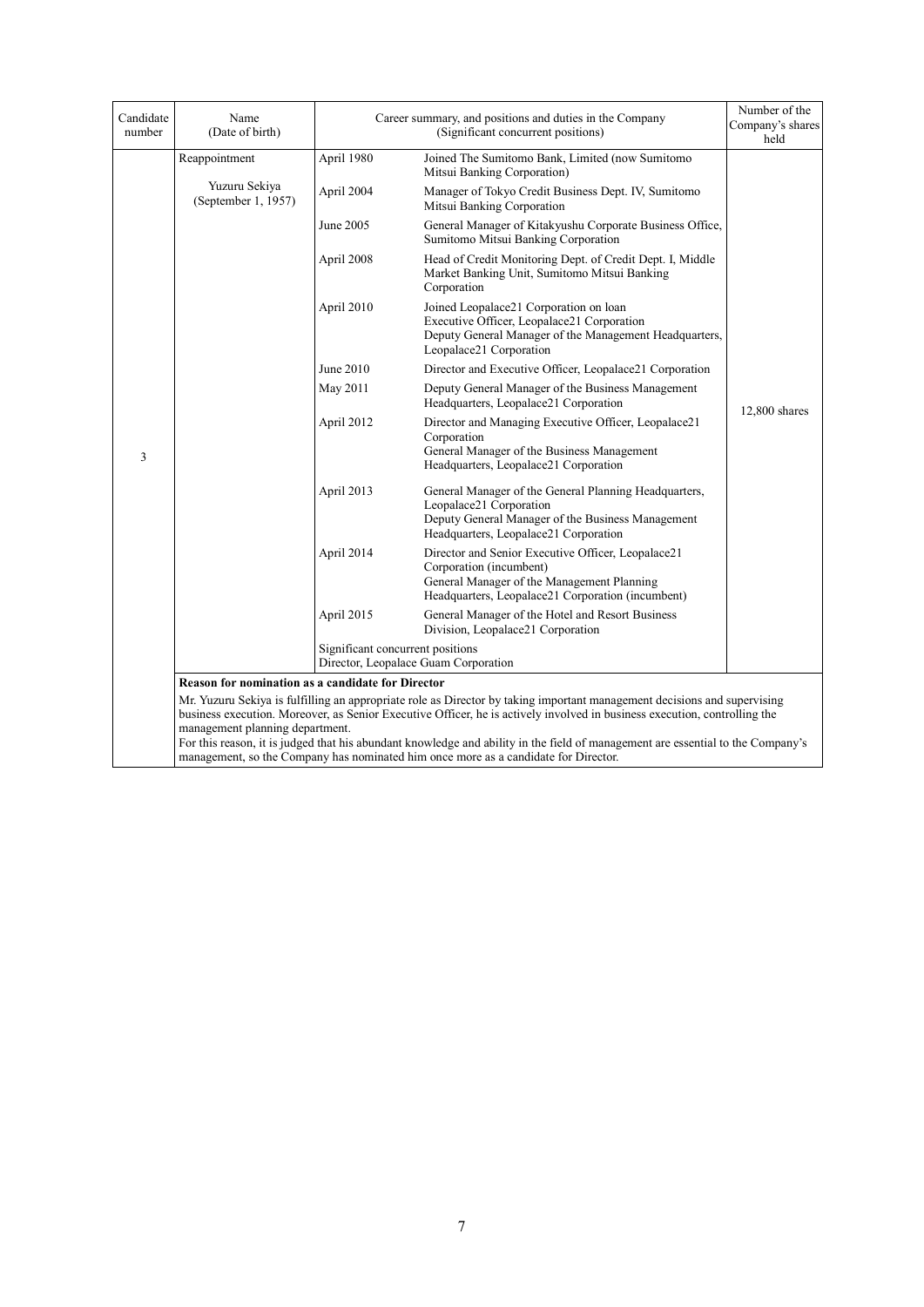| Candidate<br>number | Name<br>(Date of birth)                                                                                                                                                                                                                                                                                                                                                                                                                                                                                            |                                  | Career summary, and positions and duties in the Company<br>(Significant concurrent positions)                                                                                    | Number of the<br>Company's shares<br>held |  |
|---------------------|--------------------------------------------------------------------------------------------------------------------------------------------------------------------------------------------------------------------------------------------------------------------------------------------------------------------------------------------------------------------------------------------------------------------------------------------------------------------------------------------------------------------|----------------------------------|----------------------------------------------------------------------------------------------------------------------------------------------------------------------------------|-------------------------------------------|--|
|                     | Reappointment                                                                                                                                                                                                                                                                                                                                                                                                                                                                                                      | April 1980                       | Joined The Sumitomo Bank, Limited (now Sumitomo<br>Mitsui Banking Corporation)                                                                                                   |                                           |  |
|                     | Yuzuru Sekiya<br>(September 1, 1957)                                                                                                                                                                                                                                                                                                                                                                                                                                                                               | April 2004                       | Manager of Tokyo Credit Business Dept. IV, Sumitomo<br>Mitsui Banking Corporation                                                                                                |                                           |  |
|                     |                                                                                                                                                                                                                                                                                                                                                                                                                                                                                                                    | June 2005                        | General Manager of Kitakyushu Corporate Business Office,<br>Sumitomo Mitsui Banking Corporation                                                                                  |                                           |  |
|                     |                                                                                                                                                                                                                                                                                                                                                                                                                                                                                                                    | April 2008                       | Head of Credit Monitoring Dept. of Credit Dept. I, Middle<br>Market Banking Unit, Sumitomo Mitsui Banking<br>Corporation                                                         |                                           |  |
|                     |                                                                                                                                                                                                                                                                                                                                                                                                                                                                                                                    | April 2010                       | Joined Leopalace21 Corporation on loan<br>Executive Officer, Leopalace21 Corporation<br>Deputy General Manager of the Management Headquarters,<br>Leopalace21 Corporation        |                                           |  |
|                     |                                                                                                                                                                                                                                                                                                                                                                                                                                                                                                                    | June 2010                        | Director and Executive Officer, Leopalace21 Corporation                                                                                                                          |                                           |  |
|                     |                                                                                                                                                                                                                                                                                                                                                                                                                                                                                                                    | May 2011                         | Deputy General Manager of the Business Management<br>Headquarters, Leopalace21 Corporation                                                                                       | 12,800 shares                             |  |
| 3                   |                                                                                                                                                                                                                                                                                                                                                                                                                                                                                                                    | April 2012                       | Director and Managing Executive Officer, Leopalace21<br>Corporation<br>General Manager of the Business Management<br>Headquarters, Leopalace21 Corporation                       |                                           |  |
|                     |                                                                                                                                                                                                                                                                                                                                                                                                                                                                                                                    | April 2013                       | General Manager of the General Planning Headquarters,<br>Leopalace21 Corporation<br>Deputy General Manager of the Business Management<br>Headquarters, Leopalace21 Corporation   |                                           |  |
|                     |                                                                                                                                                                                                                                                                                                                                                                                                                                                                                                                    | April 2014                       | Director and Senior Executive Officer, Leopalace21<br>Corporation (incumbent)<br>General Manager of the Management Planning<br>Headquarters, Leopalace21 Corporation (incumbent) |                                           |  |
|                     |                                                                                                                                                                                                                                                                                                                                                                                                                                                                                                                    | April 2015                       | General Manager of the Hotel and Resort Business<br>Division, Leopalace21 Corporation                                                                                            |                                           |  |
|                     |                                                                                                                                                                                                                                                                                                                                                                                                                                                                                                                    | Significant concurrent positions | Director, Leopalace Guam Corporation                                                                                                                                             |                                           |  |
|                     | Reason for nomination as a candidate for Director                                                                                                                                                                                                                                                                                                                                                                                                                                                                  |                                  |                                                                                                                                                                                  |                                           |  |
|                     | Mr. Yuzuru Sekiya is fulfilling an appropriate role as Director by taking important management decisions and supervising<br>business execution. Moreover, as Senior Executive Officer, he is actively involved in business execution, controlling the<br>management planning department.<br>For this reason, it is judged that his abundant knowledge and ability in the field of management are essential to the Company's<br>management, so the Company has nominated him once more as a candidate for Director. |                                  |                                                                                                                                                                                  |                                           |  |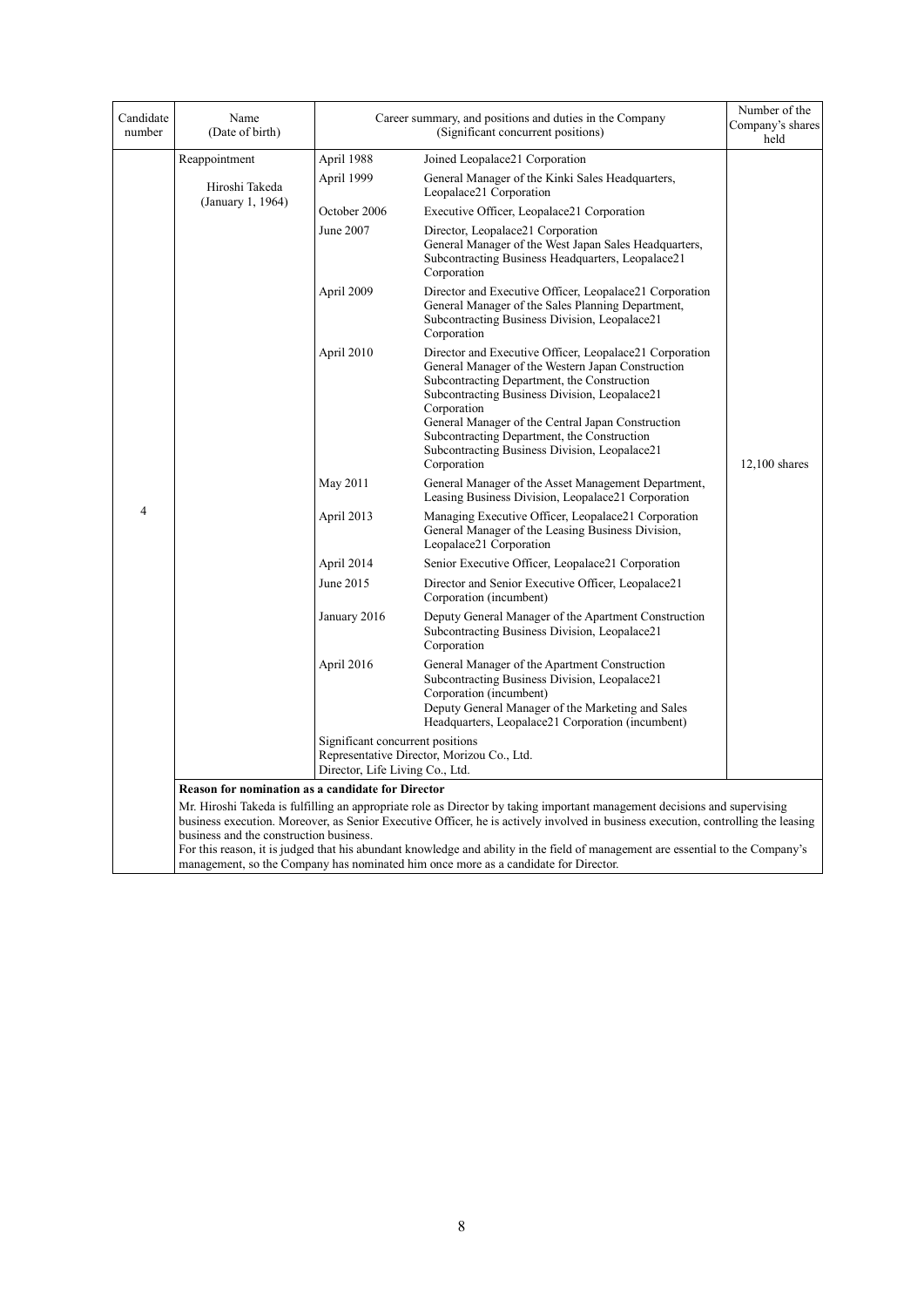| Candidate<br>number | Name<br>(Date of birth)                                                                                                                                                                                                                                                                                   |                                  | Career summary, and positions and duties in the Company<br>(Significant concurrent positions)                                                                                                                                                                                                                                                                                                   | Number of the<br>Company's shares<br>held |  |
|---------------------|-----------------------------------------------------------------------------------------------------------------------------------------------------------------------------------------------------------------------------------------------------------------------------------------------------------|----------------------------------|-------------------------------------------------------------------------------------------------------------------------------------------------------------------------------------------------------------------------------------------------------------------------------------------------------------------------------------------------------------------------------------------------|-------------------------------------------|--|
|                     | Reappointment                                                                                                                                                                                                                                                                                             | April 1988                       | Joined Leopalace21 Corporation                                                                                                                                                                                                                                                                                                                                                                  |                                           |  |
|                     | Hiroshi Takeda                                                                                                                                                                                                                                                                                            | April 1999                       | General Manager of the Kinki Sales Headquarters,<br>Leopalace21 Corporation                                                                                                                                                                                                                                                                                                                     |                                           |  |
|                     | (January 1, 1964)                                                                                                                                                                                                                                                                                         | October 2006                     | Executive Officer, Leopalace21 Corporation                                                                                                                                                                                                                                                                                                                                                      |                                           |  |
|                     |                                                                                                                                                                                                                                                                                                           | June 2007                        | Director, Leopalace21 Corporation<br>General Manager of the West Japan Sales Headquarters,<br>Subcontracting Business Headquarters, Leopalace21<br>Corporation                                                                                                                                                                                                                                  |                                           |  |
|                     |                                                                                                                                                                                                                                                                                                           | April 2009                       | Director and Executive Officer, Leopalace21 Corporation<br>General Manager of the Sales Planning Department,<br>Subcontracting Business Division, Leopalace21<br>Corporation                                                                                                                                                                                                                    |                                           |  |
|                     |                                                                                                                                                                                                                                                                                                           | April 2010                       | Director and Executive Officer, Leopalace21 Corporation<br>General Manager of the Western Japan Construction<br>Subcontracting Department, the Construction<br>Subcontracting Business Division, Leopalace21<br>Corporation<br>General Manager of the Central Japan Construction<br>Subcontracting Department, the Construction<br>Subcontracting Business Division, Leopalace21<br>Corporation | $12,100$ shares                           |  |
|                     |                                                                                                                                                                                                                                                                                                           | May 2011                         | General Manager of the Asset Management Department,<br>Leasing Business Division, Leopalace21 Corporation                                                                                                                                                                                                                                                                                       |                                           |  |
| $\overline{4}$      |                                                                                                                                                                                                                                                                                                           | April 2013                       | Managing Executive Officer, Leopalace21 Corporation<br>General Manager of the Leasing Business Division,<br>Leopalace21 Corporation                                                                                                                                                                                                                                                             |                                           |  |
|                     |                                                                                                                                                                                                                                                                                                           | April 2014                       | Senior Executive Officer, Leopalace21 Corporation                                                                                                                                                                                                                                                                                                                                               |                                           |  |
|                     |                                                                                                                                                                                                                                                                                                           | June 2015                        | Director and Senior Executive Officer, Leopalace21<br>Corporation (incumbent)                                                                                                                                                                                                                                                                                                                   |                                           |  |
|                     |                                                                                                                                                                                                                                                                                                           | January 2016                     | Deputy General Manager of the Apartment Construction<br>Subcontracting Business Division, Leopalace21<br>Corporation                                                                                                                                                                                                                                                                            |                                           |  |
|                     |                                                                                                                                                                                                                                                                                                           | April 2016                       | General Manager of the Apartment Construction<br>Subcontracting Business Division, Leopalace21<br>Corporation (incumbent)<br>Deputy General Manager of the Marketing and Sales<br>Headquarters, Leopalace21 Corporation (incumbent)                                                                                                                                                             |                                           |  |
|                     |                                                                                                                                                                                                                                                                                                           | Significant concurrent positions |                                                                                                                                                                                                                                                                                                                                                                                                 |                                           |  |
|                     |                                                                                                                                                                                                                                                                                                           | Director, Life Living Co., Ltd.  | Representative Director, Morizou Co., Ltd.                                                                                                                                                                                                                                                                                                                                                      |                                           |  |
|                     | <b>Reason for nomination as a candidate for Director</b>                                                                                                                                                                                                                                                  |                                  |                                                                                                                                                                                                                                                                                                                                                                                                 |                                           |  |
|                     | Mr. Hiroshi Takeda is fulfilling an appropriate role as Director by taking important management decisions and supervising<br>business execution. Moreover, as Senior Executive Officer, he is actively involved in business execution, controlling the leasing<br>business and the construction business. |                                  |                                                                                                                                                                                                                                                                                                                                                                                                 |                                           |  |
|                     | For this reason, it is judged that his abundant knowledge and ability in the field of management are essential to the Company's<br>management, so the Company has nominated him once more as a candidate for Director.                                                                                    |                                  |                                                                                                                                                                                                                                                                                                                                                                                                 |                                           |  |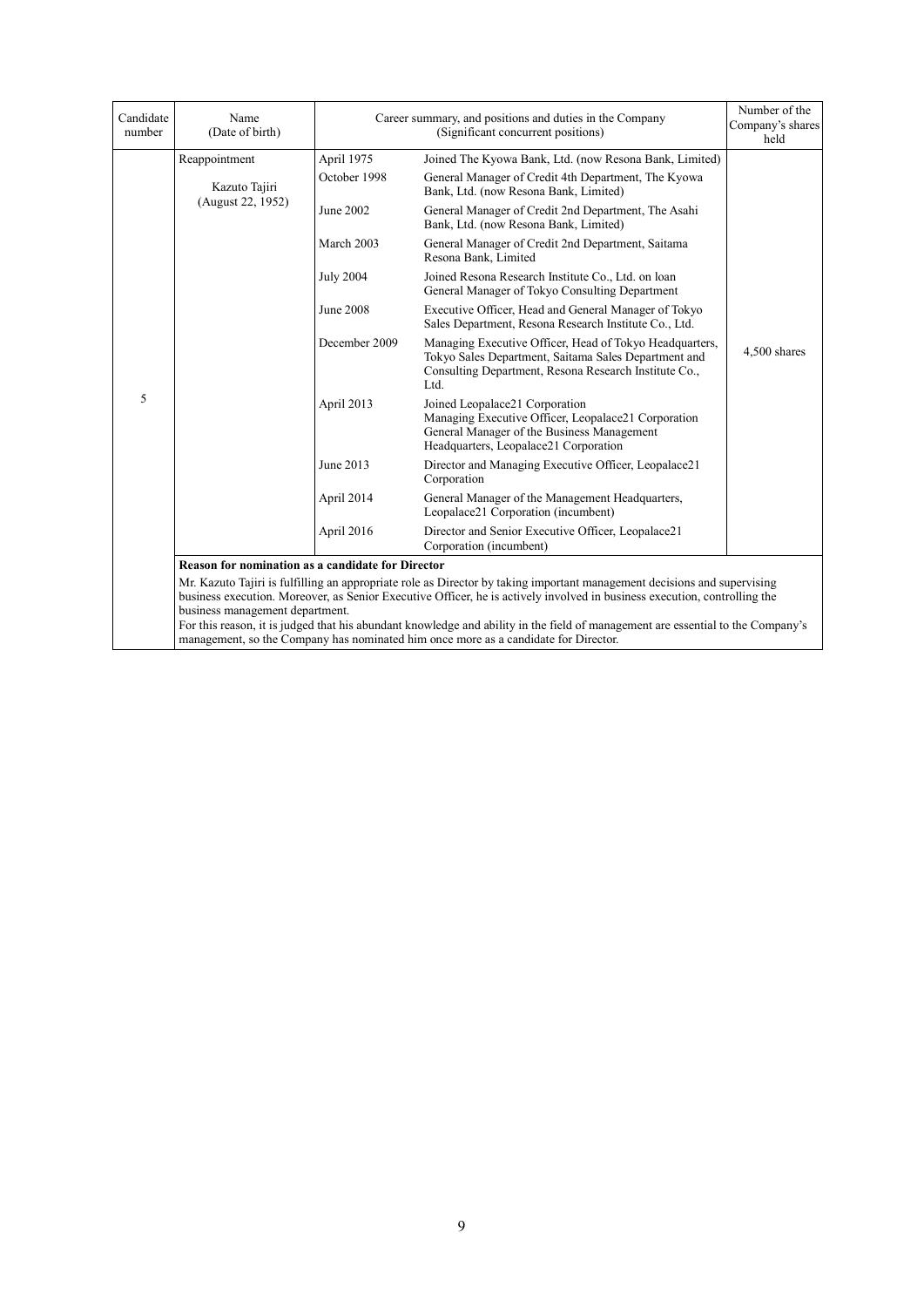| Candidate<br>number | Name<br>(Date of birth)                                                                                                                                                                                                                                                                  |                  | Career summary, and positions and duties in the Company<br>(Significant concurrent positions)                                                                                                                          | Number of the<br>Company's shares<br>held |  |  |
|---------------------|------------------------------------------------------------------------------------------------------------------------------------------------------------------------------------------------------------------------------------------------------------------------------------------|------------------|------------------------------------------------------------------------------------------------------------------------------------------------------------------------------------------------------------------------|-------------------------------------------|--|--|
|                     | Reappointment                                                                                                                                                                                                                                                                            | April 1975       | Joined The Kyowa Bank, Ltd. (now Resona Bank, Limited)                                                                                                                                                                 |                                           |  |  |
|                     | Kazuto Tajiri                                                                                                                                                                                                                                                                            | October 1998     | General Manager of Credit 4th Department, The Kyowa<br>Bank, Ltd. (now Resona Bank, Limited)                                                                                                                           |                                           |  |  |
|                     | (August 22, 1952)                                                                                                                                                                                                                                                                        | June 2002        | General Manager of Credit 2nd Department, The Asahi<br>Bank, Ltd. (now Resona Bank, Limited)                                                                                                                           |                                           |  |  |
|                     |                                                                                                                                                                                                                                                                                          | March 2003       | General Manager of Credit 2nd Department, Saitama<br>Resona Bank, Limited                                                                                                                                              |                                           |  |  |
|                     |                                                                                                                                                                                                                                                                                          | <b>July 2004</b> | Joined Resona Research Institute Co., Ltd. on loan<br>General Manager of Tokyo Consulting Department                                                                                                                   |                                           |  |  |
|                     |                                                                                                                                                                                                                                                                                          | <b>June 2008</b> | Executive Officer, Head and General Manager of Tokyo<br>Sales Department, Resona Research Institute Co., Ltd.                                                                                                          |                                           |  |  |
|                     |                                                                                                                                                                                                                                                                                          | December 2009    | Managing Executive Officer, Head of Tokyo Headquarters,<br>Tokyo Sales Department, Saitama Sales Department and<br>Consulting Department, Resona Research Institute Co.,<br>Ltd.                                       | 4,500 shares                              |  |  |
| 5                   |                                                                                                                                                                                                                                                                                          | April 2013       | Joined Leopalace21 Corporation<br>Managing Executive Officer, Leopalace21 Corporation<br>General Manager of the Business Management<br>Headquarters, Leopalace21 Corporation                                           |                                           |  |  |
|                     |                                                                                                                                                                                                                                                                                          | June 2013        | Director and Managing Executive Officer, Leopalace21<br>Corporation                                                                                                                                                    |                                           |  |  |
|                     |                                                                                                                                                                                                                                                                                          | April 2014       | General Manager of the Management Headquarters,<br>Leopalace21 Corporation (incumbent)                                                                                                                                 |                                           |  |  |
|                     |                                                                                                                                                                                                                                                                                          | April 2016       | Director and Senior Executive Officer, Leopalace21<br>Corporation (incumbent)                                                                                                                                          |                                           |  |  |
|                     | <b>Reason for nomination as a candidate for Director</b>                                                                                                                                                                                                                                 |                  |                                                                                                                                                                                                                        |                                           |  |  |
|                     | Mr. Kazuto Tajiri is fulfilling an appropriate role as Director by taking important management decisions and supervising<br>business execution. Moreover, as Senior Executive Officer, he is actively involved in business execution, controlling the<br>business management department. |                  |                                                                                                                                                                                                                        |                                           |  |  |
|                     |                                                                                                                                                                                                                                                                                          |                  | For this reason, it is judged that his abundant knowledge and ability in the field of management are essential to the Company's<br>management, so the Company has nominated him once more as a candidate for Director. |                                           |  |  |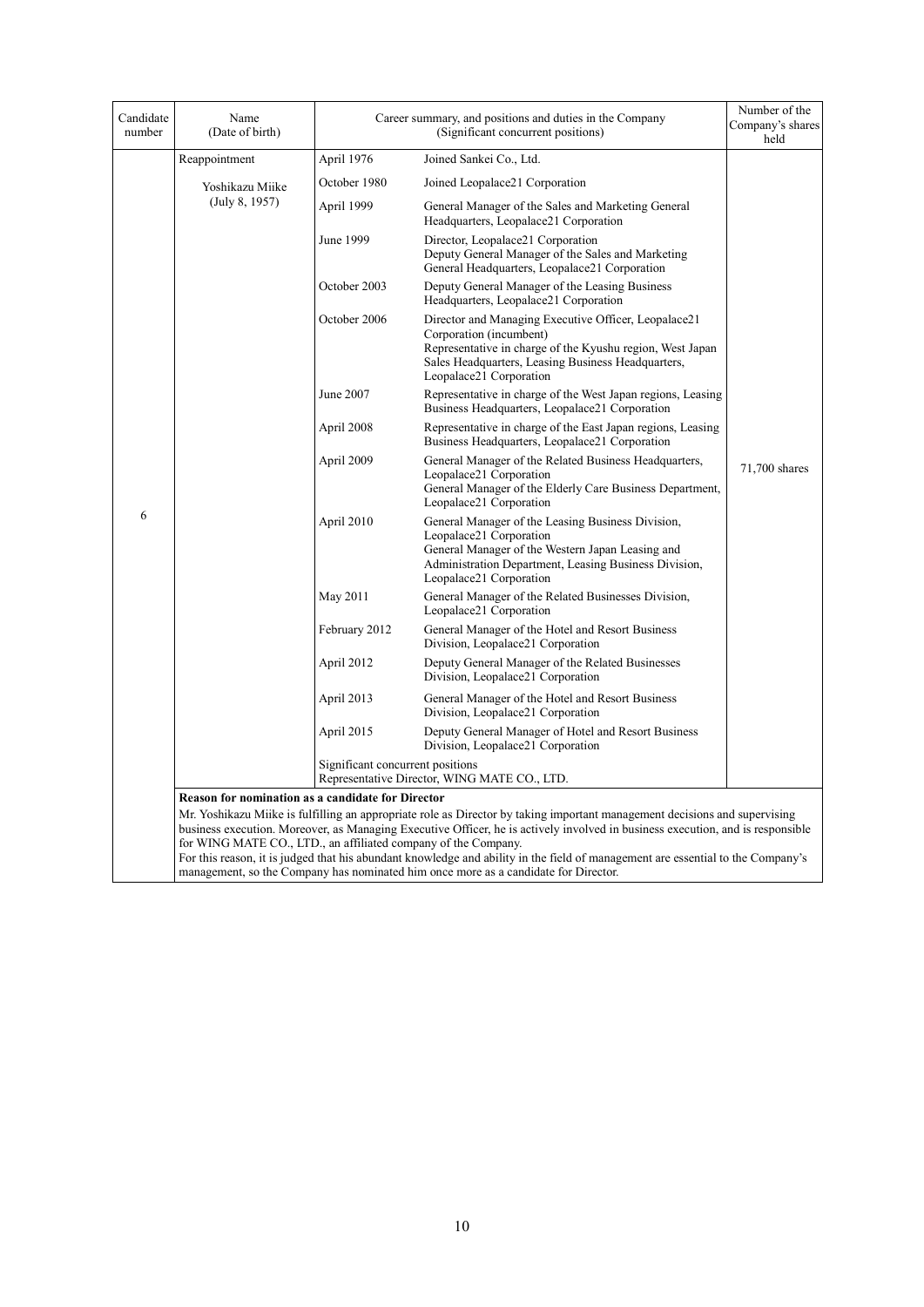| Candidate<br>number | Name<br>(Date of birth)                                                                                                                                                                                                                                                                                                                                                                                                                                                                                                                                                                                              |                                  | Career summary, and positions and duties in the Company<br>(Significant concurrent positions)                                                                                                                                 | Number of the<br>Company's shares<br>held |  |
|---------------------|----------------------------------------------------------------------------------------------------------------------------------------------------------------------------------------------------------------------------------------------------------------------------------------------------------------------------------------------------------------------------------------------------------------------------------------------------------------------------------------------------------------------------------------------------------------------------------------------------------------------|----------------------------------|-------------------------------------------------------------------------------------------------------------------------------------------------------------------------------------------------------------------------------|-------------------------------------------|--|
|                     | Reappointment                                                                                                                                                                                                                                                                                                                                                                                                                                                                                                                                                                                                        | April 1976                       | Joined Sankei Co., Ltd.                                                                                                                                                                                                       |                                           |  |
|                     | Yoshikazu Miike                                                                                                                                                                                                                                                                                                                                                                                                                                                                                                                                                                                                      | October 1980                     | Joined Leopalace21 Corporation                                                                                                                                                                                                |                                           |  |
|                     | (July 8, 1957)                                                                                                                                                                                                                                                                                                                                                                                                                                                                                                                                                                                                       | April 1999                       | General Manager of the Sales and Marketing General<br>Headquarters, Leopalace21 Corporation                                                                                                                                   |                                           |  |
|                     |                                                                                                                                                                                                                                                                                                                                                                                                                                                                                                                                                                                                                      | June 1999                        | Director, Leopalace21 Corporation<br>Deputy General Manager of the Sales and Marketing<br>General Headquarters, Leopalace21 Corporation                                                                                       |                                           |  |
|                     |                                                                                                                                                                                                                                                                                                                                                                                                                                                                                                                                                                                                                      | October 2003                     | Deputy General Manager of the Leasing Business<br>Headquarters, Leopalace21 Corporation                                                                                                                                       |                                           |  |
|                     |                                                                                                                                                                                                                                                                                                                                                                                                                                                                                                                                                                                                                      | October 2006                     | Director and Managing Executive Officer, Leopalace21<br>Corporation (incumbent)<br>Representative in charge of the Kyushu region, West Japan<br>Sales Headquarters, Leasing Business Headquarters,<br>Leopalace21 Corporation |                                           |  |
|                     |                                                                                                                                                                                                                                                                                                                                                                                                                                                                                                                                                                                                                      | June 2007                        | Representative in charge of the West Japan regions, Leasing<br>Business Headquarters, Leopalace21 Corporation                                                                                                                 |                                           |  |
|                     |                                                                                                                                                                                                                                                                                                                                                                                                                                                                                                                                                                                                                      | April 2008                       | Representative in charge of the East Japan regions, Leasing<br>Business Headquarters, Leopalace21 Corporation                                                                                                                 |                                           |  |
|                     |                                                                                                                                                                                                                                                                                                                                                                                                                                                                                                                                                                                                                      | April 2009                       | General Manager of the Related Business Headquarters,<br>Leopalace21 Corporation<br>General Manager of the Elderly Care Business Department,<br>Leopalace21 Corporation                                                       | 71,700 shares                             |  |
| 6                   |                                                                                                                                                                                                                                                                                                                                                                                                                                                                                                                                                                                                                      | April 2010                       | General Manager of the Leasing Business Division,<br>Leopalace21 Corporation<br>General Manager of the Western Japan Leasing and<br>Administration Department, Leasing Business Division,<br>Leopalace21 Corporation          |                                           |  |
|                     |                                                                                                                                                                                                                                                                                                                                                                                                                                                                                                                                                                                                                      | May 2011                         | General Manager of the Related Businesses Division,<br>Leopalace21 Corporation                                                                                                                                                |                                           |  |
|                     |                                                                                                                                                                                                                                                                                                                                                                                                                                                                                                                                                                                                                      | February 2012                    | General Manager of the Hotel and Resort Business<br>Division, Leopalace21 Corporation                                                                                                                                         |                                           |  |
|                     |                                                                                                                                                                                                                                                                                                                                                                                                                                                                                                                                                                                                                      | April 2012                       | Deputy General Manager of the Related Businesses<br>Division, Leopalace21 Corporation                                                                                                                                         |                                           |  |
|                     |                                                                                                                                                                                                                                                                                                                                                                                                                                                                                                                                                                                                                      | April 2013                       | General Manager of the Hotel and Resort Business<br>Division, Leopalace21 Corporation                                                                                                                                         |                                           |  |
|                     |                                                                                                                                                                                                                                                                                                                                                                                                                                                                                                                                                                                                                      | April 2015                       | Deputy General Manager of Hotel and Resort Business<br>Division, Leopalace21 Corporation                                                                                                                                      |                                           |  |
|                     |                                                                                                                                                                                                                                                                                                                                                                                                                                                                                                                                                                                                                      | Significant concurrent positions | Representative Director, WING MATE CO., LTD.                                                                                                                                                                                  |                                           |  |
|                     | <b>Reason for nomination as a candidate for Director</b><br>Mr. Yoshikazu Milke is fulfilling an appropriate role as Director by taking important management decisions and supervising<br>business execution. Moreover, as Managing Executive Officer, he is actively involved in business execution, and is responsible<br>for WING MATE CO., LTD., an affiliated company of the Company.<br>For this reason, it is judged that his abundant knowledge and ability in the field of management are essential to the Company's<br>management, so the Company has nominated him once more as a candidate for Director. |                                  |                                                                                                                                                                                                                               |                                           |  |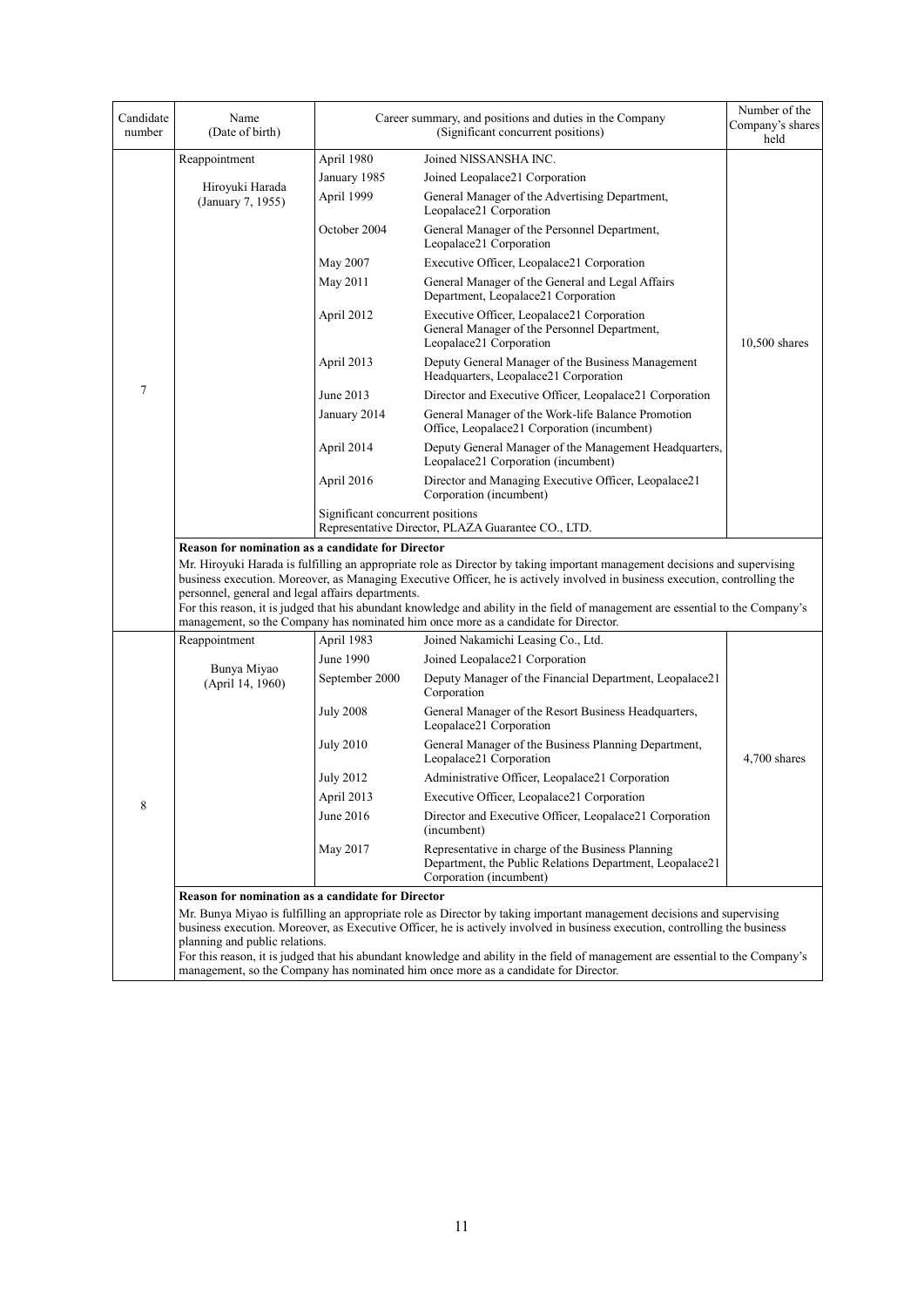| Candidate<br>number | Name<br>(Date of birth)                                  |                                  | Career summary, and positions and duties in the Company<br>(Significant concurrent positions)                                                                                                                                                                                                                                                                                                                                                                                       | Number of the<br>Company's shares<br>held |  |  |
|---------------------|----------------------------------------------------------|----------------------------------|-------------------------------------------------------------------------------------------------------------------------------------------------------------------------------------------------------------------------------------------------------------------------------------------------------------------------------------------------------------------------------------------------------------------------------------------------------------------------------------|-------------------------------------------|--|--|
|                     | Reappointment                                            | April 1980                       | Joined NISSANSHA INC.                                                                                                                                                                                                                                                                                                                                                                                                                                                               |                                           |  |  |
|                     |                                                          | January 1985                     | Joined Leopalace21 Corporation                                                                                                                                                                                                                                                                                                                                                                                                                                                      |                                           |  |  |
|                     | Hiroyuki Harada<br>(January 7, 1955)                     | April 1999                       | General Manager of the Advertising Department,<br>Leopalace21 Corporation                                                                                                                                                                                                                                                                                                                                                                                                           |                                           |  |  |
|                     |                                                          | October 2004                     | General Manager of the Personnel Department,<br>Leopalace21 Corporation                                                                                                                                                                                                                                                                                                                                                                                                             |                                           |  |  |
|                     |                                                          | May 2007                         | Executive Officer, Leopalace21 Corporation                                                                                                                                                                                                                                                                                                                                                                                                                                          |                                           |  |  |
|                     |                                                          | May 2011                         | General Manager of the General and Legal Affairs<br>Department, Leopalace21 Corporation                                                                                                                                                                                                                                                                                                                                                                                             |                                           |  |  |
|                     |                                                          | April 2012                       | Executive Officer, Leopalace21 Corporation<br>General Manager of the Personnel Department,<br>Leopalace21 Corporation                                                                                                                                                                                                                                                                                                                                                               | 10,500 shares                             |  |  |
|                     |                                                          | April 2013                       | Deputy General Manager of the Business Management<br>Headquarters, Leopalace21 Corporation                                                                                                                                                                                                                                                                                                                                                                                          |                                           |  |  |
| 7                   |                                                          | June 2013                        | Director and Executive Officer, Leopalace21 Corporation                                                                                                                                                                                                                                                                                                                                                                                                                             |                                           |  |  |
|                     |                                                          | January 2014                     | General Manager of the Work-life Balance Promotion<br>Office, Leopalace21 Corporation (incumbent)                                                                                                                                                                                                                                                                                                                                                                                   |                                           |  |  |
|                     |                                                          | April 2014                       | Deputy General Manager of the Management Headquarters,<br>Leopalace21 Corporation (incumbent)                                                                                                                                                                                                                                                                                                                                                                                       |                                           |  |  |
|                     |                                                          | April 2016                       | Director and Managing Executive Officer, Leopalace21<br>Corporation (incumbent)                                                                                                                                                                                                                                                                                                                                                                                                     |                                           |  |  |
|                     |                                                          | Significant concurrent positions | Representative Director, PLAZA Guarantee CO., LTD.                                                                                                                                                                                                                                                                                                                                                                                                                                  |                                           |  |  |
|                     | <b>Reason for nomination as a candidate for Director</b> |                                  |                                                                                                                                                                                                                                                                                                                                                                                                                                                                                     |                                           |  |  |
|                     | personnel, general and legal affairs departments.        |                                  | Mr. Hiroyuki Harada is fulfilling an appropriate role as Director by taking important management decisions and supervising<br>business execution. Moreover, as Managing Executive Officer, he is actively involved in business execution, controlling the<br>For this reason, it is judged that his abundant knowledge and ability in the field of management are essential to the Company's<br>management, so the Company has nominated him once more as a candidate for Director. |                                           |  |  |
|                     | Reappointment                                            | April 1983                       | Joined Nakamichi Leasing Co., Ltd.                                                                                                                                                                                                                                                                                                                                                                                                                                                  |                                           |  |  |
|                     |                                                          | June 1990                        | Joined Leopalace21 Corporation                                                                                                                                                                                                                                                                                                                                                                                                                                                      |                                           |  |  |
|                     | Bunya Miyao<br>(April 14, 1960)                          | September 2000                   | Deputy Manager of the Financial Department, Leopalace21<br>Corporation                                                                                                                                                                                                                                                                                                                                                                                                              |                                           |  |  |
|                     |                                                          | <b>July 2008</b>                 | General Manager of the Resort Business Headquarters,<br>Leopalace21 Corporation                                                                                                                                                                                                                                                                                                                                                                                                     |                                           |  |  |
|                     |                                                          | <b>July 2010</b>                 | General Manager of the Business Planning Department,<br>Leopalace21 Corporation                                                                                                                                                                                                                                                                                                                                                                                                     | 4,700 shares                              |  |  |
|                     |                                                          | <b>July 2012</b>                 | Administrative Officer, Leopalace21 Corporation                                                                                                                                                                                                                                                                                                                                                                                                                                     |                                           |  |  |
| 8                   |                                                          | April 2013                       | Executive Officer, Leopalace21 Corporation                                                                                                                                                                                                                                                                                                                                                                                                                                          |                                           |  |  |
|                     |                                                          | June 2016                        | Director and Executive Officer, Leopalace21 Corporation<br>(incumbent)                                                                                                                                                                                                                                                                                                                                                                                                              |                                           |  |  |
|                     |                                                          | May 2017                         | Representative in charge of the Business Planning<br>Department, the Public Relations Department, Leopalace21<br>Corporation (incumbent)                                                                                                                                                                                                                                                                                                                                            |                                           |  |  |
|                     | <b>Reason for nomination as a candidate for Director</b> |                                  |                                                                                                                                                                                                                                                                                                                                                                                                                                                                                     |                                           |  |  |
|                     | planning and public relations.                           |                                  | Mr. Bunya Miyao is fulfilling an appropriate role as Director by taking important management decisions and supervising<br>business execution. Moreover, as Executive Officer, he is actively involved in business execution, controlling the business                                                                                                                                                                                                                               |                                           |  |  |
|                     |                                                          |                                  | For this reason, it is judged that his abundant knowledge and ability in the field of management are essential to the Company's                                                                                                                                                                                                                                                                                                                                                     |                                           |  |  |
|                     |                                                          |                                  | management, so the Company has nominated him once more as a candidate for Director.                                                                                                                                                                                                                                                                                                                                                                                                 |                                           |  |  |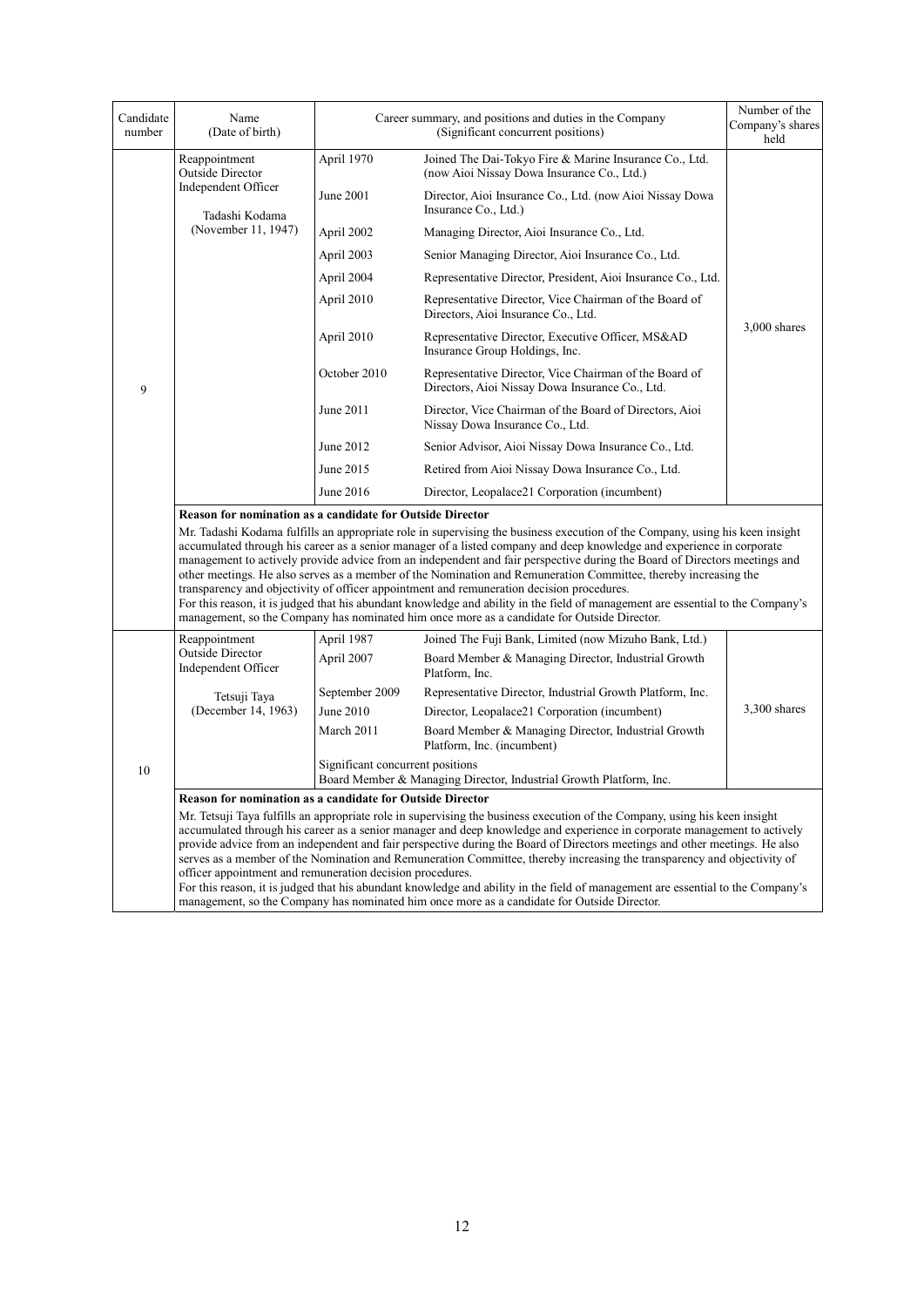| Candidate<br>number | Name<br>(Date of birth)                                                                                                                                                                                                                                                                                                                                                                                                                                                                                                                                                      |                                  | Career summary, and positions and duties in the Company<br>(Significant concurrent positions)                                                                                                                                                                                                                                                                                                                                                                                                                                                                                                                                                                                                                                                                                                                                        | Number of the<br>Company's shares<br>held                                        |  |
|---------------------|------------------------------------------------------------------------------------------------------------------------------------------------------------------------------------------------------------------------------------------------------------------------------------------------------------------------------------------------------------------------------------------------------------------------------------------------------------------------------------------------------------------------------------------------------------------------------|----------------------------------|--------------------------------------------------------------------------------------------------------------------------------------------------------------------------------------------------------------------------------------------------------------------------------------------------------------------------------------------------------------------------------------------------------------------------------------------------------------------------------------------------------------------------------------------------------------------------------------------------------------------------------------------------------------------------------------------------------------------------------------------------------------------------------------------------------------------------------------|----------------------------------------------------------------------------------|--|
|                     | Reappointment<br><b>Outside Director</b>                                                                                                                                                                                                                                                                                                                                                                                                                                                                                                                                     | April 1970                       | Joined The Dai-Tokyo Fire & Marine Insurance Co., Ltd.<br>(now Aioi Nissay Dowa Insurance Co., Ltd.)                                                                                                                                                                                                                                                                                                                                                                                                                                                                                                                                                                                                                                                                                                                                 |                                                                                  |  |
|                     | Independent Officer                                                                                                                                                                                                                                                                                                                                                                                                                                                                                                                                                          | Tadashi Kodama                   | June 2001                                                                                                                                                                                                                                                                                                                                                                                                                                                                                                                                                                                                                                                                                                                                                                                                                            | Director, Aioi Insurance Co., Ltd. (now Aioi Nissay Dowa<br>Insurance Co., Ltd.) |  |
|                     | (November 11, 1947)                                                                                                                                                                                                                                                                                                                                                                                                                                                                                                                                                          | April 2002                       | Managing Director, Aioi Insurance Co., Ltd.                                                                                                                                                                                                                                                                                                                                                                                                                                                                                                                                                                                                                                                                                                                                                                                          |                                                                                  |  |
|                     |                                                                                                                                                                                                                                                                                                                                                                                                                                                                                                                                                                              | April 2003                       | Senior Managing Director, Aioi Insurance Co., Ltd.                                                                                                                                                                                                                                                                                                                                                                                                                                                                                                                                                                                                                                                                                                                                                                                   |                                                                                  |  |
|                     |                                                                                                                                                                                                                                                                                                                                                                                                                                                                                                                                                                              | April 2004                       | Representative Director, President, Aioi Insurance Co., Ltd.                                                                                                                                                                                                                                                                                                                                                                                                                                                                                                                                                                                                                                                                                                                                                                         |                                                                                  |  |
|                     |                                                                                                                                                                                                                                                                                                                                                                                                                                                                                                                                                                              | April 2010                       | Representative Director, Vice Chairman of the Board of<br>Directors, Aioi Insurance Co., Ltd.                                                                                                                                                                                                                                                                                                                                                                                                                                                                                                                                                                                                                                                                                                                                        |                                                                                  |  |
|                     |                                                                                                                                                                                                                                                                                                                                                                                                                                                                                                                                                                              | April 2010                       | Representative Director, Executive Officer, MS&AD<br>Insurance Group Holdings, Inc.                                                                                                                                                                                                                                                                                                                                                                                                                                                                                                                                                                                                                                                                                                                                                  | $3,000$ shares                                                                   |  |
| 9                   |                                                                                                                                                                                                                                                                                                                                                                                                                                                                                                                                                                              | October 2010                     | Representative Director, Vice Chairman of the Board of<br>Directors, Aioi Nissay Dowa Insurance Co., Ltd.                                                                                                                                                                                                                                                                                                                                                                                                                                                                                                                                                                                                                                                                                                                            |                                                                                  |  |
|                     |                                                                                                                                                                                                                                                                                                                                                                                                                                                                                                                                                                              | June 2011                        | Director, Vice Chairman of the Board of Directors, Aioi<br>Nissay Dowa Insurance Co., Ltd.                                                                                                                                                                                                                                                                                                                                                                                                                                                                                                                                                                                                                                                                                                                                           |                                                                                  |  |
|                     |                                                                                                                                                                                                                                                                                                                                                                                                                                                                                                                                                                              | June 2012                        | Senior Advisor, Aioi Nissay Dowa Insurance Co., Ltd.                                                                                                                                                                                                                                                                                                                                                                                                                                                                                                                                                                                                                                                                                                                                                                                 |                                                                                  |  |
|                     |                                                                                                                                                                                                                                                                                                                                                                                                                                                                                                                                                                              | June 2015                        | Retired from Aioi Nissay Dowa Insurance Co., Ltd.                                                                                                                                                                                                                                                                                                                                                                                                                                                                                                                                                                                                                                                                                                                                                                                    |                                                                                  |  |
|                     |                                                                                                                                                                                                                                                                                                                                                                                                                                                                                                                                                                              | June 2016                        | Director, Leopalace21 Corporation (incumbent)                                                                                                                                                                                                                                                                                                                                                                                                                                                                                                                                                                                                                                                                                                                                                                                        |                                                                                  |  |
|                     | <b>Reason for nomination as a candidate for Outside Director</b>                                                                                                                                                                                                                                                                                                                                                                                                                                                                                                             |                                  | Mr. Tadashi Kodama fulfills an appropriate role in supervising the business execution of the Company, using his keen insight<br>accumulated through his career as a senior manager of a listed company and deep knowledge and experience in corporate<br>management to actively provide advice from an independent and fair perspective during the Board of Directors meetings and<br>other meetings. He also serves as a member of the Nomination and Remuneration Committee, thereby increasing the<br>transparency and objectivity of officer appointment and remuneration decision procedures.<br>For this reason, it is judged that his abundant knowledge and ability in the field of management are essential to the Company's<br>management, so the Company has nominated him once more as a candidate for Outside Director. |                                                                                  |  |
|                     | Reappointment                                                                                                                                                                                                                                                                                                                                                                                                                                                                                                                                                                | April 1987                       | Joined The Fuji Bank, Limited (now Mizuho Bank, Ltd.)                                                                                                                                                                                                                                                                                                                                                                                                                                                                                                                                                                                                                                                                                                                                                                                |                                                                                  |  |
|                     | Outside Director<br>Independent Officer                                                                                                                                                                                                                                                                                                                                                                                                                                                                                                                                      | April 2007                       | Board Member & Managing Director, Industrial Growth<br>Platform, Inc.                                                                                                                                                                                                                                                                                                                                                                                                                                                                                                                                                                                                                                                                                                                                                                |                                                                                  |  |
|                     | Tetsuji Taya                                                                                                                                                                                                                                                                                                                                                                                                                                                                                                                                                                 | September 2009                   | Representative Director, Industrial Growth Platform, Inc.                                                                                                                                                                                                                                                                                                                                                                                                                                                                                                                                                                                                                                                                                                                                                                            |                                                                                  |  |
|                     | (December 14, 1963)                                                                                                                                                                                                                                                                                                                                                                                                                                                                                                                                                          | June 2010                        | Director, Leopalace21 Corporation (incumbent)                                                                                                                                                                                                                                                                                                                                                                                                                                                                                                                                                                                                                                                                                                                                                                                        | 3,300 shares                                                                     |  |
|                     |                                                                                                                                                                                                                                                                                                                                                                                                                                                                                                                                                                              | March 2011                       | Board Member & Managing Director, Industrial Growth<br>Platform, Inc. (incumbent)                                                                                                                                                                                                                                                                                                                                                                                                                                                                                                                                                                                                                                                                                                                                                    |                                                                                  |  |
| 10                  |                                                                                                                                                                                                                                                                                                                                                                                                                                                                                                                                                                              | Significant concurrent positions | Board Member & Managing Director, Industrial Growth Platform, Inc.                                                                                                                                                                                                                                                                                                                                                                                                                                                                                                                                                                                                                                                                                                                                                                   |                                                                                  |  |
|                     | <b>Reason for nomination as a candidate for Outside Director</b>                                                                                                                                                                                                                                                                                                                                                                                                                                                                                                             |                                  |                                                                                                                                                                                                                                                                                                                                                                                                                                                                                                                                                                                                                                                                                                                                                                                                                                      |                                                                                  |  |
|                     | Mr. Tetsuji Taya fulfills an appropriate role in supervising the business execution of the Company, using his keen insight<br>accumulated through his career as a senior manager and deep knowledge and experience in corporate management to actively<br>provide advice from an independent and fair perspective during the Board of Directors meetings and other meetings. He also<br>serves as a member of the Nomination and Remuneration Committee, thereby increasing the transparency and objectivity of<br>officer appointment and remuneration decision procedures. |                                  |                                                                                                                                                                                                                                                                                                                                                                                                                                                                                                                                                                                                                                                                                                                                                                                                                                      |                                                                                  |  |
|                     |                                                                                                                                                                                                                                                                                                                                                                                                                                                                                                                                                                              |                                  | For this reason, it is judged that his abundant knowledge and ability in the field of management are essential to the Company's<br>management, so the Company has nominated him once more as a candidate for Outside Director.                                                                                                                                                                                                                                                                                                                                                                                                                                                                                                                                                                                                       |                                                                                  |  |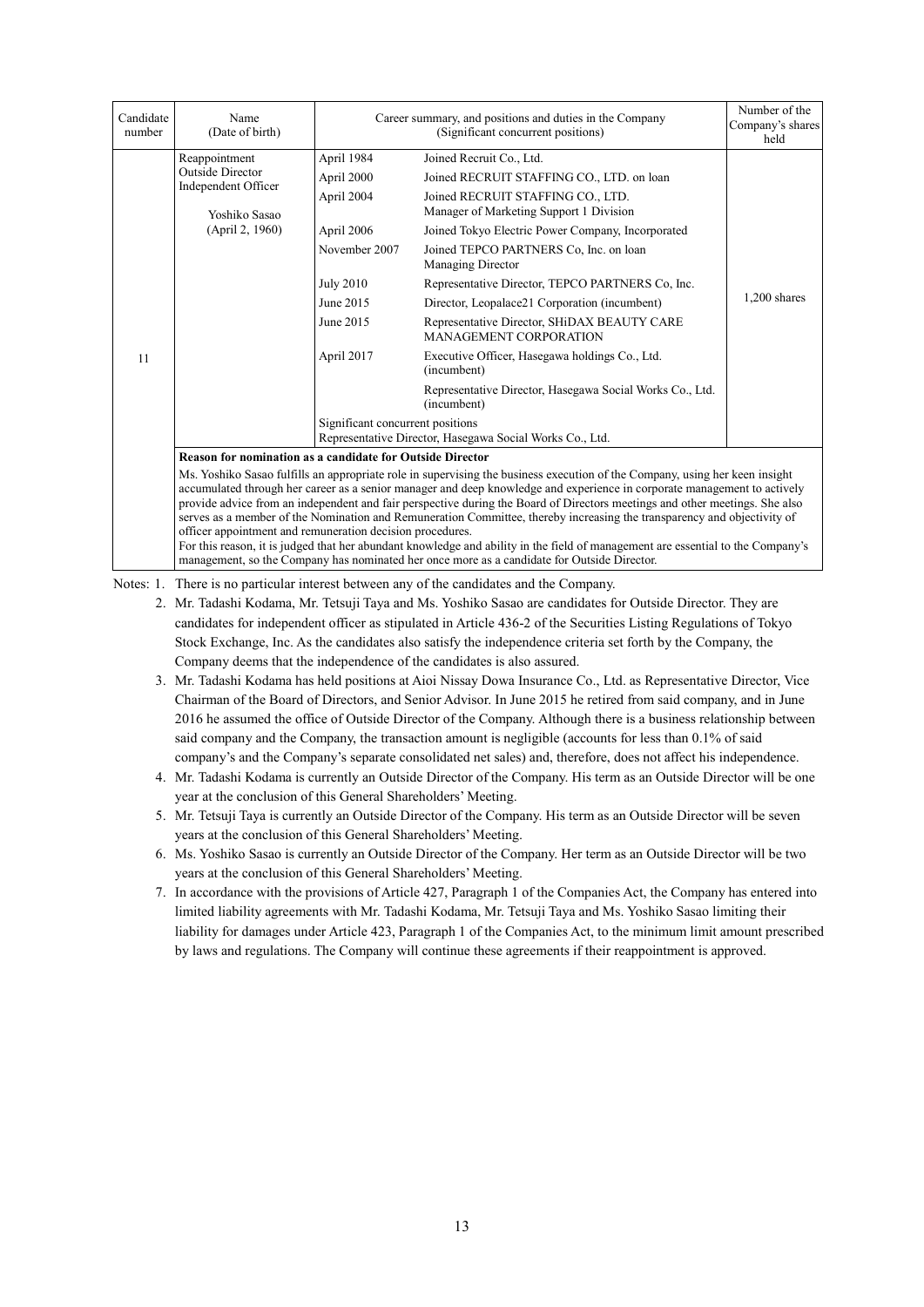| Candidate<br>number | Name<br>(Date of birth)                                                                                                                                                                                                                                                                                                                                                                                                                                                                                                                                                                                                                                                                                           | Career summary, and positions and duties in the Company<br>(Significant concurrent positions) |                                                                              | Number of the<br>Company's shares<br>held |  |  |
|---------------------|-------------------------------------------------------------------------------------------------------------------------------------------------------------------------------------------------------------------------------------------------------------------------------------------------------------------------------------------------------------------------------------------------------------------------------------------------------------------------------------------------------------------------------------------------------------------------------------------------------------------------------------------------------------------------------------------------------------------|-----------------------------------------------------------------------------------------------|------------------------------------------------------------------------------|-------------------------------------------|--|--|
|                     | Reappointment                                                                                                                                                                                                                                                                                                                                                                                                                                                                                                                                                                                                                                                                                                     | April 1984                                                                                    | Joined Recruit Co., Ltd.                                                     |                                           |  |  |
|                     | Outside Director<br>Independent Officer                                                                                                                                                                                                                                                                                                                                                                                                                                                                                                                                                                                                                                                                           | April 2000                                                                                    | Joined RECRUIT STAFFING CO., LTD. on loan                                    |                                           |  |  |
|                     | Yoshiko Sasao                                                                                                                                                                                                                                                                                                                                                                                                                                                                                                                                                                                                                                                                                                     | April 2004                                                                                    | Joined RECRUIT STAFFING CO., LTD.<br>Manager of Marketing Support 1 Division |                                           |  |  |
|                     | (April 2, 1960)                                                                                                                                                                                                                                                                                                                                                                                                                                                                                                                                                                                                                                                                                                   | April 2006                                                                                    | Joined Tokyo Electric Power Company, Incorporated                            |                                           |  |  |
|                     |                                                                                                                                                                                                                                                                                                                                                                                                                                                                                                                                                                                                                                                                                                                   | November 2007                                                                                 | Joined TEPCO PARTNERS Co, Inc. on loan<br>Managing Director                  |                                           |  |  |
|                     |                                                                                                                                                                                                                                                                                                                                                                                                                                                                                                                                                                                                                                                                                                                   | <b>July 2010</b>                                                                              | Representative Director, TEPCO PARTNERS Co, Inc.                             |                                           |  |  |
|                     |                                                                                                                                                                                                                                                                                                                                                                                                                                                                                                                                                                                                                                                                                                                   | June 2015                                                                                     | Director, Leopalace21 Corporation (incumbent)                                | $1,200$ shares                            |  |  |
|                     |                                                                                                                                                                                                                                                                                                                                                                                                                                                                                                                                                                                                                                                                                                                   | June 2015                                                                                     | Representative Director, SHiDAX BEAUTY CARE<br><b>MANAGEMENT CORPORATION</b> |                                           |  |  |
| 11                  |                                                                                                                                                                                                                                                                                                                                                                                                                                                                                                                                                                                                                                                                                                                   | April 2017                                                                                    | Executive Officer, Hasegawa holdings Co., Ltd.<br>(incumbent)                |                                           |  |  |
|                     |                                                                                                                                                                                                                                                                                                                                                                                                                                                                                                                                                                                                                                                                                                                   |                                                                                               | Representative Director, Hasegawa Social Works Co., Ltd.<br>(incumbent)      |                                           |  |  |
|                     |                                                                                                                                                                                                                                                                                                                                                                                                                                                                                                                                                                                                                                                                                                                   | Significant concurrent positions                                                              | Representative Director, Hasegawa Social Works Co., Ltd.                     |                                           |  |  |
|                     | <b>Reason for nomination as a candidate for Outside Director</b>                                                                                                                                                                                                                                                                                                                                                                                                                                                                                                                                                                                                                                                  |                                                                                               |                                                                              |                                           |  |  |
|                     | Ms. Yoshiko Sasao fulfills an appropriate role in supervising the business execution of the Company, using her keen insight<br>accumulated through her career as a senior manager and deep knowledge and experience in corporate management to actively<br>provide advice from an independent and fair perspective during the Board of Directors meetings and other meetings. She also<br>serves as a member of the Nomination and Remuneration Committee, thereby increasing the transparency and objectivity of<br>officer appointment and remuneration decision procedures.<br>For this reason, it is judged that her abundant knowledge and ability in the field of management are essential to the Company's |                                                                                               |                                                                              |                                           |  |  |

For this reason, it is judged that her abundant knowledge and ability in the field of management are essential to the Company's management, so the Company has nominated her once more as a candidate for Outside Director.

Notes: 1. There is no particular interest between any of the candidates and the Company.

- 2. Mr. Tadashi Kodama, Mr. Tetsuji Taya and Ms. Yoshiko Sasao are candidates for Outside Director. They are candidates for independent officer as stipulated in Article 436-2 of the Securities Listing Regulations of Tokyo Stock Exchange, Inc. As the candidates also satisfy the independence criteria set forth by the Company, the Company deems that the independence of the candidates is also assured.
- 3. Mr. Tadashi Kodama has held positions at Aioi Nissay Dowa Insurance Co., Ltd. as Representative Director, Vice Chairman of the Board of Directors, and Senior Advisor. In June 2015 he retired from said company, and in June 2016 he assumed the office of Outside Director of the Company. Although there is a business relationship between said company and the Company, the transaction amount is negligible (accounts for less than 0.1% of said company's and the Company's separate consolidated net sales) and, therefore, does not affect his independence.
- 4. Mr. Tadashi Kodama is currently an Outside Director of the Company. His term as an Outside Director will be one year at the conclusion of this General Shareholders' Meeting.
- 5. Mr. Tetsuji Taya is currently an Outside Director of the Company. His term as an Outside Director will be seven years at the conclusion of this General Shareholders' Meeting.
- 6. Ms. Yoshiko Sasao is currently an Outside Director of the Company. Her term as an Outside Director will be two years at the conclusion of this General Shareholders' Meeting.
- 7. In accordance with the provisions of Article 427, Paragraph 1 of the Companies Act, the Company has entered into limited liability agreements with Mr. Tadashi Kodama, Mr. Tetsuji Taya and Ms. Yoshiko Sasao limiting their liability for damages under Article 423, Paragraph 1 of the Companies Act, to the minimum limit amount prescribed by laws and regulations. The Company will continue these agreements if their reappointment is approved.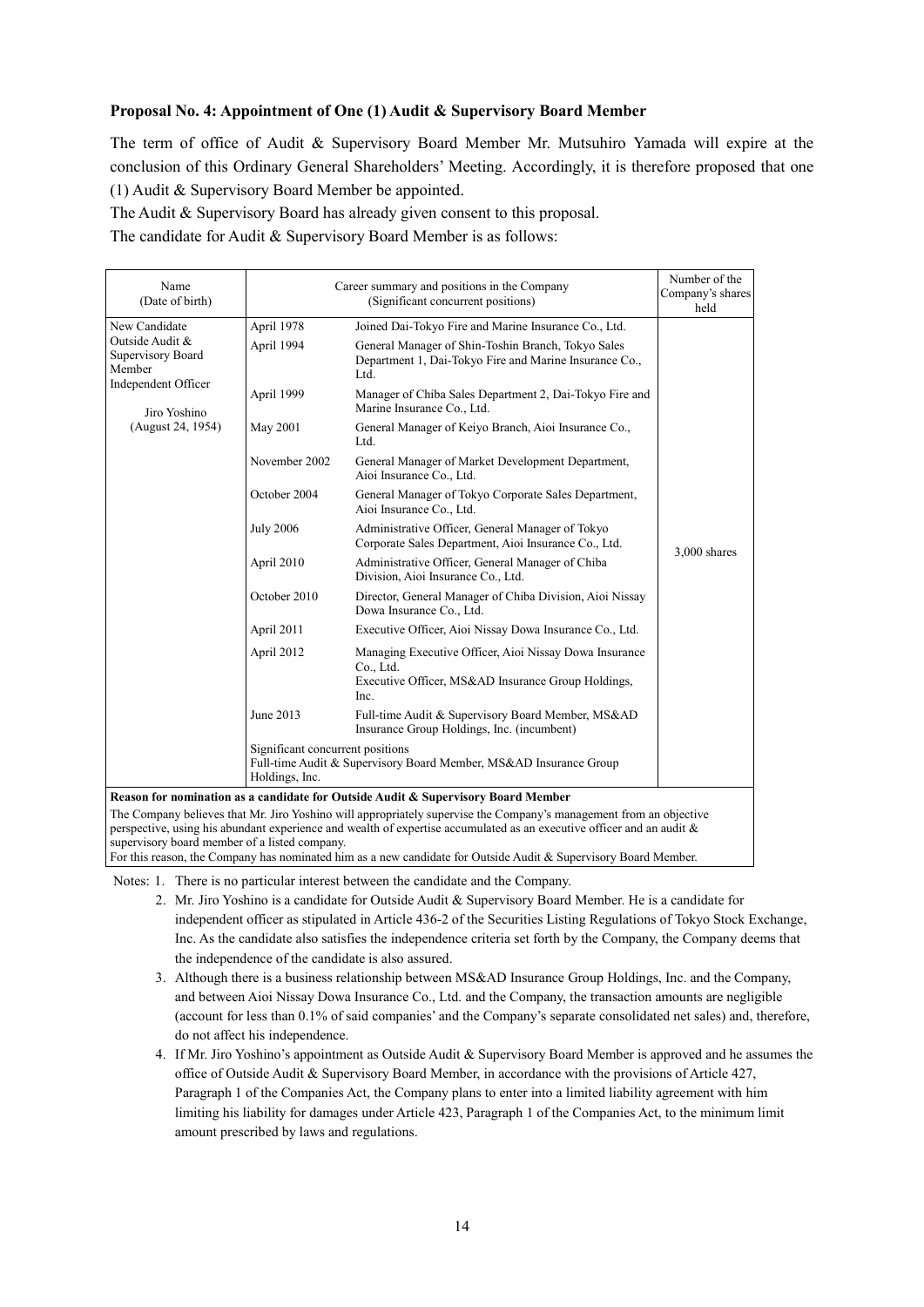#### **Proposal No. 4: Appointment of One (1) Audit & Supervisory Board Member**

The term of office of Audit & Supervisory Board Member Mr. Mutsuhiro Yamada will expire at the conclusion of this Ordinary General Shareholders' Meeting. Accordingly, it is therefore proposed that one (1) Audit & Supervisory Board Member be appointed.

The Audit & Supervisory Board has already given consent to this proposal.

The candidate for Audit & Supervisory Board Member is as follows:

| Name<br>(Date of birth)                                                                                                  |                                                                                                                         | Career summary and positions in the Company<br>(Significant concurrent positions)                                                 | Number of the<br>Company's shares<br>held |  |  |
|--------------------------------------------------------------------------------------------------------------------------|-------------------------------------------------------------------------------------------------------------------------|-----------------------------------------------------------------------------------------------------------------------------------|-------------------------------------------|--|--|
| New Candidate                                                                                                            | April 1978                                                                                                              | Joined Dai-Tokyo Fire and Marine Insurance Co., Ltd.                                                                              |                                           |  |  |
| Outside Audit &<br>Supervisory Board<br>Member<br>Independent Officer                                                    | April 1994                                                                                                              | General Manager of Shin-Toshin Branch, Tokyo Sales<br>Department 1, Dai-Tokyo Fire and Marine Insurance Co.,<br>Ltd.              |                                           |  |  |
| Jiro Yoshino                                                                                                             | April 1999                                                                                                              | Manager of Chiba Sales Department 2, Dai-Tokyo Fire and<br>Marine Insurance Co., Ltd.                                             |                                           |  |  |
| (August 24, 1954)                                                                                                        | May 2001                                                                                                                | General Manager of Keiyo Branch, Aioi Insurance Co.,<br>Ltd.                                                                      |                                           |  |  |
|                                                                                                                          | November 2002                                                                                                           | General Manager of Market Development Department,<br>Aioi Insurance Co., Ltd.                                                     |                                           |  |  |
|                                                                                                                          | October 2004                                                                                                            | General Manager of Tokyo Corporate Sales Department,<br>Aioi Insurance Co., Ltd.                                                  |                                           |  |  |
|                                                                                                                          | <b>July 2006</b>                                                                                                        | Administrative Officer, General Manager of Tokyo<br>Corporate Sales Department, Aioi Insurance Co., Ltd.                          | $3,000$ shares                            |  |  |
|                                                                                                                          | April 2010                                                                                                              | Administrative Officer, General Manager of Chiba<br>Division, Aioi Insurance Co., Ltd.                                            |                                           |  |  |
|                                                                                                                          | October 2010                                                                                                            | Director, General Manager of Chiba Division, Aioi Nissay<br>Dowa Insurance Co., Ltd.                                              |                                           |  |  |
|                                                                                                                          | April 2011                                                                                                              | Executive Officer, Aioi Nissay Dowa Insurance Co., Ltd.                                                                           |                                           |  |  |
|                                                                                                                          | April 2012                                                                                                              | Managing Executive Officer, Aioi Nissay Dowa Insurance<br>Co., Ltd.<br>Executive Officer, MS&AD Insurance Group Holdings,<br>Inc. |                                           |  |  |
|                                                                                                                          | June 2013                                                                                                               | Full-time Audit & Supervisory Board Member, MS&AD<br>Insurance Group Holdings, Inc. (incumbent)                                   |                                           |  |  |
|                                                                                                                          | Significant concurrent positions<br>Full-time Audit & Supervisory Board Member, MS&AD Insurance Group<br>Holdings, Inc. |                                                                                                                                   |                                           |  |  |
|                                                                                                                          |                                                                                                                         | Reason for nomination as a candidate for Outside Audit & Supervisory Board Member                                                 |                                           |  |  |
|                                                                                                                          |                                                                                                                         | The Company believes that Mr. Jiro Yoshino will appropriately supervise the Company's management from an objective                |                                           |  |  |
| perspective, using his abundant experience and wealth of expertise accumulated as an executive officer and an audit $\&$ |                                                                                                                         |                                                                                                                                   |                                           |  |  |

supervisory board member of a listed company.

For this reason, the Company has nominated him as a new candidate for Outside Audit & Supervisory Board Member.

Notes: 1. There is no particular interest between the candidate and the Company.

- 2. Mr. Jiro Yoshino is a candidate for Outside Audit & Supervisory Board Member. He is a candidate for independent officer as stipulated in Article 436-2 of the Securities Listing Regulations of Tokyo Stock Exchange, Inc. As the candidate also satisfies the independence criteria set forth by the Company, the Company deems that the independence of the candidate is also assured.
- 3. Although there is a business relationship between MS&AD Insurance Group Holdings, Inc. and the Company, and between Aioi Nissay Dowa Insurance Co., Ltd. and the Company, the transaction amounts are negligible (account for less than 0.1% of said companies' and the Company's separate consolidated net sales) and, therefore, do not affect his independence.
- 4. If Mr. Jiro Yoshino's appointment as Outside Audit & Supervisory Board Member is approved and he assumes the office of Outside Audit & Supervisory Board Member, in accordance with the provisions of Article 427, Paragraph 1 of the Companies Act, the Company plans to enter into a limited liability agreement with him limiting his liability for damages under Article 423, Paragraph 1 of the Companies Act, to the minimum limit amount prescribed by laws and regulations.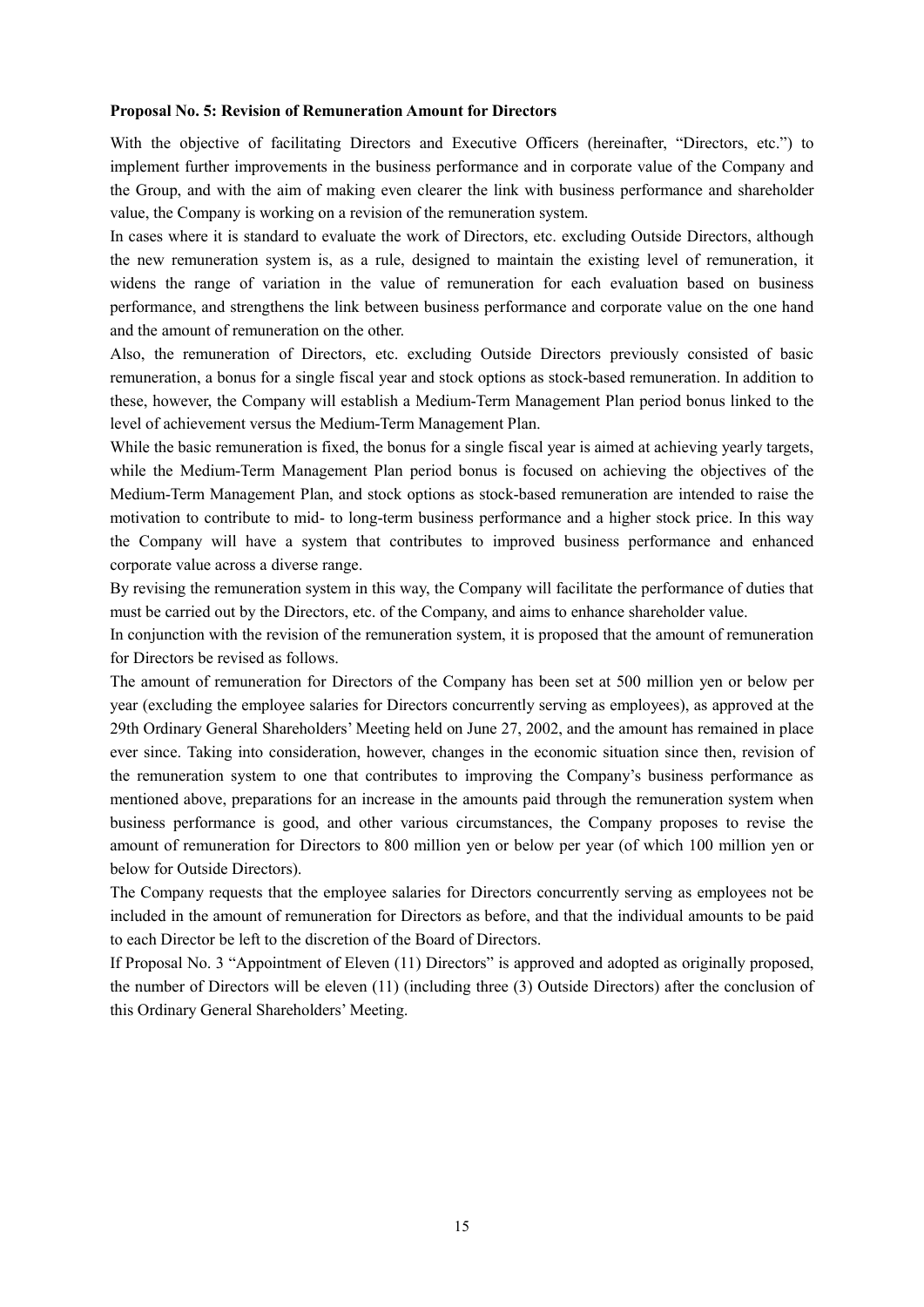#### **Proposal No. 5: Revision of Remuneration Amount for Directors**

With the objective of facilitating Directors and Executive Officers (hereinafter, "Directors, etc.") to implement further improvements in the business performance and in corporate value of the Company and the Group, and with the aim of making even clearer the link with business performance and shareholder value, the Company is working on a revision of the remuneration system.

In cases where it is standard to evaluate the work of Directors, etc. excluding Outside Directors, although the new remuneration system is, as a rule, designed to maintain the existing level of remuneration, it widens the range of variation in the value of remuneration for each evaluation based on business performance, and strengthens the link between business performance and corporate value on the one hand and the amount of remuneration on the other.

Also, the remuneration of Directors, etc. excluding Outside Directors previously consisted of basic remuneration, a bonus for a single fiscal year and stock options as stock-based remuneration. In addition to these, however, the Company will establish a Medium-Term Management Plan period bonus linked to the level of achievement versus the Medium-Term Management Plan.

While the basic remuneration is fixed, the bonus for a single fiscal year is aimed at achieving yearly targets, while the Medium-Term Management Plan period bonus is focused on achieving the objectives of the Medium-Term Management Plan, and stock options as stock-based remuneration are intended to raise the motivation to contribute to mid- to long-term business performance and a higher stock price. In this way the Company will have a system that contributes to improved business performance and enhanced corporate value across a diverse range.

By revising the remuneration system in this way, the Company will facilitate the performance of duties that must be carried out by the Directors, etc. of the Company, and aims to enhance shareholder value.

In conjunction with the revision of the remuneration system, it is proposed that the amount of remuneration for Directors be revised as follows.

The amount of remuneration for Directors of the Company has been set at 500 million yen or below per year (excluding the employee salaries for Directors concurrently serving as employees), as approved at the 29th Ordinary General Shareholders' Meeting held on June 27, 2002, and the amount has remained in place ever since. Taking into consideration, however, changes in the economic situation since then, revision of the remuneration system to one that contributes to improving the Company's business performance as mentioned above, preparations for an increase in the amounts paid through the remuneration system when business performance is good, and other various circumstances, the Company proposes to revise the amount of remuneration for Directors to 800 million yen or below per year (of which 100 million yen or below for Outside Directors).

The Company requests that the employee salaries for Directors concurrently serving as employees not be included in the amount of remuneration for Directors as before, and that the individual amounts to be paid to each Director be left to the discretion of the Board of Directors.

If Proposal No. 3 "Appointment of Eleven (11) Directors" is approved and adopted as originally proposed, the number of Directors will be eleven (11) (including three (3) Outside Directors) after the conclusion of this Ordinary General Shareholders' Meeting.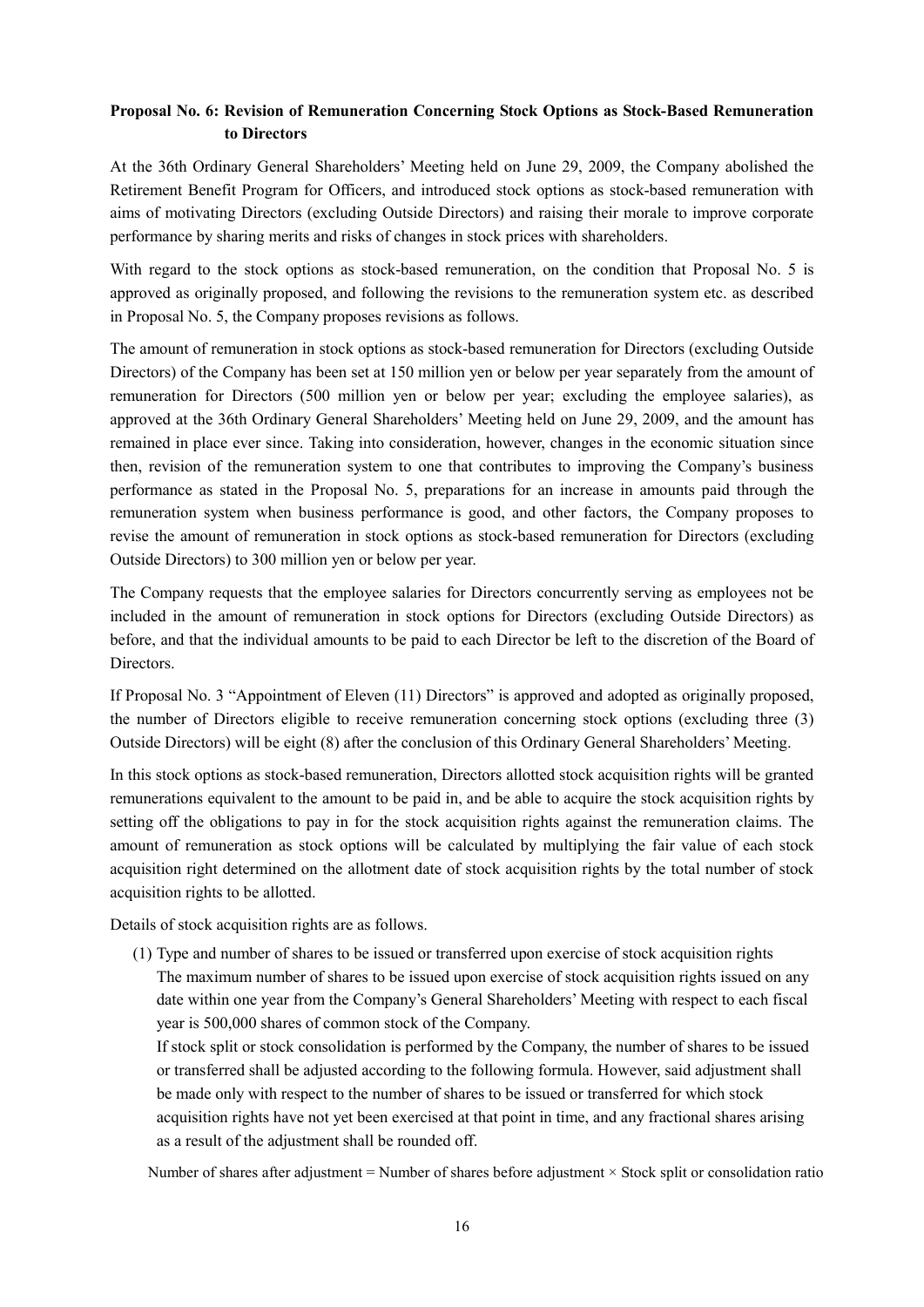# **Proposal No. 6: Revision of Remuneration Concerning Stock Options as Stock-Based Remuneration to Directors**

At the 36th Ordinary General Shareholders' Meeting held on June 29, 2009, the Company abolished the Retirement Benefit Program for Officers, and introduced stock options as stock-based remuneration with aims of motivating Directors (excluding Outside Directors) and raising their morale to improve corporate performance by sharing merits and risks of changes in stock prices with shareholders.

With regard to the stock options as stock-based remuneration, on the condition that Proposal No. 5 is approved as originally proposed, and following the revisions to the remuneration system etc. as described in Proposal No. 5, the Company proposes revisions as follows.

The amount of remuneration in stock options as stock-based remuneration for Directors (excluding Outside Directors) of the Company has been set at 150 million yen or below per year separately from the amount of remuneration for Directors (500 million yen or below per year; excluding the employee salaries), as approved at the 36th Ordinary General Shareholders' Meeting held on June 29, 2009, and the amount has remained in place ever since. Taking into consideration, however, changes in the economic situation since then, revision of the remuneration system to one that contributes to improving the Company's business performance as stated in the Proposal No. 5, preparations for an increase in amounts paid through the remuneration system when business performance is good, and other factors, the Company proposes to revise the amount of remuneration in stock options as stock-based remuneration for Directors (excluding Outside Directors) to 300 million yen or below per year.

The Company requests that the employee salaries for Directors concurrently serving as employees not be included in the amount of remuneration in stock options for Directors (excluding Outside Directors) as before, and that the individual amounts to be paid to each Director be left to the discretion of the Board of Directors.

If Proposal No. 3 "Appointment of Eleven (11) Directors" is approved and adopted as originally proposed, the number of Directors eligible to receive remuneration concerning stock options (excluding three (3) Outside Directors) will be eight (8) after the conclusion of this Ordinary General Shareholders' Meeting.

In this stock options as stock-based remuneration, Directors allotted stock acquisition rights will be granted remunerations equivalent to the amount to be paid in, and be able to acquire the stock acquisition rights by setting off the obligations to pay in for the stock acquisition rights against the remuneration claims. The amount of remuneration as stock options will be calculated by multiplying the fair value of each stock acquisition right determined on the allotment date of stock acquisition rights by the total number of stock acquisition rights to be allotted.

Details of stock acquisition rights are as follows.

(1) Type and number of shares to be issued or transferred upon exercise of stock acquisition rights The maximum number of shares to be issued upon exercise of stock acquisition rights issued on any date within one year from the Company's General Shareholders' Meeting with respect to each fiscal year is 500,000 shares of common stock of the Company.

If stock split or stock consolidation is performed by the Company, the number of shares to be issued or transferred shall be adjusted according to the following formula. However, said adjustment shall be made only with respect to the number of shares to be issued or transferred for which stock acquisition rights have not yet been exercised at that point in time, and any fractional shares arising as a result of the adjustment shall be rounded off.

Number of shares after adjustment = Number of shares before adjustment × Stock split or consolidation ratio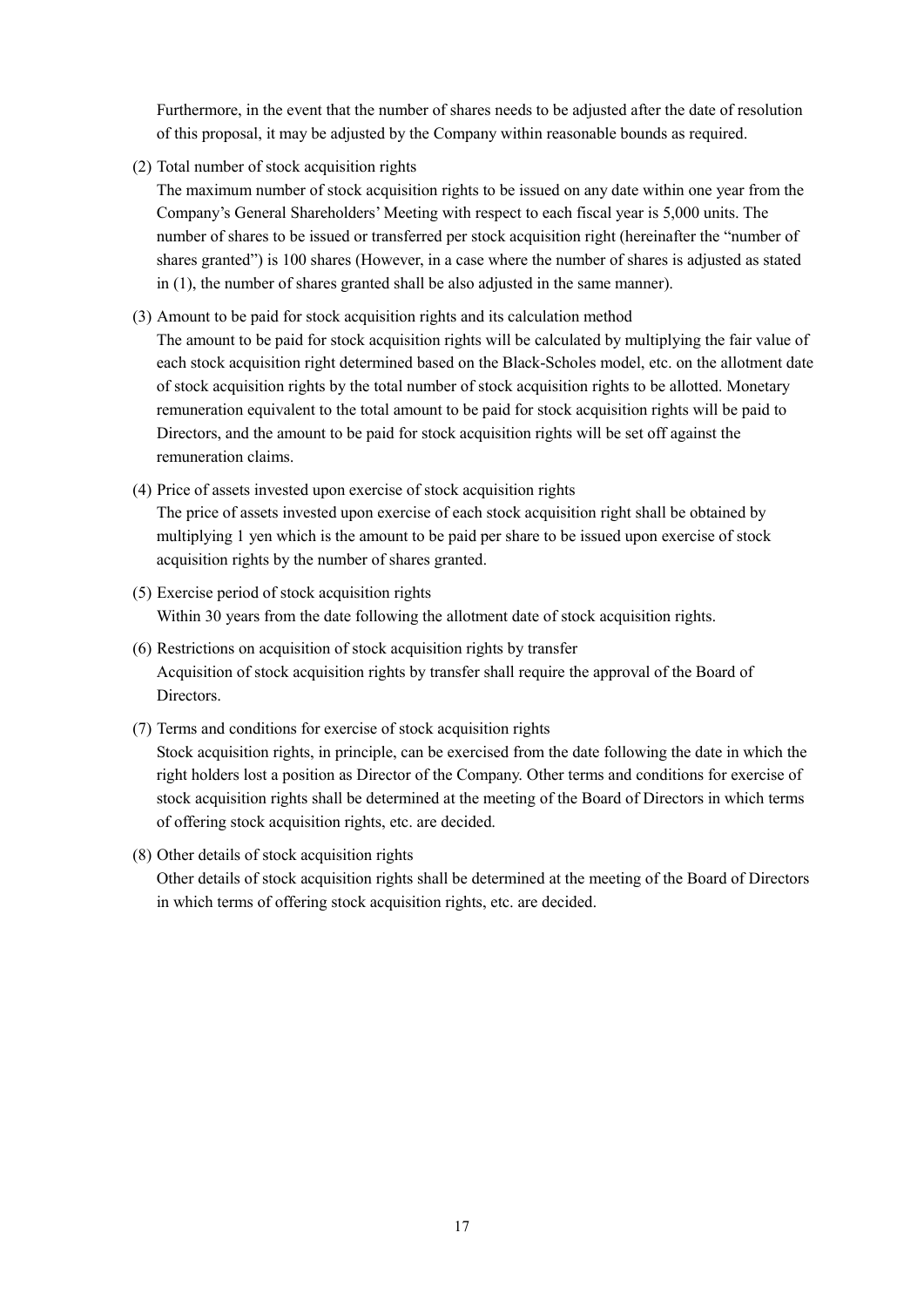Furthermore, in the event that the number of shares needs to be adjusted after the date of resolution of this proposal, it may be adjusted by the Company within reasonable bounds as required.

(2) Total number of stock acquisition rights

The maximum number of stock acquisition rights to be issued on any date within one year from the Company's General Shareholders' Meeting with respect to each fiscal year is 5,000 units. The number of shares to be issued or transferred per stock acquisition right (hereinafter the "number of shares granted") is 100 shares (However, in a case where the number of shares is adjusted as stated in (1), the number of shares granted shall be also adjusted in the same manner).

(3) Amount to be paid for stock acquisition rights and its calculation method

The amount to be paid for stock acquisition rights will be calculated by multiplying the fair value of each stock acquisition right determined based on the Black-Scholes model, etc. on the allotment date of stock acquisition rights by the total number of stock acquisition rights to be allotted. Monetary remuneration equivalent to the total amount to be paid for stock acquisition rights will be paid to Directors, and the amount to be paid for stock acquisition rights will be set off against the remuneration claims.

(4) Price of assets invested upon exercise of stock acquisition rights

The price of assets invested upon exercise of each stock acquisition right shall be obtained by multiplying 1 yen which is the amount to be paid per share to be issued upon exercise of stock acquisition rights by the number of shares granted.

- (5) Exercise period of stock acquisition rights Within 30 years from the date following the allotment date of stock acquisition rights.
- (6) Restrictions on acquisition of stock acquisition rights by transfer Acquisition of stock acquisition rights by transfer shall require the approval of the Board of **Directors**
- (7) Terms and conditions for exercise of stock acquisition rights

Stock acquisition rights, in principle, can be exercised from the date following the date in which the right holders lost a position as Director of the Company. Other terms and conditions for exercise of stock acquisition rights shall be determined at the meeting of the Board of Directors in which terms of offering stock acquisition rights, etc. are decided.

### (8) Other details of stock acquisition rights

Other details of stock acquisition rights shall be determined at the meeting of the Board of Directors in which terms of offering stock acquisition rights, etc. are decided.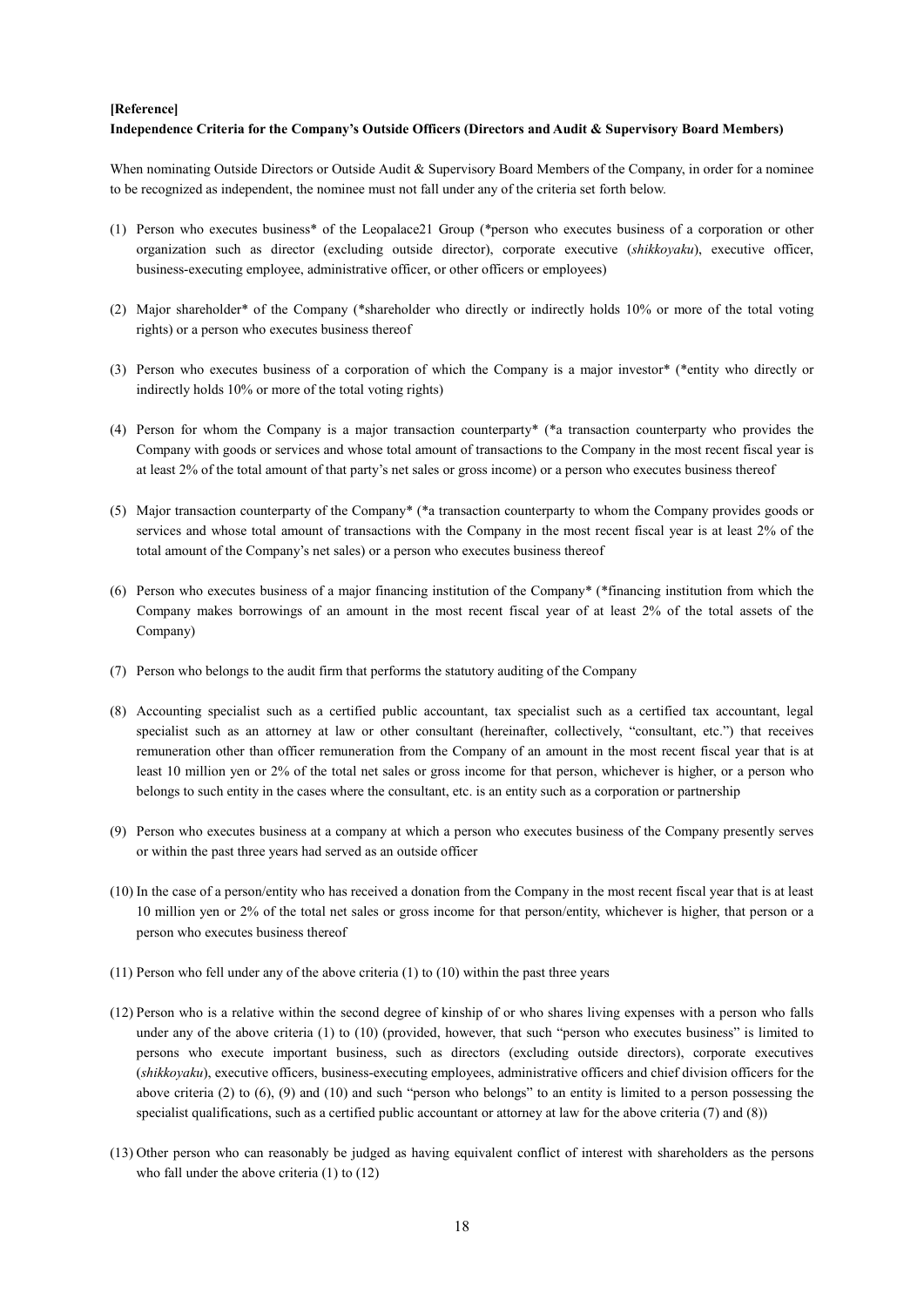#### **[Reference]**

#### **Independence Criteria for the Company's Outside Officers (Directors and Audit & Supervisory Board Members)**

When nominating Outside Directors or Outside Audit & Supervisory Board Members of the Company, in order for a nominee to be recognized as independent, the nominee must not fall under any of the criteria set forth below.

- (1) Person who executes business\* of the Leopalace21 Group (\*person who executes business of a corporation or other organization such as director (excluding outside director), corporate executive (*shikkoyaku*), executive officer, business-executing employee, administrative officer, or other officers or employees)
- (2) Major shareholder\* of the Company (\*shareholder who directly or indirectly holds 10% or more of the total voting rights) or a person who executes business thereof
- (3) Person who executes business of a corporation of which the Company is a major investor\* (\*entity who directly or indirectly holds 10% or more of the total voting rights)
- (4) Person for whom the Company is a major transaction counterparty\* (\*a transaction counterparty who provides the Company with goods or services and whose total amount of transactions to the Company in the most recent fiscal year is at least 2% of the total amount of that party's net sales or gross income) or a person who executes business thereof
- (5) Major transaction counterparty of the Company\* (\*a transaction counterparty to whom the Company provides goods or services and whose total amount of transactions with the Company in the most recent fiscal year is at least 2% of the total amount of the Company's net sales) or a person who executes business thereof
- (6) Person who executes business of a major financing institution of the Company\* (\*financing institution from which the Company makes borrowings of an amount in the most recent fiscal year of at least 2% of the total assets of the Company)
- (7) Person who belongs to the audit firm that performs the statutory auditing of the Company
- (8) Accounting specialist such as a certified public accountant, tax specialist such as a certified tax accountant, legal specialist such as an attorney at law or other consultant (hereinafter, collectively, "consultant, etc.") that receives remuneration other than officer remuneration from the Company of an amount in the most recent fiscal year that is at least 10 million yen or 2% of the total net sales or gross income for that person, whichever is higher, or a person who belongs to such entity in the cases where the consultant, etc. is an entity such as a corporation or partnership
- (9) Person who executes business at a company at which a person who executes business of the Company presently serves or within the past three years had served as an outside officer
- (10) In the case of a person/entity who has received a donation from the Company in the most recent fiscal year that is at least 10 million yen or 2% of the total net sales or gross income for that person/entity, whichever is higher, that person or a person who executes business thereof
- (11) Person who fell under any of the above criteria (1) to (10) within the past three years
- (12) Person who is a relative within the second degree of kinship of or who shares living expenses with a person who falls under any of the above criteria (1) to (10) (provided, however, that such "person who executes business" is limited to persons who execute important business, such as directors (excluding outside directors), corporate executives (*shikkoyaku*), executive officers, business-executing employees, administrative officers and chief division officers for the above criteria (2) to  $(6)$ ,  $(9)$  and  $(10)$  and such "person who belongs" to an entity is limited to a person possessing the specialist qualifications, such as a certified public accountant or attorney at law for the above criteria (7) and (8))
- (13) Other person who can reasonably be judged as having equivalent conflict of interest with shareholders as the persons who fall under the above criteria (1) to (12)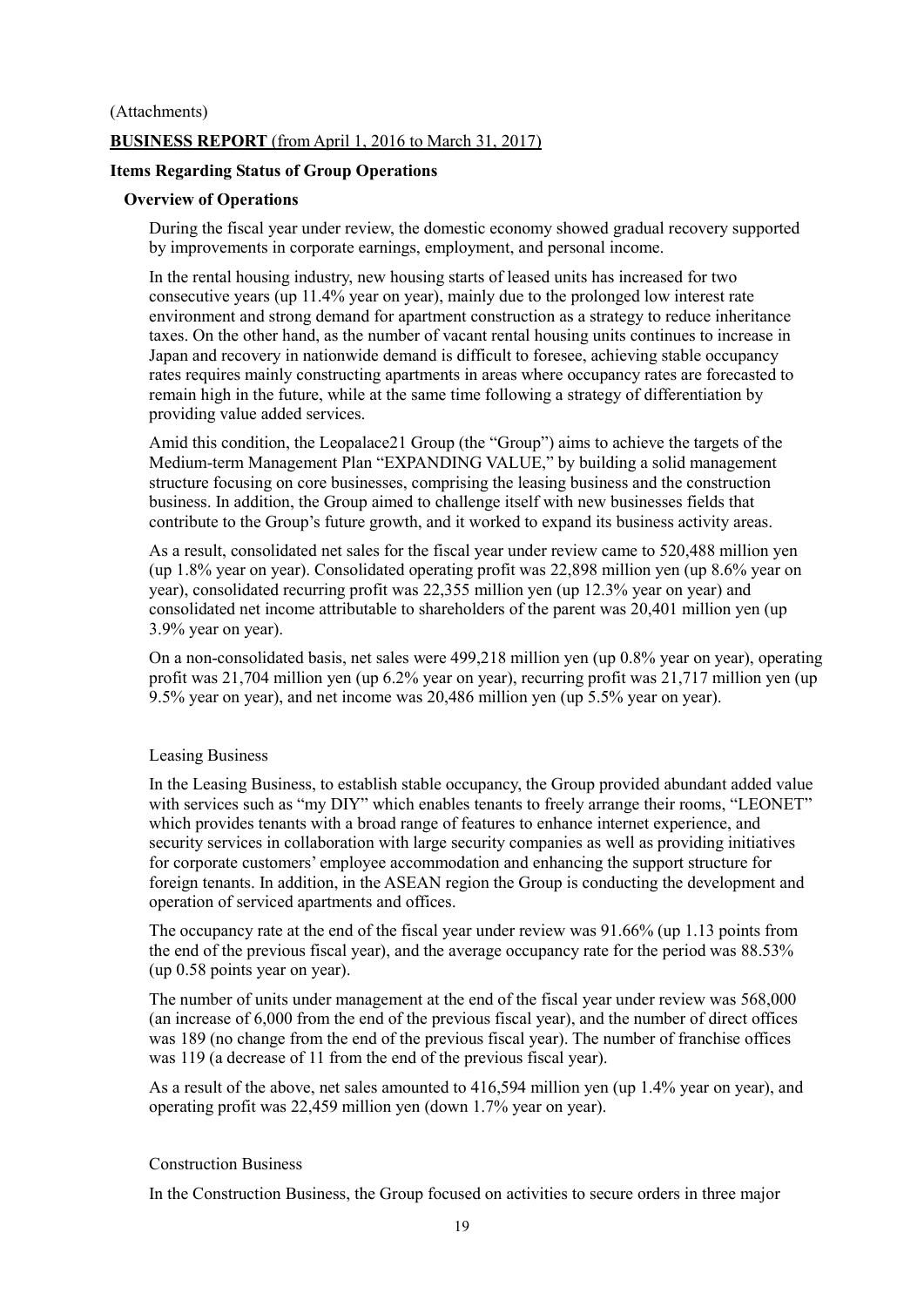# (Attachments) **BUSINESS REPORT** (from April 1, 2016 to March 31, 2017)

# **Items Regarding Status of Group Operations**

## **Overview of Operations**

During the fiscal year under review, the domestic economy showed gradual recovery supported by improvements in corporate earnings, employment, and personal income.

In the rental housing industry, new housing starts of leased units has increased for two consecutive years (up 11.4% year on year), mainly due to the prolonged low interest rate environment and strong demand for apartment construction as a strategy to reduce inheritance taxes. On the other hand, as the number of vacant rental housing units continues to increase in Japan and recovery in nationwide demand is difficult to foresee, achieving stable occupancy rates requires mainly constructing apartments in areas where occupancy rates are forecasted to remain high in the future, while at the same time following a strategy of differentiation by providing value added services.

Amid this condition, the Leopalace21 Group (the "Group") aims to achieve the targets of the Medium-term Management Plan "EXPANDING VALUE," by building a solid management structure focusing on core businesses, comprising the leasing business and the construction business. In addition, the Group aimed to challenge itself with new businesses fields that contribute to the Group's future growth, and it worked to expand its business activity areas.

As a result, consolidated net sales for the fiscal year under review came to 520,488 million yen (up 1.8% year on year). Consolidated operating profit was 22,898 million yen (up 8.6% year on year), consolidated recurring profit was 22,355 million yen (up 12.3% year on year) and consolidated net income attributable to shareholders of the parent was 20,401 million yen (up 3.9% year on year).

On a non-consolidated basis, net sales were 499,218 million yen (up 0.8% year on year), operating profit was 21,704 million yen (up 6.2% year on year), recurring profit was 21,717 million yen (up 9.5% year on year), and net income was 20,486 million yen (up 5.5% year on year).

### Leasing Business

In the Leasing Business, to establish stable occupancy, the Group provided abundant added value with services such as "my DIY" which enables tenants to freely arrange their rooms, "LEONET" which provides tenants with a broad range of features to enhance internet experience, and security services in collaboration with large security companies as well as providing initiatives for corporate customers' employee accommodation and enhancing the support structure for foreign tenants. In addition, in the ASEAN region the Group is conducting the development and operation of serviced apartments and offices.

The occupancy rate at the end of the fiscal year under review was 91.66% (up 1.13 points from the end of the previous fiscal year), and the average occupancy rate for the period was 88.53% (up 0.58 points year on year).

The number of units under management at the end of the fiscal year under review was 568,000 (an increase of 6,000 from the end of the previous fiscal year), and the number of direct offices was 189 (no change from the end of the previous fiscal year). The number of franchise offices was 119 (a decrease of 11 from the end of the previous fiscal year).

As a result of the above, net sales amounted to 416,594 million yen (up 1.4% year on year), and operating profit was 22,459 million yen (down 1.7% year on year).

### Construction Business

In the Construction Business, the Group focused on activities to secure orders in three major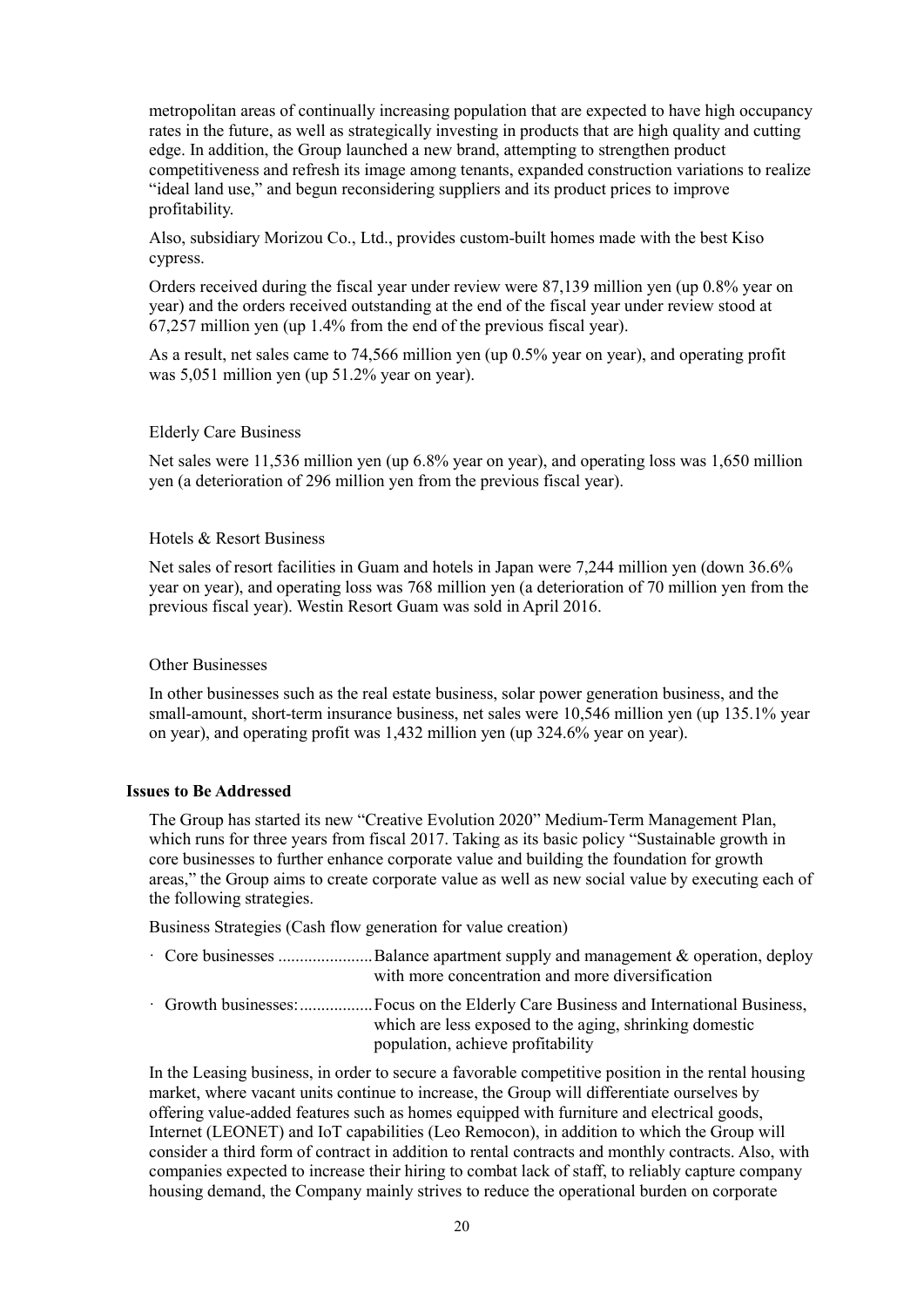metropolitan areas of continually increasing population that are expected to have high occupancy rates in the future, as well as strategically investing in products that are high quality and cutting edge. In addition, the Group launched a new brand, attempting to strengthen product competitiveness and refresh its image among tenants, expanded construction variations to realize "ideal land use," and begun reconsidering suppliers and its product prices to improve profitability.

Also, subsidiary Morizou Co., Ltd., provides custom-built homes made with the best Kiso cypress.

Orders received during the fiscal year under review were 87,139 million yen (up 0.8% year on year) and the orders received outstanding at the end of the fiscal year under review stood at 67,257 million yen (up 1.4% from the end of the previous fiscal year).

As a result, net sales came to 74,566 million yen (up 0.5% year on year), and operating profit was 5,051 million yen (up 51.2% year on year).

#### Elderly Care Business

Net sales were 11,536 million yen (up 6.8% year on year), and operating loss was 1,650 million yen (a deterioration of 296 million yen from the previous fiscal year).

#### Hotels & Resort Business

Net sales of resort facilities in Guam and hotels in Japan were 7,244 million yen (down 36.6% year on year), and operating loss was 768 million yen (a deterioration of 70 million yen from the previous fiscal year). Westin Resort Guam was sold in April 2016.

### Other Businesses

In other businesses such as the real estate business, solar power generation business, and the small-amount, short-term insurance business, net sales were 10,546 million yen (up 135.1% year on year), and operating profit was 1,432 million yen (up 324.6% year on year).

#### **Issues to Be Addressed**

The Group has started its new "Creative Evolution 2020" Medium-Term Management Plan, which runs for three years from fiscal 2017. Taking as its basic policy "Sustainable growth in core businesses to further enhance corporate value and building the foundation for growth areas," the Group aims to create corporate value as well as new social value by executing each of the following strategies.

Business Strategies (Cash flow generation for value creation)

|  | Core businesses Balance apartment supply and management & operation, deploy<br>with more concentration and more diversification |
|--|---------------------------------------------------------------------------------------------------------------------------------|
|  | which are less exposed to the aging, shrinking domestic<br>population, achieve profitability                                    |

In the Leasing business, in order to secure a favorable competitive position in the rental housing market, where vacant units continue to increase, the Group will differentiate ourselves by offering value-added features such as homes equipped with furniture and electrical goods, Internet (LEONET) and IoT capabilities (Leo Remocon), in addition to which the Group will consider a third form of contract in addition to rental contracts and monthly contracts. Also, with companies expected to increase their hiring to combat lack of staff, to reliably capture company housing demand, the Company mainly strives to reduce the operational burden on corporate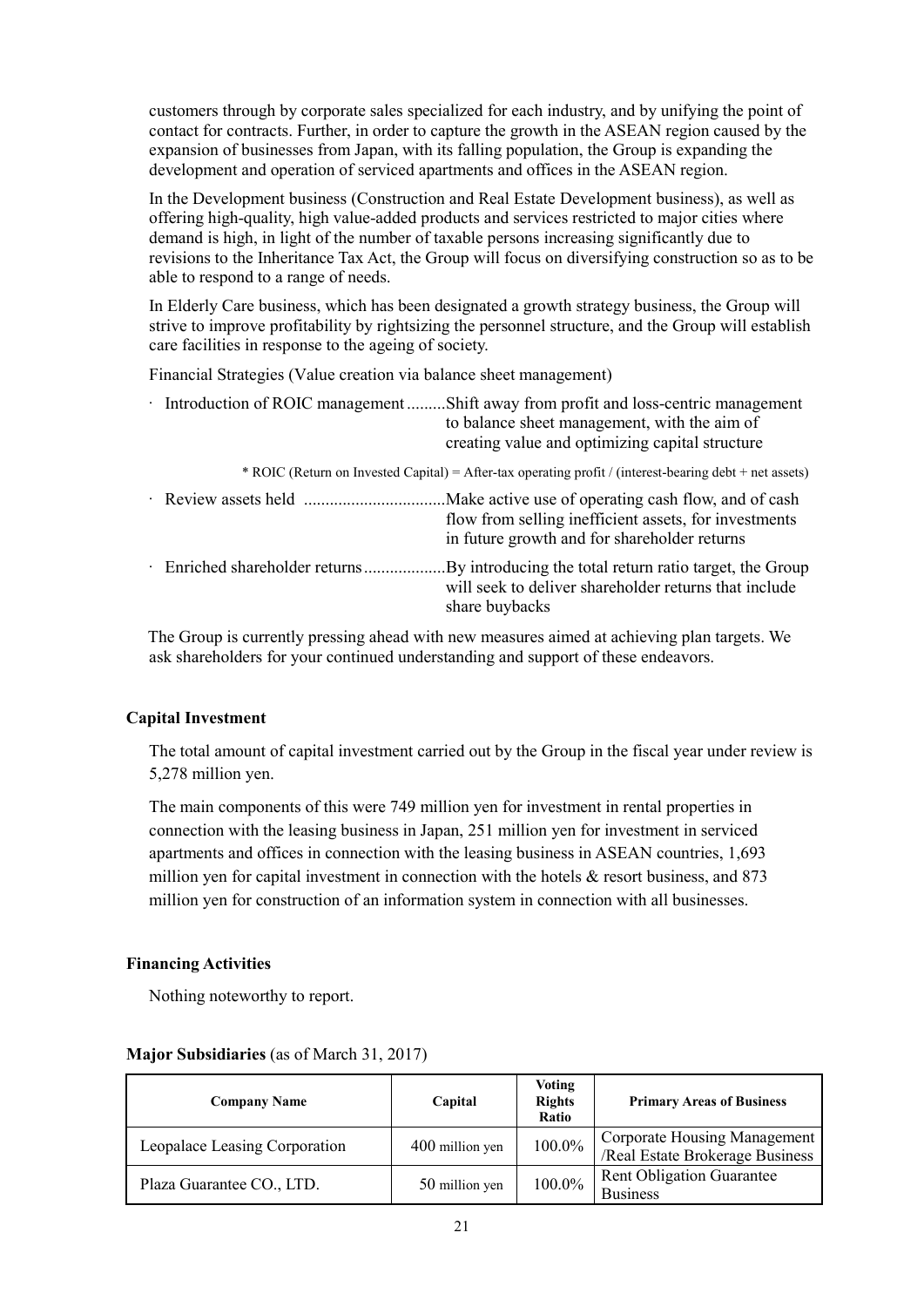customers through by corporate sales specialized for each industry, and by unifying the point of contact for contracts. Further, in order to capture the growth in the ASEAN region caused by the expansion of businesses from Japan, with its falling population, the Group is expanding the development and operation of serviced apartments and offices in the ASEAN region.

In the Development business (Construction and Real Estate Development business), as well as offering high-quality, high value-added products and services restricted to major cities where demand is high, in light of the number of taxable persons increasing significantly due to revisions to the Inheritance Tax Act, the Group will focus on diversifying construction so as to be able to respond to a range of needs.

In Elderly Care business, which has been designated a growth strategy business, the Group will strive to improve profitability by rightsizing the personnel structure, and the Group will establish care facilities in response to the ageing of society.

Financial Strategies (Value creation via balance sheet management)

| Introduction of ROIC management Shift away from profit and loss-centric management<br>to balance sheet management, with the aim of<br>creating value and optimizing capital structure |
|---------------------------------------------------------------------------------------------------------------------------------------------------------------------------------------|
| * ROIC (Return on Invested Capital) = After-tax operating profit / (interest-bearing debt + net assets)                                                                               |
| Make active use of operating cash flow, and of cash<br>flow from selling inefficient assets, for investments<br>in future growth and for shareholder returns                          |
| will seek to deliver shareholder returns that include<br>share buybacks                                                                                                               |

The Group is currently pressing ahead with new measures aimed at achieving plan targets. We ask shareholders for your continued understanding and support of these endeavors.

# **Capital Investment**

The total amount of capital investment carried out by the Group in the fiscal year under review is 5,278 million yen.

The main components of this were 749 million yen for investment in rental properties in connection with the leasing business in Japan, 251 million yen for investment in serviced apartments and offices in connection with the leasing business in ASEAN countries, 1,693 million yen for capital investment in connection with the hotels  $\&$  resort business, and 873 million yen for construction of an information system in connection with all businesses.

### **Financing Activities**

Nothing noteworthy to report.

| <b>Company Name</b>           | Capital         | Voting<br><b>Rights</b><br>Ratio | <b>Primary Areas of Business</b>                                |
|-------------------------------|-----------------|----------------------------------|-----------------------------------------------------------------|
| Leopalace Leasing Corporation | 400 million yen | 100.0%                           | Corporate Housing Management<br>/Real Estate Brokerage Business |
| Plaza Guarantee CO., LTD.     | 50 million yen  | 100.0%                           | <b>Rent Obligation Guarantee</b><br><b>Business</b>             |

### **Major Subsidiaries** (as of March 31, 2017)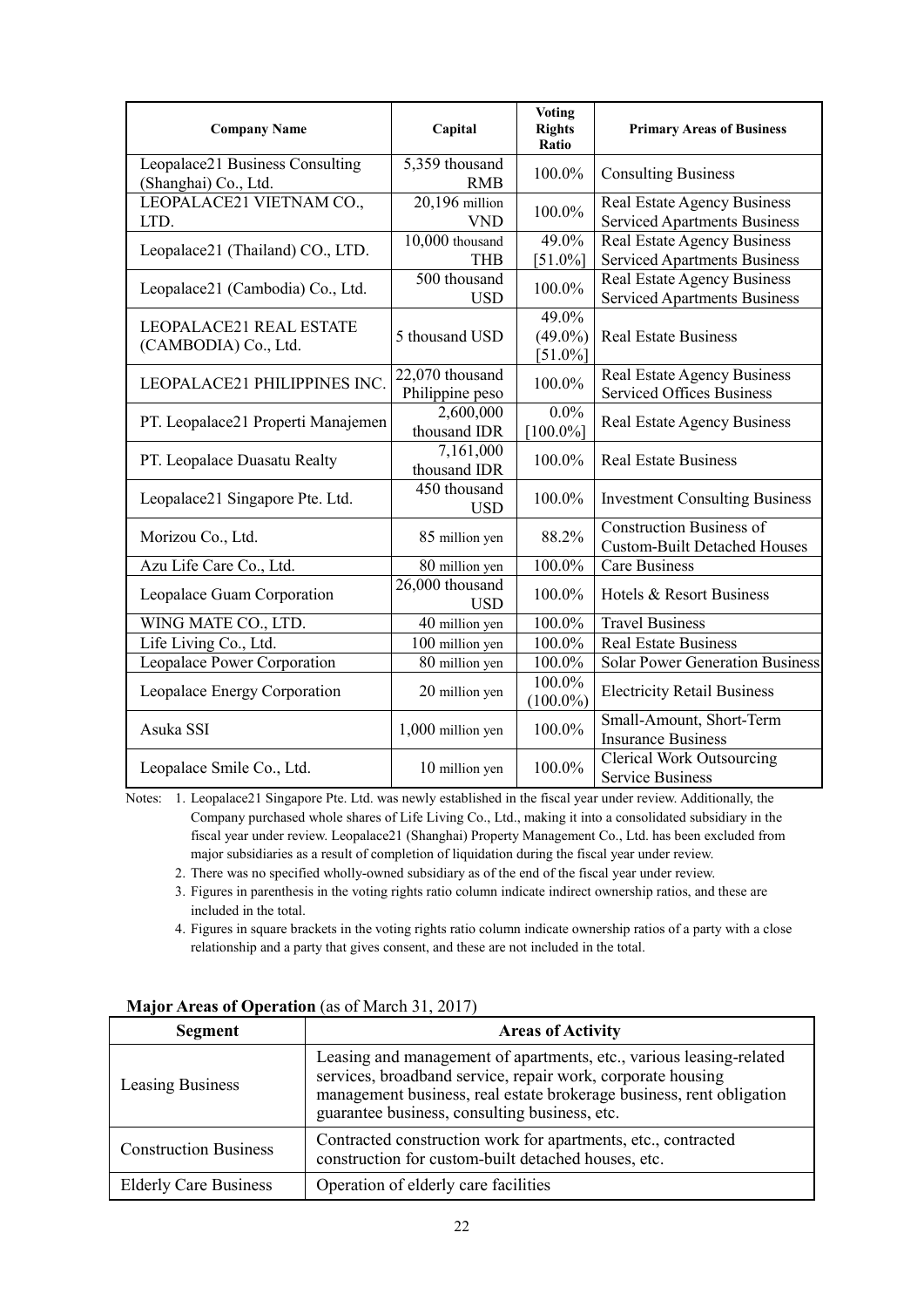| <b>Company Name</b>                                     | Capital                            | <b>Voting</b><br><b>Rights</b><br>Ratio | <b>Primary Areas of Business</b>                                          |
|---------------------------------------------------------|------------------------------------|-----------------------------------------|---------------------------------------------------------------------------|
| Leopalace21 Business Consulting<br>(Shanghai) Co., Ltd. | 5,359 thousand<br><b>RMB</b>       | 100.0%                                  | <b>Consulting Business</b>                                                |
| LEOPALACE21 VIETNAM CO.,<br>LTD.                        | 20,196 million<br><b>VND</b>       | 100.0%                                  | <b>Real Estate Agency Business</b><br><b>Serviced Apartments Business</b> |
| Leopalace21 (Thailand) CO., LTD.                        | 10,000 thousand<br><b>THB</b>      | 49.0%<br>$[51.0\%]$                     | Real Estate Agency Business<br><b>Serviced Apartments Business</b>        |
| Leopalace21 (Cambodia) Co., Ltd.                        | 500 thousand<br><b>USD</b>         | 100.0%                                  | <b>Real Estate Agency Business</b><br><b>Serviced Apartments Business</b> |
| LEOPALACE21 REAL ESTATE<br>(CAMBODIA) Co., Ltd.         | 5 thousand USD                     | 49.0%<br>$(49.0\%)$<br>$[51.0\%]$       | <b>Real Estate Business</b>                                               |
| LEOPALACE21 PHILIPPINES INC.                            | 22,070 thousand<br>Philippine peso | 100.0%                                  | <b>Real Estate Agency Business</b><br><b>Serviced Offices Business</b>    |
| PT. Leopalace21 Properti Manajemen                      | 2,600,000<br>thousand IDR          | $0.0\%$<br>$[100.0\%]$                  | <b>Real Estate Agency Business</b>                                        |
| PT. Leopalace Duasatu Realty                            | 7,161,000<br>thousand IDR          | 100.0%                                  | <b>Real Estate Business</b>                                               |
| Leopalace21 Singapore Pte. Ltd.                         | 450 thousand<br><b>USD</b>         | 100.0%                                  | <b>Investment Consulting Business</b>                                     |
| Morizou Co., Ltd.                                       | 85 million yen                     | 88.2%                                   | <b>Construction Business of</b><br><b>Custom-Built Detached Houses</b>    |
| Azu Life Care Co., Ltd.                                 | 80 million yen                     | 100.0%                                  | <b>Care Business</b>                                                      |
| Leopalace Guam Corporation                              | 26,000 thousand<br><b>USD</b>      | 100.0%                                  | Hotels & Resort Business                                                  |
| WING MATE CO., LTD.                                     | 40 million yen                     | 100.0%                                  | <b>Travel Business</b>                                                    |
| Life Living Co., Ltd.                                   | 100 million yen                    | 100.0%                                  | <b>Real Estate Business</b>                                               |
| Leopalace Power Corporation                             | 80 million yen                     | 100.0%                                  | <b>Solar Power Generation Business</b>                                    |
| Leopalace Energy Corporation                            | 20 million yen                     | 100.0%<br>$(100.0\%)$                   | <b>Electricity Retail Business</b>                                        |
| Asuka SSI                                               | 1,000 million yen                  | 100.0%                                  | Small-Amount, Short-Term<br><b>Insurance Business</b>                     |
| Leopalace Smile Co., Ltd.                               | 10 million yen                     | 100.0%                                  | <b>Clerical Work Outsourcing</b><br><b>Service Business</b>               |

Notes: 1. Leopalace21 Singapore Pte. Ltd. was newly established in the fiscal year under review. Additionally, the Company purchased whole shares of Life Living Co., Ltd., making it into a consolidated subsidiary in the fiscal year under review. Leopalace21 (Shanghai) Property Management Co., Ltd. has been excluded from major subsidiaries as a result of completion of liquidation during the fiscal year under review.

2. There was no specified wholly-owned subsidiary as of the end of the fiscal year under review.

- 3. Figures in parenthesis in the voting rights ratio column indicate indirect ownership ratios, and these are included in the total.
- 4. Figures in square brackets in the voting rights ratio column indicate ownership ratios of a party with a close relationship and a party that gives consent, and these are not included in the total.

| <b>Segment</b>               | <b>Areas of Activity</b>                                                                                                                                                                                                                                    |
|------------------------------|-------------------------------------------------------------------------------------------------------------------------------------------------------------------------------------------------------------------------------------------------------------|
| <b>Leasing Business</b>      | Leasing and management of apartments, etc., various leasing-related<br>services, broadband service, repair work, corporate housing<br>management business, real estate brokerage business, rent obligation<br>guarantee business, consulting business, etc. |
| <b>Construction Business</b> | Contracted construction work for apartments, etc., contracted<br>construction for custom-built detached houses, etc.                                                                                                                                        |
| <b>Elderly Care Business</b> | Operation of elderly care facilities                                                                                                                                                                                                                        |

#### **Major Areas of Operation** (as of March 31, 2017)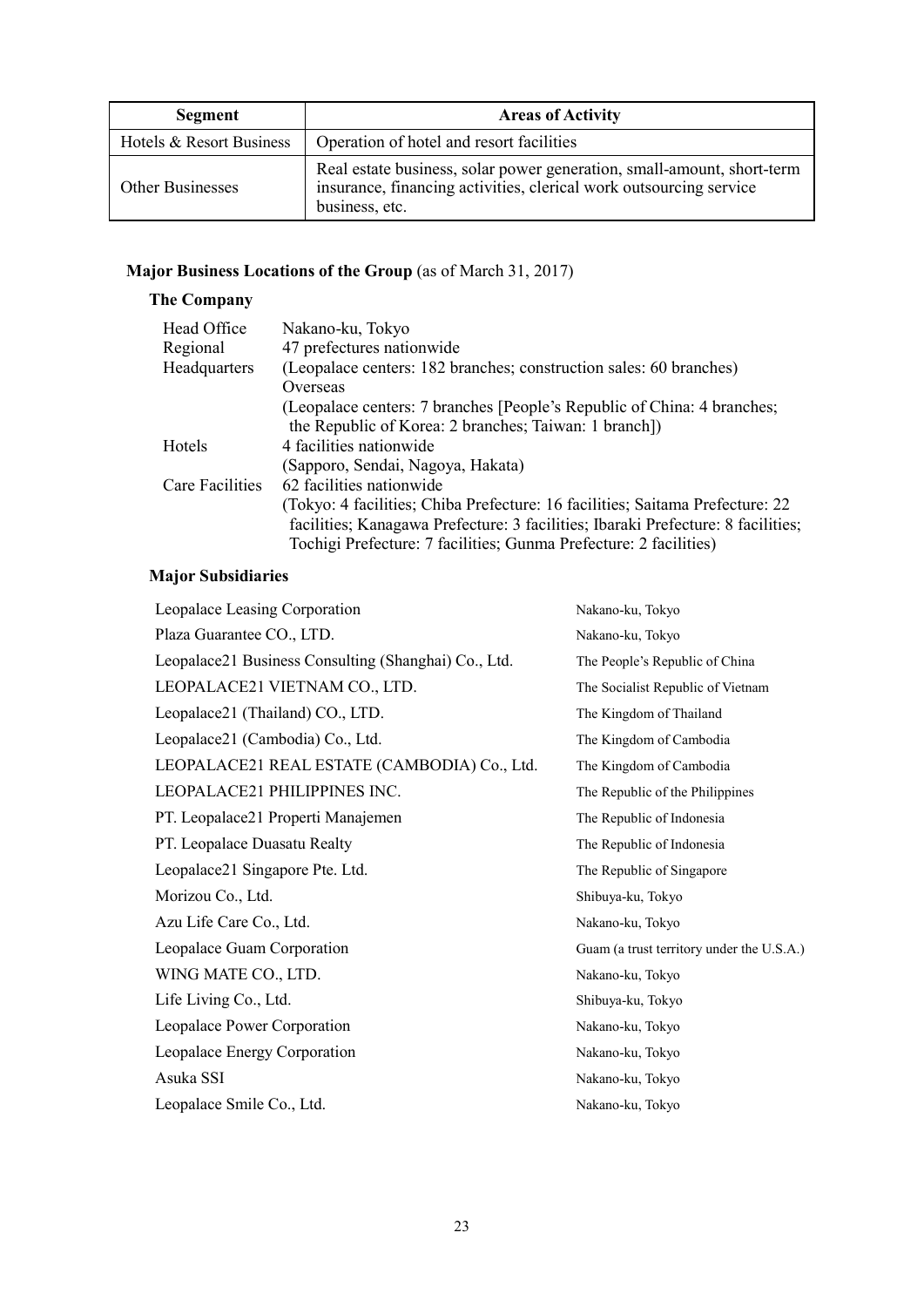| <b>Segment</b>           | <b>Areas of Activity</b>                                                                                                                                       |
|--------------------------|----------------------------------------------------------------------------------------------------------------------------------------------------------------|
| Hotels & Resort Business | Operation of hotel and resort facilities                                                                                                                       |
| <b>Other Businesses</b>  | Real estate business, solar power generation, small-amount, short-term<br>insurance, financing activities, clerical work outsourcing service<br>business, etc. |

# **Major Business Locations of the Group** (as of March 31, 2017)

# **The Company**

| Head Office     | Nakano-ku, Tokyo                                                                 |
|-----------------|----------------------------------------------------------------------------------|
| Regional        | 47 prefectures nationwide                                                        |
| Headquarters    | (Leopalace centers: 182 branches; construction sales: 60 branches)               |
|                 | Overseas                                                                         |
|                 | (Leopalace centers: 7 branches [People's Republic of China: 4 branches;          |
|                 | the Republic of Korea: 2 branches; Taiwan: 1 branch])                            |
| Hotels          | 4 facilities nationwide                                                          |
|                 | (Sapporo, Sendai, Nagoya, Hakata)                                                |
| Care Facilities | 62 facilities nationwide                                                         |
|                 | (Tokyo: 4 facilities; Chiba Prefecture: 16 facilities; Saitama Prefecture: 22    |
|                 | facilities; Kanagawa Prefecture: 3 facilities; Ibaraki Prefecture: 8 facilities; |
|                 | Tochigi Prefecture: 7 facilities; Gunma Prefecture: 2 facilities)                |

# **Major Subsidiaries**

| Leopalace Leasing Corporation                        | Nakano-ku, Tokyo                          |
|------------------------------------------------------|-------------------------------------------|
| Plaza Guarantee CO., LTD.                            | Nakano-ku, Tokyo                          |
| Leopalace21 Business Consulting (Shanghai) Co., Ltd. | The People's Republic of China            |
| LEOPALACE21 VIETNAM CO., LTD.                        | The Socialist Republic of Vietnam         |
| Leopalace21 (Thailand) CO., LTD.                     | The Kingdom of Thailand                   |
| Leopalace21 (Cambodia) Co., Ltd.                     | The Kingdom of Cambodia                   |
| LEOPALACE21 REAL ESTATE (CAMBODIA) Co., Ltd.         | The Kingdom of Cambodia                   |
| LEOPALACE21 PHILIPPINES INC.                         | The Republic of the Philippines           |
| PT. Leopalace21 Properti Manajemen                   | The Republic of Indonesia                 |
| PT. Leopalace Duasatu Realty                         | The Republic of Indonesia                 |
| Leopalace21 Singapore Pte. Ltd.                      | The Republic of Singapore                 |
| Morizou Co., Ltd.                                    | Shibuya-ku, Tokyo                         |
| Azu Life Care Co., Ltd.                              | Nakano-ku, Tokyo                          |
| Leopalace Guam Corporation                           | Guam (a trust territory under the U.S.A.) |
| WING MATE CO., LTD.                                  | Nakano-ku, Tokyo                          |
| Life Living Co., Ltd.                                | Shibuya-ku, Tokyo                         |
| Leopalace Power Corporation                          | Nakano-ku, Tokyo                          |
| Leopalace Energy Corporation                         | Nakano-ku, Tokyo                          |
| Asuka SSI                                            | Nakano-ku, Tokyo                          |
| Leopalace Smile Co., Ltd.                            | Nakano-ku, Tokyo                          |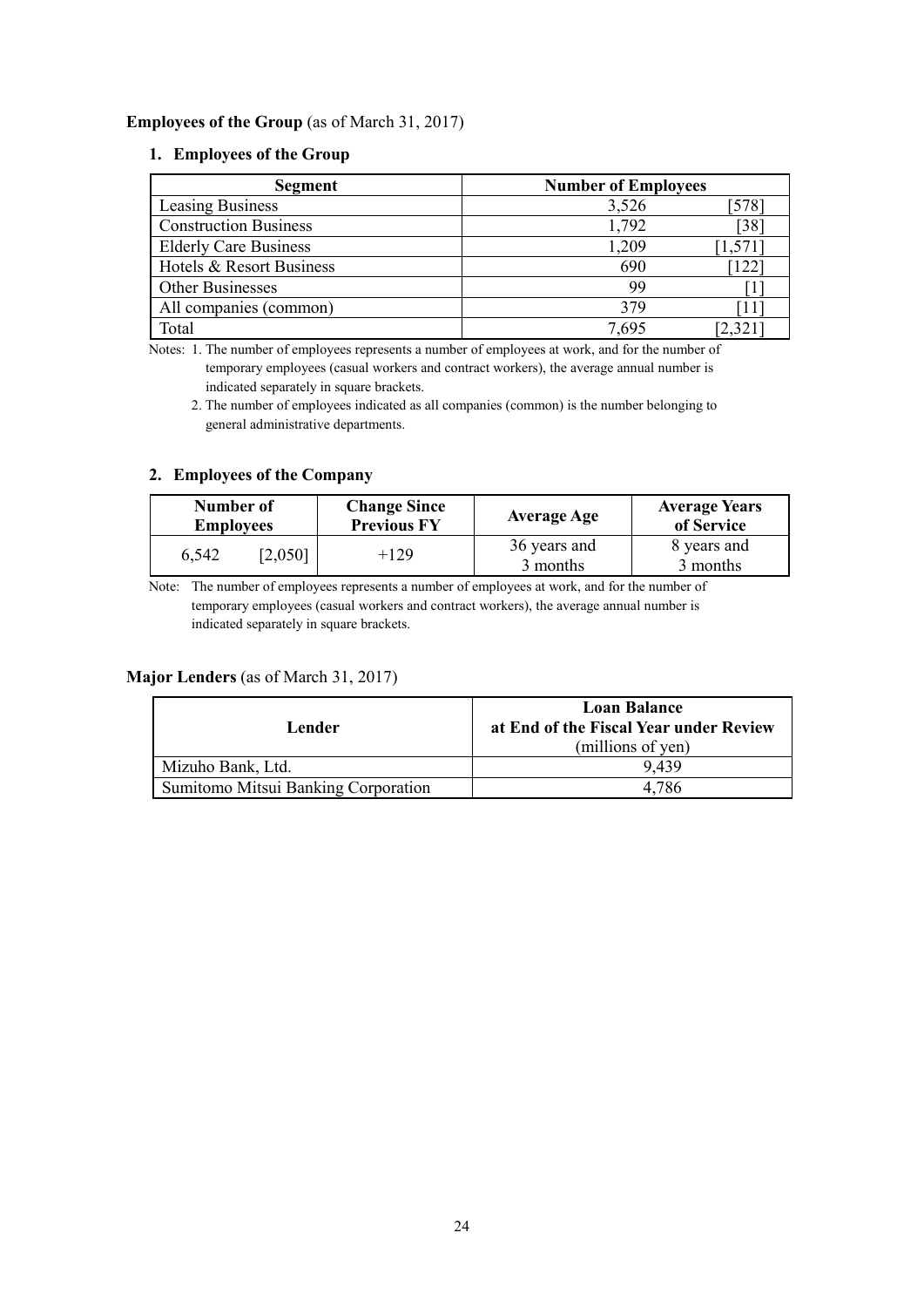## **Employees of the Group** (as of March 31, 2017)

### **1. Employees of the Group**

| <b>Segment</b>               | <b>Number of Employees</b> |       |
|------------------------------|----------------------------|-------|
| Leasing Business             | 3,526                      | 578   |
| <b>Construction Business</b> | 1,792                      | 38    |
| <b>Elderly Care Business</b> | 1,209                      | .571  |
| Hotels & Resort Business     | 690                        | 122   |
| <b>Other Businesses</b>      | 99                         |       |
| All companies (common)       | 379                        | 11    |
| Total                        | 7.695                      | 2.321 |

Notes: 1. The number of employees represents a number of employees at work, and for the number of temporary employees (casual workers and contract workers), the average annual number is indicated separately in square brackets.

 2. The number of employees indicated as all companies (common) is the number belonging to general administrative departments.

## **2. Employees of the Company**

| Number of<br><b>Employees</b> |         | <b>Change Since</b><br><b>Previous FY</b> | <b>Average Age</b>       | <b>Average Years</b><br>of Service |
|-------------------------------|---------|-------------------------------------------|--------------------------|------------------------------------|
| 6,542                         | [2,050] | +129                                      | 36 years and<br>3 months | 8 years and<br>3 months            |

Note: The number of employees represents a number of employees at work, and for the number of temporary employees (casual workers and contract workers), the average annual number is indicated separately in square brackets.

# **Major Lenders** (as of March 31, 2017)

| Lender                                     | <b>Loan Balance</b><br>at End of the Fiscal Year under Review<br>(millions of yen) |
|--------------------------------------------|------------------------------------------------------------------------------------|
| Mizuho Bank, Ltd.                          | 9.439                                                                              |
| <b>Sumitomo Mitsui Banking Corporation</b> | 4,786                                                                              |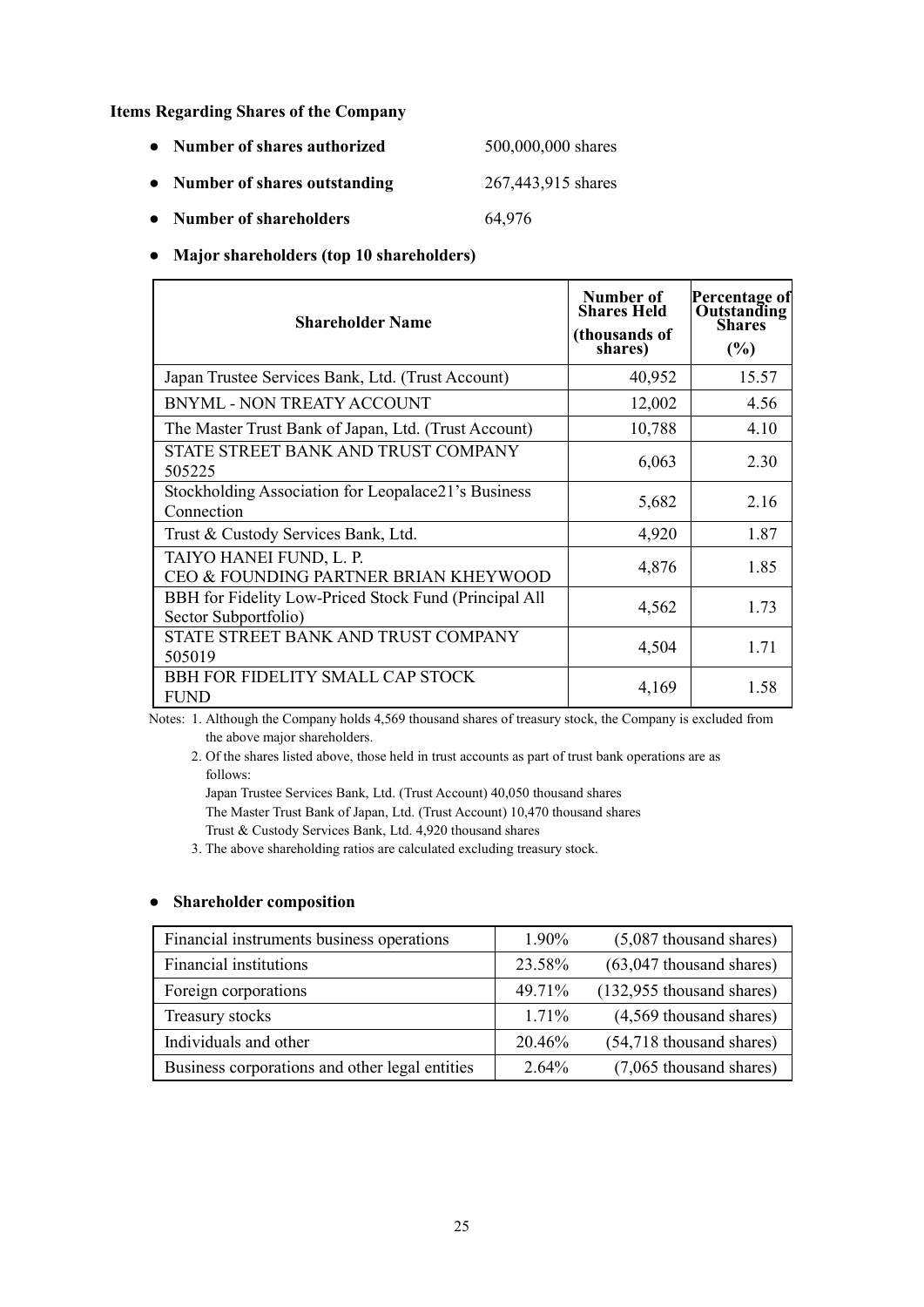**Items Regarding Shares of the Company** 

| • Number of shares authorized | 500,000,000 shares |
|-------------------------------|--------------------|
|                               |                    |

- **● Number of shares outstanding** 267,443,915 shares
- **● Number of shareholders** 64,976

## **● Major shareholders (top 10 shareholders)**

| <b>Shareholder Name</b>                                                       | Number of<br><b>Shares Held</b><br>(thousands of<br>shares) | Percentage of<br>Outstanding<br>Shares<br>(%) |
|-------------------------------------------------------------------------------|-------------------------------------------------------------|-----------------------------------------------|
| Japan Trustee Services Bank, Ltd. (Trust Account)                             | 40,952                                                      | 15.57                                         |
| <b>BNYML - NON TREATY ACCOUNT</b>                                             | 12,002                                                      | 4.56                                          |
| The Master Trust Bank of Japan, Ltd. (Trust Account)                          | 10,788                                                      | 4.10                                          |
| STATE STREET BANK AND TRUST COMPANY<br>505225                                 | 6,063                                                       | 2.30                                          |
| Stockholding Association for Leopalace21's Business<br>Connection             | 5,682                                                       | 2.16                                          |
| Trust & Custody Services Bank, Ltd.                                           | 4,920                                                       | 1.87                                          |
| TAIYO HANEI FUND, L. P.<br>CEO & FOUNDING PARTNER BRIAN KHEYWOOD              | 4,876                                                       | 1.85                                          |
| BBH for Fidelity Low-Priced Stock Fund (Principal All<br>Sector Subportfolio) | 4,562                                                       | 1.73                                          |
| STATE STREET BANK AND TRUST COMPANY<br>505019                                 | 4,504                                                       | 1.71                                          |
| BBH FOR FIDELITY SMALL CAP STOCK<br><b>FUND</b>                               | 4,169                                                       | 1.58                                          |

Notes: 1. Although the Company holds 4,569 thousand shares of treasury stock, the Company is excluded from the above major shareholders.

 2. Of the shares listed above, those held in trust accounts as part of trust bank operations are as follows:

Japan Trustee Services Bank, Ltd. (Trust Account) 40,050 thousand shares The Master Trust Bank of Japan, Ltd. (Trust Account) 10,470 thousand shares

Trust & Custody Services Bank, Ltd. 4,920 thousand shares

3. The above shareholding ratios are calculated excluding treasury stock.

### **● Shareholder composition**

| Financial instruments business operations      | 1.90%    | $(5,087)$ thousand shares)  |
|------------------------------------------------|----------|-----------------------------|
| Financial institutions                         | 23.58%   | $(63,047)$ thousand shares) |
| Foreign corporations                           | 49.71%   | $(132,955$ thousand shares) |
| Treasury stocks                                | $1.71\%$ | (4,569 thousand shares)     |
| Individuals and other                          | 20.46%   | $(54,718)$ thousand shares) |
| Business corporations and other legal entities | $2.64\%$ | (7,065 thousand shares)     |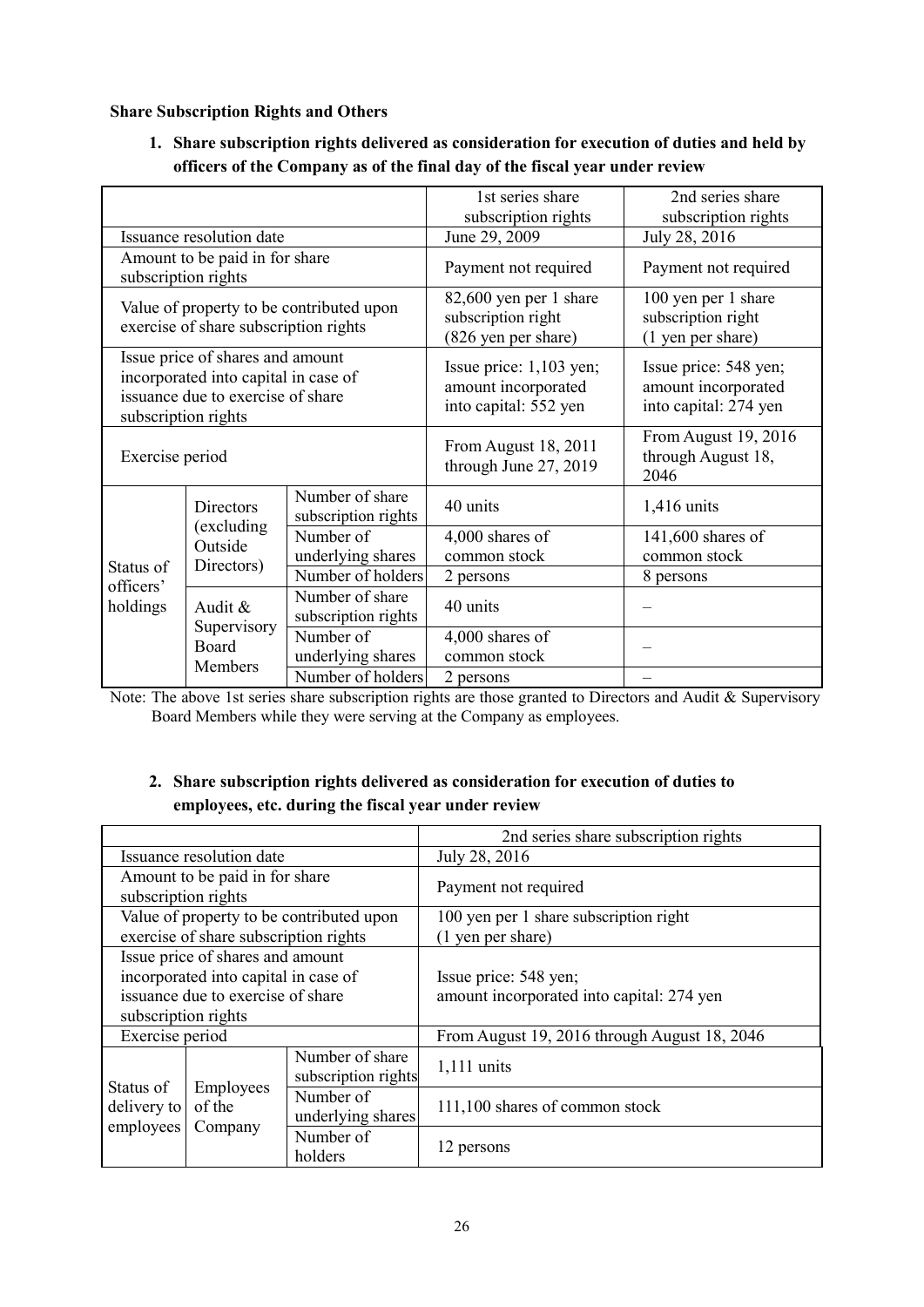## **Share Subscription Rights and Others**

**1. Share subscription rights delivered as consideration for execution of duties and held by officers of the Company as of the final day of the fiscal year under review** 

|                                                                                                                                      |                                                       | 1st series share                                                          | 2nd series share                                                      |                                                                |
|--------------------------------------------------------------------------------------------------------------------------------------|-------------------------------------------------------|---------------------------------------------------------------------------|-----------------------------------------------------------------------|----------------------------------------------------------------|
|                                                                                                                                      |                                                       | subscription rights                                                       | subscription rights                                                   |                                                                |
|                                                                                                                                      | Issuance resolution date                              |                                                                           | June 29, 2009                                                         | July 28, 2016                                                  |
|                                                                                                                                      | Amount to be paid in for share<br>subscription rights |                                                                           | Payment not required                                                  | Payment not required                                           |
|                                                                                                                                      | exercise of share subscription rights                 | Value of property to be contributed upon                                  | 82,600 yen per 1 share<br>subscription right<br>(826 yen per share)   | 100 yen per 1 share<br>subscription right<br>(1 yen per share) |
| Issue price of shares and amount<br>incorporated into capital in case of<br>issuance due to exercise of share<br>subscription rights |                                                       | Issue price: $1,103$ yen;<br>amount incorporated<br>into capital: 552 yen | Issue price: 548 yen;<br>amount incorporated<br>into capital: 274 yen |                                                                |
| Exercise period                                                                                                                      |                                                       | From August 18, 2011<br>through June 27, 2019                             | From August 19, 2016<br>through August 18,<br>2046                    |                                                                |
| <b>Directors</b>                                                                                                                     |                                                       | Number of share<br>subscription rights                                    | 40 units                                                              | 1,416 units                                                    |
|                                                                                                                                      | (excluding<br>Outside<br>Directors)                   | Number of<br>underlying shares                                            | 4,000 shares of<br>common stock                                       | 141,600 shares of<br>common stock                              |
| Status of<br>officers'                                                                                                               |                                                       | Number of holders                                                         | 2 persons                                                             | 8 persons                                                      |
| holdings                                                                                                                             | Audit &                                               | Number of share<br>subscription rights                                    | 40 units                                                              |                                                                |
|                                                                                                                                      | Supervisory<br>Board<br>Members                       | Number of<br>underlying shares                                            | 4,000 shares of<br>common stock                                       |                                                                |
|                                                                                                                                      |                                                       | Number of holders                                                         | 2 persons                                                             |                                                                |

Note: The above 1st series share subscription rights are those granted to Directors and Audit & Supervisory Board Members while they were serving at the Company as employees.

# **2. Share subscription rights delivered as consideration for execution of duties to employees, etc. during the fiscal year under review**

|                                       |                                       |                                          | 2nd series share subscription rights         |
|---------------------------------------|---------------------------------------|------------------------------------------|----------------------------------------------|
|                                       | Issuance resolution date              |                                          | July 28, 2016                                |
| subscription rights                   | Amount to be paid in for share        |                                          | Payment not required                         |
|                                       |                                       | Value of property to be contributed upon | 100 yen per 1 share subscription right       |
|                                       | exercise of share subscription rights |                                          | (1 yen per share)                            |
|                                       | Issue price of shares and amount      |                                          |                                              |
|                                       | incorporated into capital in case of  |                                          | Issue price: 548 yen;                        |
|                                       | issuance due to exercise of share     |                                          | amount incorporated into capital: 274 yen    |
| subscription rights                   |                                       |                                          |                                              |
| Exercise period                       |                                       |                                          | From August 19, 2016 through August 18, 2046 |
| Number of share                       |                                       | subscription rights                      | $1,111$ units                                |
| Status of<br>delivery to<br>employees | Employees<br>of the                   | Number of<br>underlying shares           | 111,100 shares of common stock               |
|                                       | Company                               | Number of<br>holders                     | 12 persons                                   |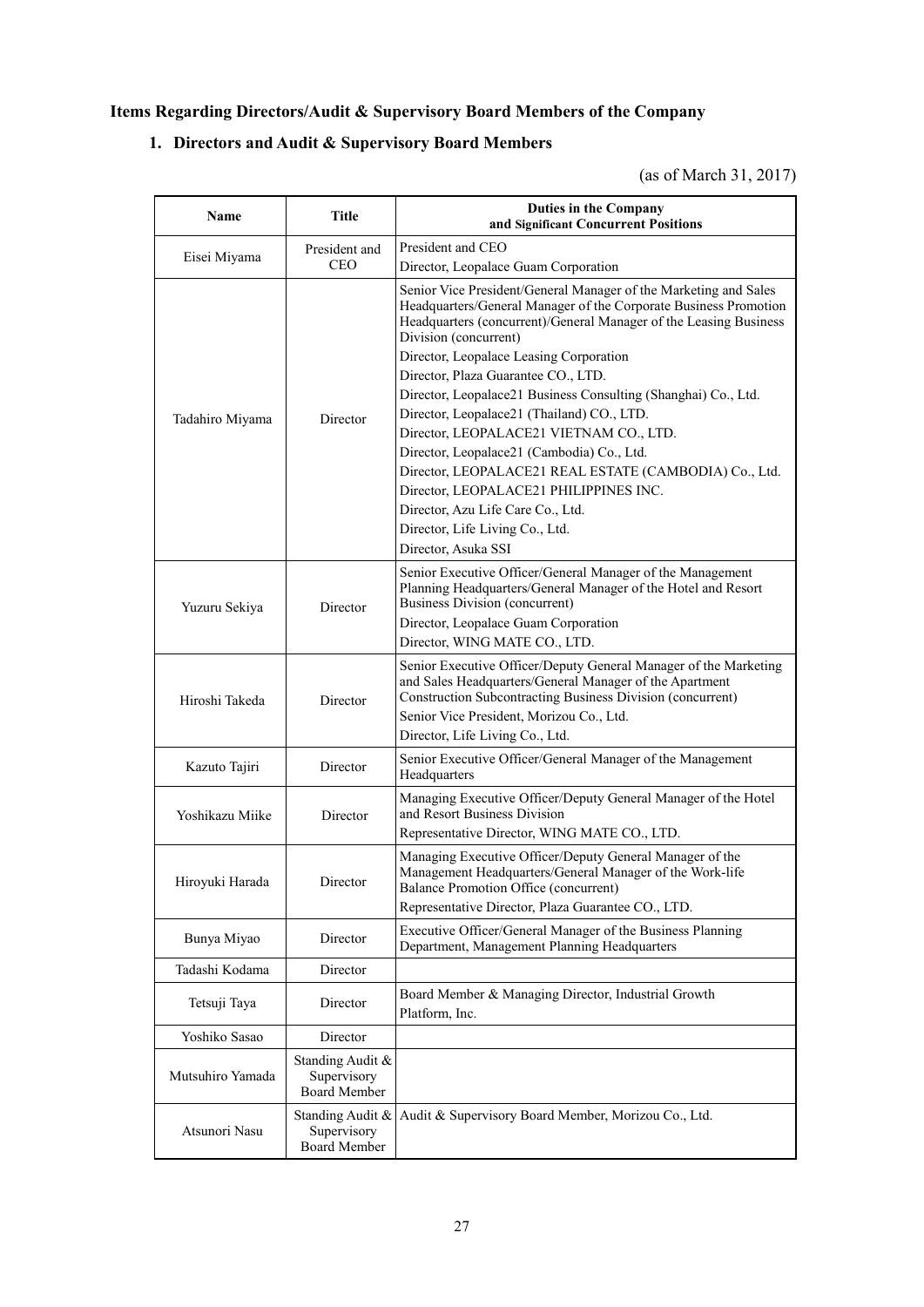# **Items Regarding Directors/Audit & Supervisory Board Members of the Company**

# **1. Directors and Audit & Supervisory Board Members**

# (as of March 31, 2017)

| Name             | <b>Title</b>                                           | <b>Duties in the Company</b><br>and Significant Concurrent Positions                                                                                                                                                               |  |
|------------------|--------------------------------------------------------|------------------------------------------------------------------------------------------------------------------------------------------------------------------------------------------------------------------------------------|--|
|                  | President and                                          | President and CEO                                                                                                                                                                                                                  |  |
| Eisei Miyama     | <b>CEO</b>                                             | Director, Leopalace Guam Corporation                                                                                                                                                                                               |  |
|                  |                                                        | Senior Vice President/General Manager of the Marketing and Sales<br>Headquarters/General Manager of the Corporate Business Promotion<br>Headquarters (concurrent)/General Manager of the Leasing Business<br>Division (concurrent) |  |
|                  |                                                        | Director, Leopalace Leasing Corporation                                                                                                                                                                                            |  |
|                  |                                                        | Director, Plaza Guarantee CO., LTD.                                                                                                                                                                                                |  |
|                  |                                                        | Director, Leopalace21 Business Consulting (Shanghai) Co., Ltd.                                                                                                                                                                     |  |
| Tadahiro Miyama  | Director                                               | Director, Leopalace21 (Thailand) CO., LTD.                                                                                                                                                                                         |  |
|                  |                                                        | Director, LEOPALACE21 VIETNAM CO., LTD.                                                                                                                                                                                            |  |
|                  |                                                        | Director, Leopalace21 (Cambodia) Co., Ltd.<br>Director, LEOPALACE21 REAL ESTATE (CAMBODIA) Co., Ltd.<br>Director, LEOPALACE21 PHILIPPINES INC.<br>Director, Azu Life Care Co., Ltd.<br>Director, Life Living Co., Ltd.             |  |
|                  |                                                        | Director, Asuka SSI                                                                                                                                                                                                                |  |
| Yuzuru Sekiya    | Director                                               | Senior Executive Officer/General Manager of the Management<br>Planning Headquarters/General Manager of the Hotel and Resort<br><b>Business Division (concurrent)</b><br>Director, Leopalace Guam Corporation                       |  |
|                  |                                                        | Director, WING MATE CO., LTD.                                                                                                                                                                                                      |  |
| Hiroshi Takeda   | Director                                               | Senior Executive Officer/Deputy General Manager of the Marketing<br>and Sales Headquarters/General Manager of the Apartment<br>Construction Subcontracting Business Division (concurrent)                                          |  |
|                  |                                                        | Senior Vice President, Morizou Co., Ltd.                                                                                                                                                                                           |  |
|                  |                                                        | Director, Life Living Co., Ltd.                                                                                                                                                                                                    |  |
| Kazuto Tajiri    | Director                                               | Senior Executive Officer/General Manager of the Management<br>Headquarters                                                                                                                                                         |  |
| Yoshikazu Miike  | Director                                               | Managing Executive Officer/Deputy General Manager of the Hotel<br>and Resort Business Division                                                                                                                                     |  |
|                  |                                                        | Representative Director, WING MATE CO., LTD.                                                                                                                                                                                       |  |
| Hiroyuki Harada  | Director                                               | Managing Executive Officer/Deputy General Manager of the<br>Management Headquarters/General Manager of the Work-life<br>Balance Promotion Office (concurrent)<br>Representative Director, Plaza Guarantee CO., LTD.                |  |
|                  |                                                        |                                                                                                                                                                                                                                    |  |
| Bunya Miyao      | Director                                               | Executive Officer/General Manager of the Business Planning<br>Department, Management Planning Headquarters                                                                                                                         |  |
| Tadashi Kodama   | Director                                               |                                                                                                                                                                                                                                    |  |
| Tetsuji Taya     | Director                                               | Board Member & Managing Director, Industrial Growth<br>Platform, Inc.                                                                                                                                                              |  |
| Yoshiko Sasao    | Director                                               |                                                                                                                                                                                                                                    |  |
| Mutsuhiro Yamada | Standing Audit &<br>Supervisory<br><b>Board Member</b> |                                                                                                                                                                                                                                    |  |
| Atsunori Nasu    | Standing Audit &<br>Supervisory<br><b>Board Member</b> | Audit & Supervisory Board Member, Morizou Co., Ltd.                                                                                                                                                                                |  |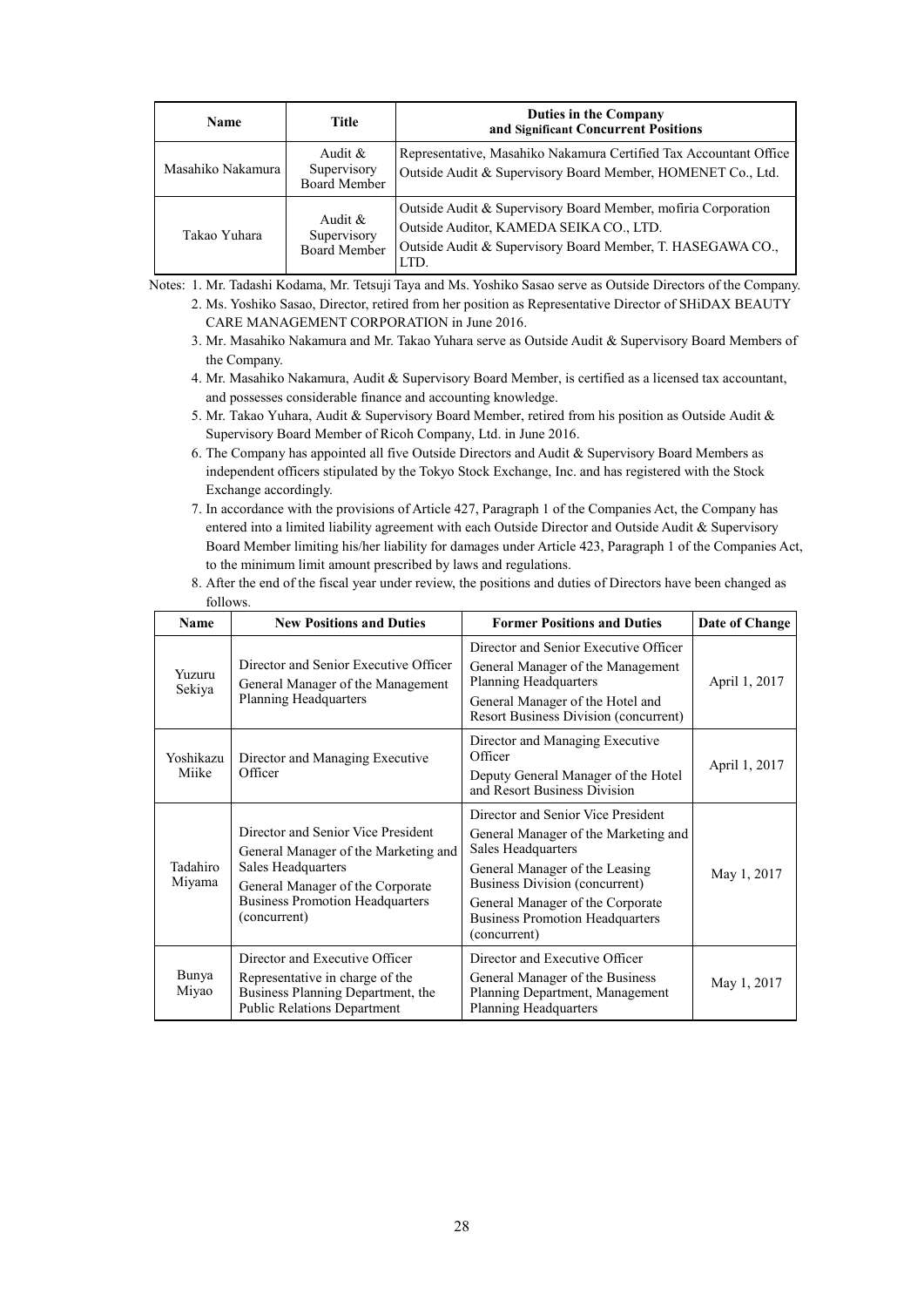| <b>Name</b>       | <b>Title</b>                                     | Duties in the Company<br>and Significant Concurrent Positions                                                                                                                  |
|-------------------|--------------------------------------------------|--------------------------------------------------------------------------------------------------------------------------------------------------------------------------------|
| Masahiko Nakamura | Audit $\&$<br>Supervisory<br><b>Board Member</b> | Representative, Masahiko Nakamura Certified Tax Accountant Office<br>Outside Audit & Supervisory Board Member, HOMENET Co., Ltd.                                               |
| Takao Yuhara      | Audit &<br>Supervisory<br><b>Board Member</b>    | Outside Audit & Supervisory Board Member, mofiria Corporation<br>Outside Auditor, KAMEDA SEIKA CO., LTD.<br>Outside Audit & Supervisory Board Member, T. HASEGAWA CO.,<br>LTD. |

Notes: 1. Mr. Tadashi Kodama, Mr. Tetsuji Taya and Ms. Yoshiko Sasao serve as Outside Directors of the Company.

- 2. Ms. Yoshiko Sasao, Director, retired from her position as Representative Director of SHiDAX BEAUTY CARE MANAGEMENT CORPORATION in June 2016.
- 3. Mr. Masahiko Nakamura and Mr. Takao Yuhara serve as Outside Audit & Supervisory Board Members of the Company.
- 4. Mr. Masahiko Nakamura, Audit & Supervisory Board Member, is certified as a licensed tax accountant, and possesses considerable finance and accounting knowledge.
- 5. Mr. Takao Yuhara, Audit & Supervisory Board Member, retired from his position as Outside Audit & Supervisory Board Member of Ricoh Company, Ltd. in June 2016.
- 6. The Company has appointed all five Outside Directors and Audit  $\&$  Supervisory Board Members as independent officers stipulated by the Tokyo Stock Exchange, Inc. and has registered with the Stock Exchange accordingly.
- 7. In accordance with the provisions of Article 427, Paragraph 1 of the Companies Act, the Company has entered into a limited liability agreement with each Outside Director and Outside Audit & Supervisory Board Member limiting his/her liability for damages under Article 423, Paragraph 1 of the Companies Act, to the minimum limit amount prescribed by laws and regulations.

| Name               | <b>New Positions and Duties</b>                                                                                                                                                                | <b>Former Positions and Duties</b>                                                                                                                                                                                                                                 | Date of Change |
|--------------------|------------------------------------------------------------------------------------------------------------------------------------------------------------------------------------------------|--------------------------------------------------------------------------------------------------------------------------------------------------------------------------------------------------------------------------------------------------------------------|----------------|
| Yuzuru<br>Sekiya   | Director and Senior Executive Officer<br>General Manager of the Management<br><b>Planning Headquarters</b>                                                                                     | Director and Senior Executive Officer<br>General Manager of the Management<br>Planning Headquarters<br>General Manager of the Hotel and<br><b>Resort Business Division (concurrent)</b>                                                                            | April 1, 2017  |
| Yoshikazu<br>Miike | Director and Managing Executive<br>Officer                                                                                                                                                     | Director and Managing Executive<br>Officer<br>Deputy General Manager of the Hotel<br>and Resort Business Division                                                                                                                                                  | April 1, 2017  |
| Tadahiro<br>Miyama | Director and Senior Vice President<br>General Manager of the Marketing and<br>Sales Headquarters<br>General Manager of the Corporate<br><b>Business Promotion Headquarters</b><br>(concurrent) | Director and Senior Vice President<br>General Manager of the Marketing and<br>Sales Headquarters<br>General Manager of the Leasing<br>Business Division (concurrent)<br>General Manager of the Corporate<br><b>Business Promotion Headquarters</b><br>(concurrent) | May 1, 2017    |
| Bunya<br>Miyao     | Director and Executive Officer<br>Representative in charge of the<br>Business Planning Department, the<br><b>Public Relations Department</b>                                                   | Director and Executive Officer<br>General Manager of the Business<br>Planning Department, Management<br><b>Planning Headquarters</b>                                                                                                                               | May 1, 2017    |

 8. After the end of the fiscal year under review, the positions and duties of Directors have been changed as follows.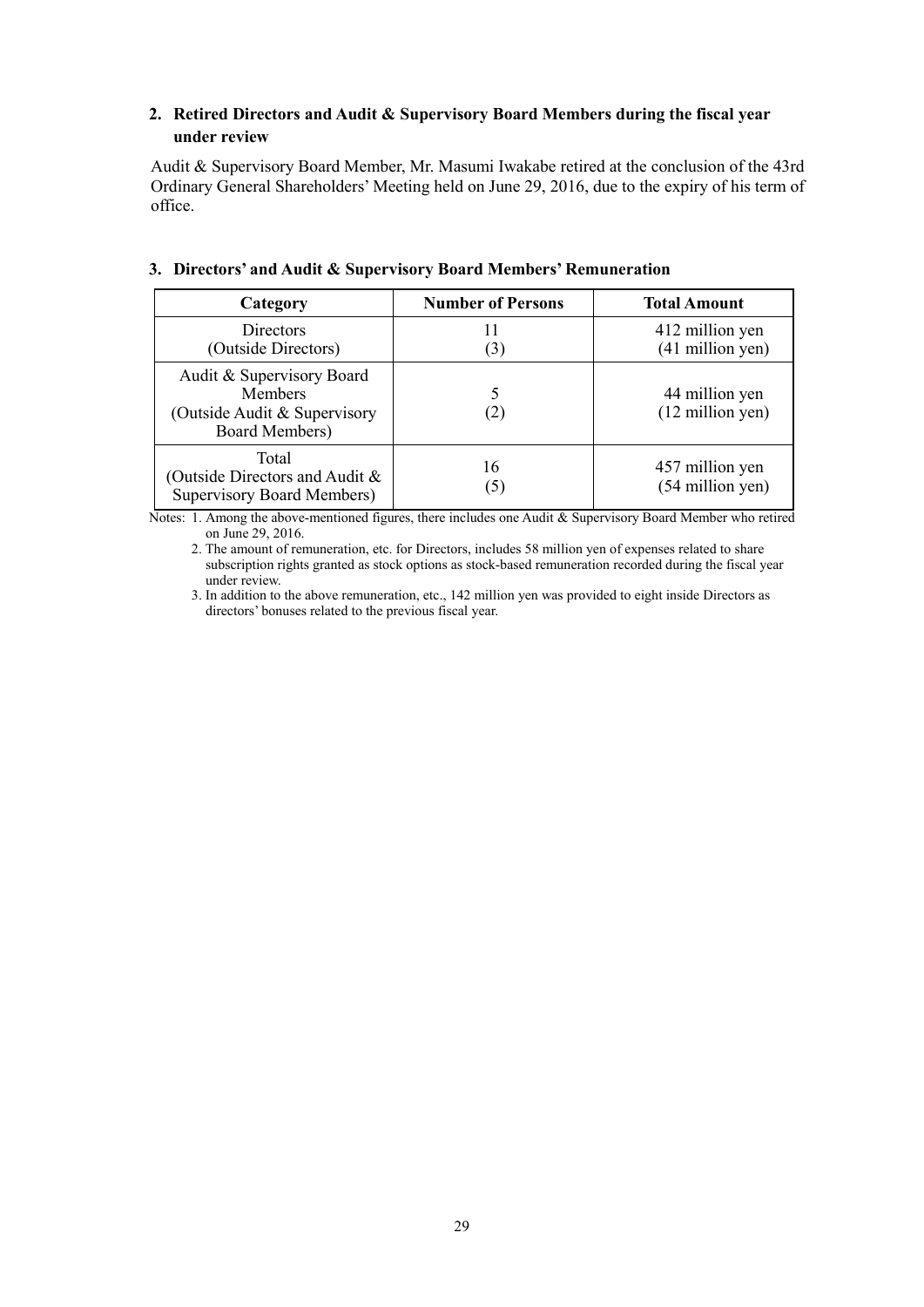# **2. Retired Directors and Audit & Supervisory Board Members during the fiscal year under review**

Audit & Supervisory Board Member, Mr. Masumi Iwakabe retired at the conclusion of the 43rd Ordinary General Shareholders' Meeting held on June 29, 2016, due to the expiry of his term of office.

| Category                                                                                      | <b>Number of Persons</b> | <b>Total Amount</b>                          |
|-----------------------------------------------------------------------------------------------|--------------------------|----------------------------------------------|
| Directors<br>(Outside Directors)                                                              | (3)                      | 412 million yen<br>$(41$ million yen)        |
| Audit & Supervisory Board<br><b>Members</b><br>(Outside Audit & Supervisory<br>Board Members) | (2)                      | 44 million yen<br>$(12 \text{ million yen})$ |
| Total<br>(Outside Directors and Audit &<br><b>Supervisory Board Members)</b>                  | 16<br>(5)                | 457 million yen<br>(54 million yen)          |

# **3. Directors' and Audit & Supervisory Board Members' Remuneration**

Notes: 1. Among the above-mentioned figures, there includes one Audit & Supervisory Board Member who retired on June 29, 2016.

 2. The amount of remuneration, etc. for Directors, includes 58 million yen of expenses related to share subscription rights granted as stock options as stock-based remuneration recorded during the fiscal year under review.

 3. In addition to the above remuneration, etc., 142 million yen was provided to eight inside Directors as directors' bonuses related to the previous fiscal year.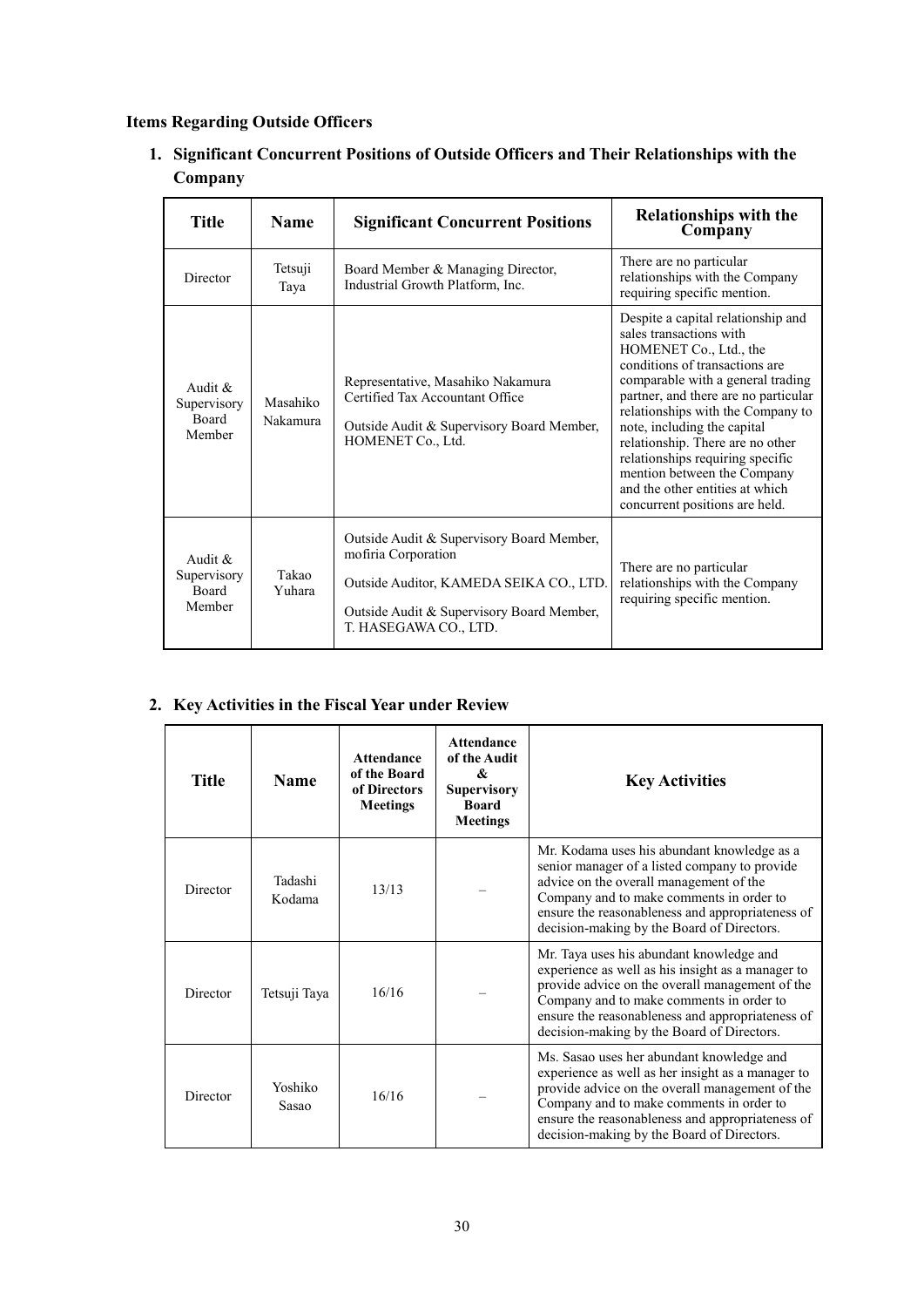# **Items Regarding Outside Officers**

**1. Significant Concurrent Positions of Outside Officers and Their Relationships with the Company** 

| Title                                              | <b>Name</b>          | <b>Significant Concurrent Positions</b>                                                                                                                                           | <b>Relationships with the</b><br>Company                                                                                                                                                                                                                                                                                                                                                                                                               |
|----------------------------------------------------|----------------------|-----------------------------------------------------------------------------------------------------------------------------------------------------------------------------------|--------------------------------------------------------------------------------------------------------------------------------------------------------------------------------------------------------------------------------------------------------------------------------------------------------------------------------------------------------------------------------------------------------------------------------------------------------|
| Director                                           | Tetsuji<br>Taya      | Board Member & Managing Director,<br>Industrial Growth Platform, Inc.                                                                                                             | There are no particular<br>relationships with the Company<br>requiring specific mention.                                                                                                                                                                                                                                                                                                                                                               |
| Audit $&$<br>Supervisory<br><b>Board</b><br>Member | Masahiko<br>Nakamura | Representative, Masahiko Nakamura<br>Certified Tax Accountant Office<br>Outside Audit & Supervisory Board Member,<br>HOMENET Co., Ltd.                                            | Despite a capital relationship and<br>sales transactions with<br>HOMENET Co., Ltd., the<br>conditions of transactions are<br>comparable with a general trading<br>partner, and there are no particular<br>relationships with the Company to<br>note, including the capital<br>relationship. There are no other<br>relationships requiring specific<br>mention between the Company<br>and the other entities at which<br>concurrent positions are held. |
| Audit &<br>Supervisory<br>Board<br>Member          | Takao<br>Yuhara      | Outside Audit & Supervisory Board Member,<br>mofiria Corporation<br>Outside Auditor, KAMEDA SEIKA CO., LTD.<br>Outside Audit & Supervisory Board Member,<br>T. HASEGAWA CO., LTD. | There are no particular<br>relationships with the Company<br>requiring specific mention.                                                                                                                                                                                                                                                                                                                                                               |

# **2. Key Activities in the Fiscal Year under Review**

| Title    | <b>Name</b>       | <b>Attendance</b><br>of the Board<br>of Directors<br><b>Meetings</b> | <b>Attendance</b><br>of the Audit<br>&<br><b>Supervisory</b><br><b>Board</b><br><b>Meetings</b> | <b>Key Activities</b>                                                                                                                                                                                                                                                                           |
|----------|-------------------|----------------------------------------------------------------------|-------------------------------------------------------------------------------------------------|-------------------------------------------------------------------------------------------------------------------------------------------------------------------------------------------------------------------------------------------------------------------------------------------------|
| Director | Tadashi<br>Kodama | 13/13                                                                |                                                                                                 | Mr. Kodama uses his abundant knowledge as a<br>senior manager of a listed company to provide<br>advice on the overall management of the<br>Company and to make comments in order to<br>ensure the reasonableness and appropriateness of<br>decision-making by the Board of Directors.           |
| Director | Tetsuji Taya      | 16/16                                                                |                                                                                                 | Mr. Taya uses his abundant knowledge and<br>experience as well as his insight as a manager to<br>provide advice on the overall management of the<br>Company and to make comments in order to<br>ensure the reasonableness and appropriateness of<br>decision-making by the Board of Directors.  |
| Director | Yoshiko<br>Sasao  | 16/16                                                                |                                                                                                 | Ms. Sasao uses her abundant knowledge and<br>experience as well as her insight as a manager to<br>provide advice on the overall management of the<br>Company and to make comments in order to<br>ensure the reasonableness and appropriateness of<br>decision-making by the Board of Directors. |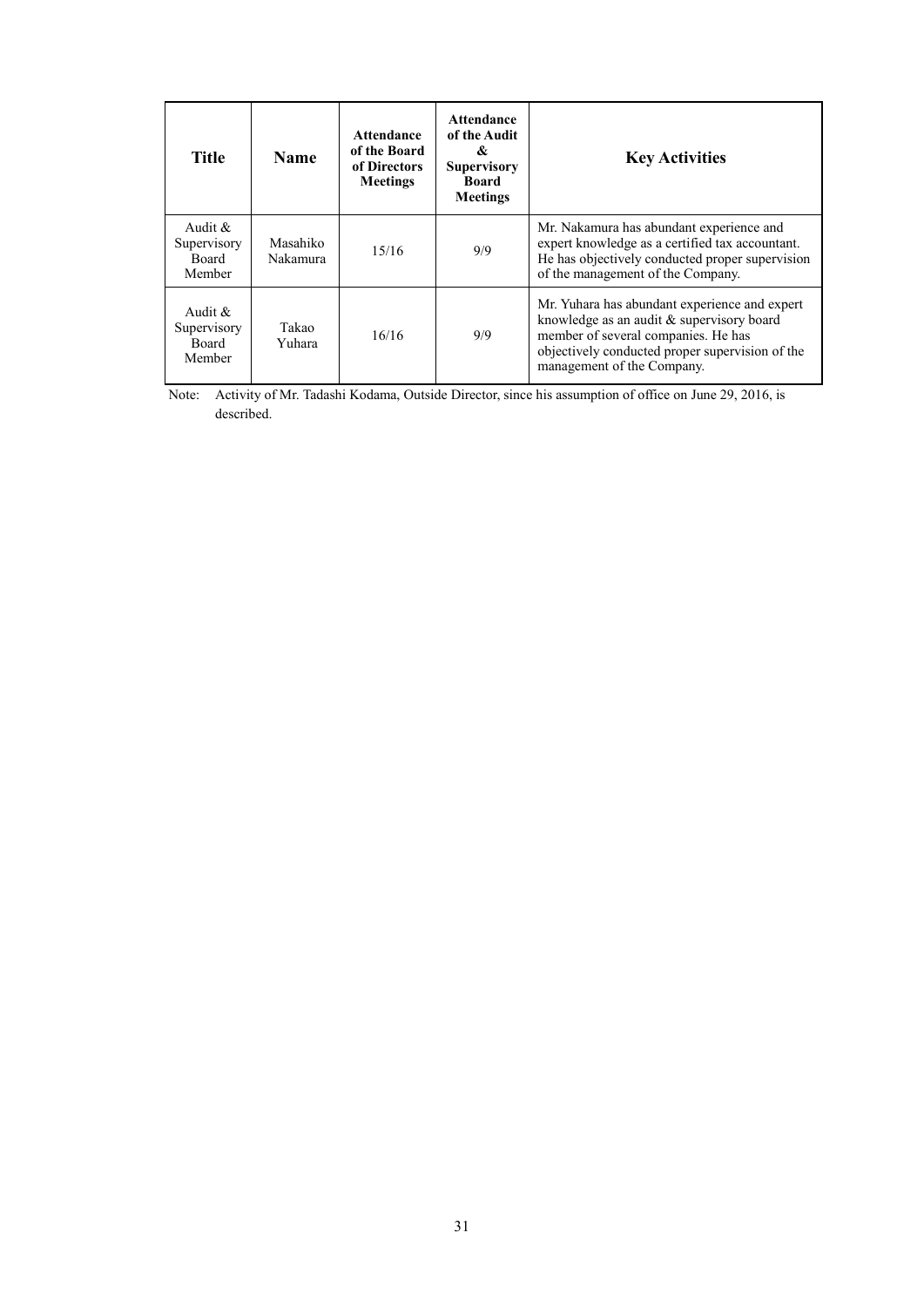| <b>Title</b>                                 | <b>Name</b>          | <b>Attendance</b><br>of the Board<br>of Directors<br><b>Meetings</b> | <b>Attendance</b><br>of the Audit<br>&<br><b>Supervisory</b><br>Board<br><b>Meetings</b> | <b>Key Activities</b>                                                                                                                                                                                                |
|----------------------------------------------|----------------------|----------------------------------------------------------------------|------------------------------------------------------------------------------------------|----------------------------------------------------------------------------------------------------------------------------------------------------------------------------------------------------------------------|
| Audit $\&$<br>Supervisory<br>Board<br>Member | Masahiko<br>Nakamura | 15/16                                                                | 9/9                                                                                      | Mr. Nakamura has abundant experience and<br>expert knowledge as a certified tax accountant.<br>He has objectively conducted proper supervision<br>of the management of the Company.                                  |
| Audit $\&$<br>Supervisory<br>Board<br>Member | Takao<br>Yuhara      | 16/16                                                                | 9/9                                                                                      | Mr. Yuhara has abundant experience and expert<br>knowledge as an audit $&$ supervisory board<br>member of several companies. He has<br>objectively conducted proper supervision of the<br>management of the Company. |

Note: Activity of Mr. Tadashi Kodama, Outside Director, since his assumption of office on June 29, 2016, is described.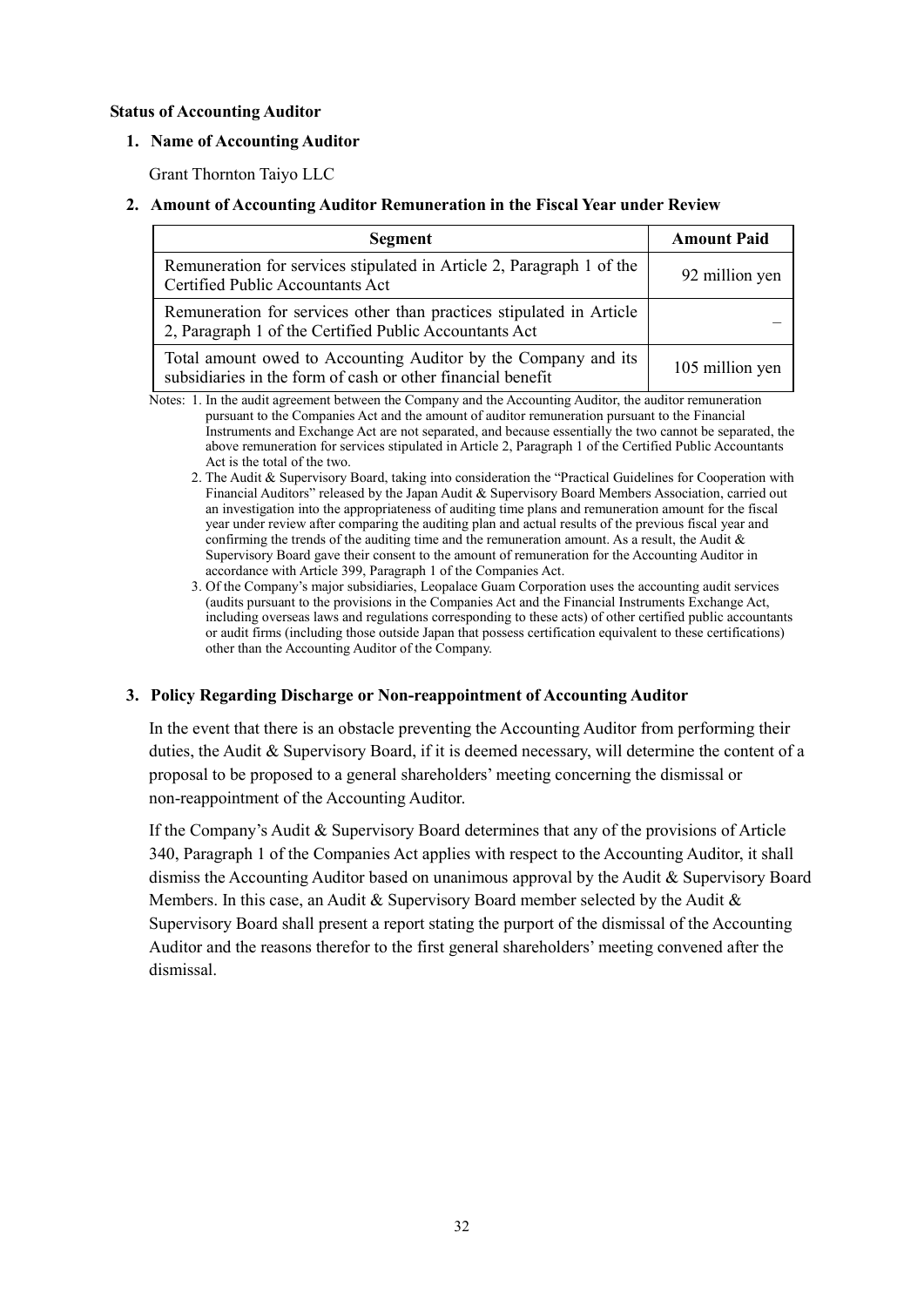### **Status of Accounting Auditor**

### **1. Name of Accounting Auditor**

Grant Thornton Taiyo LLC

#### **2. Amount of Accounting Auditor Remuneration in the Fiscal Year under Review**

| Segment                                                                                                                        | <b>Amount Paid</b> |
|--------------------------------------------------------------------------------------------------------------------------------|--------------------|
| Remuneration for services stipulated in Article 2, Paragraph 1 of the<br>Certified Public Accountants Act                      | 92 million yen     |
| Remuneration for services other than practices stipulated in Article<br>2, Paragraph 1 of the Certified Public Accountants Act |                    |
| Total amount owed to Accounting Auditor by the Company and its<br>subsidiaries in the form of cash or other financial benefit  | 105 million yen    |

Notes: 1. In the audit agreement between the Company and the Accounting Auditor, the auditor remuneration pursuant to the Companies Act and the amount of auditor remuneration pursuant to the Financial Instruments and Exchange Act are not separated, and because essentially the two cannot be separated, the above remuneration for services stipulated in Article 2, Paragraph 1 of the Certified Public Accountants Act is the total of the two.

- 2. The Audit & Supervisory Board, taking into consideration the "Practical Guidelines for Cooperation with Financial Auditors" released by the Japan Audit & Supervisory Board Members Association, carried out an investigation into the appropriateness of auditing time plans and remuneration amount for the fiscal year under review after comparing the auditing plan and actual results of the previous fiscal year and confirming the trends of the auditing time and the remuneration amount. As a result, the Audit  $\&$ Supervisory Board gave their consent to the amount of remuneration for the Accounting Auditor in accordance with Article 399, Paragraph 1 of the Companies Act.
- 3. Of the Company's major subsidiaries, Leopalace Guam Corporation uses the accounting audit services (audits pursuant to the provisions in the Companies Act and the Financial Instruments Exchange Act, including overseas laws and regulations corresponding to these acts) of other certified public accountants or audit firms (including those outside Japan that possess certification equivalent to these certifications) other than the Accounting Auditor of the Company.

### **3. Policy Regarding Discharge or Non-reappointment of Accounting Auditor**

In the event that there is an obstacle preventing the Accounting Auditor from performing their duties, the Audit & Supervisory Board, if it is deemed necessary, will determine the content of a proposal to be proposed to a general shareholders' meeting concerning the dismissal or non-reappointment of the Accounting Auditor.

If the Company's Audit & Supervisory Board determines that any of the provisions of Article 340, Paragraph 1 of the Companies Act applies with respect to the Accounting Auditor, it shall dismiss the Accounting Auditor based on unanimous approval by the Audit & Supervisory Board Members. In this case, an Audit & Supervisory Board member selected by the Audit  $\&$ Supervisory Board shall present a report stating the purport of the dismissal of the Accounting Auditor and the reasons therefor to the first general shareholders' meeting convened after the dismissal.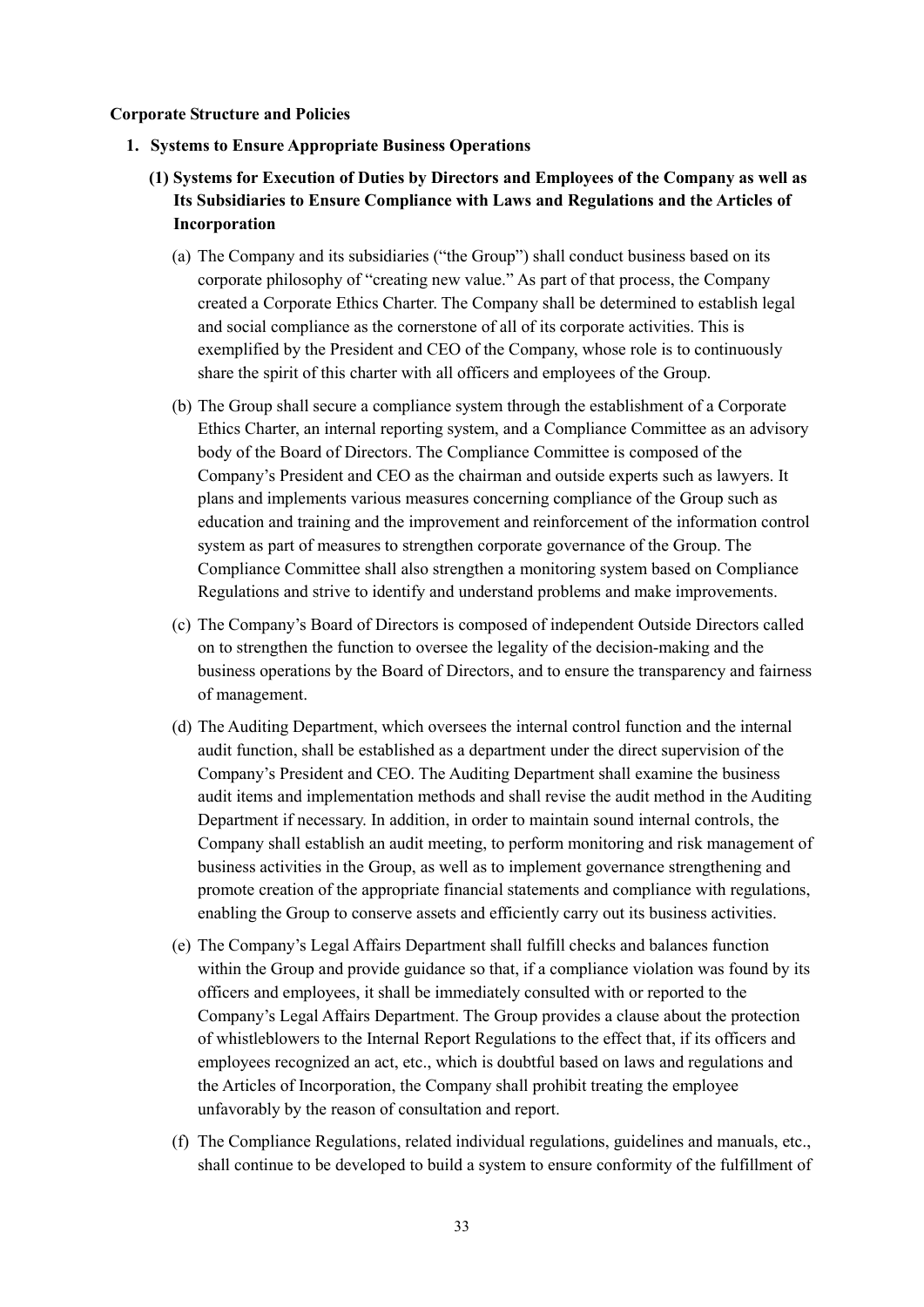#### **Corporate Structure and Policies**

- **1. Systems to Ensure Appropriate Business Operations** 
	- **(1) Systems for Execution of Duties by Directors and Employees of the Company as well as Its Subsidiaries to Ensure Compliance with Laws and Regulations and the Articles of Incorporation** 
		- (a) The Company and its subsidiaries ("the Group") shall conduct business based on its corporate philosophy of "creating new value." As part of that process, the Company created a Corporate Ethics Charter. The Company shall be determined to establish legal and social compliance as the cornerstone of all of its corporate activities. This is exemplified by the President and CEO of the Company, whose role is to continuously share the spirit of this charter with all officers and employees of the Group.
		- (b) The Group shall secure a compliance system through the establishment of a Corporate Ethics Charter, an internal reporting system, and a Compliance Committee as an advisory body of the Board of Directors. The Compliance Committee is composed of the Company's President and CEO as the chairman and outside experts such as lawyers. It plans and implements various measures concerning compliance of the Group such as education and training and the improvement and reinforcement of the information control system as part of measures to strengthen corporate governance of the Group. The Compliance Committee shall also strengthen a monitoring system based on Compliance Regulations and strive to identify and understand problems and make improvements.
		- (c) The Company's Board of Directors is composed of independent Outside Directors called on to strengthen the function to oversee the legality of the decision-making and the business operations by the Board of Directors, and to ensure the transparency and fairness of management.
		- (d) The Auditing Department, which oversees the internal control function and the internal audit function, shall be established as a department under the direct supervision of the Company's President and CEO. The Auditing Department shall examine the business audit items and implementation methods and shall revise the audit method in the Auditing Department if necessary. In addition, in order to maintain sound internal controls, the Company shall establish an audit meeting, to perform monitoring and risk management of business activities in the Group, as well as to implement governance strengthening and promote creation of the appropriate financial statements and compliance with regulations, enabling the Group to conserve assets and efficiently carry out its business activities.
		- (e) The Company's Legal Affairs Department shall fulfill checks and balances function within the Group and provide guidance so that, if a compliance violation was found by its officers and employees, it shall be immediately consulted with or reported to the Company's Legal Affairs Department. The Group provides a clause about the protection of whistleblowers to the Internal Report Regulations to the effect that, if its officers and employees recognized an act, etc., which is doubtful based on laws and regulations and the Articles of Incorporation, the Company shall prohibit treating the employee unfavorably by the reason of consultation and report.
		- (f) The Compliance Regulations, related individual regulations, guidelines and manuals, etc., shall continue to be developed to build a system to ensure conformity of the fulfillment of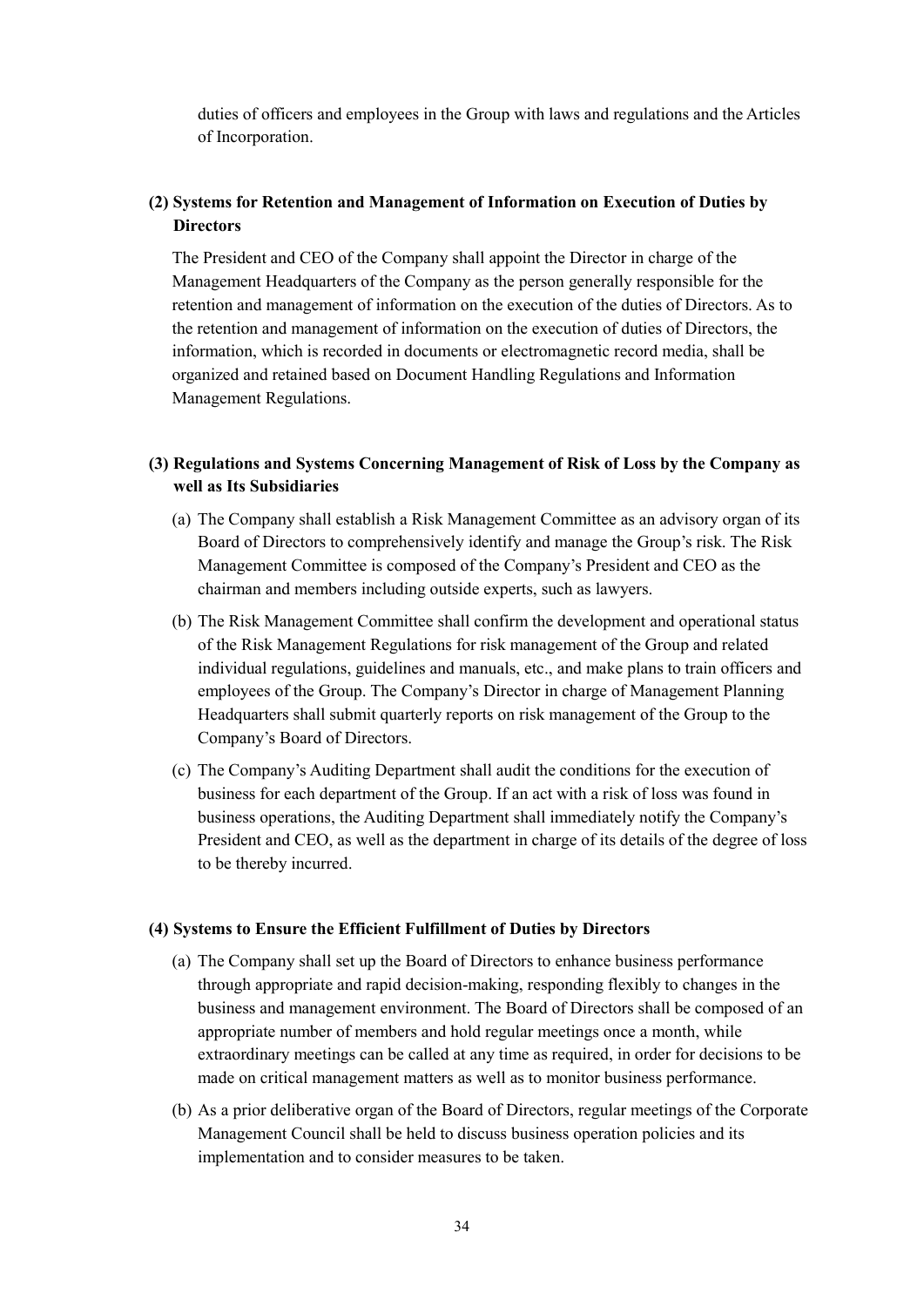duties of officers and employees in the Group with laws and regulations and the Articles of Incorporation.

# **(2) Systems for Retention and Management of Information on Execution of Duties by Directors**

The President and CEO of the Company shall appoint the Director in charge of the Management Headquarters of the Company as the person generally responsible for the retention and management of information on the execution of the duties of Directors. As to the retention and management of information on the execution of duties of Directors, the information, which is recorded in documents or electromagnetic record media, shall be organized and retained based on Document Handling Regulations and Information Management Regulations.

# **(3) Regulations and Systems Concerning Management of Risk of Loss by the Company as well as Its Subsidiaries**

- (a) The Company shall establish a Risk Management Committee as an advisory organ of its Board of Directors to comprehensively identify and manage the Group's risk. The Risk Management Committee is composed of the Company's President and CEO as the chairman and members including outside experts, such as lawyers.
- (b) The Risk Management Committee shall confirm the development and operational status of the Risk Management Regulations for risk management of the Group and related individual regulations, guidelines and manuals, etc., and make plans to train officers and employees of the Group. The Company's Director in charge of Management Planning Headquarters shall submit quarterly reports on risk management of the Group to the Company's Board of Directors.
- (c) The Company's Auditing Department shall audit the conditions for the execution of business for each department of the Group. If an act with a risk of loss was found in business operations, the Auditing Department shall immediately notify the Company's President and CEO, as well as the department in charge of its details of the degree of loss to be thereby incurred.

### **(4) Systems to Ensure the Efficient Fulfillment of Duties by Directors**

- (a) The Company shall set up the Board of Directors to enhance business performance through appropriate and rapid decision-making, responding flexibly to changes in the business and management environment. The Board of Directors shall be composed of an appropriate number of members and hold regular meetings once a month, while extraordinary meetings can be called at any time as required, in order for decisions to be made on critical management matters as well as to monitor business performance.
- (b) As a prior deliberative organ of the Board of Directors, regular meetings of the Corporate Management Council shall be held to discuss business operation policies and its implementation and to consider measures to be taken.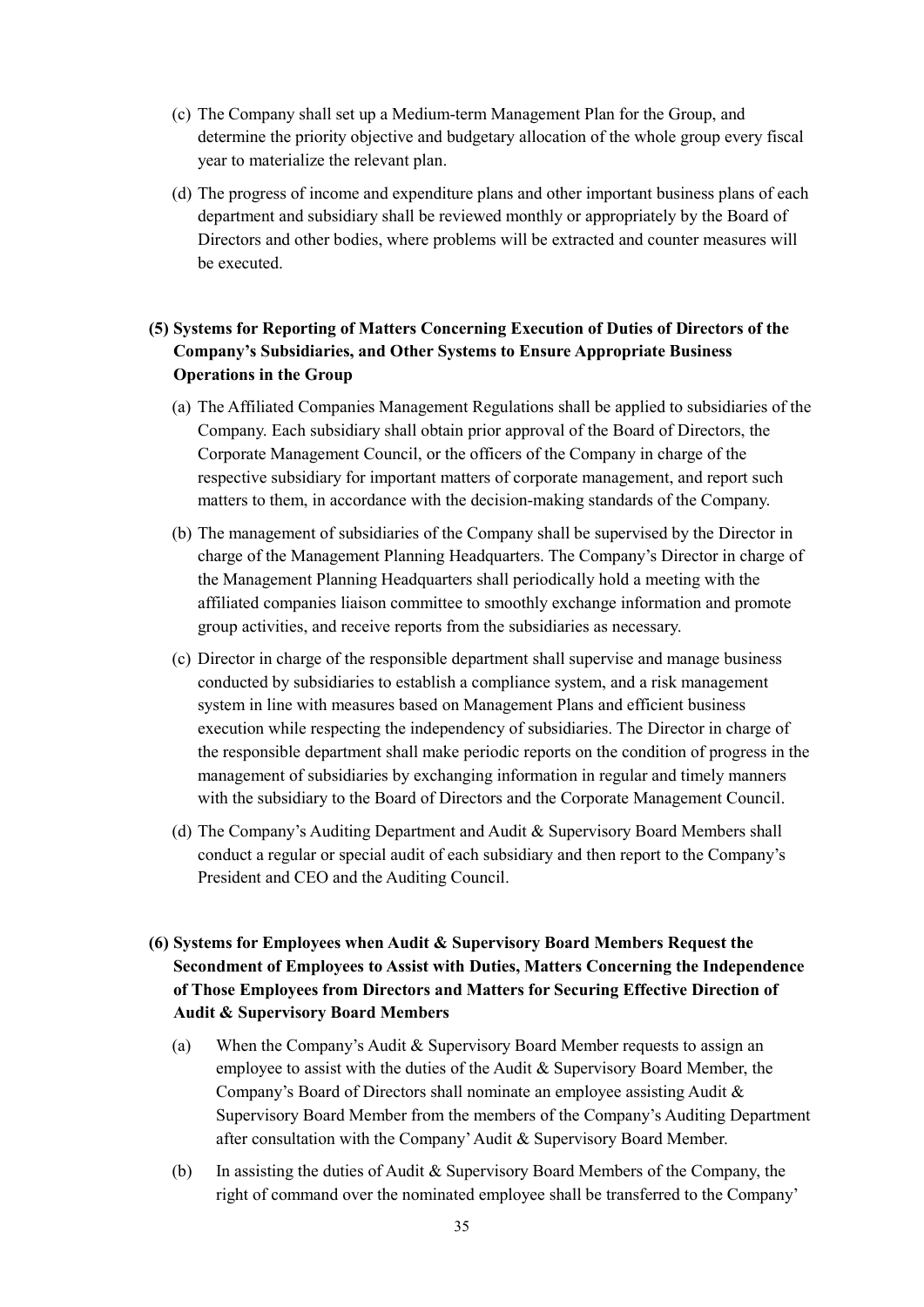- (c) The Company shall set up a Medium-term Management Plan for the Group, and determine the priority objective and budgetary allocation of the whole group every fiscal year to materialize the relevant plan.
- (d) The progress of income and expenditure plans and other important business plans of each department and subsidiary shall be reviewed monthly or appropriately by the Board of Directors and other bodies, where problems will be extracted and counter measures will be executed.

# **(5) Systems for Reporting of Matters Concerning Execution of Duties of Directors of the Company's Subsidiaries, and Other Systems to Ensure Appropriate Business Operations in the Group**

- (a) The Affiliated Companies Management Regulations shall be applied to subsidiaries of the Company. Each subsidiary shall obtain prior approval of the Board of Directors, the Corporate Management Council, or the officers of the Company in charge of the respective subsidiary for important matters of corporate management, and report such matters to them, in accordance with the decision-making standards of the Company.
- (b) The management of subsidiaries of the Company shall be supervised by the Director in charge of the Management Planning Headquarters. The Company's Director in charge of the Management Planning Headquarters shall periodically hold a meeting with the affiliated companies liaison committee to smoothly exchange information and promote group activities, and receive reports from the subsidiaries as necessary.
- (c) Director in charge of the responsible department shall supervise and manage business conducted by subsidiaries to establish a compliance system, and a risk management system in line with measures based on Management Plans and efficient business execution while respecting the independency of subsidiaries. The Director in charge of the responsible department shall make periodic reports on the condition of progress in the management of subsidiaries by exchanging information in regular and timely manners with the subsidiary to the Board of Directors and the Corporate Management Council.
- (d) The Company's Auditing Department and Audit & Supervisory Board Members shall conduct a regular or special audit of each subsidiary and then report to the Company's President and CEO and the Auditing Council.
- **(6) Systems for Employees when Audit & Supervisory Board Members Request the Secondment of Employees to Assist with Duties, Matters Concerning the Independence of Those Employees from Directors and Matters for Securing Effective Direction of Audit & Supervisory Board Members** 
	- (a) When the Company's Audit & Supervisory Board Member requests to assign an employee to assist with the duties of the Audit & Supervisory Board Member, the Company's Board of Directors shall nominate an employee assisting Audit & Supervisory Board Member from the members of the Company's Auditing Department after consultation with the Company' Audit & Supervisory Board Member.
	- (b) In assisting the duties of Audit  $&$  Supervisory Board Members of the Company, the right of command over the nominated employee shall be transferred to the Company'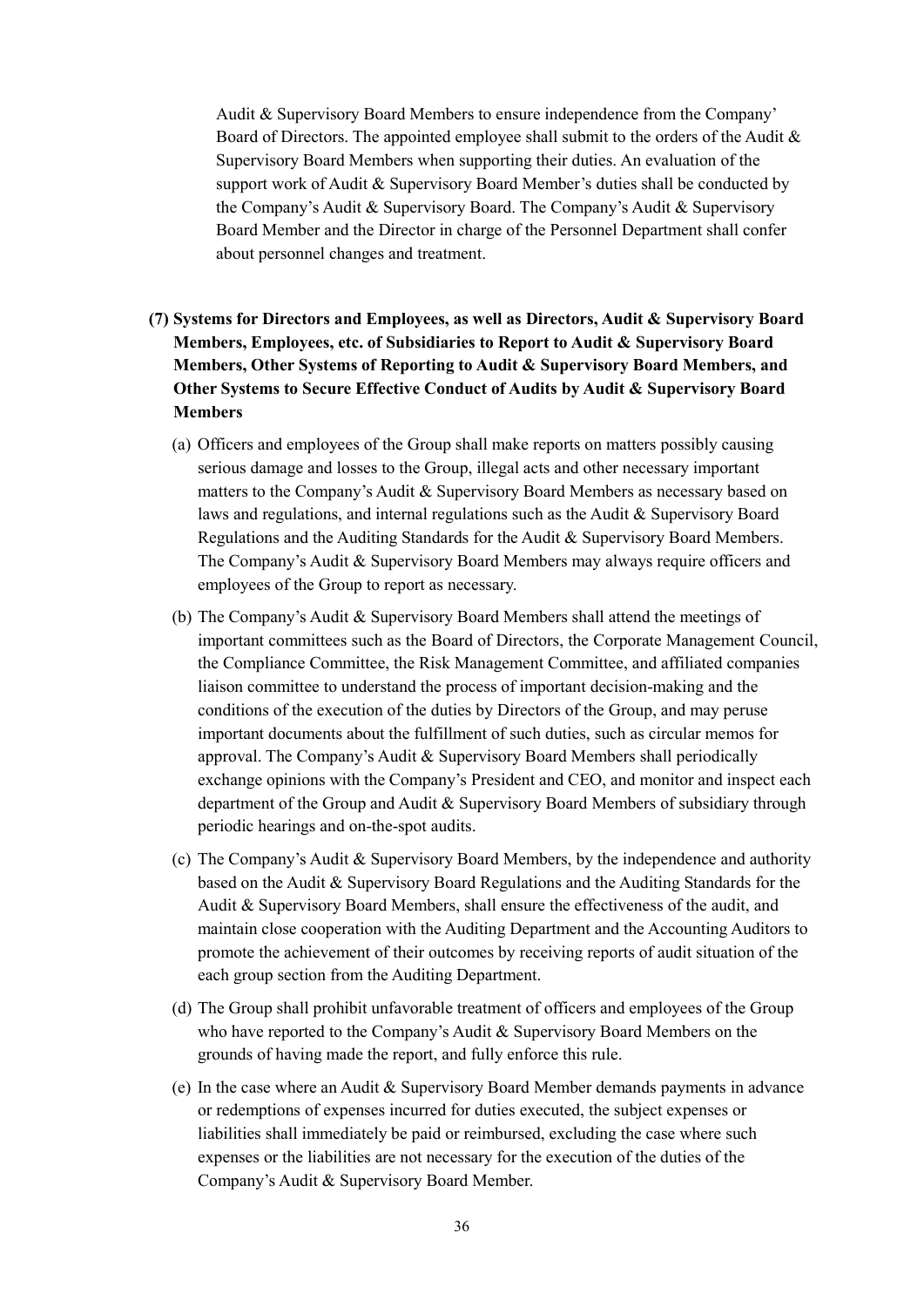Audit & Supervisory Board Members to ensure independence from the Company' Board of Directors. The appointed employee shall submit to the orders of the Audit  $\&$ Supervisory Board Members when supporting their duties. An evaluation of the support work of Audit & Supervisory Board Member's duties shall be conducted by the Company's Audit & Supervisory Board. The Company's Audit & Supervisory Board Member and the Director in charge of the Personnel Department shall confer about personnel changes and treatment.

- **(7) Systems for Directors and Employees, as well as Directors, Audit & Supervisory Board Members, Employees, etc. of Subsidiaries to Report to Audit & Supervisory Board Members, Other Systems of Reporting to Audit & Supervisory Board Members, and Other Systems to Secure Effective Conduct of Audits by Audit & Supervisory Board Members** 
	- (a) Officers and employees of the Group shall make reports on matters possibly causing serious damage and losses to the Group, illegal acts and other necessary important matters to the Company's Audit & Supervisory Board Members as necessary based on laws and regulations, and internal regulations such as the Audit  $\&$  Supervisory Board Regulations and the Auditing Standards for the Audit & Supervisory Board Members. The Company's Audit & Supervisory Board Members may always require officers and employees of the Group to report as necessary.
	- (b) The Company's Audit & Supervisory Board Members shall attend the meetings of important committees such as the Board of Directors, the Corporate Management Council, the Compliance Committee, the Risk Management Committee, and affiliated companies liaison committee to understand the process of important decision-making and the conditions of the execution of the duties by Directors of the Group, and may peruse important documents about the fulfillment of such duties, such as circular memos for approval. The Company's Audit & Supervisory Board Members shall periodically exchange opinions with the Company's President and CEO, and monitor and inspect each department of the Group and Audit & Supervisory Board Members of subsidiary through periodic hearings and on-the-spot audits.
	- (c) The Company's Audit & Supervisory Board Members, by the independence and authority based on the Audit & Supervisory Board Regulations and the Auditing Standards for the Audit & Supervisory Board Members, shall ensure the effectiveness of the audit, and maintain close cooperation with the Auditing Department and the Accounting Auditors to promote the achievement of their outcomes by receiving reports of audit situation of the each group section from the Auditing Department.
	- (d) The Group shall prohibit unfavorable treatment of officers and employees of the Group who have reported to the Company's Audit & Supervisory Board Members on the grounds of having made the report, and fully enforce this rule.
	- (e) In the case where an Audit & Supervisory Board Member demands payments in advance or redemptions of expenses incurred for duties executed, the subject expenses or liabilities shall immediately be paid or reimbursed, excluding the case where such expenses or the liabilities are not necessary for the execution of the duties of the Company's Audit & Supervisory Board Member.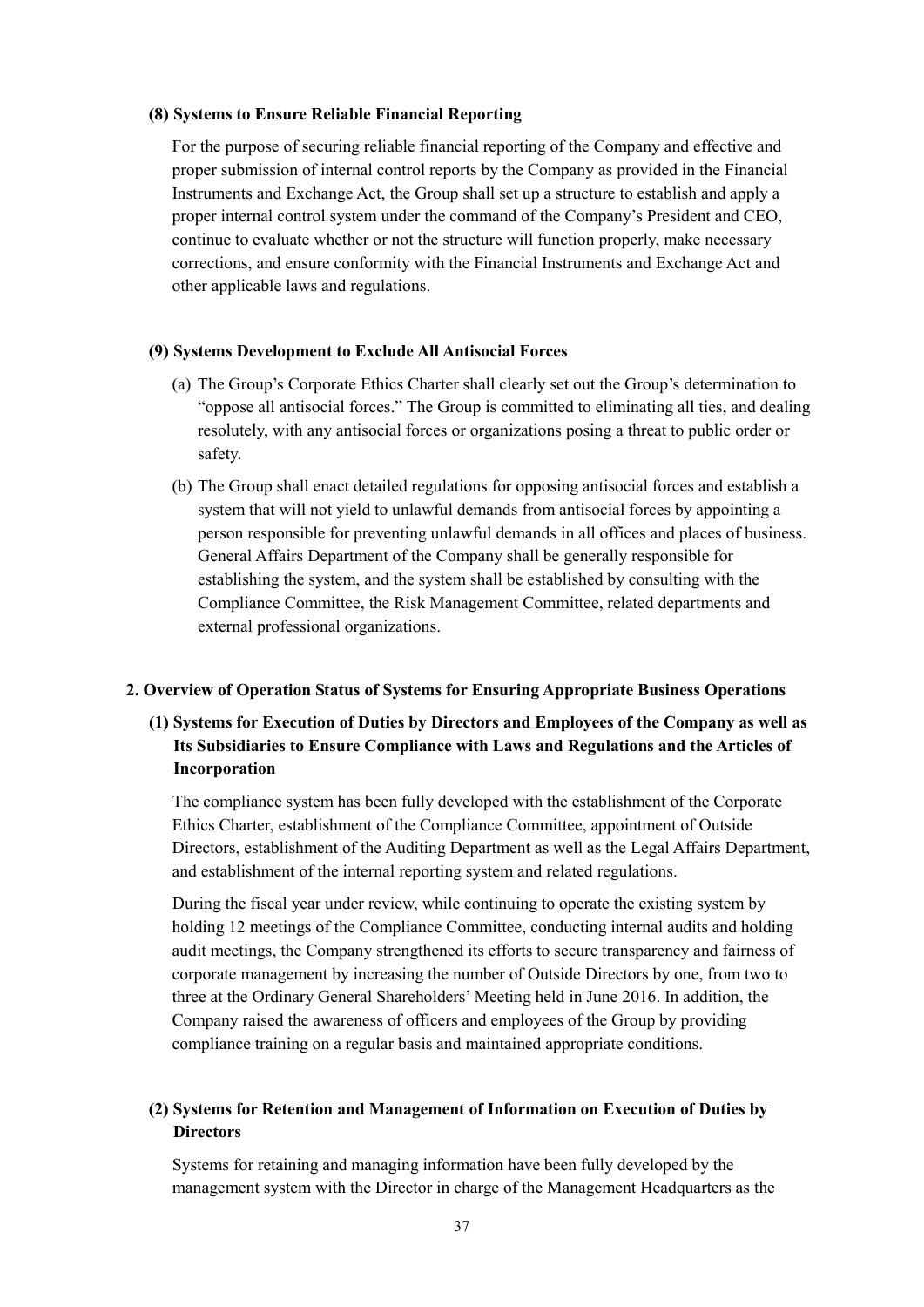### **(8) Systems to Ensure Reliable Financial Reporting**

For the purpose of securing reliable financial reporting of the Company and effective and proper submission of internal control reports by the Company as provided in the Financial Instruments and Exchange Act, the Group shall set up a structure to establish and apply a proper internal control system under the command of the Company's President and CEO, continue to evaluate whether or not the structure will function properly, make necessary corrections, and ensure conformity with the Financial Instruments and Exchange Act and other applicable laws and regulations.

#### **(9) Systems Development to Exclude All Antisocial Forces**

- (a) The Group's Corporate Ethics Charter shall clearly set out the Group's determination to "oppose all antisocial forces." The Group is committed to eliminating all ties, and dealing resolutely, with any antisocial forces or organizations posing a threat to public order or safety.
- (b) The Group shall enact detailed regulations for opposing antisocial forces and establish a system that will not yield to unlawful demands from antisocial forces by appointing a person responsible for preventing unlawful demands in all offices and places of business. General Affairs Department of the Company shall be generally responsible for establishing the system, and the system shall be established by consulting with the Compliance Committee, the Risk Management Committee, related departments and external professional organizations.

#### **2. Overview of Operation Status of Systems for Ensuring Appropriate Business Operations**

# **(1) Systems for Execution of Duties by Directors and Employees of the Company as well as Its Subsidiaries to Ensure Compliance with Laws and Regulations and the Articles of Incorporation**

The compliance system has been fully developed with the establishment of the Corporate Ethics Charter, establishment of the Compliance Committee, appointment of Outside Directors, establishment of the Auditing Department as well as the Legal Affairs Department, and establishment of the internal reporting system and related regulations.

During the fiscal year under review, while continuing to operate the existing system by holding 12 meetings of the Compliance Committee, conducting internal audits and holding audit meetings, the Company strengthened its efforts to secure transparency and fairness of corporate management by increasing the number of Outside Directors by one, from two to three at the Ordinary General Shareholders' Meeting held in June 2016. In addition, the Company raised the awareness of officers and employees of the Group by providing compliance training on a regular basis and maintained appropriate conditions.

# **(2) Systems for Retention and Management of Information on Execution of Duties by Directors**

Systems for retaining and managing information have been fully developed by the management system with the Director in charge of the Management Headquarters as the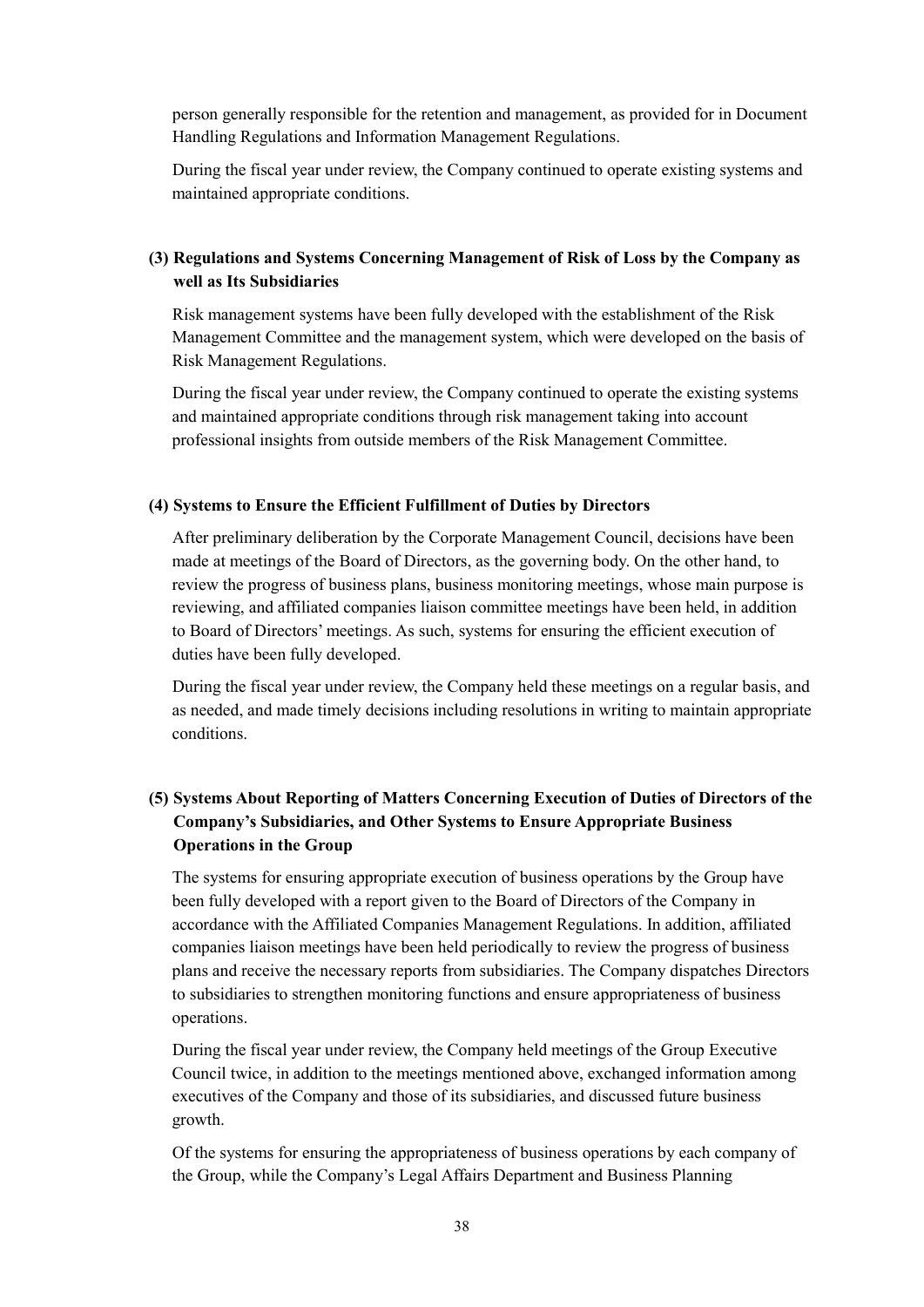person generally responsible for the retention and management, as provided for in Document Handling Regulations and Information Management Regulations.

During the fiscal year under review, the Company continued to operate existing systems and maintained appropriate conditions.

# **(3) Regulations and Systems Concerning Management of Risk of Loss by the Company as well as Its Subsidiaries**

Risk management systems have been fully developed with the establishment of the Risk Management Committee and the management system, which were developed on the basis of Risk Management Regulations.

During the fiscal year under review, the Company continued to operate the existing systems and maintained appropriate conditions through risk management taking into account professional insights from outside members of the Risk Management Committee.

#### **(4) Systems to Ensure the Efficient Fulfillment of Duties by Directors**

After preliminary deliberation by the Corporate Management Council, decisions have been made at meetings of the Board of Directors, as the governing body. On the other hand, to review the progress of business plans, business monitoring meetings, whose main purpose is reviewing, and affiliated companies liaison committee meetings have been held, in addition to Board of Directors' meetings. As such, systems for ensuring the efficient execution of duties have been fully developed.

During the fiscal year under review, the Company held these meetings on a regular basis, and as needed, and made timely decisions including resolutions in writing to maintain appropriate conditions.

# **(5) Systems About Reporting of Matters Concerning Execution of Duties of Directors of the Company's Subsidiaries, and Other Systems to Ensure Appropriate Business Operations in the Group**

The systems for ensuring appropriate execution of business operations by the Group have been fully developed with a report given to the Board of Directors of the Company in accordance with the Affiliated Companies Management Regulations. In addition, affiliated companies liaison meetings have been held periodically to review the progress of business plans and receive the necessary reports from subsidiaries. The Company dispatches Directors to subsidiaries to strengthen monitoring functions and ensure appropriateness of business operations.

During the fiscal year under review, the Company held meetings of the Group Executive Council twice, in addition to the meetings mentioned above, exchanged information among executives of the Company and those of its subsidiaries, and discussed future business growth.

Of the systems for ensuring the appropriateness of business operations by each company of the Group, while the Company's Legal Affairs Department and Business Planning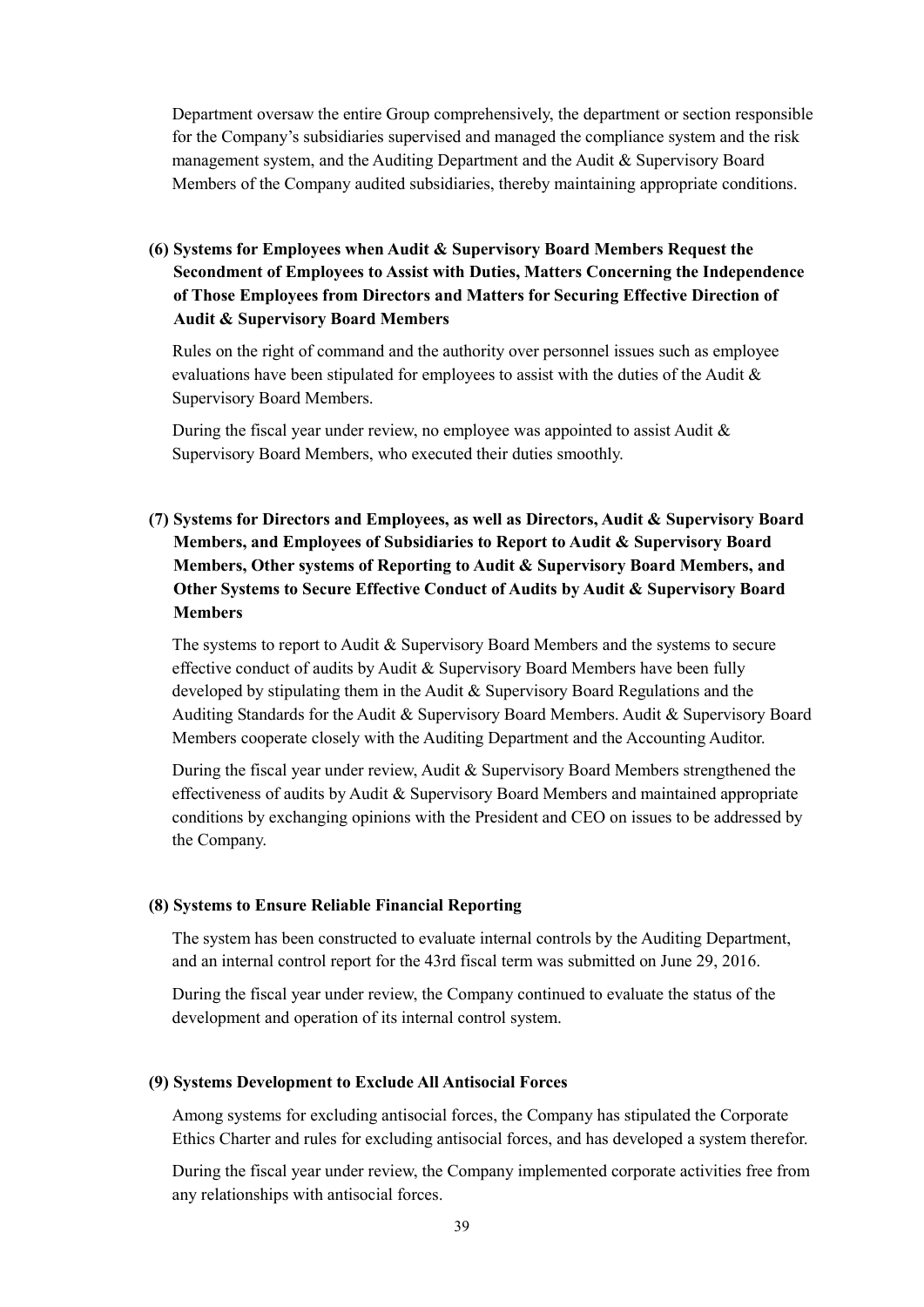Department oversaw the entire Group comprehensively, the department or section responsible for the Company's subsidiaries supervised and managed the compliance system and the risk management system, and the Auditing Department and the Audit & Supervisory Board Members of the Company audited subsidiaries, thereby maintaining appropriate conditions.

# **(6) Systems for Employees when Audit & Supervisory Board Members Request the Secondment of Employees to Assist with Duties, Matters Concerning the Independence of Those Employees from Directors and Matters for Securing Effective Direction of Audit & Supervisory Board Members**

Rules on the right of command and the authority over personnel issues such as employee evaluations have been stipulated for employees to assist with the duties of the Audit  $\&$ Supervisory Board Members.

During the fiscal year under review, no employee was appointed to assist Audit  $\&$ Supervisory Board Members, who executed their duties smoothly.

# **(7) Systems for Directors and Employees, as well as Directors, Audit & Supervisory Board Members, and Employees of Subsidiaries to Report to Audit & Supervisory Board Members, Other systems of Reporting to Audit & Supervisory Board Members, and Other Systems to Secure Effective Conduct of Audits by Audit & Supervisory Board Members**

The systems to report to Audit & Supervisory Board Members and the systems to secure effective conduct of audits by Audit & Supervisory Board Members have been fully developed by stipulating them in the Audit  $\&$  Supervisory Board Regulations and the Auditing Standards for the Audit & Supervisory Board Members. Audit & Supervisory Board Members cooperate closely with the Auditing Department and the Accounting Auditor.

During the fiscal year under review, Audit & Supervisory Board Members strengthened the effectiveness of audits by Audit & Supervisory Board Members and maintained appropriate conditions by exchanging opinions with the President and CEO on issues to be addressed by the Company.

### **(8) Systems to Ensure Reliable Financial Reporting**

The system has been constructed to evaluate internal controls by the Auditing Department, and an internal control report for the 43rd fiscal term was submitted on June 29, 2016.

During the fiscal year under review, the Company continued to evaluate the status of the development and operation of its internal control system.

### **(9) Systems Development to Exclude All Antisocial Forces**

Among systems for excluding antisocial forces, the Company has stipulated the Corporate Ethics Charter and rules for excluding antisocial forces, and has developed a system therefor.

During the fiscal year under review, the Company implemented corporate activities free from any relationships with antisocial forces.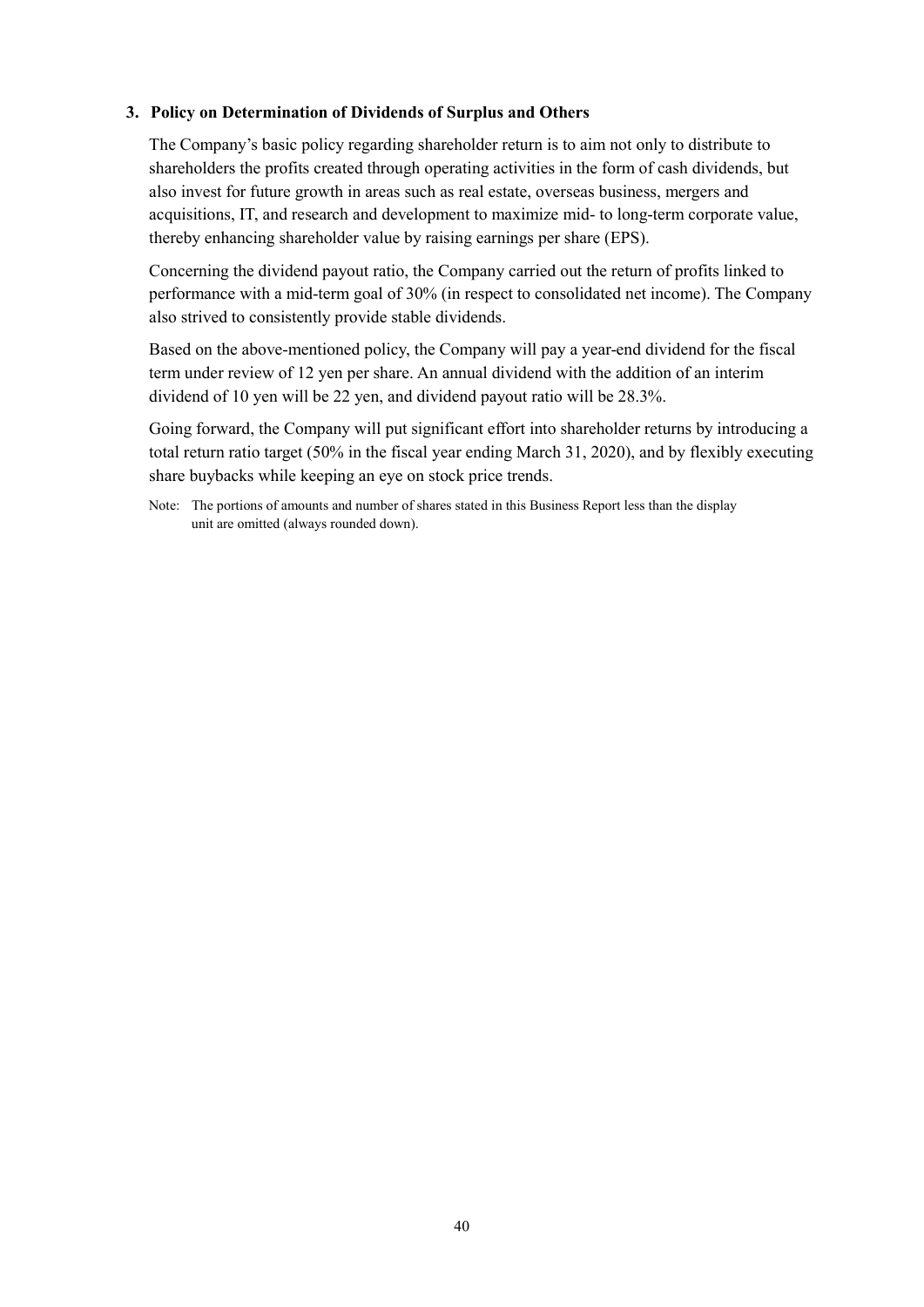## **3. Policy on Determination of Dividends of Surplus and Others**

The Company's basic policy regarding shareholder return is to aim not only to distribute to shareholders the profits created through operating activities in the form of cash dividends, but also invest for future growth in areas such as real estate, overseas business, mergers and acquisitions, IT, and research and development to maximize mid- to long-term corporate value, thereby enhancing shareholder value by raising earnings per share (EPS).

Concerning the dividend payout ratio, the Company carried out the return of profits linked to performance with a mid-term goal of 30% (in respect to consolidated net income). The Company also strived to consistently provide stable dividends.

Based on the above-mentioned policy, the Company will pay a year-end dividend for the fiscal term under review of 12 yen per share. An annual dividend with the addition of an interim dividend of 10 yen will be 22 yen, and dividend payout ratio will be 28.3%.

Going forward, the Company will put significant effort into shareholder returns by introducing a total return ratio target (50% in the fiscal year ending March 31, 2020), and by flexibly executing share buybacks while keeping an eye on stock price trends.

Note: The portions of amounts and number of shares stated in this Business Report less than the display unit are omitted (always rounded down).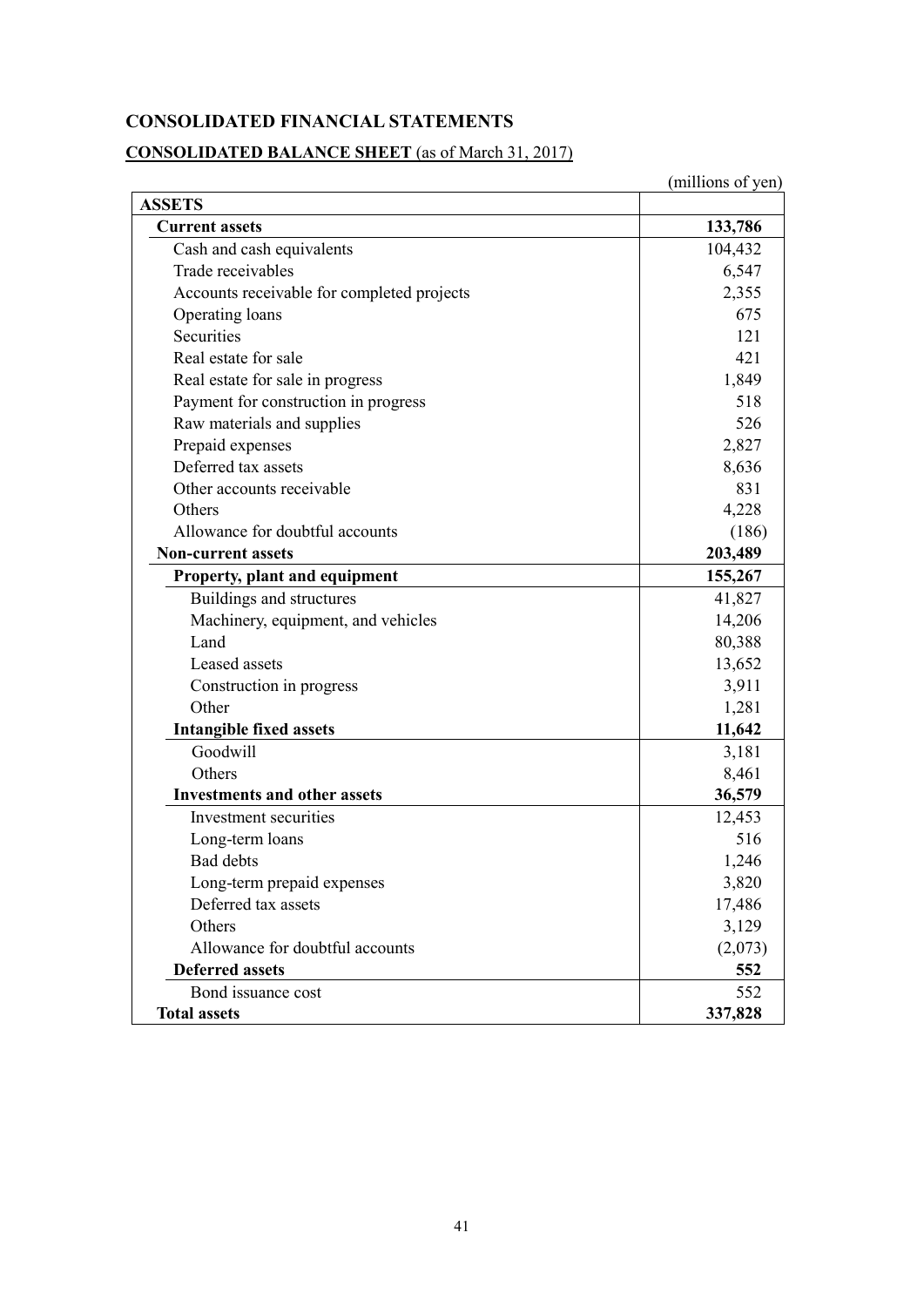# **CONSOLIDATED FINANCIAL STATEMENTS**

# **CONSOLIDATED BALANCE SHEET** (as of March 31, 2017)

|                                            | (millions of yen) |
|--------------------------------------------|-------------------|
| <b>ASSETS</b>                              |                   |
| <b>Current assets</b>                      | 133,786           |
| Cash and cash equivalents                  | 104,432           |
| Trade receivables                          | 6,547             |
| Accounts receivable for completed projects | 2,355             |
| Operating loans                            | 675               |
| Securities                                 | 121               |
| Real estate for sale                       | 421               |
| Real estate for sale in progress           | 1,849             |
| Payment for construction in progress       | 518               |
| Raw materials and supplies                 | 526               |
| Prepaid expenses                           | 2,827             |
| Deferred tax assets                        | 8,636             |
| Other accounts receivable                  | 831               |
| Others                                     | 4,228             |
| Allowance for doubtful accounts            | (186)             |
| <b>Non-current assets</b>                  | 203,489           |
| Property, plant and equipment              | 155,267           |
| Buildings and structures                   | 41,827            |
| Machinery, equipment, and vehicles         | 14,206            |
| Land                                       | 80,388            |
| Leased assets                              | 13,652            |
| Construction in progress                   | 3,911             |
| Other                                      | 1,281             |
| <b>Intangible fixed assets</b>             | 11,642            |
| Goodwill                                   | 3,181             |
| Others                                     | 8,461             |
| <b>Investments and other assets</b>        | 36,579            |
| Investment securities                      | 12,453            |
| Long-term loans                            | 516               |
| <b>Bad debts</b>                           | 1,246             |
| Long-term prepaid expenses                 | 3,820             |
| Deferred tax assets                        | 17,486            |
| Others                                     | 3,129             |
| Allowance for doubtful accounts            | (2,073)           |
| <b>Deferred assets</b>                     | 552               |
| Bond issuance cost                         | 552               |
| <b>Total assets</b>                        | 337,828           |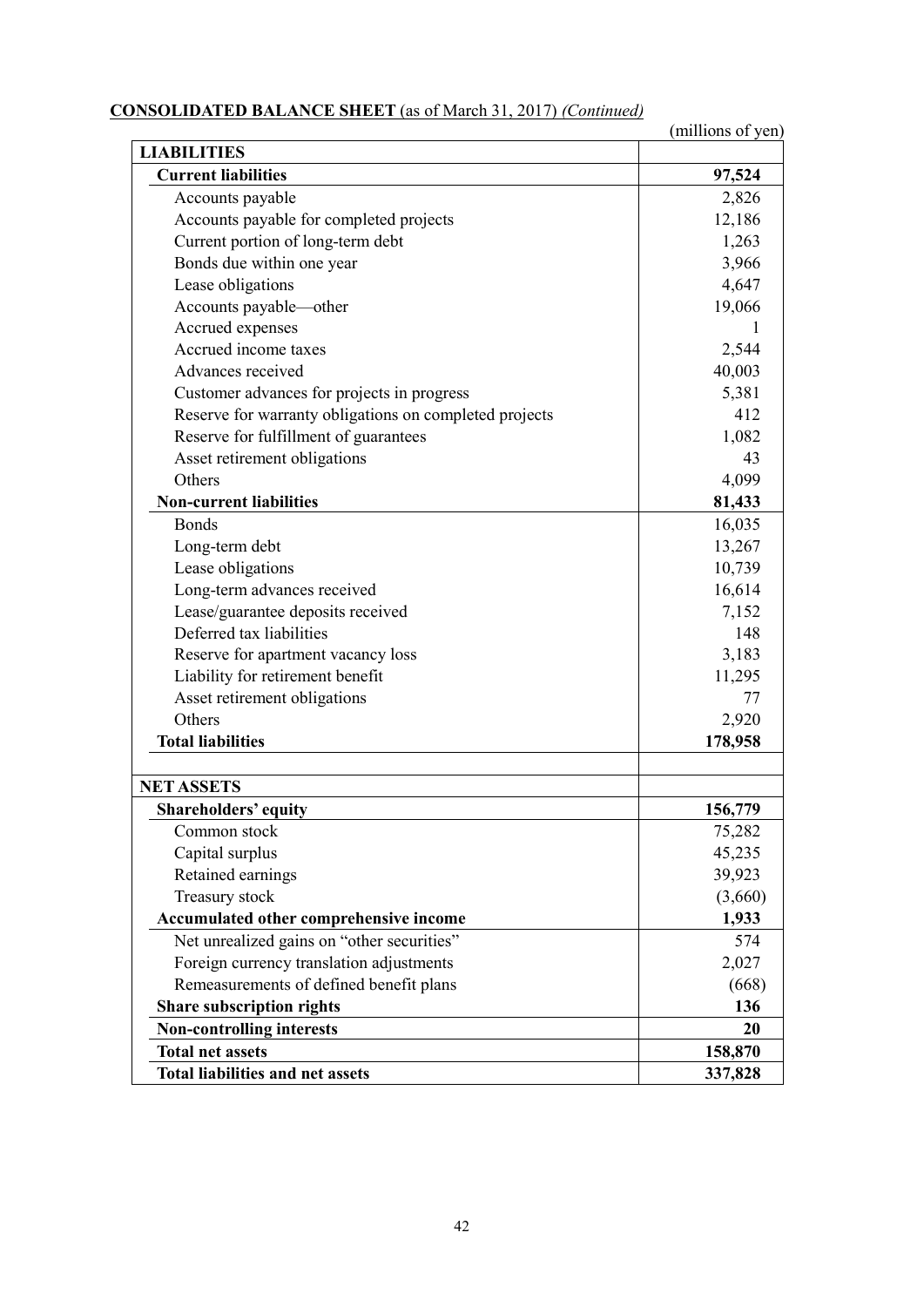# **CONSOLIDATED BALANCE SHEET** (as of March 31, 2017) *(Continued)*

|                                                        | (millions of yen) |
|--------------------------------------------------------|-------------------|
| <b>LIABILITIES</b>                                     |                   |
| <b>Current liabilities</b>                             | 97,524            |
| Accounts payable                                       | 2,826             |
| Accounts payable for completed projects                | 12,186            |
| Current portion of long-term debt                      | 1,263             |
| Bonds due within one year                              | 3,966             |
| Lease obligations                                      | 4,647             |
| Accounts payable-other                                 | 19,066            |
| Accrued expenses                                       |                   |
| Accrued income taxes                                   | 2,544             |
| Advances received                                      | 40,003            |
| Customer advances for projects in progress             | 5,381             |
| Reserve for warranty obligations on completed projects | 412               |
| Reserve for fulfillment of guarantees                  | 1,082             |
| Asset retirement obligations                           | 43                |
| Others                                                 | 4,099             |
| <b>Non-current liabilities</b>                         | 81,433            |
| <b>Bonds</b>                                           | 16,035            |
| Long-term debt                                         | 13,267            |
| Lease obligations                                      | 10,739            |
| Long-term advances received                            | 16,614            |
| Lease/guarantee deposits received                      | 7,152             |
| Deferred tax liabilities                               | 148               |
| Reserve for apartment vacancy loss                     | 3,183             |
| Liability for retirement benefit                       | 11,295            |
| Asset retirement obligations                           | 77                |
| Others                                                 | 2,920             |
| <b>Total liabilities</b>                               | 178,958           |
|                                                        |                   |
| <b>NET ASSETS</b>                                      |                   |
| <b>Shareholders' equity</b>                            | 156,779           |
| Common stock                                           | 75,282            |
| Capital surplus                                        | 45,235            |
| Retained earnings                                      | 39,923            |
| Treasury stock                                         | (3,660)           |
| Accumulated other comprehensive income                 | 1,933             |
| Net unrealized gains on "other securities"             | 574               |
| Foreign currency translation adjustments               | 2,027             |
| Remeasurements of defined benefit plans                | (668)             |
| Share subscription rights                              | 136               |
| <b>Non-controlling interests</b>                       | 20                |
| <b>Total net assets</b>                                | 158,870           |
| <b>Total liabilities and net assets</b>                | 337,828           |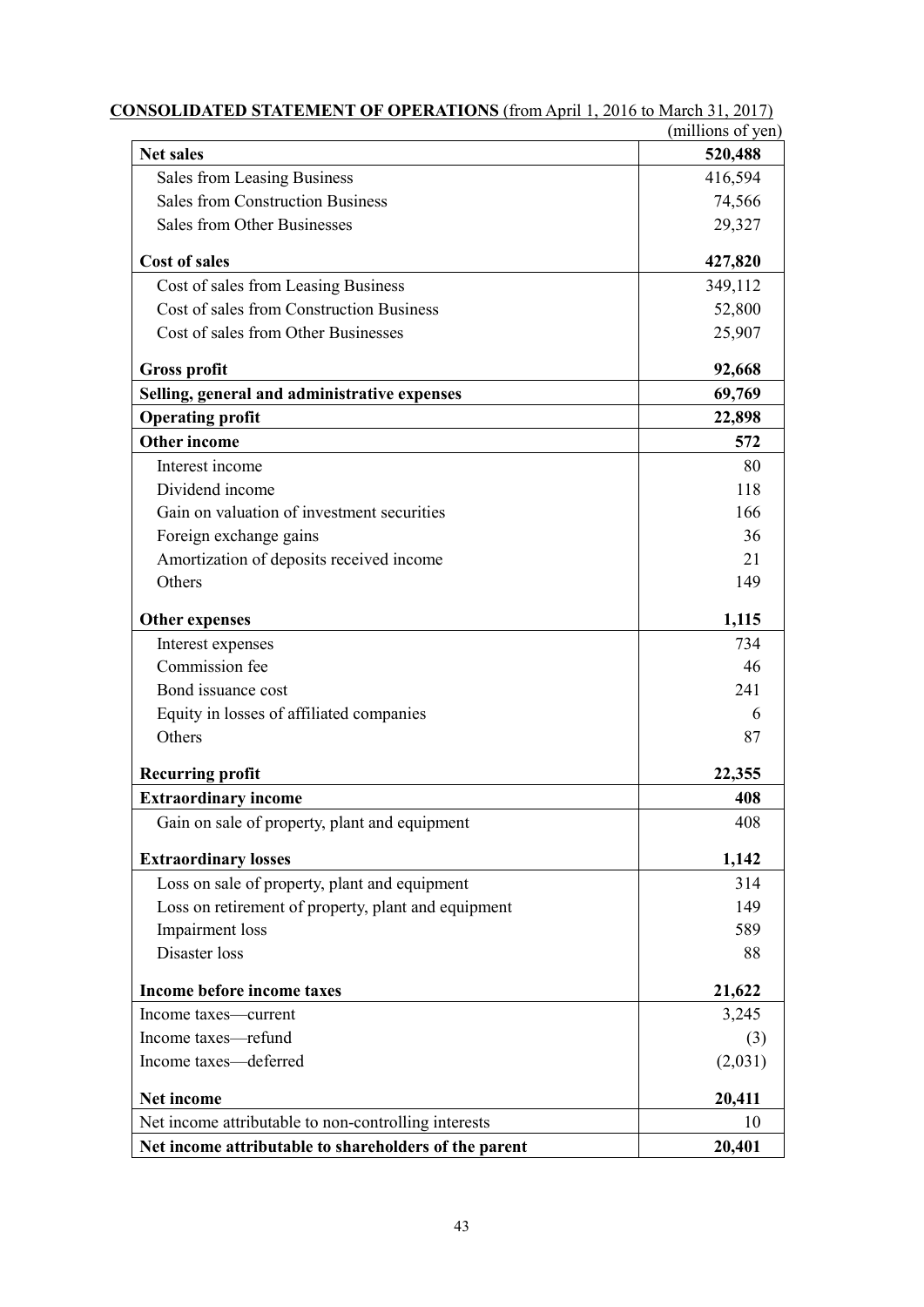|                                                       | (millions of yen) |
|-------------------------------------------------------|-------------------|
| <b>Net sales</b>                                      | 520,488           |
| Sales from Leasing Business                           | 416,594           |
| <b>Sales from Construction Business</b>               | 74,566            |
| Sales from Other Businesses                           | 29,327            |
| <b>Cost of sales</b>                                  | 427,820           |
| Cost of sales from Leasing Business                   | 349,112           |
| Cost of sales from Construction Business              | 52,800            |
| Cost of sales from Other Businesses                   | 25,907            |
| <b>Gross profit</b>                                   | 92,668            |
| Selling, general and administrative expenses          | 69,769            |
| <b>Operating profit</b>                               | 22,898            |
| <b>Other income</b>                                   | 572               |
| Interest income                                       | 80                |
| Dividend income                                       | 118               |
| Gain on valuation of investment securities            | 166               |
| Foreign exchange gains                                | 36                |
| Amortization of deposits received income              | 21                |
| Others                                                | 149               |
| <b>Other expenses</b>                                 | 1,115             |
| Interest expenses                                     | 734               |
| Commission fee                                        | 46                |
| Bond issuance cost                                    | 241               |
| Equity in losses of affiliated companies              | 6                 |
| Others                                                | 87                |
| <b>Recurring profit</b>                               | 22,355            |
| <b>Extraordinary income</b>                           | 408               |
| Gain on sale of property, plant and equipment         | 408               |
| <b>Extraordinary losses</b>                           | 1,142             |
| Loss on sale of property, plant and equipment         | 314               |
| Loss on retirement of property, plant and equipment   | 149               |
| Impairment loss                                       | 589               |
| Disaster loss                                         | 88                |
| Income before income taxes                            | 21,622            |
| Income taxes-current                                  | 3,245             |
| Income taxes-refund                                   | (3)               |
| Income taxes-deferred                                 | (2,031)           |
| Net income                                            | 20,411            |
| Net income attributable to non-controlling interests  | 10                |
| Net income attributable to shareholders of the parent | 20,401            |

| <b>CONSOLIDATED STATEMENT OF OPERATIONS</b> (from April 1, 2016 to March 31, 2017) |  |
|------------------------------------------------------------------------------------|--|
|                                                                                    |  |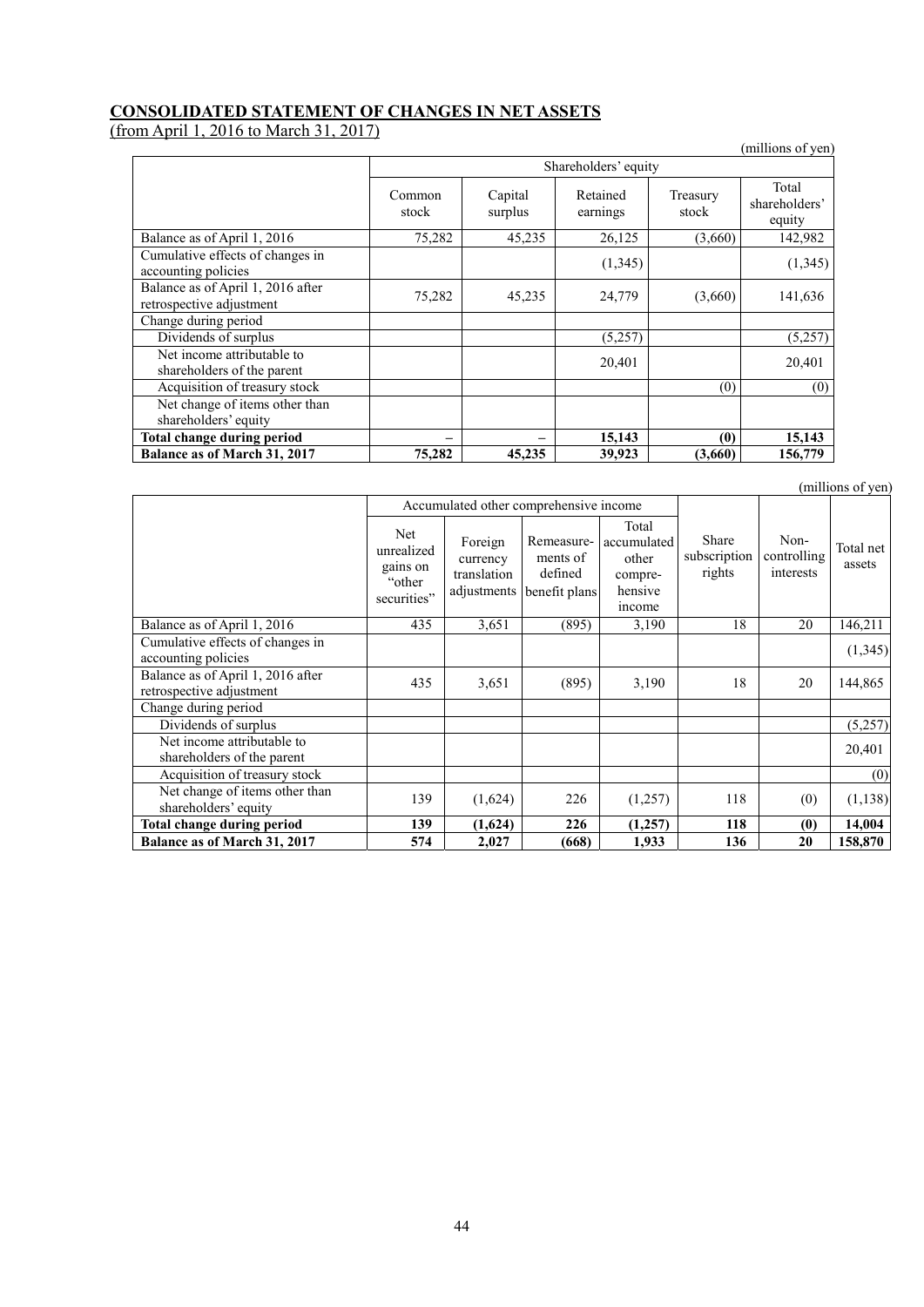# **CONSOLIDATED STATEMENT OF CHANGES IN NET ASSETS**

(from April 1, 2016 to March 31, 2017)

| $-0.10$ $-0.01$ $-0.01$ $-0.1$<br>---                         |                 |                    |                      |                   | (millions of yen)                |
|---------------------------------------------------------------|-----------------|--------------------|----------------------|-------------------|----------------------------------|
|                                                               |                 |                    | Shareholders' equity |                   |                                  |
|                                                               | Common<br>stock | Capital<br>surplus | Retained<br>earnings | Treasury<br>stock | Total<br>shareholders'<br>equity |
| Balance as of April 1, 2016                                   | 75,282          | 45,235             | 26,125               | (3,660)           | 142,982                          |
| Cumulative effects of changes in<br>accounting policies       |                 |                    | (1,345)              |                   | (1,345)                          |
| Balance as of April 1, 2016 after<br>retrospective adjustment | 75,282          | 45,235             | 24,779               | (3,660)           | 141,636                          |
| Change during period                                          |                 |                    |                      |                   |                                  |
| Dividends of surplus                                          |                 |                    | (5,257)              |                   | (5,257)                          |
| Net income attributable to<br>shareholders of the parent      |                 |                    | 20,401               |                   | 20,401                           |
| Acquisition of treasury stock                                 |                 |                    |                      | (0)               | (0)                              |
| Net change of items other than<br>shareholders' equity        |                 |                    |                      |                   |                                  |
| Total change during period                                    |                 |                    | 15,143               | (0)               | 15,143                           |
| Balance as of March 31, 2017                                  | 75,282          | 45,235             | 39,923               | (3,660)           | 156,779                          |

|                                                               |                                                         |                                                   | Accumulated other comprehensive income             |                                                                      |                                 |                                  |                     |
|---------------------------------------------------------------|---------------------------------------------------------|---------------------------------------------------|----------------------------------------------------|----------------------------------------------------------------------|---------------------------------|----------------------------------|---------------------|
|                                                               | Net.<br>unrealized<br>gains on<br>"other<br>securities" | Foreign<br>currency<br>translation<br>adjustments | Remeasure-<br>ments of<br>defined<br>benefit plans | Total<br>accumulated<br>other<br>compre-<br>hensive<br><i>n</i> come | Share<br>subscription<br>rights | Non-<br>controlling<br>interests | Total net<br>assets |
| Balance as of April 1, 2016                                   | 435                                                     | 3,651                                             | (895)                                              | 3,190                                                                | 18                              | 20                               | 146,211             |
| Cumulative effects of changes in<br>accounting policies       |                                                         |                                                   |                                                    |                                                                      |                                 |                                  | (1, 345)            |
| Balance as of April 1, 2016 after<br>retrospective adjustment | 435                                                     | 3,651                                             | (895)                                              | 3,190                                                                | 18                              | 20                               | 144,865             |
| Change during period                                          |                                                         |                                                   |                                                    |                                                                      |                                 |                                  |                     |
| Dividends of surplus                                          |                                                         |                                                   |                                                    |                                                                      |                                 |                                  | (5,257)             |
| Net income attributable to<br>shareholders of the parent      |                                                         |                                                   |                                                    |                                                                      |                                 |                                  | 20,401              |
| Acquisition of treasury stock                                 |                                                         |                                                   |                                                    |                                                                      |                                 |                                  | (0)                 |
| Net change of items other than<br>shareholders' equity        | 139                                                     | (1,624)                                           | 226                                                | (1,257)                                                              | 118                             | (0)                              | (1, 138)            |
| Total change during period                                    | 139                                                     | (1,624)                                           | 226                                                | (1,257)                                                              | 118                             | (0)                              | 14,004              |
| Balance as of March 31, 2017                                  | 574                                                     | 2,027                                             | (668)                                              | 1,933                                                                | 136                             | 20                               | 158,870             |

(millions of yen)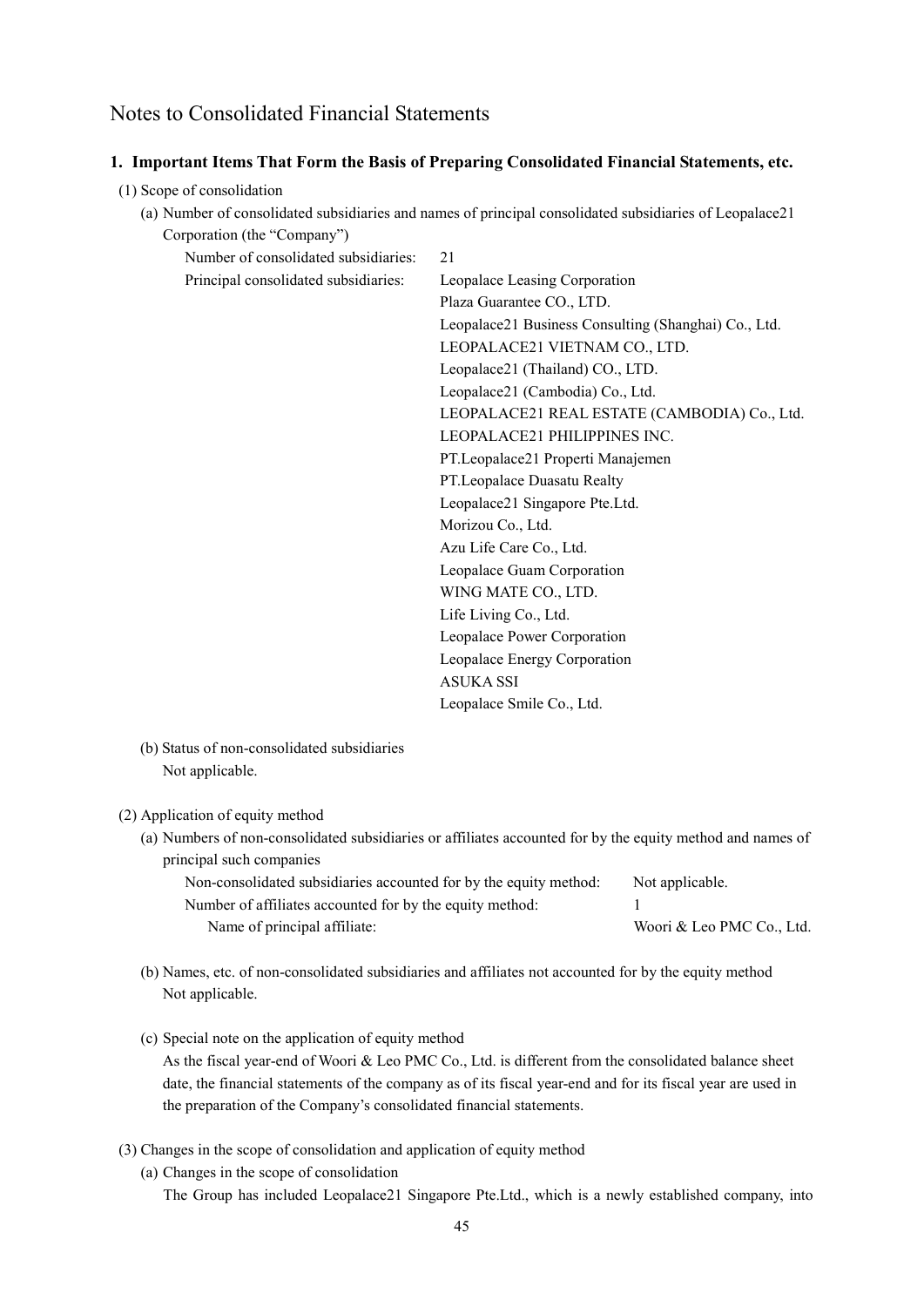# Notes to Consolidated Financial Statements

### **1. Important Items That Form the Basis of Preparing Consolidated Financial Statements, etc.**

- (1) Scope of consolidation
	- (a) Number of consolidated subsidiaries and names of principal consolidated subsidiaries of Leopalace21 Corporation (the "Company")

| Number of consolidated subsidiaries: | 21                                                   |
|--------------------------------------|------------------------------------------------------|
| Principal consolidated subsidiaries: | Leopalace Leasing Corporation                        |
|                                      | Plaza Guarantee CO., LTD.                            |
|                                      | Leopalace21 Business Consulting (Shanghai) Co., Ltd. |
|                                      | LEOPALACE21 VIETNAM CO., LTD.                        |
|                                      | Leopalace21 (Thailand) CO., LTD.                     |
|                                      | Leopalace21 (Cambodia) Co., Ltd.                     |
|                                      | LEOPALACE21 REAL ESTATE (CAMBODIA) Co., Ltd.         |
|                                      | LEOPALACE21 PHILIPPINES INC.                         |
|                                      | PT.Leopalace21 Properti Manajemen                    |
|                                      | PT.Leopalace Duasatu Realty                          |
|                                      | Leopalace21 Singapore Pte.Ltd.                       |
|                                      | Morizou Co., Ltd.                                    |
|                                      | Azu Life Care Co., Ltd.                              |
|                                      | Leopalace Guam Corporation                           |
|                                      | WING MATE CO., LTD.                                  |
|                                      | Life Living Co., Ltd.                                |
|                                      | Leopalace Power Corporation                          |
|                                      | Leopalace Energy Corporation                         |
|                                      | <b>ASUKA SSI</b>                                     |
|                                      | Leopalace Smile Co., Ltd.                            |

(b) Status of non-consolidated subsidiaries Not applicable.

#### (2) Application of equity method

(a) Numbers of non-consolidated subsidiaries or affiliates accounted for by the equity method and names of principal such companies

| Non-consolidated subsidiaries accounted for by the equity method: | Not applicable.           |
|-------------------------------------------------------------------|---------------------------|
| Number of affiliates accounted for by the equity method:          |                           |
| Name of principal affiliate:                                      | Woori & Leo PMC Co., Ltd. |

- (b) Names, etc. of non-consolidated subsidiaries and affiliates not accounted for by the equity method Not applicable.
- (c) Special note on the application of equity method As the fiscal year-end of Woori & Leo PMC Co., Ltd. is different from the consolidated balance sheet date, the financial statements of the company as of its fiscal year-end and for its fiscal year are used in the preparation of the Company's consolidated financial statements.
- (3) Changes in the scope of consolidation and application of equity method
	- (a) Changes in the scope of consolidation The Group has included Leopalace21 Singapore Pte.Ltd., which is a newly established company, into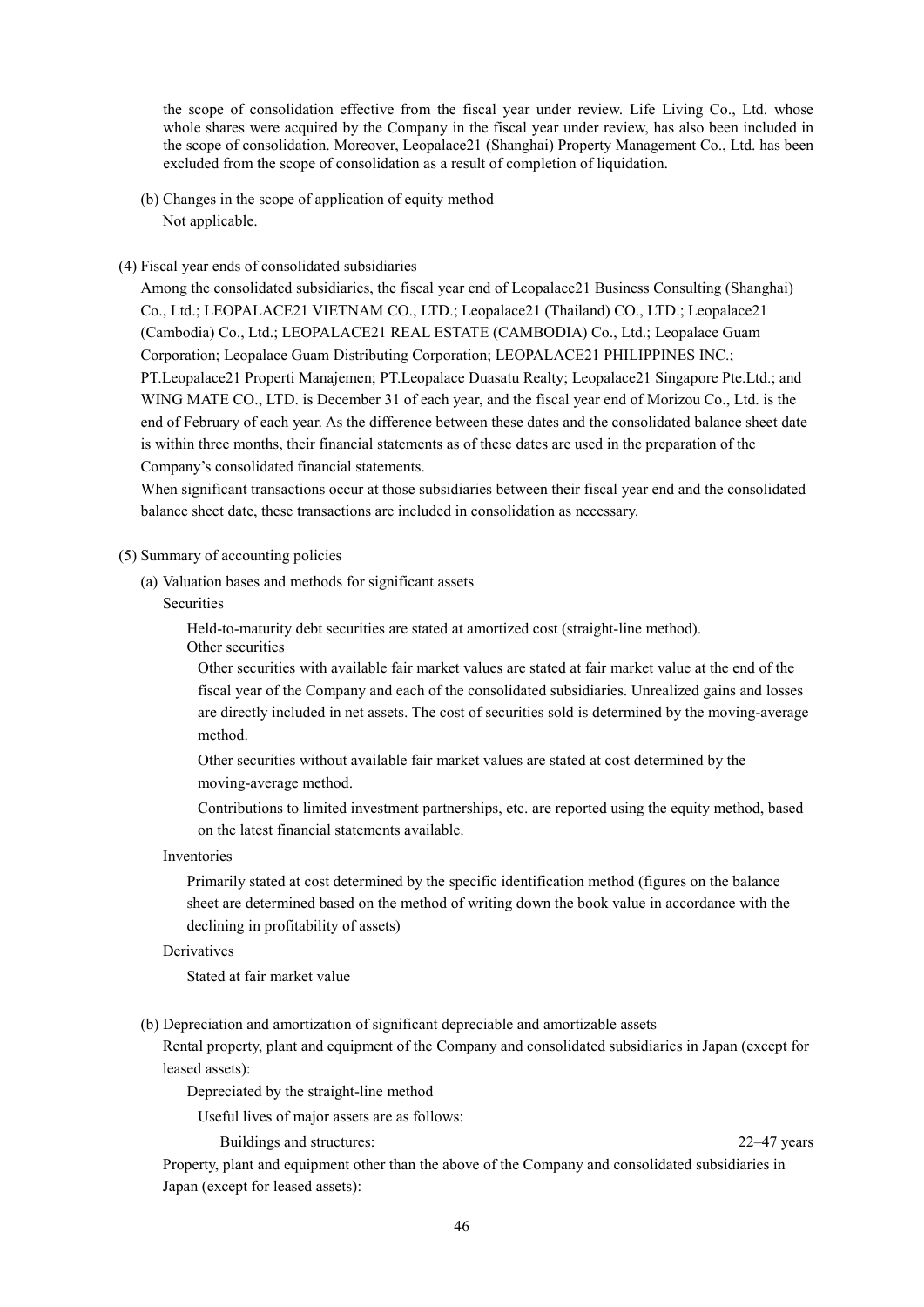the scope of consolidation effective from the fiscal year under review. Life Living Co., Ltd. whose whole shares were acquired by the Company in the fiscal year under review, has also been included in the scope of consolidation. Moreover, Leopalace21 (Shanghai) Property Management Co., Ltd. has been excluded from the scope of consolidation as a result of completion of liquidation.

(b) Changes in the scope of application of equity method Not applicable.

#### (4) Fiscal year ends of consolidated subsidiaries

Among the consolidated subsidiaries, the fiscal year end of Leopalace21 Business Consulting (Shanghai) Co., Ltd.; LEOPALACE21 VIETNAM CO., LTD.; Leopalace21 (Thailand) CO., LTD.; Leopalace21 (Cambodia) Co., Ltd.; LEOPALACE21 REAL ESTATE (CAMBODIA) Co., Ltd.; Leopalace Guam Corporation; Leopalace Guam Distributing Corporation; LEOPALACE21 PHILIPPINES INC.; PT.Leopalace21 Properti Manajemen; PT.Leopalace Duasatu Realty; Leopalace21 Singapore Pte.Ltd.; and WING MATE CO., LTD. is December 31 of each year, and the fiscal year end of Morizou Co., Ltd. is the end of February of each year. As the difference between these dates and the consolidated balance sheet date is within three months, their financial statements as of these dates are used in the preparation of the Company's consolidated financial statements.

When significant transactions occur at those subsidiaries between their fiscal year end and the consolidated balance sheet date, these transactions are included in consolidation as necessary.

#### (5) Summary of accounting policies

(a) Valuation bases and methods for significant assets

#### **Securities**

Held-to-maturity debt securities are stated at amortized cost (straight-line method). Other securities

Other securities with available fair market values are stated at fair market value at the end of the fiscal year of the Company and each of the consolidated subsidiaries. Unrealized gains and losses are directly included in net assets. The cost of securities sold is determined by the moving-average method.

Other securities without available fair market values are stated at cost determined by the moving-average method.

Contributions to limited investment partnerships, etc. are reported using the equity method, based on the latest financial statements available.

Inventories

Primarily stated at cost determined by the specific identification method (figures on the balance sheet are determined based on the method of writing down the book value in accordance with the declining in profitability of assets)

#### **Derivatives**

Stated at fair market value

(b) Depreciation and amortization of significant depreciable and amortizable assets

Rental property, plant and equipment of the Company and consolidated subsidiaries in Japan (except for leased assets):

Depreciated by the straight-line method

Useful lives of major assets are as follows:

Buildings and structures: 22–47 years 22–47 years

Property, plant and equipment other than the above of the Company and consolidated subsidiaries in Japan (except for leased assets):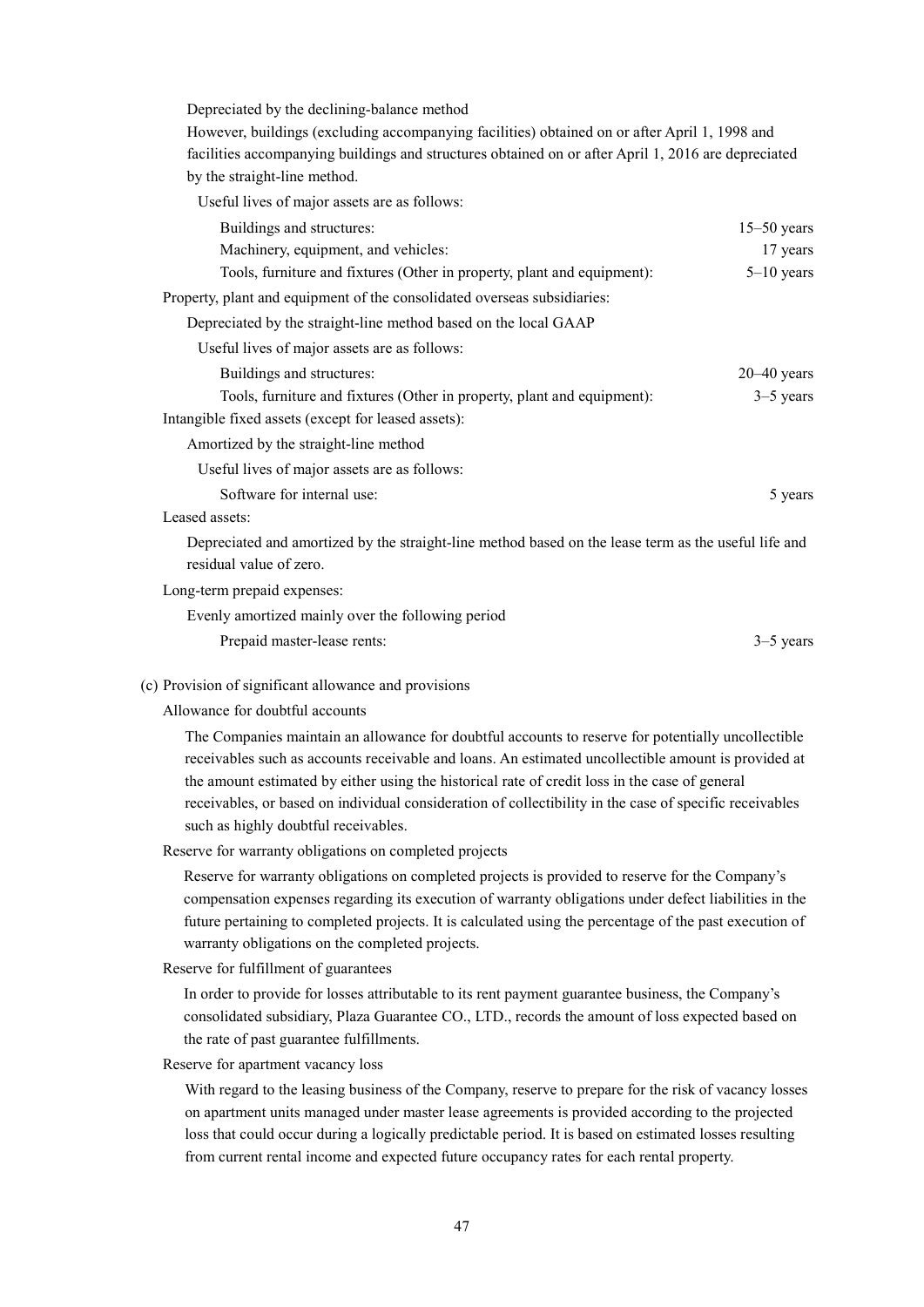Depreciated by the declining-balance method

However, buildings (excluding accompanying facilities) obtained on or after April 1, 1998 and facilities accompanying buildings and structures obtained on or after April 1, 2016 are depreciated by the straight-line method.

Useful lives of major assets are as follows:

| Buildings and structures:                                                                            | $15-50$ years   |
|------------------------------------------------------------------------------------------------------|-----------------|
| Machinery, equipment, and vehicles:                                                                  | 17 years        |
| Tools, furniture and fixtures (Other in property, plant and equipment):                              | $5-10$ years    |
| Property, plant and equipment of the consolidated overseas subsidiaries:                             |                 |
| Depreciated by the straight-line method based on the local GAAP                                      |                 |
| Useful lives of major assets are as follows:                                                         |                 |
| Buildings and structures:                                                                            | $20 - 40$ years |
| Tools, furniture and fixtures (Other in property, plant and equipment):                              | $3-5$ years     |
| Intangible fixed assets (except for leased assets):                                                  |                 |
| Amortized by the straight-line method                                                                |                 |
| Useful lives of major assets are as follows:                                                         |                 |
| Software for internal use:                                                                           | 5 years         |
| Leased assets:                                                                                       |                 |
| Depreciated and amortized by the straight-line method based on the lease term as the useful life and |                 |
| residual value of zero.                                                                              |                 |
| Long-term prepaid expenses:                                                                          |                 |
| Evenly amortized mainly over the following period                                                    |                 |

Prepaid master-lease rents: 3–5 years

(c) Provision of significant allowance and provisions

Allowance for doubtful accounts

The Companies maintain an allowance for doubtful accounts to reserve for potentially uncollectible receivables such as accounts receivable and loans. An estimated uncollectible amount is provided at the amount estimated by either using the historical rate of credit loss in the case of general receivables, or based on individual consideration of collectibility in the case of specific receivables such as highly doubtful receivables.

Reserve for warranty obligations on completed projects

Reserve for warranty obligations on completed projects is provided to reserve for the Company's compensation expenses regarding its execution of warranty obligations under defect liabilities in the future pertaining to completed projects. It is calculated using the percentage of the past execution of warranty obligations on the completed projects.

Reserve for fulfillment of guarantees

In order to provide for losses attributable to its rent payment guarantee business, the Company's consolidated subsidiary, Plaza Guarantee CO., LTD., records the amount of loss expected based on the rate of past guarantee fulfillments.

Reserve for apartment vacancy loss

With regard to the leasing business of the Company, reserve to prepare for the risk of vacancy losses on apartment units managed under master lease agreements is provided according to the projected loss that could occur during a logically predictable period. It is based on estimated losses resulting from current rental income and expected future occupancy rates for each rental property.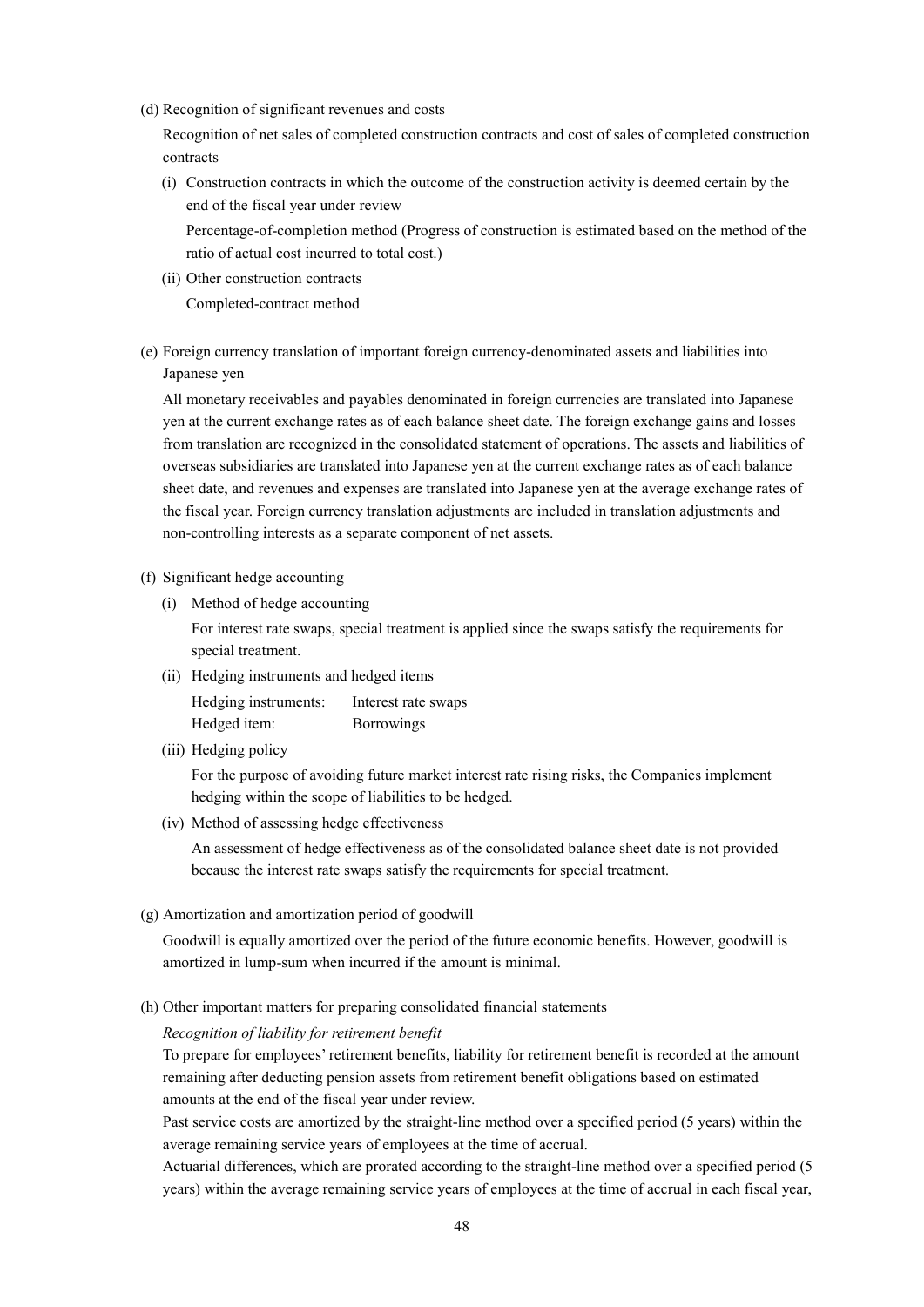(d) Recognition of significant revenues and costs

Recognition of net sales of completed construction contracts and cost of sales of completed construction contracts

(i) Construction contracts in which the outcome of the construction activity is deemed certain by the end of the fiscal year under review

Percentage-of-completion method (Progress of construction is estimated based on the method of the ratio of actual cost incurred to total cost.)

- (ii) Other construction contracts Completed-contract method
- (e) Foreign currency translation of important foreign currency-denominated assets and liabilities into Japanese yen

All monetary receivables and payables denominated in foreign currencies are translated into Japanese yen at the current exchange rates as of each balance sheet date. The foreign exchange gains and losses from translation are recognized in the consolidated statement of operations. The assets and liabilities of overseas subsidiaries are translated into Japanese yen at the current exchange rates as of each balance sheet date, and revenues and expenses are translated into Japanese yen at the average exchange rates of the fiscal year. Foreign currency translation adjustments are included in translation adjustments and non-controlling interests as a separate component of net assets.

#### (f) Significant hedge accounting

(i) Method of hedge accounting

For interest rate swaps, special treatment is applied since the swaps satisfy the requirements for special treatment.

(ii) Hedging instruments and hedged items

Hedging instruments: Interest rate swaps Hedged item: Borrowings

(iii) Hedging policy

For the purpose of avoiding future market interest rate rising risks, the Companies implement hedging within the scope of liabilities to be hedged.

(iv) Method of assessing hedge effectiveness

An assessment of hedge effectiveness as of the consolidated balance sheet date is not provided because the interest rate swaps satisfy the requirements for special treatment.

(g) Amortization and amortization period of goodwill

Goodwill is equally amortized over the period of the future economic benefits. However, goodwill is amortized in lump-sum when incurred if the amount is minimal.

(h) Other important matters for preparing consolidated financial statements

*Recognition of liability for retirement benefit* 

To prepare for employees' retirement benefits, liability for retirement benefit is recorded at the amount remaining after deducting pension assets from retirement benefit obligations based on estimated amounts at the end of the fiscal year under review.

Past service costs are amortized by the straight-line method over a specified period (5 years) within the average remaining service years of employees at the time of accrual.

Actuarial differences, which are prorated according to the straight-line method over a specified period (5 years) within the average remaining service years of employees at the time of accrual in each fiscal year,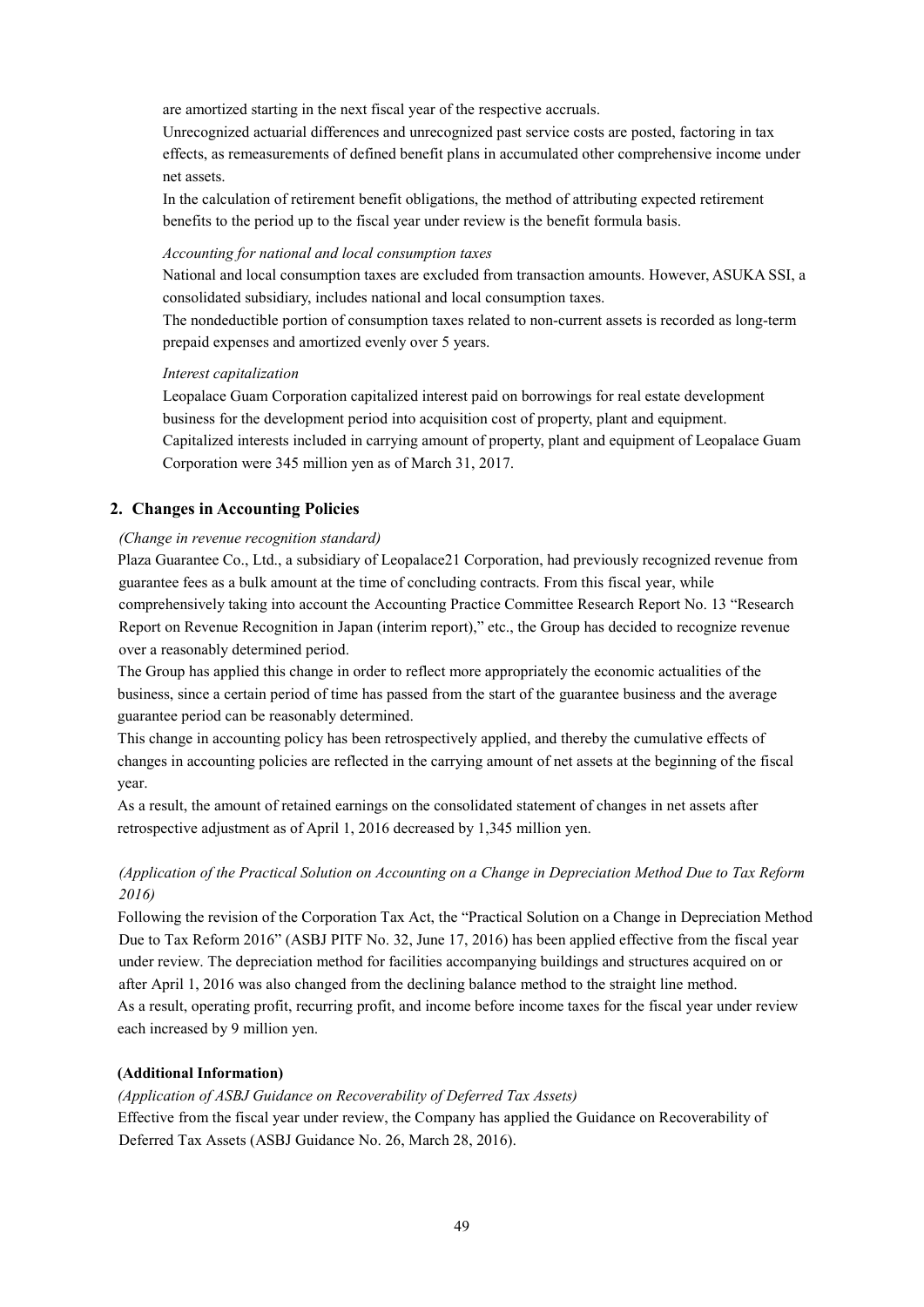are amortized starting in the next fiscal year of the respective accruals.

Unrecognized actuarial differences and unrecognized past service costs are posted, factoring in tax effects, as remeasurements of defined benefit plans in accumulated other comprehensive income under net assets.

In the calculation of retirement benefit obligations, the method of attributing expected retirement benefits to the period up to the fiscal year under review is the benefit formula basis.

#### *Accounting for national and local consumption taxes*

National and local consumption taxes are excluded from transaction amounts. However, ASUKA SSI, a consolidated subsidiary, includes national and local consumption taxes.

The nondeductible portion of consumption taxes related to non-current assets is recorded as long-term prepaid expenses and amortized evenly over 5 years.

#### *Interest capitalization*

Leopalace Guam Corporation capitalized interest paid on borrowings for real estate development business for the development period into acquisition cost of property, plant and equipment. Capitalized interests included in carrying amount of property, plant and equipment of Leopalace Guam Corporation were 345 million yen as of March 31, 2017.

#### **2. Changes in Accounting Policies**

#### *(Change in revenue recognition standard)*

Plaza Guarantee Co., Ltd., a subsidiary of Leopalace21 Corporation, had previously recognized revenue from guarantee fees as a bulk amount at the time of concluding contracts. From this fiscal year, while comprehensively taking into account the Accounting Practice Committee Research Report No. 13 "Research Report on Revenue Recognition in Japan (interim report)," etc., the Group has decided to recognize revenue over a reasonably determined period.

The Group has applied this change in order to reflect more appropriately the economic actualities of the business, since a certain period of time has passed from the start of the guarantee business and the average guarantee period can be reasonably determined.

This change in accounting policy has been retrospectively applied, and thereby the cumulative effects of changes in accounting policies are reflected in the carrying amount of net assets at the beginning of the fiscal year.

As a result, the amount of retained earnings on the consolidated statement of changes in net assets after retrospective adjustment as of April 1, 2016 decreased by 1,345 million yen.

# *(Application of the Practical Solution on Accounting on a Change in Depreciation Method Due to Tax Reform 2016)*

Following the revision of the Corporation Tax Act, the "Practical Solution on a Change in Depreciation Method Due to Tax Reform 2016" (ASBJ PITF No. 32, June 17, 2016) has been applied effective from the fiscal year under review. The depreciation method for facilities accompanying buildings and structures acquired on or after April 1, 2016 was also changed from the declining balance method to the straight line method. As a result, operating profit, recurring profit, and income before income taxes for the fiscal year under review each increased by 9 million yen.

#### **(Additional Information)**

*(Application of ASBJ Guidance on Recoverability of Deferred Tax Assets)*

Effective from the fiscal year under review, the Company has applied the Guidance on Recoverability of Deferred Tax Assets (ASBJ Guidance No. 26, March 28, 2016).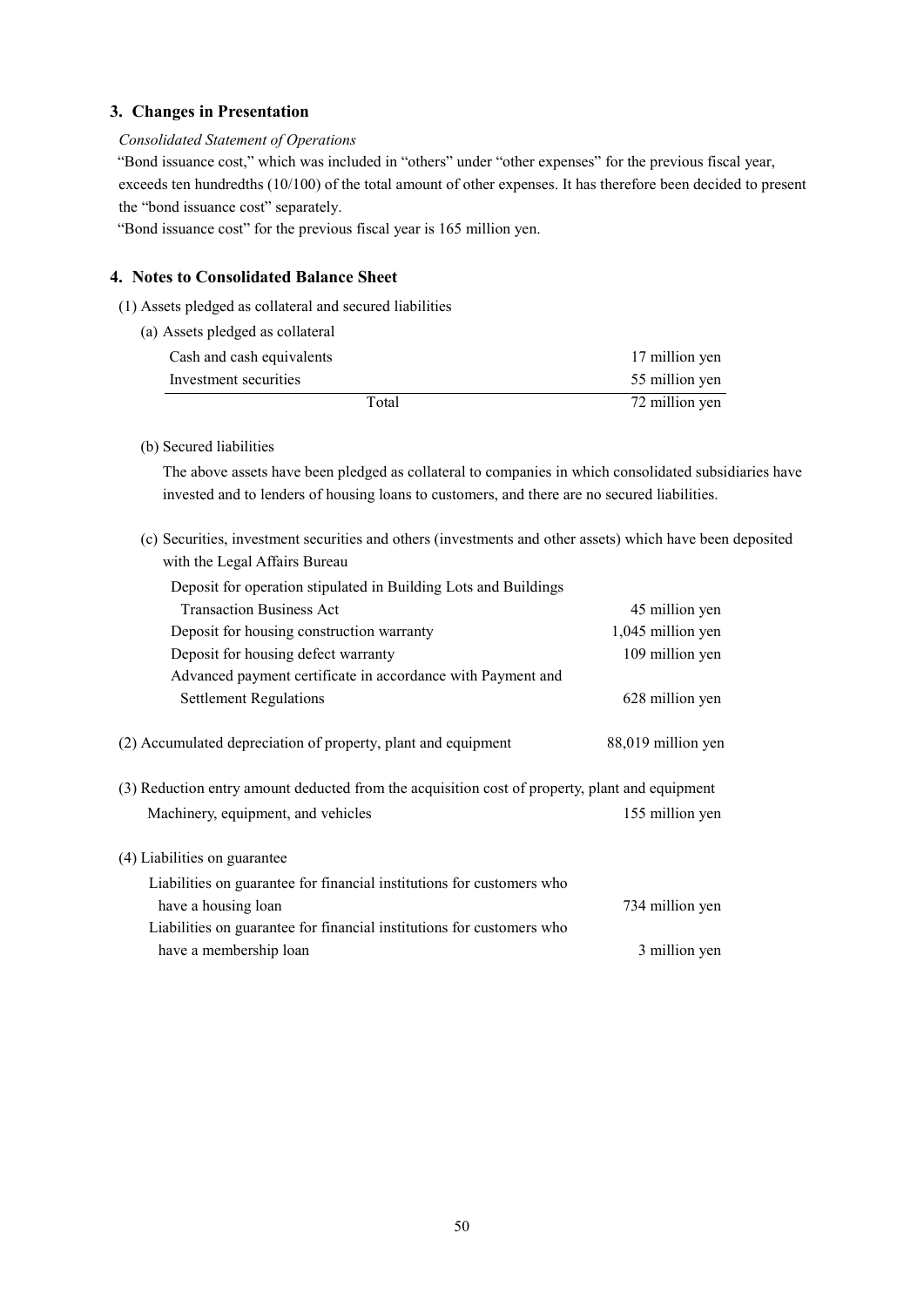## **3. Changes in Presentation**

#### *Consolidated Statement of Operations*

"Bond issuance cost," which was included in "others" under "other expenses" for the previous fiscal year, exceeds ten hundredths (10/100) of the total amount of other expenses. It has therefore been decided to present the "bond issuance cost" separately.

"Bond issuance cost" for the previous fiscal year is 165 million yen.

### **4. Notes to Consolidated Balance Sheet**

- (1) Assets pledged as collateral and secured liabilities
	- (a) Assets pledged as collateral

| Total                     | 72 million yen |
|---------------------------|----------------|
| Investment securities     | 55 million yen |
| Cash and cash equivalents | 17 million yen |
|                           |                |

(b) Secured liabilities

The above assets have been pledged as collateral to companies in which consolidated subsidiaries have invested and to lenders of housing loans to customers, and there are no secured liabilities.

(c) Securities, investment securities and others (investments and other assets) which have been deposited with the Legal Affairs Bureau

| 45 million yen                                                                                 |
|------------------------------------------------------------------------------------------------|
| 1,045 million yen                                                                              |
| 109 million yen                                                                                |
|                                                                                                |
| 628 million yen                                                                                |
| 88,019 million yen                                                                             |
| (3) Reduction entry amount deducted from the acquisition cost of property, plant and equipment |
| 155 million yen                                                                                |
|                                                                                                |
|                                                                                                |
| 734 million yen                                                                                |
|                                                                                                |
| 3 million yen                                                                                  |
|                                                                                                |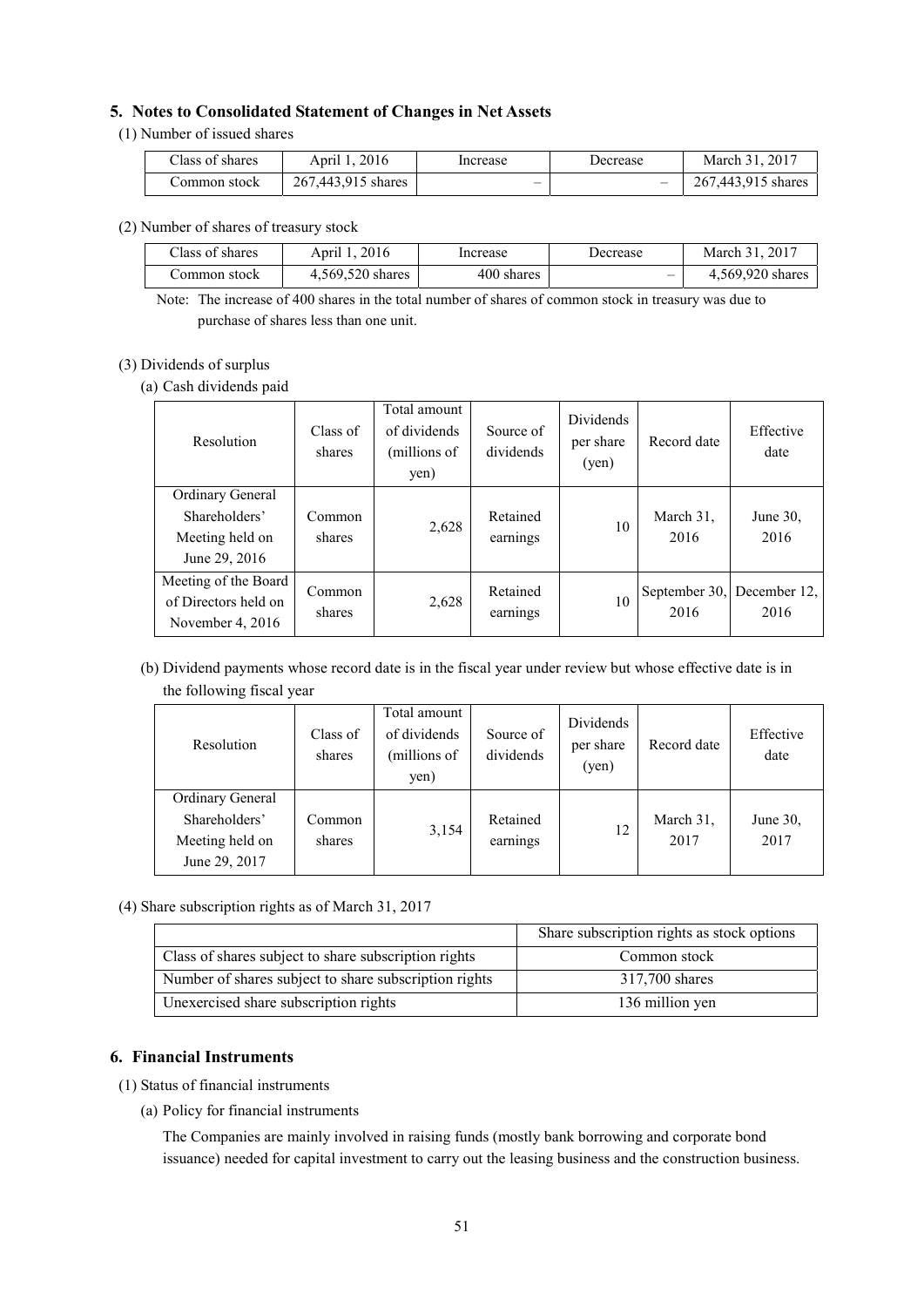#### **5. Notes to Consolidated Statement of Changes in Net Assets**

#### (1) Number of issued shares

| Class of shares | April 1, 2016      | Increase | Decrease | $\, . \, 2017$<br>March 31 |
|-----------------|--------------------|----------|----------|----------------------------|
| Common stock    | 267,443,915 shares | -        | -        | 267,443,915 shares         |

(2) Number of shares of treasury stock

| Class of shares | April 1, 2016    | Increase   | Decrease | March 31, 2017   |
|-----------------|------------------|------------|----------|------------------|
| ∴ommon stock    | 4,569,520 shares | 400 shares | -        | 4,569,920 shares |

Note: The increase of 400 shares in the total number of shares of common stock in treasury was due to purchase of shares less than one unit.

### (3) Dividends of surplus

(a) Cash dividends paid

| Resolution                                                            | Class of<br>shares | Total amount<br>of dividends<br>(millions of<br>yen) | Source of<br>dividends | <b>Dividends</b><br>per share<br>(yen) | Record date           | Effective<br>date    |
|-----------------------------------------------------------------------|--------------------|------------------------------------------------------|------------------------|----------------------------------------|-----------------------|----------------------|
| Ordinary General<br>Shareholders'<br>Meeting held on<br>June 29, 2016 | Common<br>shares   | 2,628                                                | Retained<br>earnings   | 10                                     | March 31.<br>2016     | June 30,<br>2016     |
| Meeting of the Board<br>of Directors held on<br>November 4, $2016$    | Common<br>shares   | 2,628                                                | Retained<br>earnings   | 10                                     | September 30,<br>2016 | December 12,<br>2016 |

# (b) Dividend payments whose record date is in the fiscal year under review but whose effective date is in the following fiscal year

| Resolution                                                            | Class of<br>shares | Total amount<br>of dividends<br>(millions of<br>yen) | Source of<br>dividends | <b>Dividends</b><br>per share<br>(yen) | Record date       | Effective<br>date |
|-----------------------------------------------------------------------|--------------------|------------------------------------------------------|------------------------|----------------------------------------|-------------------|-------------------|
| Ordinary General<br>Shareholders'<br>Meeting held on<br>June 29, 2017 | Common<br>shares   | 3,154                                                | Retained<br>earnings   | 12                                     | March 31,<br>2017 | June 30,<br>2017  |

(4) Share subscription rights as of March 31, 2017

|                                                       | Share subscription rights as stock options |
|-------------------------------------------------------|--------------------------------------------|
| Class of shares subject to share subscription rights  | Common stock                               |
| Number of shares subject to share subscription rights | 317,700 shares                             |
| Unexercised share subscription rights                 | 136 million yen                            |

### **6. Financial Instruments**

- (1) Status of financial instruments
	- (a) Policy for financial instruments

The Companies are mainly involved in raising funds (mostly bank borrowing and corporate bond issuance) needed for capital investment to carry out the leasing business and the construction business.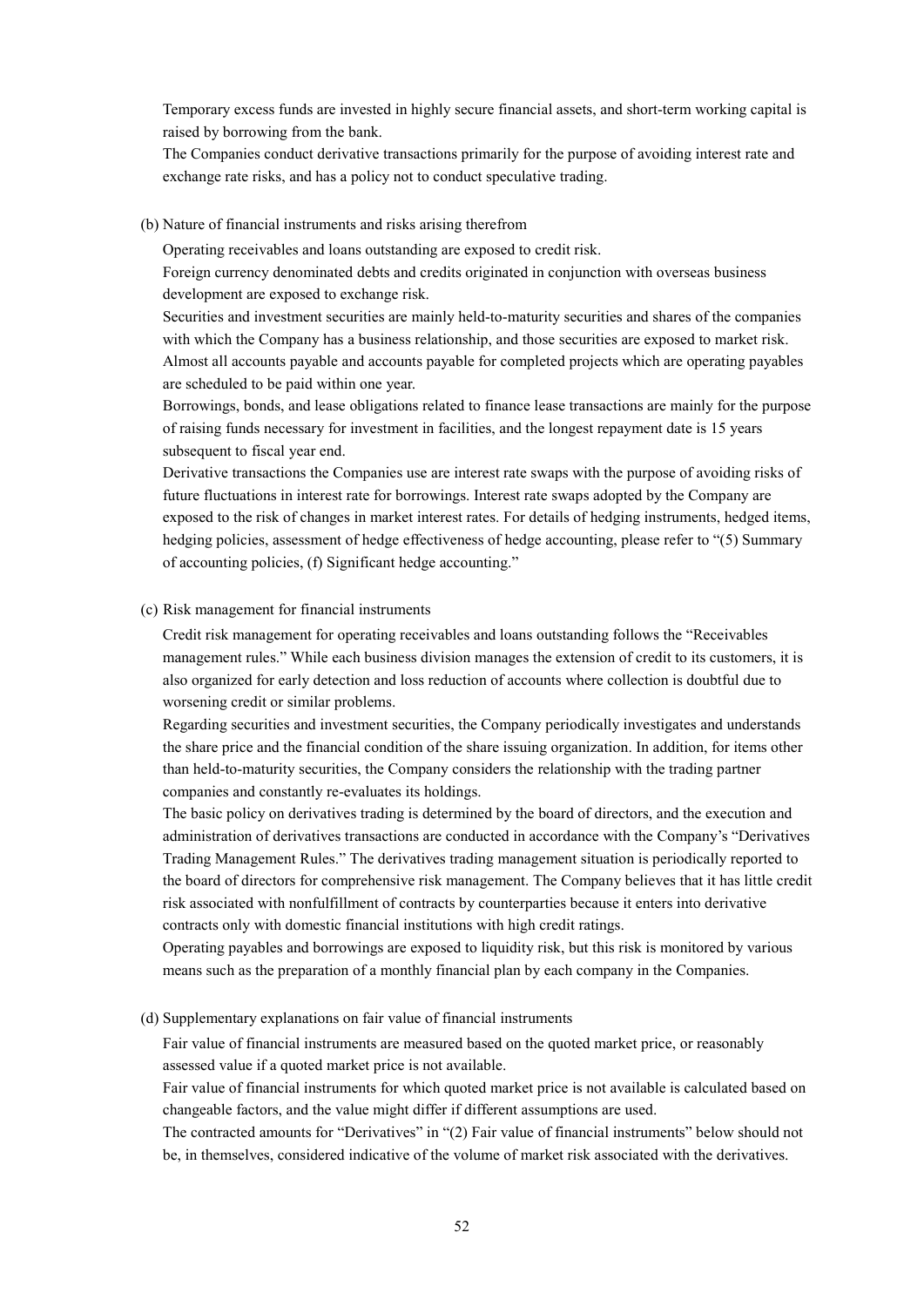Temporary excess funds are invested in highly secure financial assets, and short-term working capital is raised by borrowing from the bank.

The Companies conduct derivative transactions primarily for the purpose of avoiding interest rate and exchange rate risks, and has a policy not to conduct speculative trading.

#### (b) Nature of financial instruments and risks arising therefrom

Operating receivables and loans outstanding are exposed to credit risk.

Foreign currency denominated debts and credits originated in conjunction with overseas business development are exposed to exchange risk.

Securities and investment securities are mainly held-to-maturity securities and shares of the companies with which the Company has a business relationship, and those securities are exposed to market risk. Almost all accounts payable and accounts payable for completed projects which are operating payables are scheduled to be paid within one year.

Borrowings, bonds, and lease obligations related to finance lease transactions are mainly for the purpose of raising funds necessary for investment in facilities, and the longest repayment date is 15 years subsequent to fiscal year end.

Derivative transactions the Companies use are interest rate swaps with the purpose of avoiding risks of future fluctuations in interest rate for borrowings. Interest rate swaps adopted by the Company are exposed to the risk of changes in market interest rates. For details of hedging instruments, hedged items, hedging policies, assessment of hedge effectiveness of hedge accounting, please refer to "(5) Summary of accounting policies, (f) Significant hedge accounting."

#### (c) Risk management for financial instruments

Credit risk management for operating receivables and loans outstanding follows the "Receivables management rules." While each business division manages the extension of credit to its customers, it is also organized for early detection and loss reduction of accounts where collection is doubtful due to worsening credit or similar problems.

Regarding securities and investment securities, the Company periodically investigates and understands the share price and the financial condition of the share issuing organization. In addition, for items other than held-to-maturity securities, the Company considers the relationship with the trading partner companies and constantly re-evaluates its holdings.

The basic policy on derivatives trading is determined by the board of directors, and the execution and administration of derivatives transactions are conducted in accordance with the Company's "Derivatives Trading Management Rules." The derivatives trading management situation is periodically reported to the board of directors for comprehensive risk management. The Company believes that it has little credit risk associated with nonfulfillment of contracts by counterparties because it enters into derivative contracts only with domestic financial institutions with high credit ratings.

Operating payables and borrowings are exposed to liquidity risk, but this risk is monitored by various means such as the preparation of a monthly financial plan by each company in the Companies.

(d) Supplementary explanations on fair value of financial instruments

Fair value of financial instruments are measured based on the quoted market price, or reasonably assessed value if a quoted market price is not available.

Fair value of financial instruments for which quoted market price is not available is calculated based on changeable factors, and the value might differ if different assumptions are used.

The contracted amounts for "Derivatives" in "(2) Fair value of financial instruments" below should not be, in themselves, considered indicative of the volume of market risk associated with the derivatives.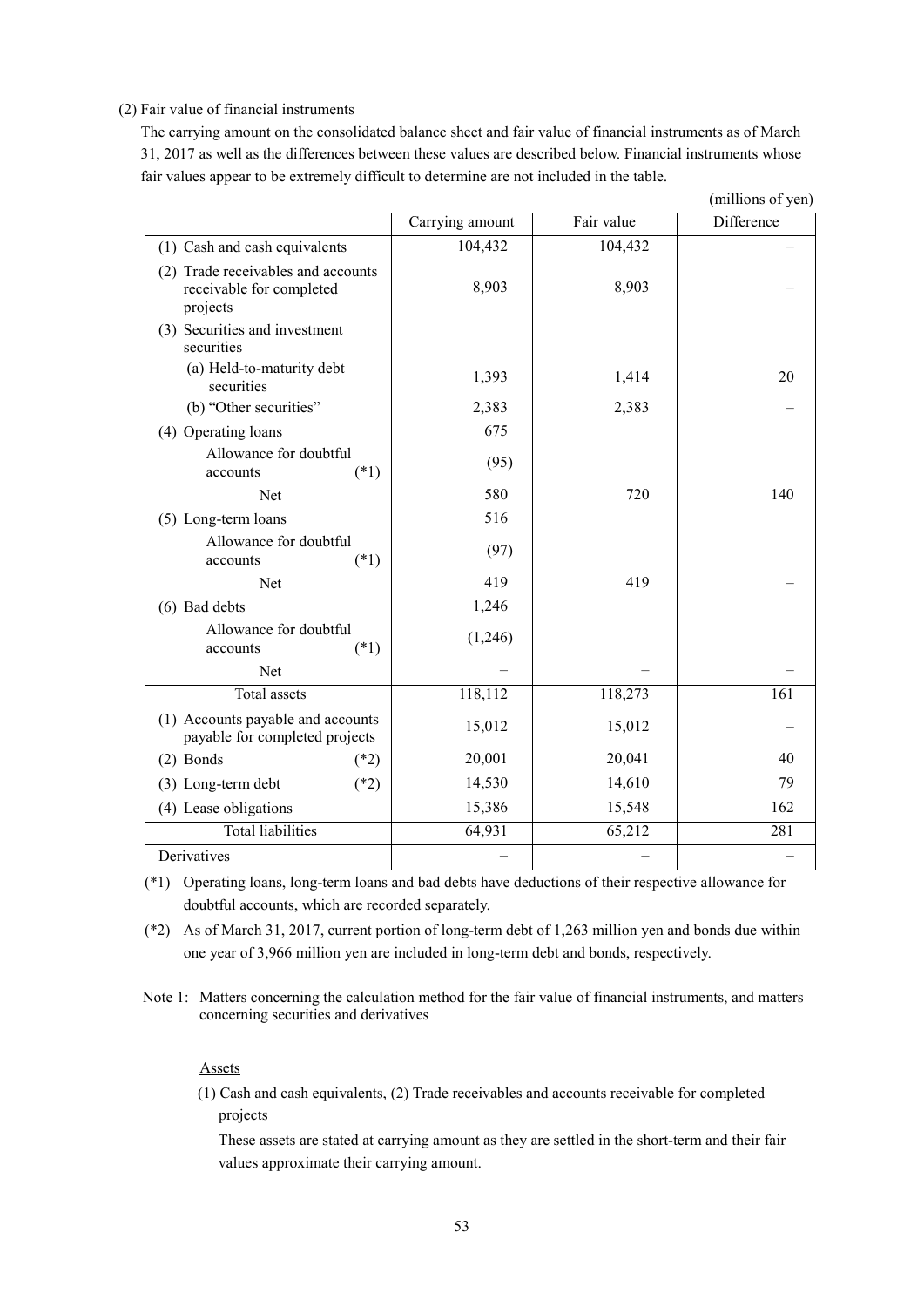#### (2) Fair value of financial instruments

The carrying amount on the consolidated balance sheet and fair value of financial instruments as of March 31, 2017 as well as the differences between these values are described below. Financial instruments whose fair values appear to be extremely difficult to determine are not included in the table.

|                                                                            |                 |            | (millions of yen) |
|----------------------------------------------------------------------------|-----------------|------------|-------------------|
|                                                                            | Carrying amount | Fair value | Difference        |
| (1) Cash and cash equivalents                                              | 104,432         | 104,432    |                   |
| (2) Trade receivables and accounts<br>receivable for completed<br>projects | 8,903           | 8,903      |                   |
| (3) Securities and investment<br>securities                                |                 |            |                   |
| (a) Held-to-maturity debt<br>securities                                    | 1,393           | 1,414      | 20                |
| (b) "Other securities"                                                     | 2,383           | 2,383      |                   |
| (4) Operating loans                                                        | 675             |            |                   |
| Allowance for doubtful<br>$(*1)$<br>accounts                               | (95)            |            |                   |
| Net                                                                        | 580             | 720        | 140               |
| (5) Long-term loans                                                        | 516             |            |                   |
| Allowance for doubtful<br>$(*1)$<br>accounts                               | (97)            |            |                   |
| <b>Net</b>                                                                 | 419             | 419        |                   |
| (6) Bad debts                                                              | 1,246           |            |                   |
| Allowance for doubtful<br>$(*1)$<br>accounts                               | (1,246)         |            |                   |
| <b>Net</b>                                                                 |                 |            |                   |
| <b>Total assets</b>                                                        | 118,112         | 118,273    | 161               |
| (1) Accounts payable and accounts<br>payable for completed projects        | 15,012          | 15,012     |                   |
| $(2)$ Bonds<br>$(*2)$                                                      | 20,001          | 20,041     | 40                |
| (3) Long-term debt<br>$(*2)$                                               | 14,530          | 14,610     | 79                |
| (4) Lease obligations                                                      | 15,386          | 15,548     | 162               |
| <b>Total liabilities</b>                                                   | 64,931          | 65,212     | 281               |
| Derivatives                                                                |                 |            |                   |

(\*1) Operating loans, long-term loans and bad debts have deductions of their respective allowance for doubtful accounts, which are recorded separately.

(\*2) As of March 31, 2017, current portion of long-term debt of 1,263 million yen and bonds due within one year of 3,966 million yen are included in long-term debt and bonds, respectively.

Note 1: Matters concerning the calculation method for the fair value of financial instruments, and matters concerning securities and derivatives

#### Assets

(1) Cash and cash equivalents, (2) Trade receivables and accounts receivable for completed projects

These assets are stated at carrying amount as they are settled in the short-term and their fair values approximate their carrying amount.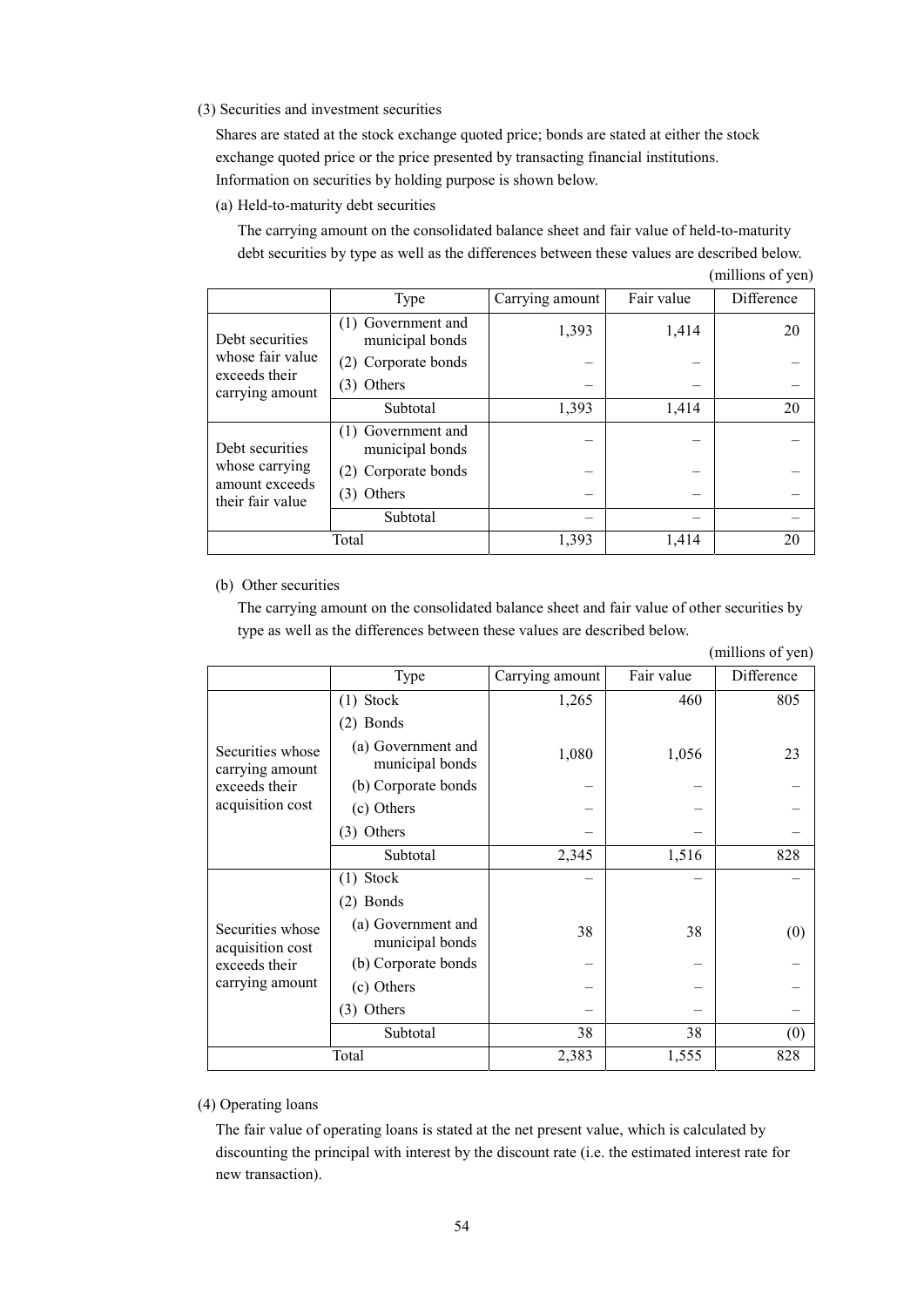(3) Securities and investment securities

Shares are stated at the stock exchange quoted price; bonds are stated at either the stock exchange quoted price or the price presented by transacting financial institutions. Information on securities by holding purpose is shown below.

(a) Held-to-maturity debt securities

The carrying amount on the consolidated balance sheet and fair value of held-to-maturity debt securities by type as well as the differences between these values are described below.

|                                                      | Type                                  | Carrying amount | Fair value | Difference |
|------------------------------------------------------|---------------------------------------|-----------------|------------|------------|
| Debt securities                                      | (1) Government and<br>municipal bonds | 1,393           | 1,414      | 20         |
| whose fair value                                     | (2) Corporate bonds                   |                 |            |            |
| exceeds their<br>carrying amount                     | (3) Others                            |                 |            |            |
|                                                      | Subtotal                              | 1,393           | 1,414      | 20         |
| Debt securities                                      | (1) Government and<br>municipal bonds |                 |            |            |
| whose carrying<br>amount exceeds<br>their fair value | (2) Corporate bonds                   |                 |            |            |
|                                                      | (3) Others                            |                 |            |            |
|                                                      | Subtotal                              |                 |            |            |
|                                                      | Total                                 | 1,393           | 1,414      | 20         |

# (millions of yen)

#### (b) Other securities

The carrying amount on the consolidated balance sheet and fair value of other securities by type as well as the differences between these values are described below.

|                                      | Type                                  | Carrying amount | Fair value | Difference |
|--------------------------------------|---------------------------------------|-----------------|------------|------------|
|                                      | $(1)$ Stock                           | 1,265           | 460        | 805        |
|                                      | $(2)$ Bonds                           |                 |            |            |
| Securities whose<br>carrying amount  | (a) Government and<br>municipal bonds | 1,080           | 1,056      | 23         |
| exceeds their                        | (b) Corporate bonds                   |                 |            |            |
| acquisition cost                     | (c) Others                            |                 |            |            |
|                                      | Others<br>(3)                         |                 |            |            |
|                                      | Subtotal                              | 2,345           | 1,516      | 828        |
|                                      | $(1)$ Stock                           |                 |            |            |
|                                      | $(2)$ Bonds                           |                 |            |            |
| Securities whose<br>acquisition cost | (a) Government and<br>municipal bonds | 38              | 38         | (0)        |
| exceeds their                        | (b) Corporate bonds                   |                 |            |            |
| carrying amount                      | (c) Others                            |                 |            |            |
|                                      | Others<br>(3)                         |                 |            |            |
|                                      | Subtotal                              | 38              | 38         | (0)        |
|                                      | Total                                 | 2,383           | 1,555      | 828        |

(millions of yen)

#### (4) Operating loans

The fair value of operating loans is stated at the net present value, which is calculated by discounting the principal with interest by the discount rate (i.e. the estimated interest rate for new transaction).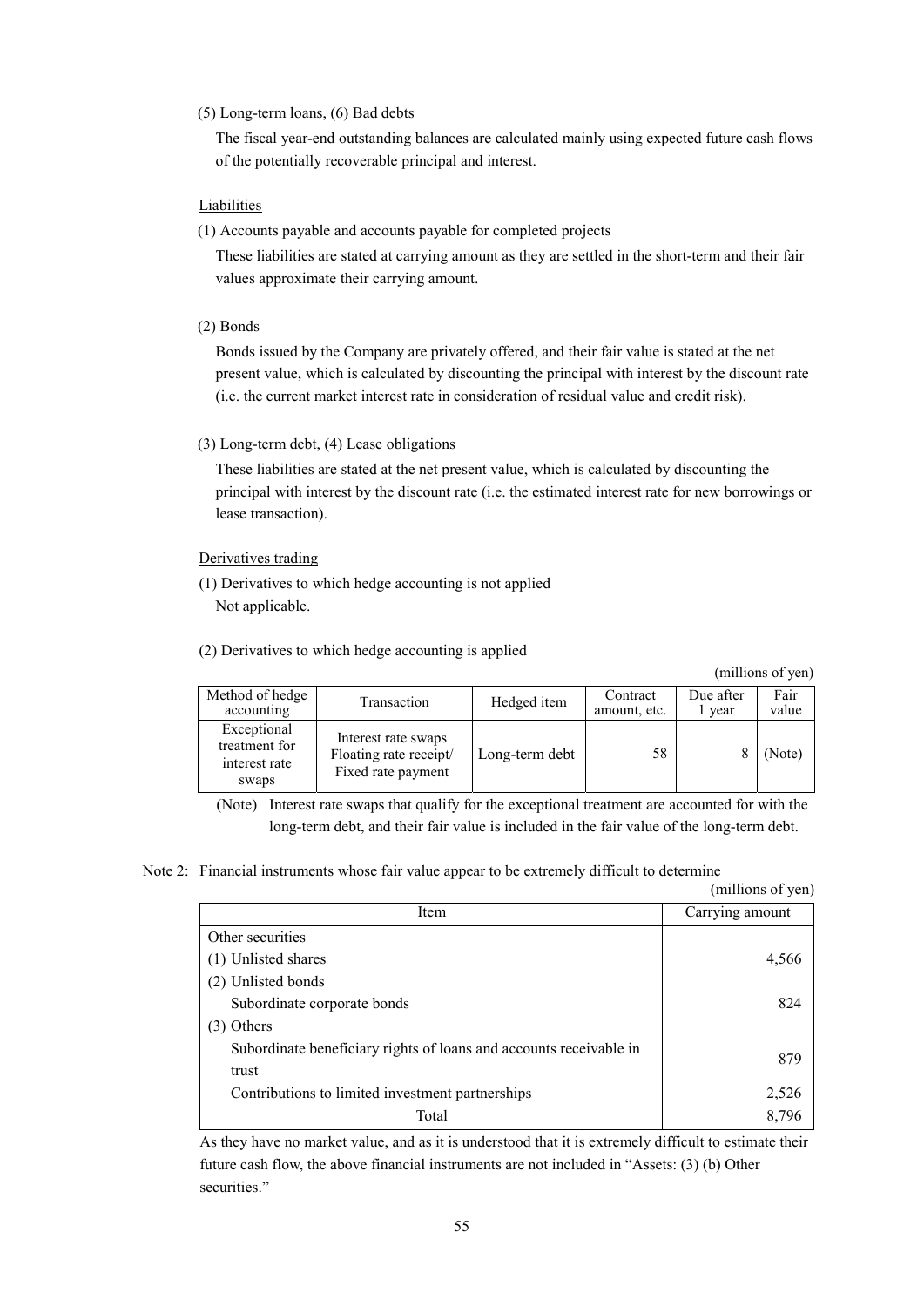#### (5) Long-term loans, (6) Bad debts

The fiscal year-end outstanding balances are calculated mainly using expected future cash flows of the potentially recoverable principal and interest.

#### **Liabilities**

(1) Accounts payable and accounts payable for completed projects

These liabilities are stated at carrying amount as they are settled in the short-term and their fair values approximate their carrying amount.

(2) Bonds

Bonds issued by the Company are privately offered, and their fair value is stated at the net present value, which is calculated by discounting the principal with interest by the discount rate (i.e. the current market interest rate in consideration of residual value and credit risk).

(3) Long-term debt, (4) Lease obligations

These liabilities are stated at the net present value, which is calculated by discounting the principal with interest by the discount rate (i.e. the estimated interest rate for new borrowings or lease transaction).

#### Derivatives trading

- (1) Derivatives to which hedge accounting is not applied Not applicable.
- (2) Derivatives to which hedge accounting is applied

(millions of yen)

| Method of hedge<br>accounting                          | Transaction                                                         | Hedged item    | Contract<br>amount, etc. | Due after<br>year | Fair<br>value |
|--------------------------------------------------------|---------------------------------------------------------------------|----------------|--------------------------|-------------------|---------------|
| Exceptional<br>treatment for<br>interest rate<br>swaps | Interest rate swaps<br>Floating rate receipt/<br>Fixed rate payment | Long-term debt | 58                       |                   | (Note)        |

(Note) Interest rate swaps that qualify for the exceptional treatment are accounted for with the long-term debt, and their fair value is included in the fair value of the long-term debt.

#### Note 2: Financial instruments whose fair value appear to be extremely difficult to determine

|                                                                    | (millions of yen) |
|--------------------------------------------------------------------|-------------------|
| Item                                                               | Carrying amount   |
| Other securities                                                   |                   |
| (1) Unlisted shares                                                | 4,566             |
| (2) Unlisted bonds                                                 |                   |
| Subordinate corporate bonds                                        | 824               |
| (3) Others                                                         |                   |
| Subordinate beneficiary rights of loans and accounts receivable in | 879               |
| trust                                                              |                   |
| Contributions to limited investment partnerships                   | 2,526             |
| Total                                                              | 8,796             |

As they have no market value, and as it is understood that it is extremely difficult to estimate their future cash flow, the above financial instruments are not included in "Assets: (3) (b) Other securities."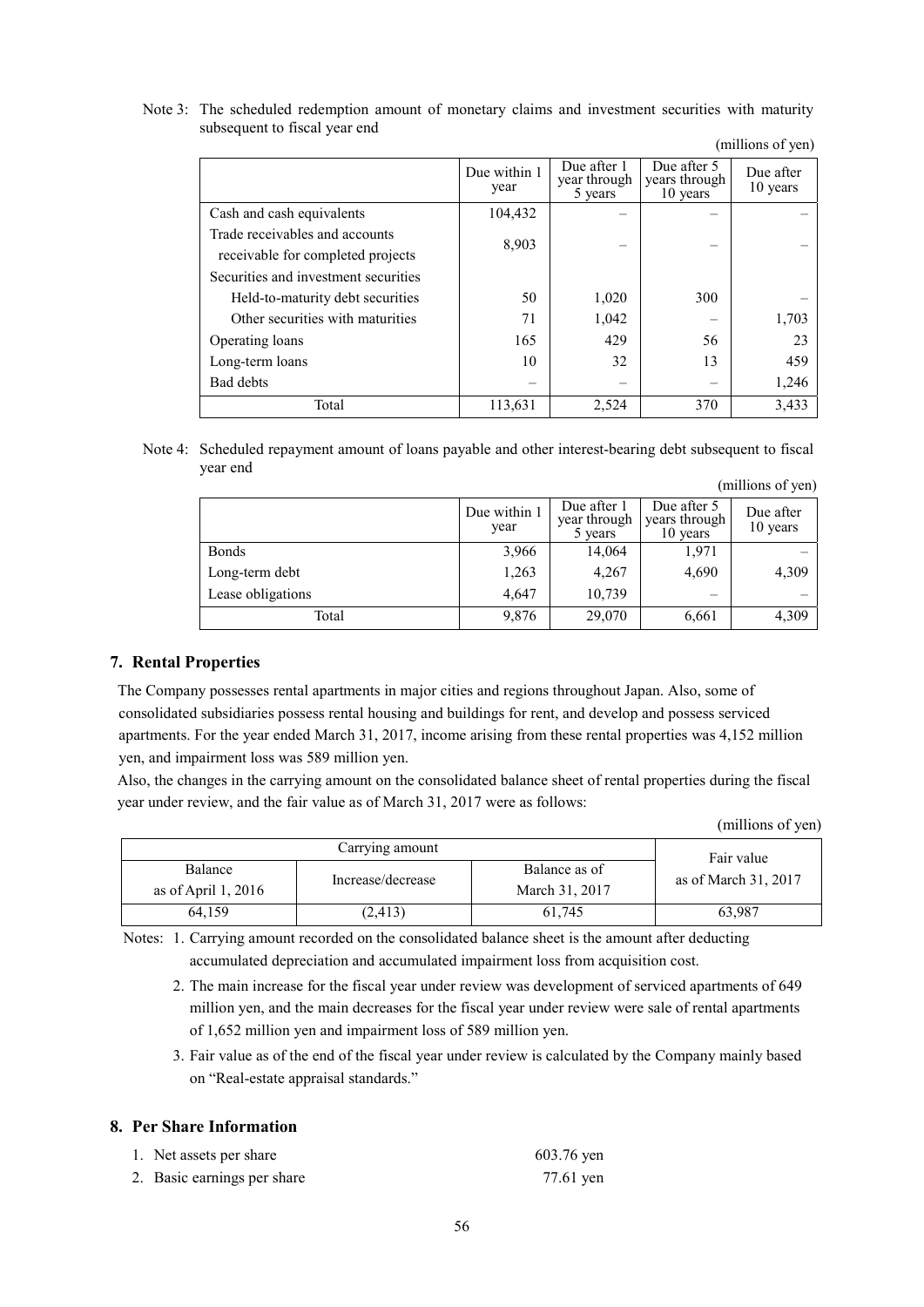Note 3: The scheduled redemption amount of monetary claims and investment securities with maturity subsequent to fiscal year end

|                                                                     | Due within 1<br>year | Due after 1<br>year through<br>5 years | Due after 5<br>years through<br>10 years | Due after<br>10 years |
|---------------------------------------------------------------------|----------------------|----------------------------------------|------------------------------------------|-----------------------|
| Cash and cash equivalents                                           | 104,432              |                                        |                                          |                       |
| Trade receivables and accounts<br>receivable for completed projects | 8,903                |                                        |                                          |                       |
| Securities and investment securities                                |                      |                                        |                                          |                       |
| Held-to-maturity debt securities                                    | 50                   | 1,020                                  | 300                                      |                       |
| Other securities with maturities                                    | 71                   | 1,042                                  |                                          | 1,703                 |
| Operating loans                                                     | 165                  | 429                                    | 56                                       | 23                    |
| Long-term loans                                                     | 10                   | 32                                     | 13                                       | 459                   |
| <b>Bad debts</b>                                                    |                      |                                        |                                          | 1,246                 |
| Total                                                               | 113,631              | 2,524                                  | 370                                      | 3,433                 |

(millions of yen)

Note 4: Scheduled repayment amount of loans payable and other interest-bearing debt subsequent to fiscal year end (millions of yen)

|                   | Due within 1<br>year | Due after 1<br>year through<br>5 years | Due after 5<br>years through<br>10 years | Due after<br>10 years |
|-------------------|----------------------|----------------------------------------|------------------------------------------|-----------------------|
| <b>Bonds</b>      | 3,966                | 14,064                                 | 1,971                                    |                       |
| Long-term debt    | 1,263                | 4,267                                  | 4,690                                    | 4,309                 |
| Lease obligations | 4,647                | 10,739                                 | $\overline{\phantom{0}}$                 |                       |
| Total             | 9,876                | 29,070                                 | 6,661                                    | 4,309                 |

#### **7. Rental Properties**

The Company possesses rental apartments in major cities and regions throughout Japan. Also, some of consolidated subsidiaries possess rental housing and buildings for rent, and develop and possess serviced apartments. For the year ended March 31, 2017, income arising from these rental properties was 4,152 million yen, and impairment loss was 589 million yen.

Also, the changes in the carrying amount on the consolidated balance sheet of rental properties during the fiscal year under review, and the fair value as of March 31, 2017 were as follows:

(millions of yen)

|                                                       | Fair value |                                 |                      |
|-------------------------------------------------------|------------|---------------------------------|----------------------|
| Balance<br>Increase/decrease<br>as of April 1, $2016$ |            | Balance as of<br>March 31, 2017 | as of March 31, 2017 |
| 64.159                                                | (2, 413)   | 61.745                          | 63,987               |

Notes: 1. Carrying amount recorded on the consolidated balance sheet is the amount after deducting accumulated depreciation and accumulated impairment loss from acquisition cost.

 2. The main increase for the fiscal year under review was development of serviced apartments of 649 million yen, and the main decreases for the fiscal year under review were sale of rental apartments of 1,652 million yen and impairment loss of 589 million yen.

 3. Fair value as of the end of the fiscal year under review is calculated by the Company mainly based on "Real-estate appraisal standards."

#### **8. Per Share Information**

| 1. Net assets per share     | 603.76 yen |
|-----------------------------|------------|
| 2. Basic earnings per share | 77.61 yen  |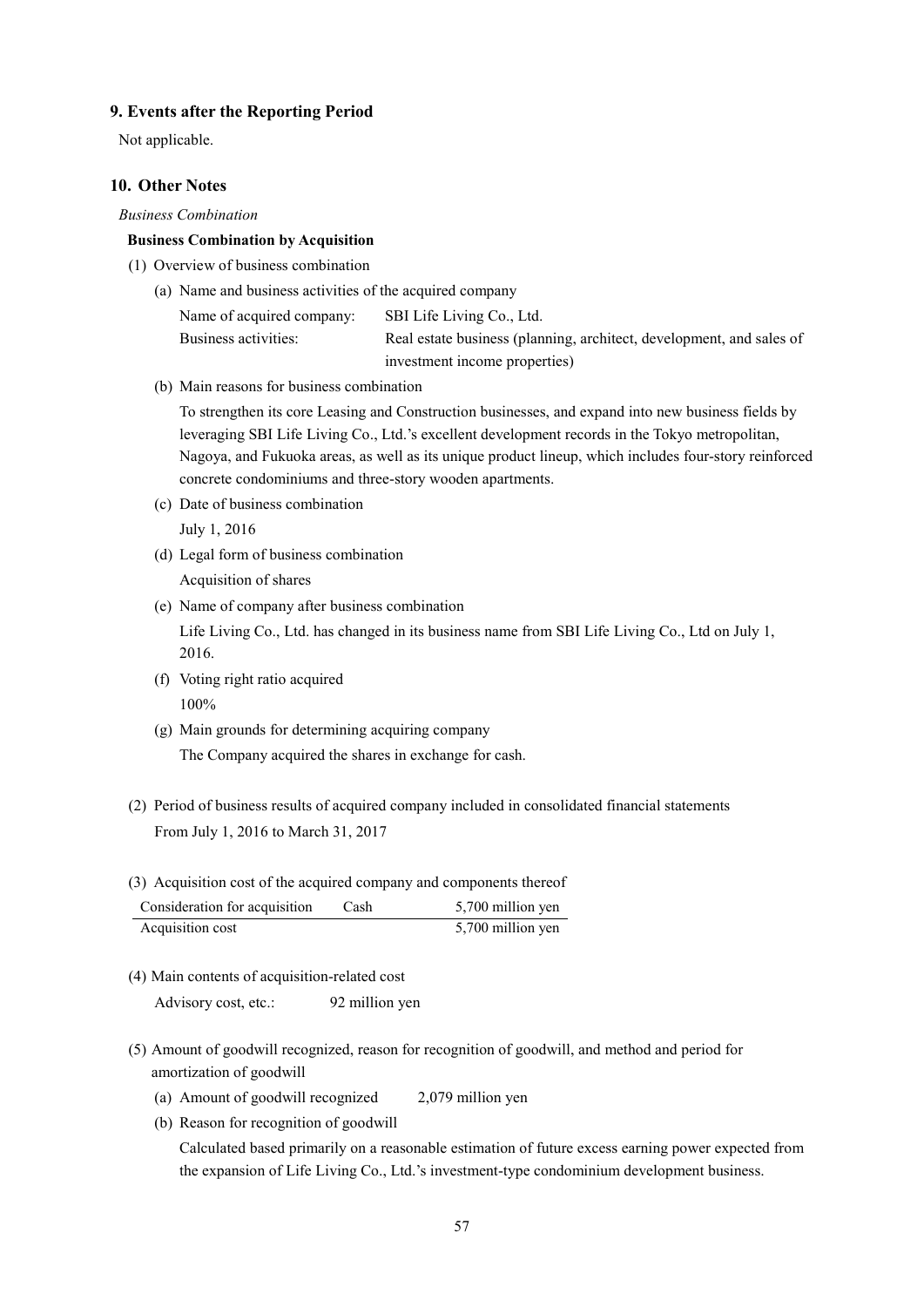#### **9. Events after the Reporting Period**

Not applicable.

#### **10. Other Notes**

#### *Business Combination*

#### **Business Combination by Acquisition**

- (1) Overview of business combination
	- (a) Name and business activities of the acquired company

Name of acquired company: SBI Life Living Co., Ltd. Business activities: Real estate business (planning, architect, development, and sales of investment income properties)

(b) Main reasons for business combination

To strengthen its core Leasing and Construction businesses, and expand into new business fields by leveraging SBI Life Living Co., Ltd.'s excellent development records in the Tokyo metropolitan, Nagoya, and Fukuoka areas, as well as its unique product lineup, which includes four-story reinforced concrete condominiums and three-story wooden apartments.

(c) Date of business combination

July 1, 2016

(d) Legal form of business combination

Acquisition of shares

(e) Name of company after business combination

Life Living Co., Ltd. has changed in its business name from SBI Life Living Co., Ltd on July 1, 2016.

- (f) Voting right ratio acquired 100%
- (g) Main grounds for determining acquiring company The Company acquired the shares in exchange for cash.
- (2) Period of business results of acquired company included in consolidated financial statements From July 1, 2016 to March 31, 2017
- (3) Acquisition cost of the acquired company and components thereof

| Consideration for acquisition | Cash | 5,700 million yen |
|-------------------------------|------|-------------------|
| Acquisition cost              |      | 5,700 million yen |

(4) Main contents of acquisition-related cost

Advisory cost, etc.: 92 million yen

- (5) Amount of goodwill recognized, reason for recognition of goodwill, and method and period for amortization of goodwill
	- (a) Amount of goodwill recognized 2,079 million yen
	- (b) Reason for recognition of goodwill

Calculated based primarily on a reasonable estimation of future excess earning power expected from the expansion of Life Living Co., Ltd.'s investment-type condominium development business.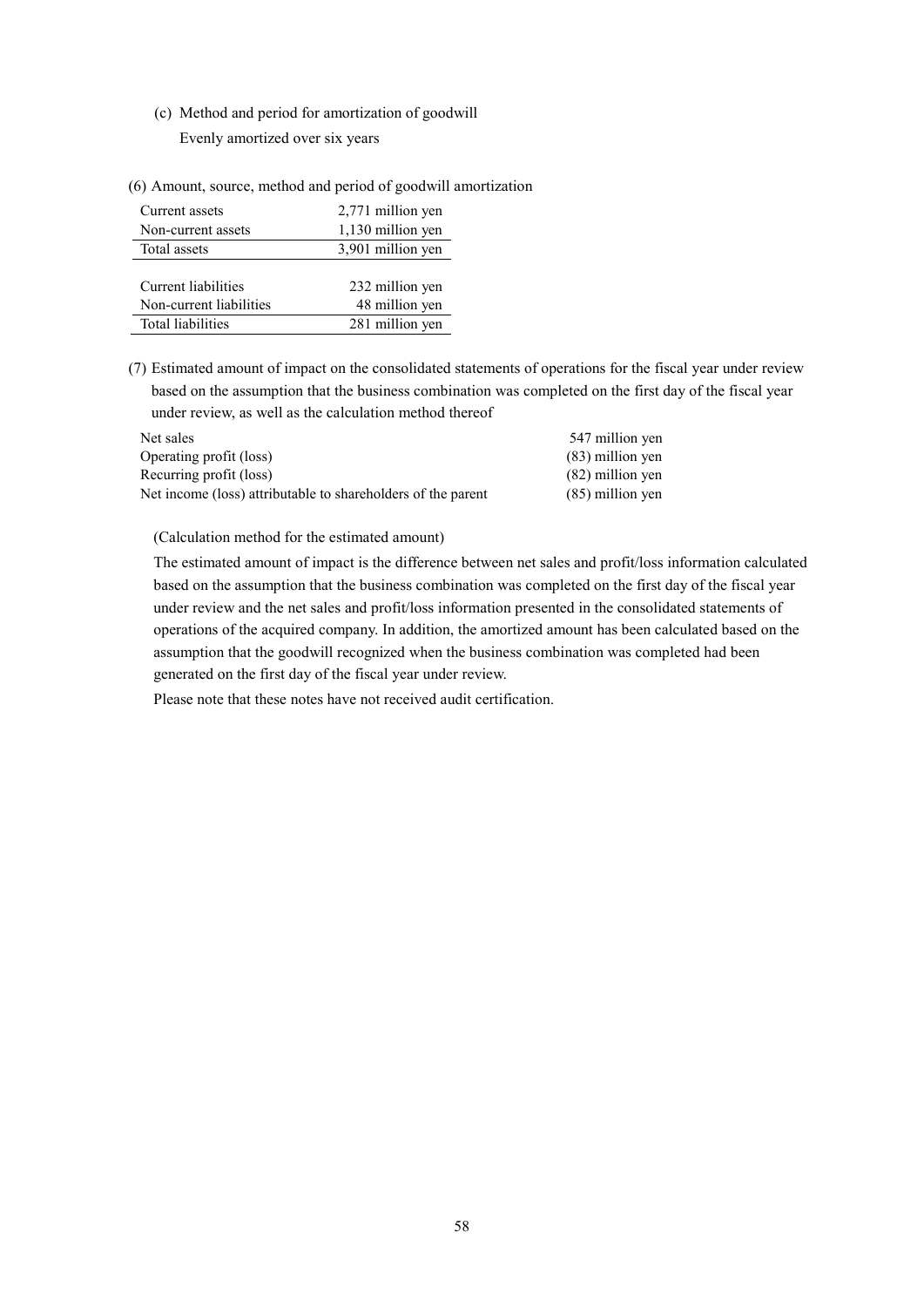(c) Method and period for amortization of goodwill

Evenly amortized over six years

(6) Amount, source, method and period of goodwill amortization

| Current assets          | 2,771 million yen |
|-------------------------|-------------------|
| Non-current assets      | 1,130 million yen |
| Total assets            | 3,901 million yen |
|                         |                   |
| Current liabilities     | 232 million yen   |
| Non-current liabilities | 48 million yen    |
| Total liabilities       | 281 million yen   |

(7) Estimated amount of impact on the consolidated statements of operations for the fiscal year under review based on the assumption that the business combination was completed on the first day of the fiscal year under review, as well as the calculation method thereof

| Net sales                                                    | 547 million yen    |
|--------------------------------------------------------------|--------------------|
| Operating profit (loss)                                      | $(83)$ million yen |
| Recurring profit (loss)                                      | $(82)$ million yen |
| Net income (loss) attributable to shareholders of the parent | $(85)$ million yen |

(Calculation method for the estimated amount)

The estimated amount of impact is the difference between net sales and profit/loss information calculated based on the assumption that the business combination was completed on the first day of the fiscal year under review and the net sales and profit/loss information presented in the consolidated statements of operations of the acquired company. In addition, the amortized amount has been calculated based on the assumption that the goodwill recognized when the business combination was completed had been generated on the first day of the fiscal year under review.

Please note that these notes have not received audit certification.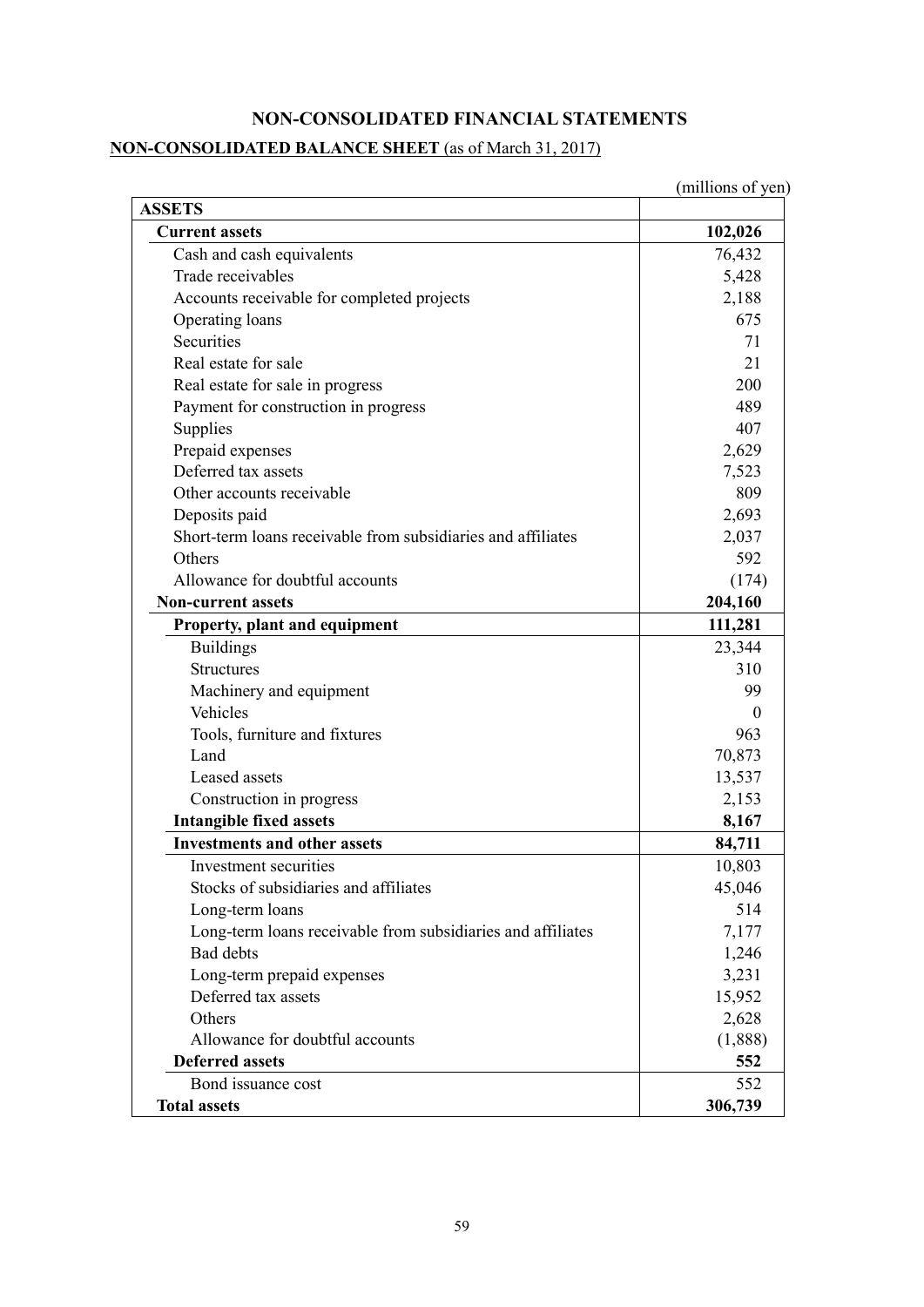### **NON-CONSOLIDATED FINANCIAL STATEMENTS**

#### **NON-CONSOLIDATED BALANCE SHEET** (as of March 31, 2017)

(millions of yen) **ASSETS Current assets** 102,026 Cash and cash equivalents 76,432 Trade receivables 5,428 Accounts receivable for completed projects 2,188 Operating loans 675 Securities 71 Real estate for sale 21 Real estate for sale in progress 200 Payment for construction in progress 489 Supplies 407 Prepaid expenses 2,629 Deferred tax assets 7,523 Other accounts receivable 809 Deposits paid 2,693 Short-term loans receivable from subsidiaries and affiliates 2,037 Others 592 Allowance for doubtful accounts (174) (174) **Non-current assets 204,160 Property, plant and equipment** 111,281 Buildings 23,344 Structures 310 Machinery and equipment 99 Vehicles 0 Tools, furniture and fixtures 1963 Land 70,873 Leased assets 13,537 Construction in progress 2,153 **Intangible fixed assets** 8,167 **Investments and other assets** 84,711 Investment securities 10,803 Stocks of subsidiaries and affiliates 45,046  $\text{Long-term loans}$  514 Long-term loans receivable from subsidiaries and affiliates 1.177 Bad debts 1,246 Long-term prepaid expenses 3,231 Deferred tax assets 15,952 Others 2,628 Allowance for doubtful accounts (1,888) **Deferred assets** 552 Bond issuance cost 552 **Total assets** 306,739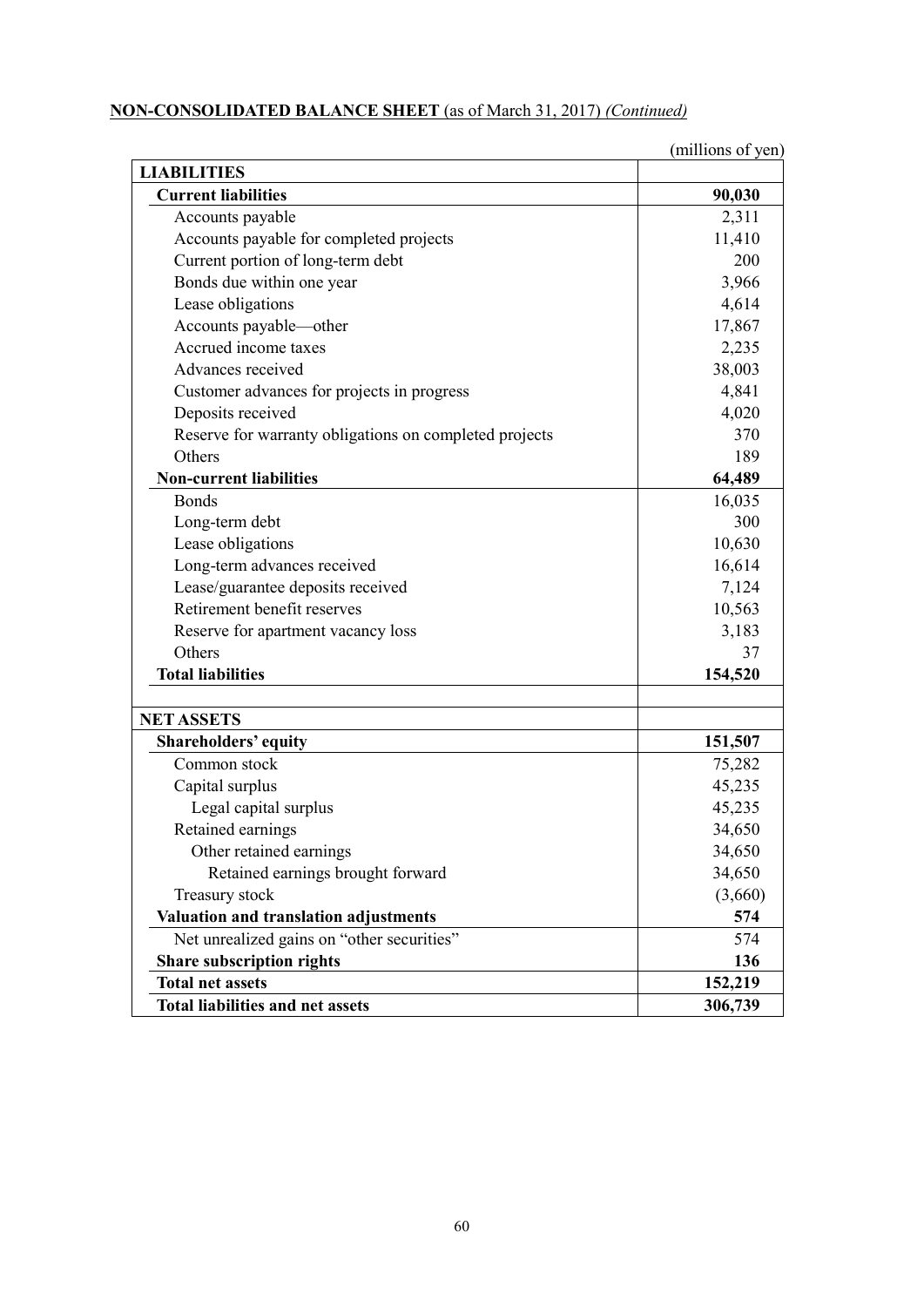# **NON-CONSOLIDATED BALANCE SHEET** (as of March 31, 2017) *(Continued)*

|                                                        | (millions of yen) |
|--------------------------------------------------------|-------------------|
| <b>LIABILITIES</b>                                     |                   |
| <b>Current liabilities</b>                             | 90,030            |
| Accounts payable                                       | 2,311             |
| Accounts payable for completed projects                | 11,410            |
| Current portion of long-term debt                      | 200               |
| Bonds due within one year                              | 3,966             |
| Lease obligations                                      | 4,614             |
| Accounts payable-other                                 | 17,867            |
| Accrued income taxes                                   | 2,235             |
| Advances received                                      | 38,003            |
| Customer advances for projects in progress             | 4,841             |
| Deposits received                                      | 4,020             |
| Reserve for warranty obligations on completed projects | 370               |
| Others                                                 | 189               |
| <b>Non-current liabilities</b>                         | 64,489            |
| <b>Bonds</b>                                           | 16,035            |
| Long-term debt                                         | 300               |
| Lease obligations                                      | 10,630            |
| Long-term advances received                            | 16,614            |
| Lease/guarantee deposits received                      | 7,124             |
| Retirement benefit reserves                            | 10,563            |
| Reserve for apartment vacancy loss                     | 3,183             |
| Others                                                 | 37                |
| <b>Total liabilities</b>                               | 154,520           |
| <b>NET ASSETS</b>                                      |                   |
| <b>Shareholders' equity</b>                            | 151,507           |
| Common stock                                           | 75,282            |
| Capital surplus                                        | 45,235            |
| Legal capital surplus                                  | 45,235            |
| Retained earnings                                      | 34,650            |
| Other retained earnings                                | 34,650            |
| Retained earnings brought forward                      | 34,650            |
| Treasury stock                                         | (3,660)           |
| Valuation and translation adjustments                  | 574               |
| Net unrealized gains on "other securities"             | 574               |
| <b>Share subscription rights</b>                       | 136               |
| <b>Total net assets</b>                                | 152,219           |
| <b>Total liabilities and net assets</b>                | 306,739           |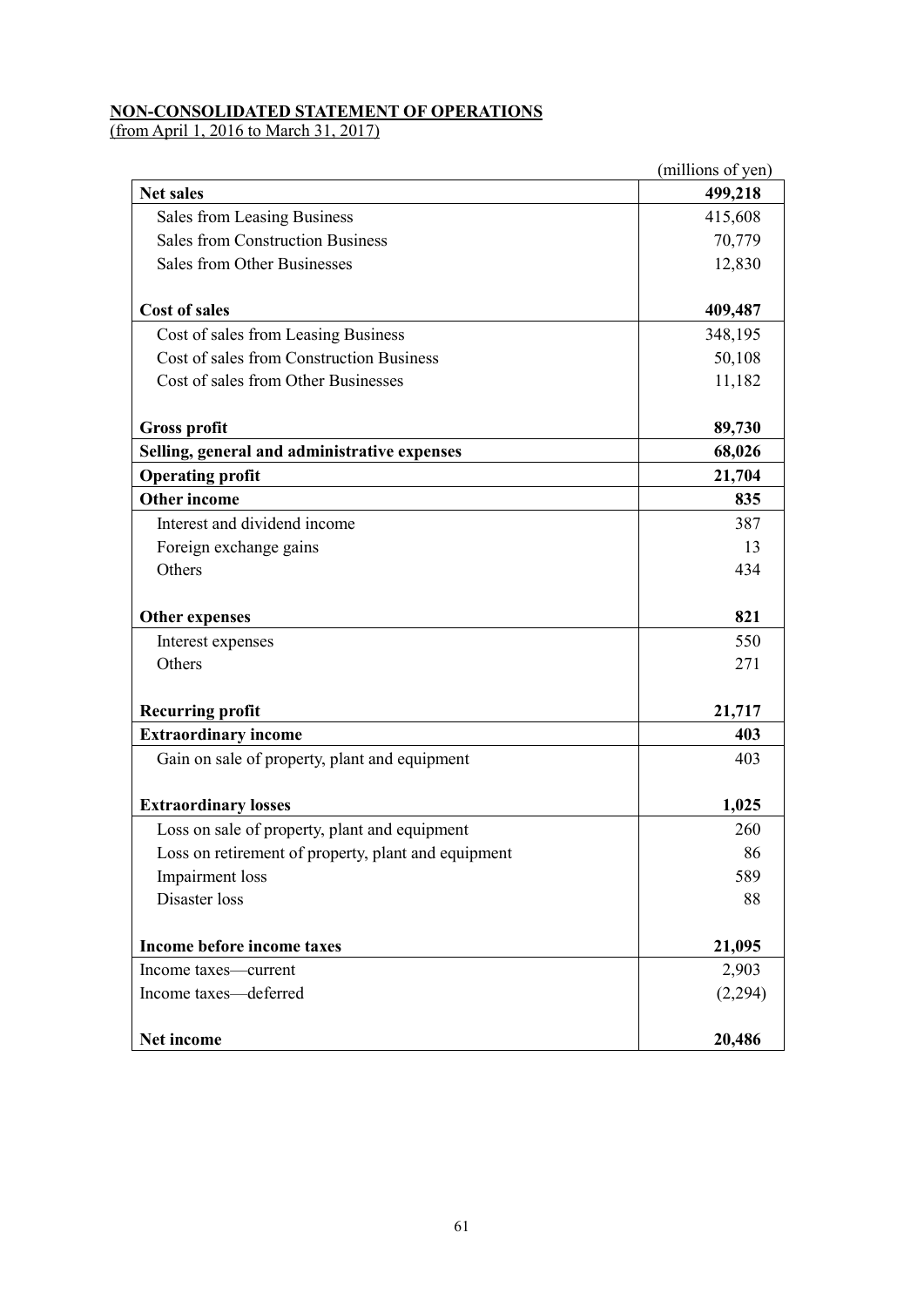# **NON-CONSOLIDATED STATEMENT OF OPERATIONS**

(from April 1, 2016 to March 31, 2017)

|                                                     | (millions of yen) |
|-----------------------------------------------------|-------------------|
| <b>Net sales</b>                                    | 499,218           |
| <b>Sales from Leasing Business</b>                  | 415,608           |
| <b>Sales from Construction Business</b>             | 70,779            |
| Sales from Other Businesses                         | 12,830            |
| <b>Cost of sales</b>                                | 409,487           |
| Cost of sales from Leasing Business                 | 348,195           |
| Cost of sales from Construction Business            | 50,108            |
| Cost of sales from Other Businesses                 | 11,182            |
| <b>Gross profit</b>                                 | 89,730            |
| Selling, general and administrative expenses        | 68,026            |
| <b>Operating profit</b>                             | 21,704            |
| <b>Other income</b>                                 | 835               |
| Interest and dividend income                        | 387               |
| Foreign exchange gains                              | 13                |
| Others                                              | 434               |
| <b>Other expenses</b>                               | 821               |
| Interest expenses                                   | 550               |
| Others                                              | 271               |
| <b>Recurring profit</b>                             | 21,717            |
| <b>Extraordinary income</b>                         | 403               |
| Gain on sale of property, plant and equipment       | 403               |
| <b>Extraordinary losses</b>                         | 1,025             |
| Loss on sale of property, plant and equipment       | 260               |
| Loss on retirement of property, plant and equipment | 86                |
| Impairment loss                                     | 589               |
| Disaster loss                                       | 88                |
| Income before income taxes                          | 21,095            |
| Income taxes—current                                | 2,903             |
| Income taxes-deferred                               | (2,294)           |
| Net income                                          | 20,486            |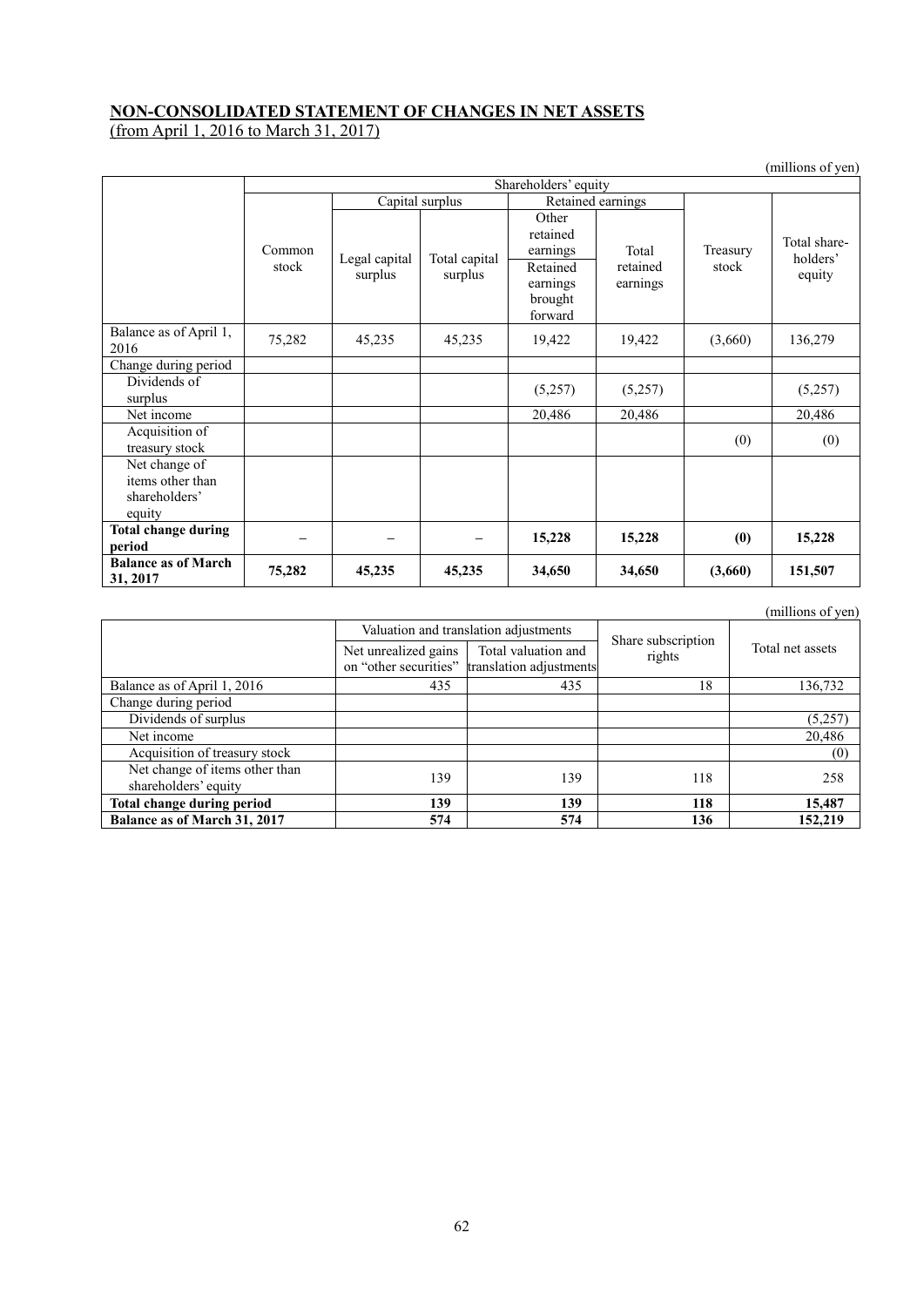### **NON-CONSOLIDATED STATEMENT OF CHANGES IN NET ASSETS**

(from April 1, 2016 to March 31, 2017)

|                                                              |                                      |                          |                          |                                                                             |                               |                   | (millions of yen)                  |
|--------------------------------------------------------------|--------------------------------------|--------------------------|--------------------------|-----------------------------------------------------------------------------|-------------------------------|-------------------|------------------------------------|
|                                                              | Shareholders' equity                 |                          |                          |                                                                             |                               |                   |                                    |
|                                                              | Capital surplus<br>Retained earnings |                          |                          |                                                                             |                               |                   |                                    |
|                                                              | Common<br>stock                      | Legal capital<br>surplus | Total capital<br>surplus | Other<br>retained<br>earnings<br>Retained<br>earnings<br>brought<br>forward | Total<br>retained<br>earnings | Treasury<br>stock | Total share-<br>holders'<br>equity |
| Balance as of April 1,<br>2016                               | 75,282                               | 45,235                   | 45,235                   | 19,422                                                                      | 19,422                        | (3,660)           | 136,279                            |
| Change during period                                         |                                      |                          |                          |                                                                             |                               |                   |                                    |
| Dividends of<br>surplus                                      |                                      |                          |                          | (5,257)                                                                     | (5,257)                       |                   | (5,257)                            |
| Net income                                                   |                                      |                          |                          | 20,486                                                                      | 20,486                        |                   | 20,486                             |
| Acquisition of<br>treasury stock                             |                                      |                          |                          |                                                                             |                               | (0)               | (0)                                |
| Net change of<br>items other than<br>shareholders'<br>equity |                                      |                          |                          |                                                                             |                               |                   |                                    |
| <b>Total change during</b><br>period                         |                                      |                          |                          | 15,228                                                                      | 15,228                        | (0)               | 15,228                             |
| <b>Balance as of March</b><br>31, 2017                       | 75,282                               | 45,235                   | 45,235                   | 34,650                                                                      | 34,650                        | (3,660)           | 151,507                            |

|                                                        |                      |                                                                      |                              | (umuquo of yen)  |
|--------------------------------------------------------|----------------------|----------------------------------------------------------------------|------------------------------|------------------|
|                                                        |                      | Valuation and translation adjustments                                |                              |                  |
|                                                        | Net unrealized gains | Total valuation and<br>on "other securities" translation adjustments | Share subscription<br>rights | Total net assets |
| Balance as of April 1, 2016                            | 435                  | 435                                                                  | 18                           | 136,732          |
| Change during period                                   |                      |                                                                      |                              |                  |
| Dividends of surplus                                   |                      |                                                                      |                              | (5,257)          |
| Net income                                             |                      |                                                                      |                              | 20,486           |
| Acquisition of treasury stock                          |                      |                                                                      |                              | (0)              |
| Net change of items other than<br>shareholders' equity | 139                  | 139                                                                  | 118                          | 258              |
| Total change during period                             | 139                  | 139                                                                  | 118                          | 15,487           |
| Balance as of March 31, 2017                           | 574                  | 574                                                                  | 136                          | 152,219          |

(millions of yen)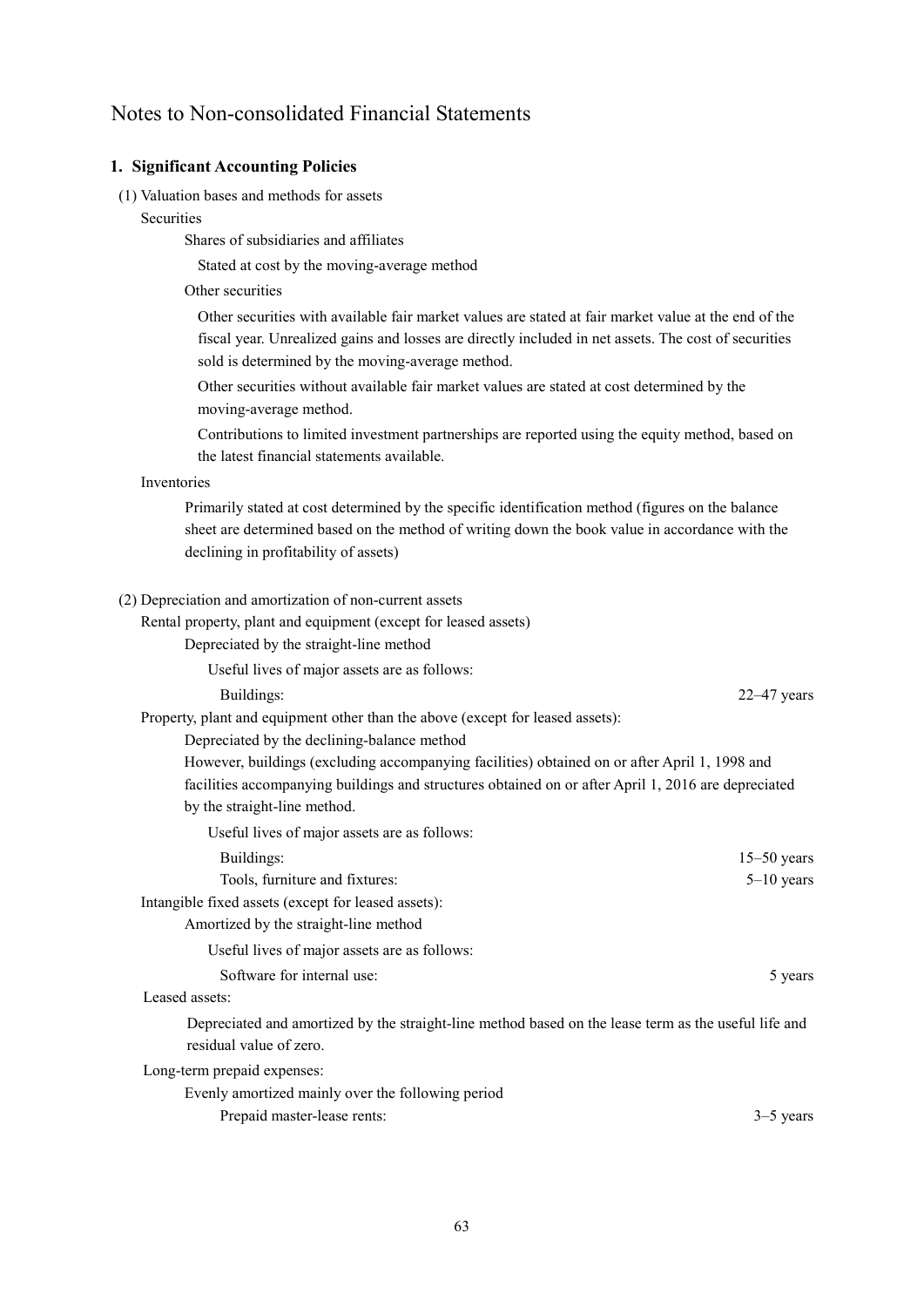# Notes to Non-consolidated Financial Statements

#### **1. Significant Accounting Policies**

- (1) Valuation bases and methods for assets
	- **Securities**

Shares of subsidiaries and affiliates

Stated at cost by the moving-average method

Other securities

Other securities with available fair market values are stated at fair market value at the end of the fiscal year. Unrealized gains and losses are directly included in net assets. The cost of securities sold is determined by the moving-average method.

Other securities without available fair market values are stated at cost determined by the moving-average method.

Contributions to limited investment partnerships are reported using the equity method, based on the latest financial statements available.

#### Inventories

Primarily stated at cost determined by the specific identification method (figures on the balance sheet are determined based on the method of writing down the book value in accordance with the declining in profitability of assets)

#### (2) Depreciation and amortization of non-current assets

Rental property, plant and equipment (except for leased assets)

Depreciated by the straight-line method

Useful lives of major assets are as follows:

Buildings: 22–47 years 22–47 years 22–47 years 22–47 years 22–47 years 22–47 years 22–47 years 22–47 years 22–47 years 22–47 years 22–47 years 22–47 years 22–47 years 22–47 years 22–47 years 22–47 years 22–47 years 22–47 y

Property, plant and equipment other than the above (except for leased assets):

Depreciated by the declining-balance method

However, buildings (excluding accompanying facilities) obtained on or after April 1, 1998 and facilities accompanying buildings and structures obtained on or after April 1, 2016 are depreciated by the straight-line method.

Useful lives of major assets are as follows:

| Buildings:                                          | $15-50$ years  |
|-----------------------------------------------------|----------------|
| Tools, furniture and fixtures:                      | $5 - 10$ years |
| Intangible fixed assets (except for leased assets): |                |
| Amortized by the straight-line method               |                |
| Useful lives of major assets are as follows:        |                |

Software for internal use: 5 years 5 years 5 years 5 years 5 years 5 years 5 years 5 years 5 years 5 years 5 years 5 years 5 years 5 years 5 years 5 years 5 years 5 years 5 years 5 years 5 years 5 years 5 years 5 years 6 y

## Leased assets:

Depreciated and amortized by the straight-line method based on the lease term as the useful life and residual value of zero.

Long-term prepaid expenses:

Evenly amortized mainly over the following period Prepaid master-lease rents: 3–5 years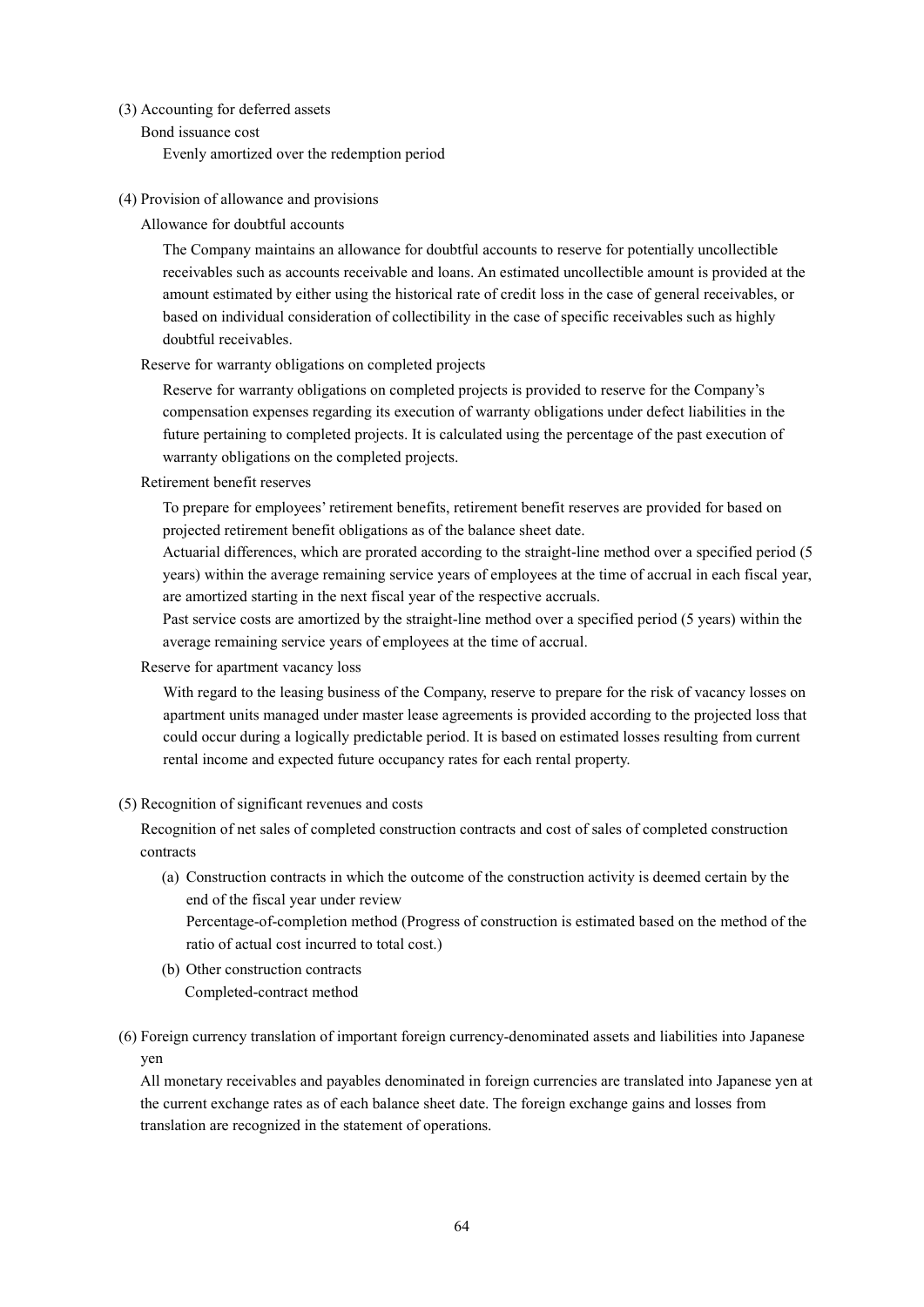#### (3) Accounting for deferred assets

Bond issuance cost

Evenly amortized over the redemption period

#### (4) Provision of allowance and provisions

Allowance for doubtful accounts

The Company maintains an allowance for doubtful accounts to reserve for potentially uncollectible receivables such as accounts receivable and loans. An estimated uncollectible amount is provided at the amount estimated by either using the historical rate of credit loss in the case of general receivables, or based on individual consideration of collectibility in the case of specific receivables such as highly doubtful receivables.

#### Reserve for warranty obligations on completed projects

Reserve for warranty obligations on completed projects is provided to reserve for the Company's compensation expenses regarding its execution of warranty obligations under defect liabilities in the future pertaining to completed projects. It is calculated using the percentage of the past execution of warranty obligations on the completed projects.

Retirement benefit reserves

To prepare for employees' retirement benefits, retirement benefit reserves are provided for based on projected retirement benefit obligations as of the balance sheet date.

Actuarial differences, which are prorated according to the straight-line method over a specified period (5 years) within the average remaining service years of employees at the time of accrual in each fiscal year, are amortized starting in the next fiscal year of the respective accruals.

Past service costs are amortized by the straight-line method over a specified period (5 years) within the average remaining service years of employees at the time of accrual.

#### Reserve for apartment vacancy loss

With regard to the leasing business of the Company, reserve to prepare for the risk of vacancy losses on apartment units managed under master lease agreements is provided according to the projected loss that could occur during a logically predictable period. It is based on estimated losses resulting from current rental income and expected future occupancy rates for each rental property.

#### (5) Recognition of significant revenues and costs

Recognition of net sales of completed construction contracts and cost of sales of completed construction contracts

(a) Construction contracts in which the outcome of the construction activity is deemed certain by the end of the fiscal year under review

Percentage-of-completion method (Progress of construction is estimated based on the method of the ratio of actual cost incurred to total cost.)

- (b) Other construction contracts Completed-contract method
- (6) Foreign currency translation of important foreign currency-denominated assets and liabilities into Japanese yen

All monetary receivables and payables denominated in foreign currencies are translated into Japanese yen at the current exchange rates as of each balance sheet date. The foreign exchange gains and losses from translation are recognized in the statement of operations.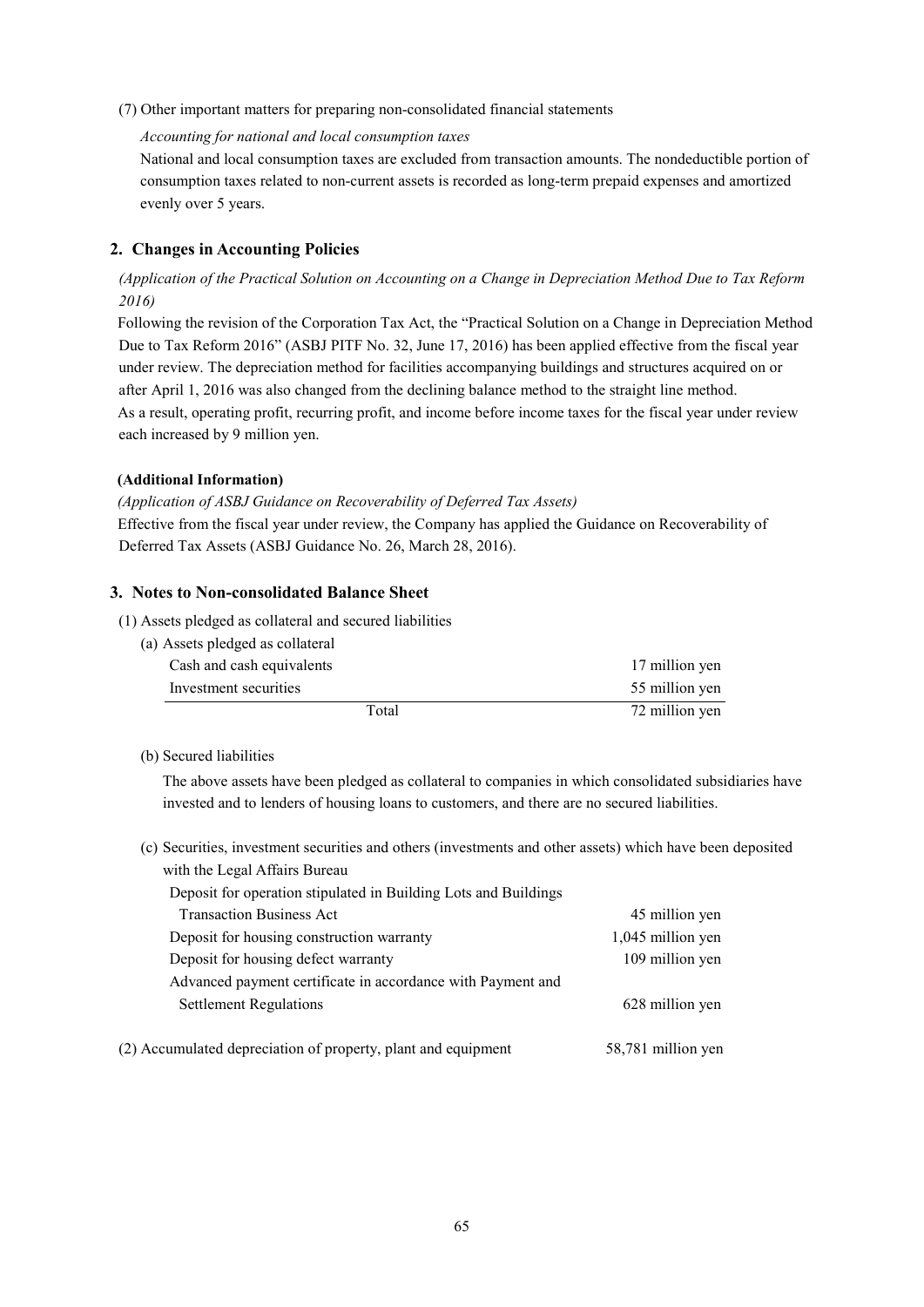(7) Other important matters for preparing non-consolidated financial statements

#### *Accounting for national and local consumption taxes*

National and local consumption taxes are excluded from transaction amounts. The nondeductible portion of consumption taxes related to non-current assets is recorded as long-term prepaid expenses and amortized evenly over 5 years.

### **2. Changes in Accounting Policies**

*(Application of the Practical Solution on Accounting on a Change in Depreciation Method Due to Tax Reform 2016)*

Following the revision of the Corporation Tax Act, the "Practical Solution on a Change in Depreciation Method Due to Tax Reform 2016" (ASBJ PITF No. 32, June 17, 2016) has been applied effective from the fiscal year under review. The depreciation method for facilities accompanying buildings and structures acquired on or after April 1, 2016 was also changed from the declining balance method to the straight line method. As a result, operating profit, recurring profit, and income before income taxes for the fiscal year under review each increased by 9 million yen.

### **(Additional Information)**

*(Application of ASBJ Guidance on Recoverability of Deferred Tax Assets)* Effective from the fiscal year under review, the Company has applied the Guidance on Recoverability of Deferred Tax Assets (ASBJ Guidance No. 26, March 28, 2016).

### **3. Notes to Non-consolidated Balance Sheet**

- (1) Assets pledged as collateral and secured liabilities
	- (a) Assets pledged as collateral Cash and cash equivalents 17 million yen Investment securities 55 million yen Total 72 million yen

#### (b) Secured liabilities

The above assets have been pledged as collateral to companies in which consolidated subsidiaries have invested and to lenders of housing loans to customers, and there are no secured liabilities.

(c) Securities, investment securities and others (investments and other assets) which have been deposited with the Legal Affairs Bureau

| Deposit for operation stipulated in Building Lots and Buildings |                   |
|-----------------------------------------------------------------|-------------------|
| <b>Transaction Business Act</b>                                 | 45 million yen    |
| Deposit for housing construction warranty                       | 1,045 million yen |
| Deposit for housing defect warranty                             | 109 million yen   |
| Advanced payment certificate in accordance with Payment and     |                   |
| <b>Settlement Regulations</b>                                   | 628 million yen   |
|                                                                 |                   |

(2) Accumulated depreciation of property, plant and equipment 58,781 million yen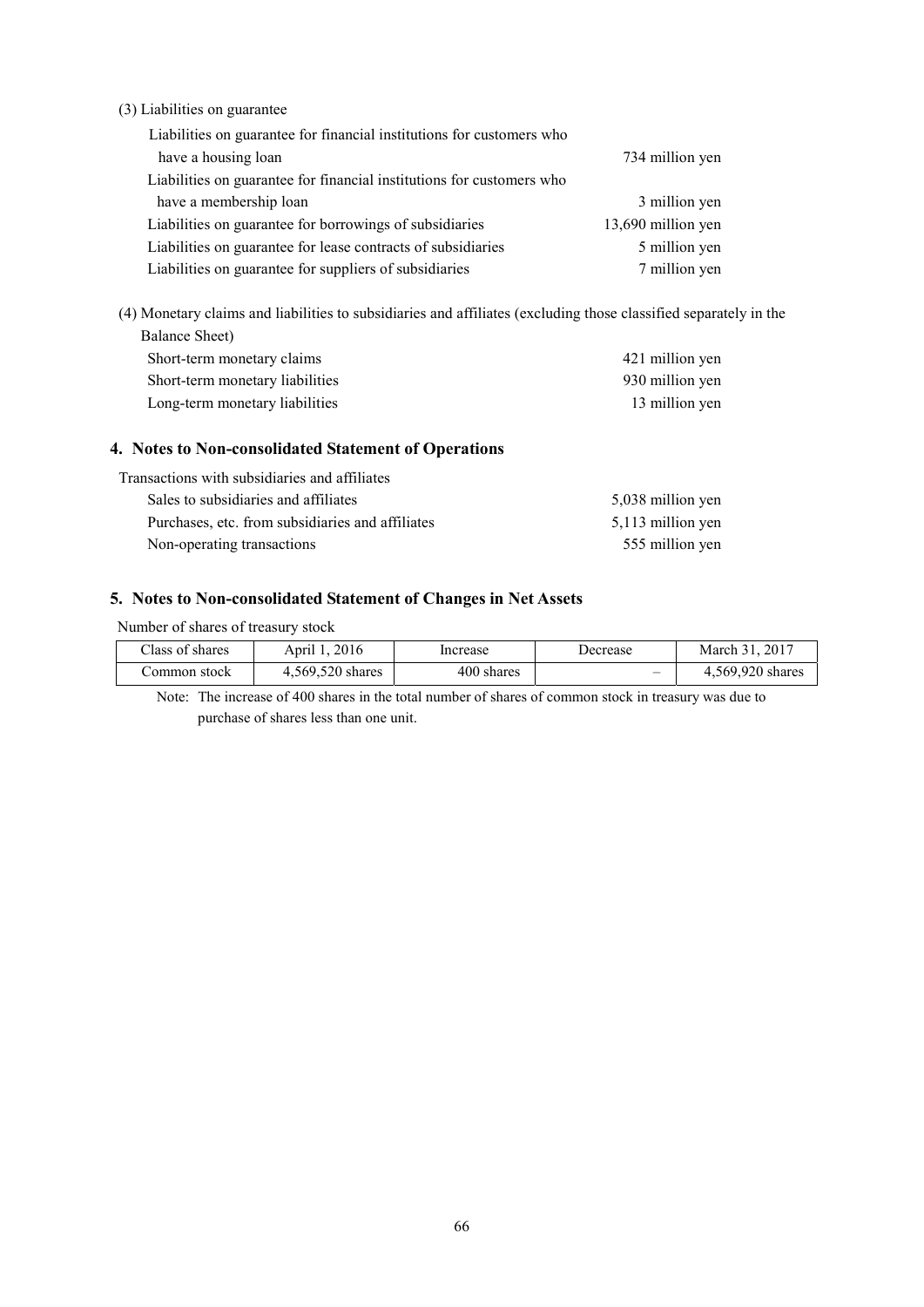(3) Liabilities on guarantee

| Liabilities on guarantee for financial institutions for customers who |                    |
|-----------------------------------------------------------------------|--------------------|
| have a housing loan                                                   | 734 million yen    |
| Liabilities on guarantee for financial institutions for customers who |                    |
| have a membership loan                                                | 3 million yen      |
| Liabilities on guarantee for borrowings of subsidiaries               | 13,690 million yen |
| Liabilities on guarantee for lease contracts of subsidiaries          | 5 million yen      |
| Liabilities on guarantee for suppliers of subsidiaries                | 7 million yen      |

(4) Monetary claims and liabilities to subsidiaries and affiliates (excluding those classified separately in the Balance Sheet)

| Short-term monetary claims      | 421 million yen |
|---------------------------------|-----------------|
| Short-term monetary liabilities | 930 million yen |
| Long-term monetary liabilities  | 13 million yen  |

#### **4. Notes to Non-consolidated Statement of Operations**

| Transactions with subsidiaries and affiliates    |                   |
|--------------------------------------------------|-------------------|
| Sales to subsidiaries and affiliates             | 5,038 million yen |
| Purchases, etc. from subsidiaries and affiliates | 5,113 million yen |
| Non-operating transactions                       | 555 million yen   |

### **5. Notes to Non-consolidated Statement of Changes in Net Assets**

Number of shares of treasury stock

 $\overline{\phantom{a}}$ 

| Class of shares | April 1, 2016    | Increase   | Decrease | March 31, 2017   |
|-----------------|------------------|------------|----------|------------------|
| Common stock    | 4,569,520 shares | 400 shares | _        | 4,569,920 shares |

Note: The increase of 400 shares in the total number of shares of common stock in treasury was due to purchase of shares less than one unit.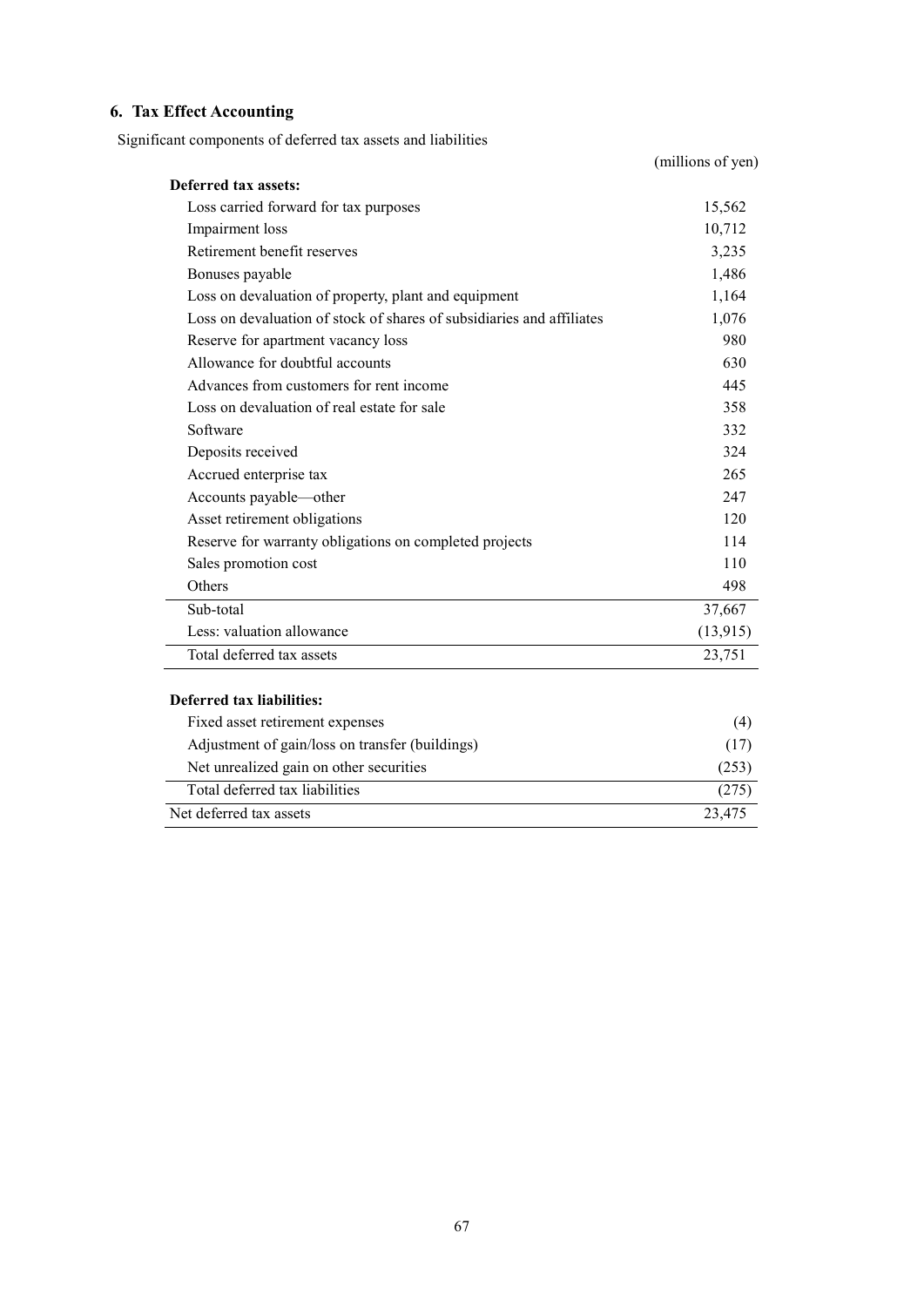# **6. Tax Effect Accounting**

Significant components of deferred tax assets and liabilities

|                                                                       | (millions of yen) |
|-----------------------------------------------------------------------|-------------------|
| Deferred tax assets:                                                  |                   |
| Loss carried forward for tax purposes                                 | 15,562            |
| Impairment loss                                                       | 10,712            |
| Retirement benefit reserves                                           | 3,235             |
| Bonuses payable                                                       | 1,486             |
| Loss on devaluation of property, plant and equipment                  | 1,164             |
| Loss on devaluation of stock of shares of subsidiaries and affiliates | 1,076             |
| Reserve for apartment vacancy loss                                    | 980               |
| Allowance for doubtful accounts                                       | 630               |
| Advances from customers for rent income                               | 445               |
| Loss on devaluation of real estate for sale                           | 358               |
| Software                                                              | 332               |
| Deposits received                                                     | 324               |
| Accrued enterprise tax                                                | 265               |
| Accounts payable—other                                                | 247               |
| Asset retirement obligations                                          | 120               |
| Reserve for warranty obligations on completed projects                | 114               |
| Sales promotion cost                                                  | 110               |
| Others                                                                | 498               |
| Sub-total                                                             | 37,667            |
| Less: valuation allowance                                             | (13, 915)         |
| Total deferred tax assets                                             | 23,751            |
| <b>Deferred tax liabilities:</b>                                      |                   |
| Fixed asset retirement expenses                                       | (4)               |
| Adjustment of gain/loss on transfer (buildings)                       | (17)              |
| Net unrealized gain on other securities                               | (253)             |
| Total deferred tax liabilities                                        | (275)             |
| Net deferred tax assets                                               | 23,475            |